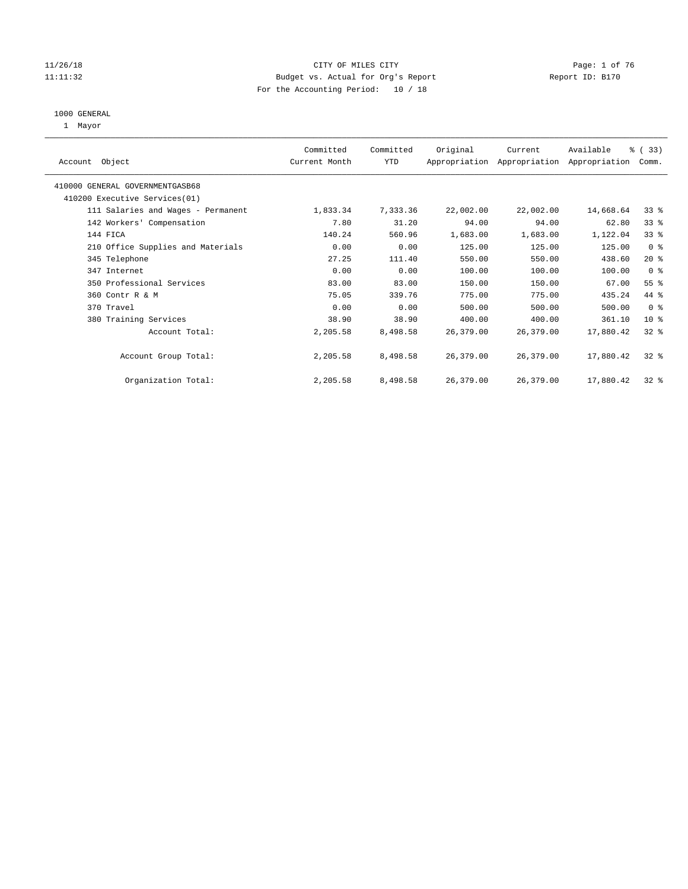#### 11/26/18 Page: 1 of 76 11:11:32 Budget vs. Actual for Org's Report Report ID: B170 For the Accounting Period: 10 / 18

#### 1000 GENERAL

1 Mayor

|                                    | Committed     | Committed | Original  | Current   | Available                                 | % (33)          |
|------------------------------------|---------------|-----------|-----------|-----------|-------------------------------------------|-----------------|
| Account Object                     | Current Month | YTD       |           |           | Appropriation Appropriation Appropriation | Comm.           |
| 410000 GENERAL GOVERNMENTGASB68    |               |           |           |           |                                           |                 |
| 410200 Executive Services (01)     |               |           |           |           |                                           |                 |
| 111 Salaries and Wages - Permanent | 1,833.34      | 7,333.36  | 22,002.00 | 22,002.00 | 14,668.64                                 | $33$ $%$        |
| 142 Workers' Compensation          | 7.80          | 31.20     | 94.00     | 94.00     | 62.80                                     | 33 <sup>8</sup> |
| 144 FICA                           | 140.24        | 560.96    | 1,683.00  | 1,683.00  | 1,122.04                                  | 33 <sup>8</sup> |
| 210 Office Supplies and Materials  | 0.00          | 0.00      | 125.00    | 125.00    | 125.00                                    | 0 <sup>8</sup>  |
| 345 Telephone                      | 27.25         | 111.40    | 550.00    | 550.00    | 438.60                                    | $20*$           |
| 347 Internet                       | 0.00          | 0.00      | 100.00    | 100.00    | 100.00                                    | 0 <sup>8</sup>  |
| 350 Professional Services          | 83.00         | 83.00     | 150.00    | 150.00    | 67.00                                     | $55$ $%$        |
| 360 Contr R & M                    | 75.05         | 339.76    | 775.00    | 775.00    | 435.24                                    | 44 %            |
| 370 Travel                         | 0.00          | 0.00      | 500.00    | 500.00    | 500.00                                    | 0 <sub>8</sub>  |
| 380 Training Services              | 38.90         | 38.90     | 400.00    | 400.00    | 361.10                                    | 10 <sup>8</sup> |
| Account Total:                     | 2,205.58      | 8,498.58  | 26,379.00 | 26,379.00 | 17,880.42                                 | $32*$           |
| Account Group Total:               | 2,205.58      | 8,498.58  | 26,379.00 | 26,379.00 | 17,880.42                                 | $32*$           |
| Organization Total:                | 2,205.58      | 8,498.58  | 26,379.00 | 26,379.00 | 17,880.42                                 | $32*$           |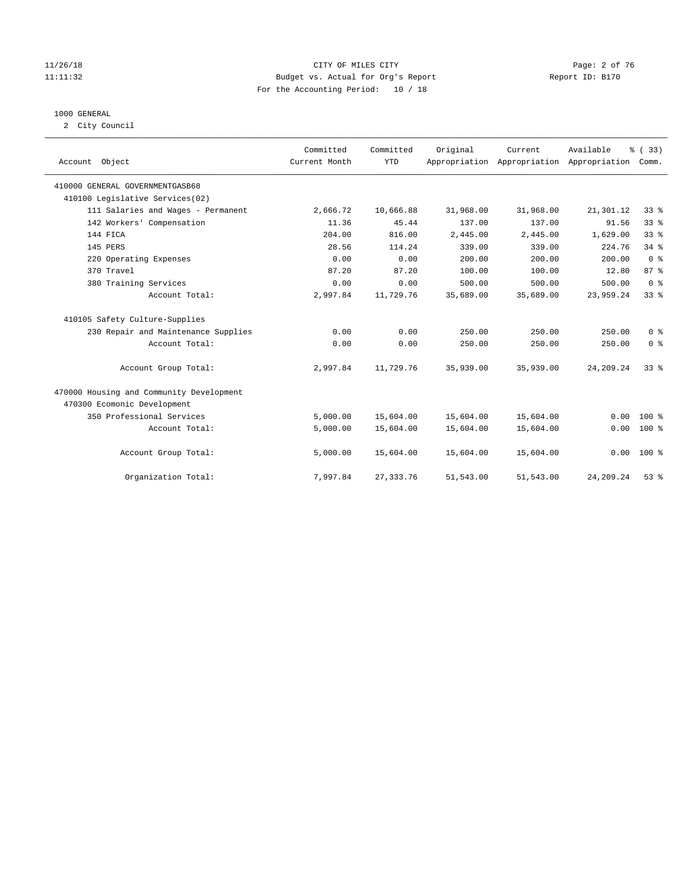#### 11/26/18 CITY OF MILES CITY Page: 2 of 76 11:11:32 Budget vs. Actual for Org's Report Report ID: B170 For the Accounting Period: 10 / 18

#### 1000 GENERAL

2 City Council

| Account Object                           | Committed<br>Current Month | Committed<br><b>YTD</b> | Original  | Current<br>Appropriation Appropriation Appropriation | Available   | % (33)<br>Comm. |
|------------------------------------------|----------------------------|-------------------------|-----------|------------------------------------------------------|-------------|-----------------|
| 410000 GENERAL GOVERNMENTGASB68          |                            |                         |           |                                                      |             |                 |
| 410100 Legislative Services(02)          |                            |                         |           |                                                      |             |                 |
| 111 Salaries and Wages - Permanent       | 2,666.72                   | 10,666.88               | 31,968.00 | 31,968.00                                            | 21,301.12   | 33%             |
| 142 Workers' Compensation                | 11.36                      | 45.44                   | 137.00    | 137.00                                               | 91.56       | 33%             |
| 144 FICA                                 | 204.00                     | 816.00                  | 2,445.00  | 2,445.00                                             | 1,629.00    | 33 <sup>8</sup> |
| 145 PERS                                 | 28.56                      | 114.24                  | 339.00    | 339.00                                               | 224.76      | 34%             |
| 220 Operating Expenses                   | 0.00                       | 0.00                    | 200.00    | 200.00                                               | 200.00      | 0 <sup>8</sup>  |
| 370 Travel                               | 87.20                      | 87.20                   | 100.00    | 100.00                                               | 12.80       | 87 %            |
| 380 Training Services                    | 0.00                       | 0.00                    | 500.00    | 500.00                                               | 500.00      | 0 <sup>8</sup>  |
| Account Total:                           | 2,997.84                   | 11,729.76               | 35,689.00 | 35,689.00                                            | 23,959.24   | 33%             |
| 410105 Safety Culture-Supplies           |                            |                         |           |                                                      |             |                 |
| 230 Repair and Maintenance Supplies      | 0.00                       | 0.00                    | 250.00    | 250.00                                               | 250.00      | 0 <sup>8</sup>  |
| Account Total:                           | 0.00                       | 0.00                    | 250.00    | 250.00                                               | 250.00      | 0 <sup>8</sup>  |
| Account Group Total:                     | 2,997.84                   | 11,729.76               | 35,939.00 | 35,939.00                                            | 24, 209. 24 | 33%             |
| 470000 Housing and Community Development |                            |                         |           |                                                      |             |                 |
| 470300 Ecomonic Development              |                            |                         |           |                                                      |             |                 |
| 350 Professional Services                | 5,000.00                   | 15,604.00               | 15,604.00 | 15,604.00                                            | 0.00        | $100*$          |
| Account Total:                           | 5,000.00                   | 15,604.00               | 15,604.00 | 15,604.00                                            | 0.00        | $100*$          |
| Account Group Total:                     | 5,000.00                   | 15,604.00               | 15,604.00 | 15,604.00                                            | 0.00        | $100*$          |
| Organization Total:                      | 7,997.84                   | 27, 333.76              | 51,543.00 | 51,543.00                                            | 24, 209. 24 | 53%             |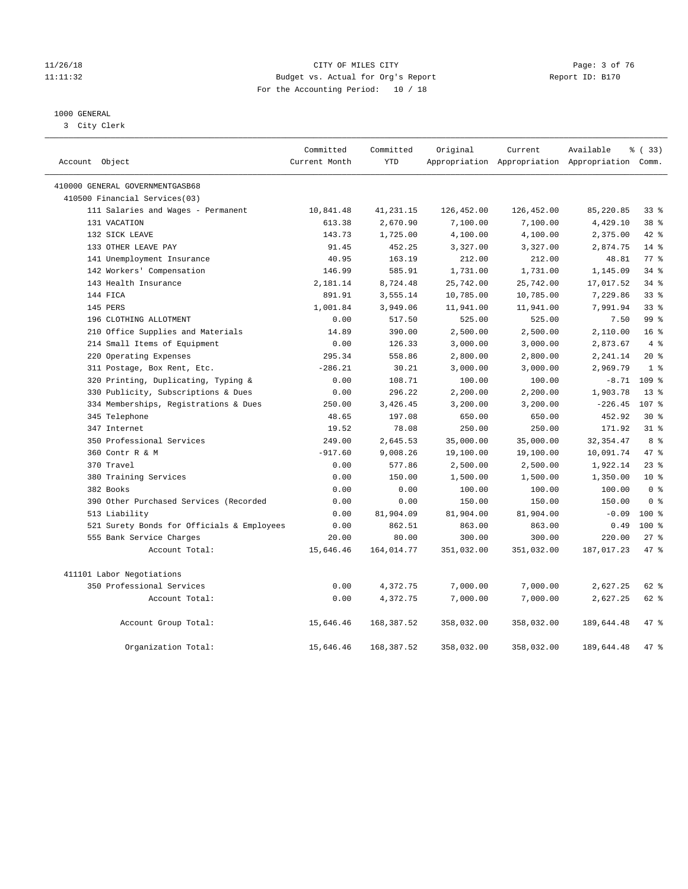#### 11/26/18 CITY OF MILES CITY Page: 3 of 76 11:11:32 Budget vs. Actual for Org's Report Report ID: B170 For the Accounting Period: 10 / 18

### 1000 GENERAL

3 City Clerk

|                                            | Committed     | Committed  | Original   | Current    | Available                                       | % (33)           |
|--------------------------------------------|---------------|------------|------------|------------|-------------------------------------------------|------------------|
| Account Object                             | Current Month | <b>YTD</b> |            |            | Appropriation Appropriation Appropriation Comm. |                  |
| 410000 GENERAL GOVERNMENTGASB68            |               |            |            |            |                                                 |                  |
| 410500 Financial Services(03)              |               |            |            |            |                                                 |                  |
| 111 Salaries and Wages - Permanent         | 10,841.48     | 41,231.15  | 126,452.00 | 126,452.00 | 85,220.85                                       | 338              |
| 131 VACATION                               | 613.38        | 2,670.90   | 7,100.00   | 7,100.00   | 4,429.10                                        | 38 <sup>8</sup>  |
| 132 SICK LEAVE                             | 143.73        | 1,725.00   | 4,100.00   | 4,100.00   | 2,375.00                                        | $42$ $%$         |
| 133 OTHER LEAVE PAY                        | 91.45         | 452.25     | 3,327.00   | 3,327.00   | 2,874.75                                        | 14 %             |
| 141 Unemployment Insurance                 | 40.95         | 163.19     | 212.00     | 212.00     | 48.81                                           | 77.8             |
| 142 Workers' Compensation                  | 146.99        | 585.91     | 1,731.00   | 1,731.00   | 1,145.09                                        | 34.8             |
| 143 Health Insurance                       | 2,181.14      | 8,724.48   | 25,742.00  | 25,742.00  | 17,017.52                                       | 34%              |
| 144 FICA                                   | 891.91        | 3,555.14   | 10,785.00  | 10,785.00  | 7,229.86                                        | 33%              |
| 145 PERS                                   | 1,001.84      | 3,949.06   | 11,941.00  | 11,941.00  | 7,991.94                                        | 33 <sup>8</sup>  |
| 196 CLOTHING ALLOTMENT                     | 0.00          | 517.50     | 525.00     | 525.00     | 7.50                                            | 99 <sub>8</sub>  |
| 210 Office Supplies and Materials          | 14.89         | 390.00     | 2,500.00   | 2,500.00   | 2,110.00                                        | 16 <sup>°</sup>  |
| 214 Small Items of Equipment               | 0.00          | 126.33     | 3,000.00   | 3,000.00   | 2,873.67                                        | 4%               |
| 220 Operating Expenses                     | 295.34        | 558.86     | 2,800.00   | 2,800.00   | 2,241.14                                        | $20*$            |
| 311 Postage, Box Rent, Etc.                | $-286.21$     | 30.21      | 3,000.00   | 3,000.00   | 2,969.79                                        | 1 <sup>8</sup>   |
| 320 Printing, Duplicating, Typing &        | 0.00          | 108.71     | 100.00     | 100.00     | $-8.71$                                         | 109 %            |
| 330 Publicity, Subscriptions & Dues        | 0.00          | 296.22     | 2,200.00   | 2,200.00   | 1,903.78                                        | $13*$            |
| 334 Memberships, Registrations & Dues      | 250.00        | 3,426.45   | 3,200.00   | 3,200.00   | $-226.45$                                       | 107 <sub>8</sub> |
| 345 Telephone                              | 48.65         | 197.08     | 650.00     | 650.00     | 452.92                                          | $30*$            |
| 347 Internet                               | 19.52         | 78.08      | 250.00     | 250.00     | 171.92                                          | $31$ %           |
| 350 Professional Services                  | 249.00        | 2,645.53   | 35,000.00  | 35,000.00  | 32, 354.47                                      | 8 %              |
| 360 Contr R & M                            | $-917.60$     | 9,008.26   | 19,100.00  | 19,100.00  | 10,091.74                                       | 47.8             |
| 370 Travel                                 | 0.00          | 577.86     | 2,500.00   | 2,500.00   | 1,922.14                                        | $23$ $%$         |
| 380 Training Services                      | 0.00          | 150.00     | 1,500.00   | 1,500.00   | 1,350.00                                        | $10*$            |
| 382 Books                                  | 0.00          | 0.00       | 100.00     | 100.00     | 100.00                                          | 0 <sup>8</sup>   |
| 390 Other Purchased Services (Recorded     | 0.00          | 0.00       | 150.00     | 150.00     | 150.00                                          | 0 <sup>8</sup>   |
| 513 Liability                              | 0.00          | 81,904.09  | 81,904.00  | 81,904.00  | $-0.09$                                         | $100*$           |
| 521 Surety Bonds for Officials & Employees | 0.00          | 862.51     | 863.00     | 863.00     | 0.49                                            | 100 %            |
| 555 Bank Service Charges                   | 20.00         | 80.00      | 300.00     | 300.00     | 220.00                                          | 27%              |
| Account Total:                             | 15,646.46     | 164,014.77 | 351,032.00 | 351,032.00 | 187,017.23                                      | 47.8             |
| 411101 Labor Negotiations                  |               |            |            |            |                                                 |                  |
| 350 Professional Services                  | 0.00          | 4,372.75   | 7,000.00   | 7,000.00   | 2,627.25                                        | 62 %             |
| Account Total:                             | 0.00          | 4,372.75   | 7,000.00   | 7,000.00   | 2,627.25                                        | $62$ $%$         |
| Account Group Total:                       | 15,646.46     | 168,387.52 | 358,032.00 | 358,032.00 | 189,644.48                                      | 47 %             |
| Organization Total:                        | 15,646.46     | 168,387.52 | 358,032.00 | 358,032.00 | 189,644.48                                      | 47.8             |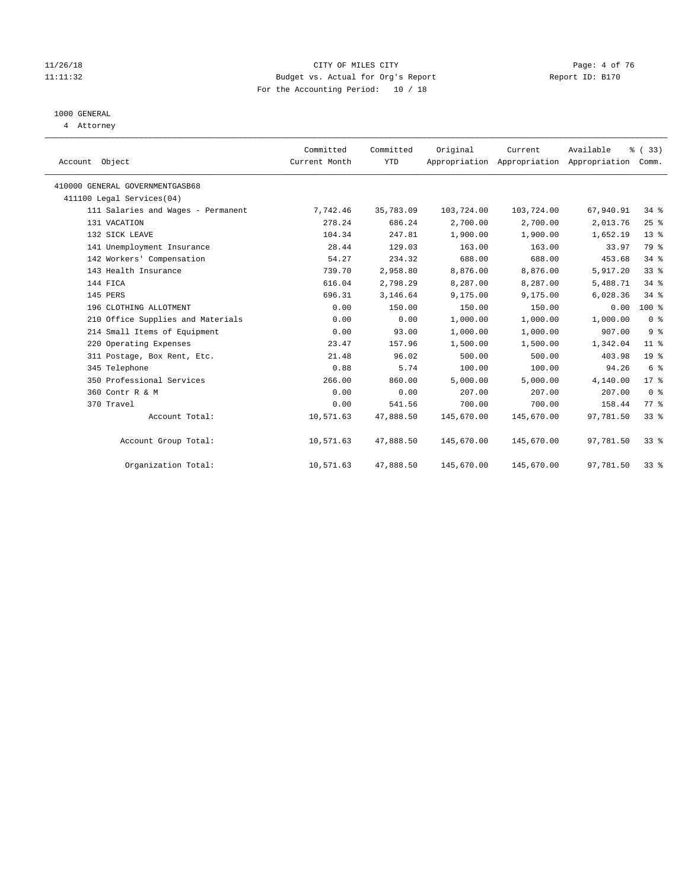#### 11/26/18 CITY OF MILES CITY Page: 4 of 76 11:11:32 Budget vs. Actual for Org's Report Report ID: B170 For the Accounting Period: 10 / 18

## 1000 GENERAL

4 Attorney

| Account Object                     | Committed<br>Current Month | Committed<br><b>YTD</b> | Original   | Current<br>Appropriation Appropriation Appropriation | Available | % (33)<br>Comm. |
|------------------------------------|----------------------------|-------------------------|------------|------------------------------------------------------|-----------|-----------------|
| 410000 GENERAL GOVERNMENTGASB68    |                            |                         |            |                                                      |           |                 |
| 411100 Legal Services(04)          |                            |                         |            |                                                      |           |                 |
| 111 Salaries and Wages - Permanent | 7,742.46                   | 35,783.09               | 103,724.00 | 103,724.00                                           | 67,940.91 | $34$ $%$        |
| 131 VACATION                       | 278.24                     | 686.24                  | 2,700.00   | 2,700.00                                             | 2,013.76  | 25%             |
| 132 SICK LEAVE                     | 104.34                     | 247.81                  | 1,900.00   | 1,900.00                                             | 1,652.19  | $13*$           |
| 141 Unemployment Insurance         | 28.44                      | 129.03                  | 163.00     | 163.00                                               | 33.97     | 79 %            |
| 142 Workers' Compensation          | 54.27                      | 234.32                  | 688.00     | 688.00                                               | 453.68    | $34$ $%$        |
| 143 Health Insurance               | 739.70                     | 2,958.80                | 8,876.00   | 8,876.00                                             | 5,917.20  | 33%             |
| 144 FICA                           | 616.04                     | 2,798.29                | 8,287.00   | 8,287.00                                             | 5,488.71  | 34.8            |
| 145 PERS                           | 696.31                     | 3,146.64                | 9,175.00   | 9,175.00                                             | 6,028.36  | $34$ $%$        |
| 196 CLOTHING ALLOTMENT             | 0.00                       | 150.00                  | 150.00     | 150.00                                               | 0.00      | 100 %           |
| 210 Office Supplies and Materials  | 0.00                       | 0.00                    | 1,000.00   | 1,000.00                                             | 1,000.00  | 0 <sup>8</sup>  |
| 214 Small Items of Equipment       | 0.00                       | 93.00                   | 1,000.00   | 1,000.00                                             | 907.00    | 9 <sup>°</sup>  |
| 220 Operating Expenses             | 23.47                      | 157.96                  | 1,500.00   | 1,500.00                                             | 1,342.04  | $11$ %          |
| 311 Postage, Box Rent, Etc.        | 21.48                      | 96.02                   | 500.00     | 500.00                                               | 403.98    | $19*$           |
| 345 Telephone                      | 0.88                       | 5.74                    | 100.00     | 100.00                                               | 94.26     | 6 <sup>°</sup>  |
| 350 Professional Services          | 266.00                     | 860.00                  | 5.000.00   | 5,000.00                                             | 4,140.00  | $17*$           |
| 360 Contr R & M                    | 0.00                       | 0.00                    | 207.00     | 207.00                                               | 207.00    | 0 <sup>8</sup>  |
| 370 Travel                         | 0.00                       | 541.56                  | 700.00     | 700.00                                               | 158.44    | 77 %            |
| Account Total:                     | 10,571.63                  | 47,888.50               | 145,670.00 | 145,670.00                                           | 97,781.50 | 33%             |
| Account Group Total:               | 10,571.63                  | 47,888.50               | 145,670.00 | 145,670.00                                           | 97,781.50 | 33 <sup>8</sup> |
| Organization Total:                | 10,571.63                  | 47,888.50               | 145,670.00 | 145,670.00                                           | 97,781.50 | $33$ $%$        |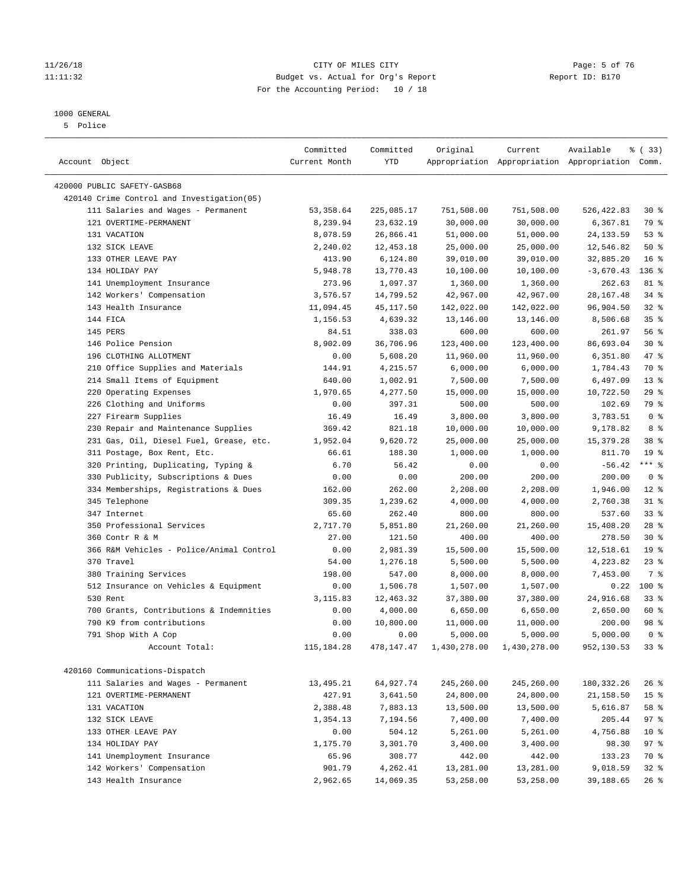#### 11/26/18 CITY OF MILES CITY Page: 5 of 76 11:11:32 Budget vs. Actual for Org's Report Report ID: B170 For the Accounting Period: 10 / 18

————————————————————————————————————————————————————————————————————————————————————————————————————————————————————————————————————

## 1000 GENERAL

5 Police

| Account Object                             | Committed<br>Current Month | Committed<br>YTD | Original     | Current      | Available<br>Appropriation Appropriation Appropriation Comm. | % (33)          |
|--------------------------------------------|----------------------------|------------------|--------------|--------------|--------------------------------------------------------------|-----------------|
| 420000 PUBLIC SAFETY-GASB68                |                            |                  |              |              |                                                              |                 |
| 420140 Crime Control and Investigation(05) |                            |                  |              |              |                                                              |                 |
| 111 Salaries and Wages - Permanent         | 53, 358.64                 | 225,085.17       | 751,508.00   | 751,508.00   | 526,422.83                                                   | $30*$           |
| 121 OVERTIME-PERMANENT                     | 8,239.94                   | 23,632.19        | 30,000.00    | 30,000.00    | 6,367.81                                                     | 79 %            |
| 131 VACATION                               | 8,078.59                   | 26,866.41        | 51,000.00    | 51,000.00    | 24, 133.59                                                   | 53%             |
| 132 SICK LEAVE                             | 2,240.02                   | 12,453.18        | 25,000.00    | 25,000.00    | 12,546.82                                                    | 50%             |
| 133 OTHER LEAVE PAY                        | 413.90                     | 6,124.80         | 39,010.00    | 39,010.00    | 32,885.20                                                    | 16 <sup>°</sup> |
| 134 HOLIDAY PAY                            | 5,948.78                   | 13,770.43        | 10,100.00    | 10,100.00    | $-3,670.43$                                                  | $136$ %         |
| 141 Unemployment Insurance                 | 273.96                     | 1,097.37         | 1,360.00     | 1,360.00     | 262.63                                                       | 81 %            |
| 142 Workers' Compensation                  | 3,576.57                   | 14,799.52        | 42,967.00    | 42,967.00    | 28, 167.48                                                   | $34$ $%$        |
| 143 Health Insurance                       | 11,094.45                  | 45,117.50        | 142,022.00   | 142,022.00   | 96,904.50                                                    | 32%             |
| 144 FICA                                   | 1,156.53                   | 4,639.32         | 13,146.00    | 13,146.00    | 8,506.68                                                     | 35%             |
| 145 PERS                                   | 84.51                      | 338.03           | 600.00       | 600.00       | 261.97                                                       | 56%             |
| 146 Police Pension                         | 8,902.09                   | 36,706.96        | 123,400.00   | 123,400.00   | 86,693.04                                                    | $30*$           |
| 196 CLOTHING ALLOTMENT                     | 0.00                       | 5,608.20         | 11,960.00    | 11,960.00    | 6,351.80                                                     | 47 %            |
| 210 Office Supplies and Materials          | 144.91                     | 4,215.57         | 6,000.00     | 6,000.00     | 1,784.43                                                     | 70 %            |
| 214 Small Items of Equipment               | 640.00                     | 1,002.91         | 7,500.00     | 7,500.00     | 6,497.09                                                     | $13*$           |
| 220 Operating Expenses                     | 1,970.65                   | 4,277.50         | 15,000.00    | 15,000.00    | 10,722.50                                                    | 29%             |
| 226 Clothing and Uniforms                  | 0.00                       | 397.31           | 500.00       | 500.00       | 102.69                                                       | 79 %            |
| 227 Firearm Supplies                       | 16.49                      | 16.49            | 3,800.00     | 3,800.00     | 3,783.51                                                     | 0 <sup>8</sup>  |
| 230 Repair and Maintenance Supplies        | 369.42                     | 821.18           | 10,000.00    | 10,000.00    | 9,178.82                                                     | 8 %             |
| 231 Gas, Oil, Diesel Fuel, Grease, etc.    | 1,952.04                   | 9,620.72         | 25,000.00    | 25,000.00    | 15, 379. 28                                                  | 38 <sup>8</sup> |
| 311 Postage, Box Rent, Etc.                | 66.61                      | 188.30           | 1,000.00     | 1,000.00     | 811.70                                                       | 19 <sup>°</sup> |
| 320 Printing, Duplicating, Typing &        | 6.70                       | 56.42            | 0.00         | 0.00         | $-56.42$                                                     | $***$ $-$       |
| 330 Publicity, Subscriptions & Dues        | 0.00                       | 0.00             | 200.00       | 200.00       | 200.00                                                       | 0 <sup>8</sup>  |
| 334 Memberships, Registrations & Dues      | 162.00                     | 262.00           | 2,208.00     | 2,208.00     | 1,946.00                                                     | $12*$           |
| 345 Telephone                              | 309.35                     | 1,239.62         | 4,000.00     | 4,000.00     | 2,760.38                                                     | $31$ %          |
| 347 Internet                               | 65.60                      | 262.40           | 800.00       | 800.00       | 537.60                                                       | 33 <sup>8</sup> |
| 350 Professional Services                  | 2,717.70                   | 5,851.80         | 21,260.00    | 21,260.00    | 15,408.20                                                    | $28$ %          |
| 360 Contr R & M                            | 27.00                      | 121.50           | 400.00       | 400.00       | 278.50                                                       | $30*$           |
| 366 R&M Vehicles - Police/Animal Control   | 0.00                       | 2,981.39         | 15,500.00    | 15,500.00    | 12,518.61                                                    | 19 <sup>°</sup> |
| 370 Travel                                 | 54.00                      | 1,276.18         | 5,500.00     | 5,500.00     | 4,223.82                                                     | $23$ $%$        |
| 380 Training Services                      | 198.00                     | 547.00           | 8,000.00     | 8,000.00     | 7,453.00                                                     | 7 %             |
| 512 Insurance on Vehicles & Equipment      | 0.00                       | 1,506.78         | 1,507.00     | 1,507.00     | 0.22                                                         | $100*$          |
| 530 Rent                                   | 3,115.83                   | 12,463.32        | 37,380.00    | 37,380.00    | 24,916.68                                                    | $33$ $%$        |
| 700 Grants, Contributions & Indemnities    | 0.00                       | 4,000.00         | 6,650.00     | 6,650.00     | 2,650.00                                                     | 60 %            |
| 790 K9 from contributions                  | 0.00                       | 10,800.00        | 11,000.00    | 11,000.00    | 200.00                                                       | 98 %            |
| 791 Shop With A Cop                        | 0.00                       | 0.00             | 5,000.00     | 5,000.00     | 5,000.00                                                     | 0 <sup>8</sup>  |
| Account Total:                             | 115,184.28                 | 478,147.47       | 1,430,278.00 | 1,430,278.00 | 952,130.53                                                   | 33%             |
| 420160 Communications-Dispatch             |                            |                  |              |              |                                                              |                 |
| 111 Salaries and Wages - Permanent         | 13,495.21                  | 64,927.74        | 245,260.00   | 245,260.00   | 180, 332. 26                                                 | $26$ %          |
| 121 OVERTIME-PERMANENT                     | 427.91                     | 3,641.50         | 24,800.00    | 24,800.00    | 21,158.50                                                    | 15 <sup>8</sup> |
| 131 VACATION                               | 2,388.48                   | 7,883.13         | 13,500.00    | 13,500.00    | 5,616.87                                                     | 58 %            |
| 132 SICK LEAVE                             | 1,354.13                   | 7,194.56         | 7,400.00     | 7,400.00     | 205.44                                                       | 97%             |
| 133 OTHER LEAVE PAY                        | 0.00                       | 504.12           | 5,261.00     | 5,261.00     | 4,756.88                                                     | $10*$           |
| 134 HOLIDAY PAY                            | 1,175.70                   | 3,301.70         | 3,400.00     | 3,400.00     | 98.30                                                        | 97%             |
| 141 Unemployment Insurance                 | 65.96                      | 308.77           | 442.00       | 442.00       | 133.23                                                       | 70 %            |
| 142 Workers' Compensation                  | 901.79                     | 4,262.41         | 13,281.00    | 13,281.00    | 9,018.59                                                     | $32$ $%$        |
| 143 Health Insurance                       | 2,962.65                   | 14,069.35        | 53,258.00    | 53,258.00    | 39,188.65                                                    | $26$ %          |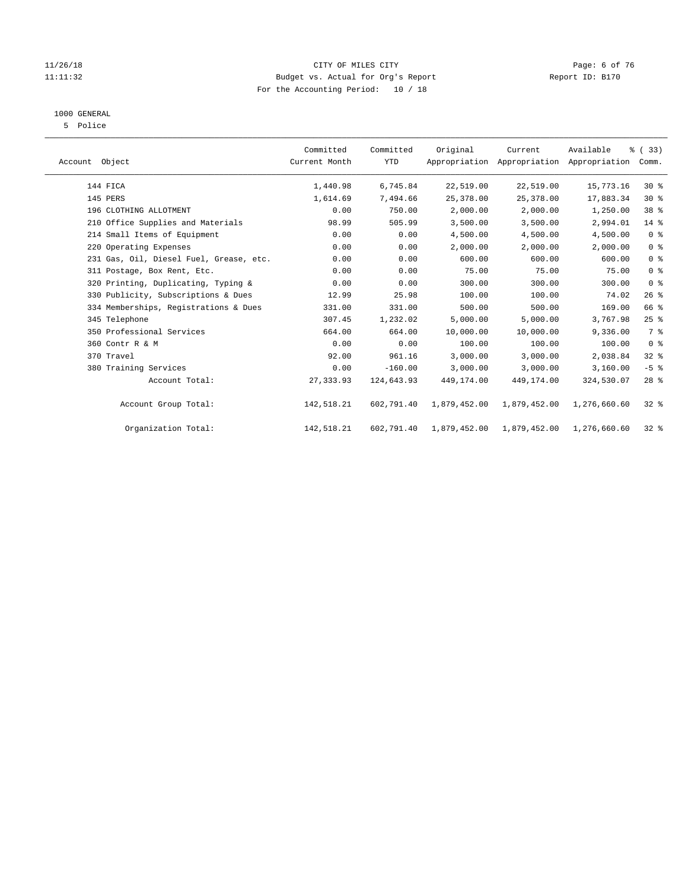#### 11/26/18 CITY OF MILES CITY Page: 6 of 76 11:11:32 Budget vs. Actual for Org's Report Report ID: B170 For the Accounting Period: 10 / 18

## 1000 GENERAL

5 Police

| Account Object                          | Committed<br>Current Month | Committed<br><b>YTD</b> | Original     | Current      | Available<br>Appropriation Appropriation Appropriation | % (33)<br>Comm. |  |
|-----------------------------------------|----------------------------|-------------------------|--------------|--------------|--------------------------------------------------------|-----------------|--|
| 144 FICA                                | 1,440.98                   | 6,745.84                | 22,519.00    | 22,519.00    | 15,773.16                                              | $30*$           |  |
| 145 PERS                                | 1,614.69                   | 7,494.66                | 25, 378.00   | 25, 378, 00  | 17,883.34                                              | $30*$           |  |
| 196 CLOTHING ALLOTMENT                  | 0.00                       | 750.00                  | 2,000.00     | 2,000.00     | 1,250.00                                               | 38 <sup>8</sup> |  |
| 210 Office Supplies and Materials       | 98.99                      | 505.99                  | 3,500.00     | 3,500.00     | 2,994.01                                               | $14$ %          |  |
| 214 Small Items of Equipment            | 0.00                       | 0.00                    | 4,500.00     | 4,500.00     | 4,500.00                                               | 0 <sup>8</sup>  |  |
| 220 Operating Expenses                  | 0.00                       | 0.00                    | 2,000.00     | 2,000.00     | 2,000.00                                               | 0 <sup>8</sup>  |  |
| 231 Gas, Oil, Diesel Fuel, Grease, etc. | 0.00                       | 0.00                    | 600.00       | 600.00       | 600.00                                                 | 0 <sup>8</sup>  |  |
| 311 Postage, Box Rent, Etc.             | 0.00                       | 0.00                    | 75.00        | 75.00        | 75.00                                                  | 0 <sup>8</sup>  |  |
| 320 Printing, Duplicating, Typing &     | 0.00                       | 0.00                    | 300.00       | 300.00       | 300.00                                                 | 0 <sup>8</sup>  |  |
| 330 Publicity, Subscriptions & Dues     | 12.99                      | 25.98                   | 100.00       | 100.00       | 74.02                                                  | 26%             |  |
| 334 Memberships, Registrations & Dues   | 331.00                     | 331.00                  | 500.00       | 500.00       | 169.00                                                 | 66 %            |  |
| 345 Telephone                           | 307.45                     | 1,232.02                | 5.000.00     | 5.000.00     | 3,767.98                                               | 25%             |  |
| 350 Professional Services               | 664.00                     | 664.00                  | 10,000.00    | 10,000.00    | 9,336.00                                               | 7 %             |  |
| 360 Contr R & M                         | 0.00                       | 0.00                    | 100.00       | 100.00       | 100.00                                                 | 0 <sup>8</sup>  |  |
| 370 Travel                              | 92.00                      | 961.16                  | 3,000.00     | 3,000.00     | 2,038.84                                               | $32$ $%$        |  |
| 380 Training Services                   | 0.00                       | $-160.00$               | 3,000.00     | 3,000.00     | 3,160.00                                               | $-5$ %          |  |
| Account Total:                          | 27, 333.93                 | 124,643.93              | 449,174.00   | 449, 174, 00 | 324,530.07                                             | $28$ %          |  |
| Account Group Total:                    | 142,518.21                 | 602,791.40              | 1,879,452.00 | 1,879,452.00 | 1,276,660.60                                           | $32$ $%$        |  |
| Organization Total:                     | 142,518.21                 | 602,791.40              | 1,879,452.00 | 1,879,452.00 | 1,276,660.60                                           | $32*$           |  |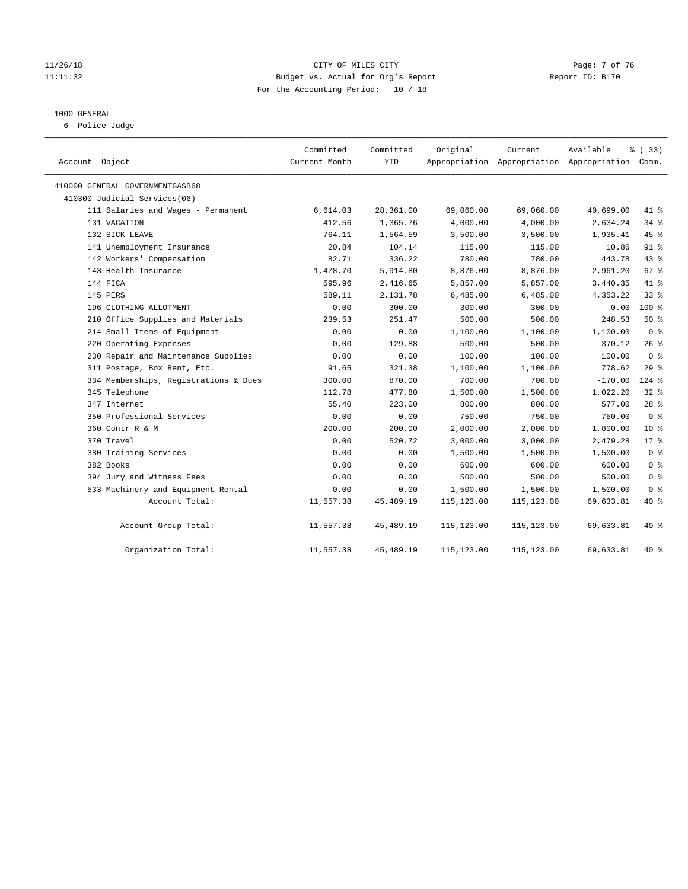#### 11/26/18 CITY OF MILES CITY Page: 7 of 76 11:11:32 Budget vs. Actual for Org's Report Report ID: B170 For the Accounting Period: 10 / 18

#### 1000 GENERAL

6 Police Judge

| Account Object                        | Committed<br>Current Month | Committed<br>YTD | Original    | Current     | Available<br>Appropriation Appropriation Appropriation Comm. | % (33)          |
|---------------------------------------|----------------------------|------------------|-------------|-------------|--------------------------------------------------------------|-----------------|
| 410000 GENERAL GOVERNMENTGASB68       |                            |                  |             |             |                                                              |                 |
| 410300 Judicial Services(06)          |                            |                  |             |             |                                                              |                 |
| 111 Salaries and Wages - Permanent    | 6,614.03                   | 28,361.00        | 69,060.00   | 69,060.00   | 40,699.00                                                    | 41 %            |
| 131 VACATION                          | 412.56                     | 1,365.76         | 4,000.00    | 4,000.00    | 2,634.24                                                     | 34%             |
| 132 SICK LEAVE                        | 764.11                     | 1,564.59         | 3,500.00    | 3,500.00    | 1,935.41                                                     | 45 %            |
| 141 Unemployment Insurance            | 20.84                      | 104.14           | 115.00      | 115.00      | 10.86                                                        | 91 %            |
| 142 Workers' Compensation             | 82.71                      | 336.22           | 780.00      | 780.00      | 443.78                                                       | 43 %            |
| 143 Health Insurance                  | 1,478.70                   | 5,914.80         | 8,876.00    | 8,876.00    | 2,961.20                                                     | 67 <sup>8</sup> |
| 144 FICA                              | 595.96                     | 2,416.65         | 5,857.00    | 5,857.00    | 3,440.35                                                     | 41.8            |
| 145 PERS                              | 589.11                     | 2,131.78         | 6,485.00    | 6,485.00    | 4,353.22                                                     | 33%             |
| 196 CLOTHING ALLOTMENT                | 0.00                       | 300.00           | 300.00      | 300.00      | 0.00                                                         | $100*$          |
| 210 Office Supplies and Materials     | 239.53                     | 251.47           | 500.00      | 500.00      | 248.53                                                       | 50%             |
| 214 Small Items of Equipment          | 0.00                       | 0.00             | 1,100.00    | 1,100.00    | 1,100.00                                                     | 0 <sup>8</sup>  |
| 220 Operating Expenses                | 0.00                       | 129.88           | 500.00      | 500.00      | 370.12                                                       | $26$ %          |
| 230 Repair and Maintenance Supplies   | 0.00                       | 0.00             | 100.00      | 100.00      | 100.00                                                       | 0 <sup>8</sup>  |
| 311 Postage, Box Rent, Etc.           | 91.65                      | 321.38           | 1,100.00    | 1,100.00    | 778.62                                                       | 29%             |
| 334 Memberships, Registrations & Dues | 300.00                     | 870.00           | 700.00      | 700.00      | $-170.00$                                                    | $124$ %         |
| 345 Telephone                         | 112.78                     | 477.80           | 1,500.00    | 1,500.00    | 1,022.20                                                     | $32$ $%$        |
| 347 Internet                          | 55.40                      | 223.00           | 800.00      | 800.00      | 577.00                                                       | $28$ %          |
| 350 Professional Services             | 0.00                       | 0.00             | 750.00      | 750.00      | 750.00                                                       | 0 <sup>8</sup>  |
| 360 Contr R & M                       | 200.00                     | 200.00           | 2,000.00    | 2,000.00    | 1,800.00                                                     | $10*$           |
| 370 Travel                            | 0.00                       | 520.72           | 3,000.00    | 3,000.00    | 2,479.28                                                     | $17*$           |
| 380 Training Services                 | 0.00                       | 0.00             | 1,500.00    | 1,500.00    | 1,500.00                                                     | 0 <sup>8</sup>  |
| 382 Books                             | 0.00                       | 0.00             | 600.00      | 600.00      | 600.00                                                       | 0 <sup>8</sup>  |
| 394 Jury and Witness Fees             | 0.00                       | 0.00             | 500.00      | 500.00      | 500.00                                                       | 0 <sup>8</sup>  |
| 533 Machinery and Equipment Rental    | 0.00                       | 0.00             | 1,500.00    | 1,500.00    | 1,500.00                                                     | 0 <sup>8</sup>  |
| Account Total:                        | 11,557.38                  | 45, 489. 19      | 115, 123.00 | 115,123.00  | 69,633.81                                                    | $40*$           |
| Account Group Total:                  | 11,557.38                  | 45,489.19        | 115,123.00  | 115,123.00  | 69,633.81                                                    | 40 %            |
| Organization Total:                   | 11,557.38                  | 45, 489. 19      | 115,123.00  | 115, 123.00 | 69,633.81                                                    | $40*$           |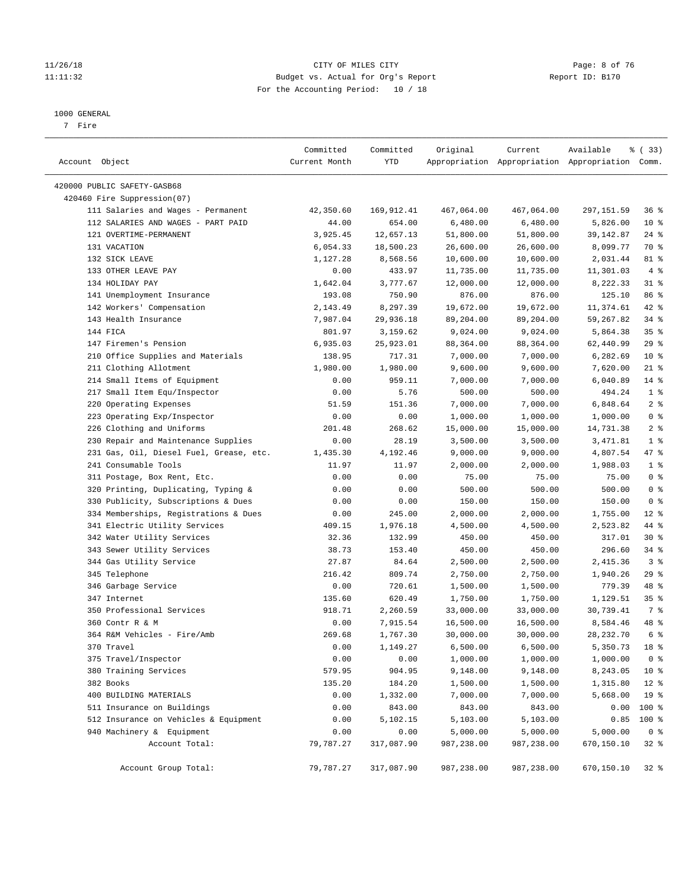#### 11/26/18 CITY OF MILES CITY Page: 8 of 76 11:11:32 Budget vs. Actual for Org's Report Report ID: B170 For the Accounting Period: 10 / 18

#### 1000 GENERAL

7 Fire

| Account Object                          | Committed<br>Current Month | Committed<br>YTD | Original             | Current    | Available<br>Appropriation Appropriation Appropriation Comm. | % (33)                     |
|-----------------------------------------|----------------------------|------------------|----------------------|------------|--------------------------------------------------------------|----------------------------|
| 420000 PUBLIC SAFETY-GASB68             |                            |                  |                      |            |                                                              |                            |
| 420460 Fire Suppression(07)             |                            |                  |                      |            |                                                              |                            |
| 111 Salaries and Wages - Permanent      | 42,350.60                  | 169,912.41       | 467,064.00           | 467,064.00 | 297,151.59                                                   | 36%                        |
| 112 SALARIES AND WAGES - PART PAID      | 44.00                      | 654.00           | 6,480.00             | 6,480.00   | 5,826.00                                                     | $10*$                      |
| 121 OVERTIME-PERMANENT                  | 3,925.45                   | 12,657.13        | 51,800.00            | 51,800.00  | 39,142.87                                                    | $24$ %                     |
| 131 VACATION                            | 6,054.33                   | 18,500.23        | 26,600.00            | 26,600.00  | 8,099.77                                                     | 70 %                       |
| 132 SICK LEAVE                          | 1,127.28                   | 8,568.56         | 10,600.00            | 10,600.00  | 2,031.44                                                     | 81 %                       |
| 133 OTHER LEAVE PAY                     | 0.00                       | 433.97           | 11,735.00            | 11,735.00  | 11,301.03                                                    | 4%                         |
| 134 HOLIDAY PAY                         | 1,642.04                   | 3,777.67         | 12,000.00            | 12,000.00  | 8,222.33                                                     | $31$ %                     |
| 141 Unemployment Insurance              | 193.08                     | 750.90           | 876.00               | 876.00     | 125.10                                                       | 86 %                       |
| 142 Workers' Compensation               | 2,143.49                   | 8,297.39         | 19,672.00            | 19,672.00  | 11,374.61                                                    | $42$ %                     |
| 143 Health Insurance                    | 7,987.04                   | 29,936.18        | 89,204.00            | 89,204.00  | 59,267.82                                                    | 34%                        |
| 144 FICA                                | 801.97                     | 3,159.62         | 9,024.00             | 9,024.00   | 5,864.38                                                     | 35%                        |
| 147 Firemen's Pension                   | 6,935.03                   | 25,923.01        | 88,364.00            | 88,364.00  | 62,440.99                                                    | 29%                        |
| 210 Office Supplies and Materials       | 138.95                     | 717.31           | 7,000.00             | 7,000.00   | 6,282.69                                                     | $10*$                      |
| 211 Clothing Allotment                  | 1,980.00                   | 1,980.00         | 9,600.00             | 9,600.00   | 7,620.00                                                     | $21$ %                     |
| 214 Small Items of Equipment            | 0.00                       | 959.11           | 7,000.00             | 7,000.00   | 6,040.89                                                     | $14$ %                     |
| 217 Small Item Equ/Inspector            | 0.00                       | 5.76             | 500.00               | 500.00     | 494.24                                                       | 1 <sup>8</sup>             |
| 220 Operating Expenses                  | 51.59                      | 151.36           | 7,000.00             | 7,000.00   | 6,848.64                                                     | 2 <sup>°</sup>             |
| 223 Operating Exp/Inspector             | 0.00                       | 0.00             | 1,000.00             | 1,000.00   | 1,000.00                                                     | 0 <sup>8</sup>             |
| 226 Clothing and Uniforms               | 201.48                     | 268.62           | 15,000.00            | 15,000.00  | 14,731.38                                                    | 2 <sub>8</sub>             |
| 230 Repair and Maintenance Supplies     | 0.00                       | 28.19            | 3,500.00             | 3,500.00   | 3,471.81                                                     | 1 <sup>8</sup>             |
| 231 Gas, Oil, Diesel Fuel, Grease, etc. | 1,435.30                   | 4,192.46         | 9,000.00             | 9,000.00   | 4,807.54                                                     | 47 %                       |
| 241 Consumable Tools                    | 11.97                      | 11.97            | 2,000.00             | 2,000.00   | 1,988.03                                                     | 1 <sup>°</sup>             |
| 311 Postage, Box Rent, Etc.             | 0.00                       | 0.00             | 75.00                | 75.00      | 75.00                                                        | 0 <sup>8</sup>             |
| 320 Printing, Duplicating, Typing &     | 0.00                       | 0.00             | 500.00               | 500.00     | 500.00                                                       | 0 <sup>8</sup>             |
| 330 Publicity, Subscriptions & Dues     | 0.00                       | 0.00             | 150.00               | 150.00     | 150.00                                                       | 0 <sup>8</sup>             |
| 334 Memberships, Registrations & Dues   | 0.00                       | 245.00           | 2,000.00             | 2,000.00   | 1,755.00                                                     | $12*$                      |
| 341 Electric Utility Services           | 409.15                     | 1,976.18         | 4,500.00             | 4,500.00   | 2,523.82                                                     | 44 %                       |
| 342 Water Utility Services              | 32.36                      | 132.99           | 450.00               | 450.00     | 317.01                                                       | $30*$                      |
| 343 Sewer Utility Services              | 38.73                      | 153.40           | 450.00               | 450.00     | 296.60                                                       | $34$ $%$                   |
| 344 Gas Utility Service                 | 27.87                      | 84.64            | 2,500.00             | 2,500.00   | 2,415.36                                                     | 3 <sup>8</sup>             |
| 345 Telephone                           | 216.42                     | 809.74           | 2,750.00             | 2,750.00   | 1,940.26                                                     | 29%                        |
| 346 Garbage Service                     | 0.00                       | 720.61           | 1,500.00             | 1,500.00   | 779.39                                                       | 48 %                       |
| 347 Internet                            | 135.60                     | 620.49           | 1,750.00             | 1,750.00   | 1,129.51                                                     | 35 <sup>8</sup>            |
| 350 Professional Services               | 918.71                     | 2,260.59         | 33,000.00            | 33,000.00  | 30,739.41                                                    | 7 %                        |
| 360 Contr R & M                         | 0.00                       | 7,915.54         | 16,500.00            | 16,500.00  | 8,584.46                                                     | 48 %                       |
| 364 R&M Vehicles - Fire/Amb             | 269.68                     | 1,767.30         | 30,000.00            | 30,000.00  | 28, 232. 70                                                  | 6 %                        |
| 370 Travel                              | 0.00                       | 1,149.27         | 6,500.00             | 6,500.00   | 5,350.73                                                     | 18 %                       |
| 375 Travel/Inspector                    | 0.00                       | 0.00             | 1,000.00             | 1,000.00   | 1,000.00                                                     | 0 <sup>8</sup>             |
| 380 Training Services                   |                            |                  |                      |            |                                                              |                            |
|                                         | 579.95                     | 904.95           | 9,148.00             | 9,148.00   | 8,243.05                                                     | $10*$                      |
| 382 Books<br>400 BUILDING MATERIALS     | 135.20                     | 184.20           | 1,500.00<br>7,000.00 | 1,500.00   | 1,315.80<br>5,668.00                                         | $12*$                      |
|                                         | 0.00                       | 1,332.00         |                      | 7,000.00   |                                                              | 19 <sup>°</sup><br>$100$ % |
| 511 Insurance on Buildings              | 0.00                       | 843.00           | 843.00               | 843.00     | 0.00                                                         |                            |
| 512 Insurance on Vehicles & Equipment   | 0.00                       | 5,102.15         | 5,103.00             | 5,103.00   | 0.85                                                         | 100 %                      |
| 940 Machinery & Equipment               | 0.00                       | 0.00             | 5,000.00             | 5,000.00   | 5,000.00                                                     | 0 <sup>8</sup>             |
| Account Total:                          | 79,787.27                  | 317,087.90       | 987,238.00           | 987,238.00 | 670,150.10                                                   | $32$ $%$                   |
| Account Group Total:                    | 79,787.27                  | 317,087.90       | 987,238.00           | 987,238.00 | 670,150.10                                                   | 32%                        |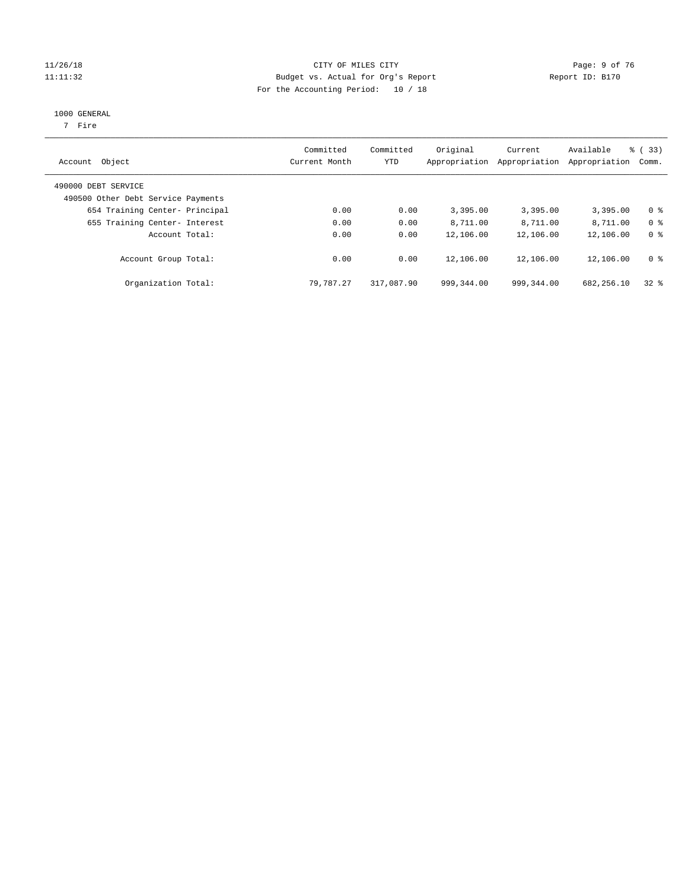#### 11/26/18 CITY OF MILES CITY Page: 9 of 76 11:11:32 Budget vs. Actual for Org's Report Report ID: B170 For the Accounting Period: 10 / 18

#### 1000 GENERAL

7 Fire

| Object<br>Account                                         | Committed<br>Current Month | Committed<br>YTD | Original<br>Appropriation | Current<br>Appropriation | Available<br>Appropriation | % (33)<br>Comm. |
|-----------------------------------------------------------|----------------------------|------------------|---------------------------|--------------------------|----------------------------|-----------------|
| 490000 DEBT SERVICE<br>490500 Other Debt Service Payments |                            |                  |                           |                          |                            |                 |
| 654 Training Center- Principal                            | 0.00                       | 0.00             | 3,395.00                  | 3,395.00                 | 3,395.00                   | 0 <sup>8</sup>  |
| 655 Training Center- Interest                             | 0.00                       | 0.00             | 8,711.00                  | 8,711.00                 | 8,711.00                   | 0 <sup>8</sup>  |
| Account Total:                                            | 0.00                       | 0.00             | 12,106.00                 | 12,106.00                | 12,106.00                  | 0 <sup>8</sup>  |
| Account Group Total:                                      | 0.00                       | 0.00             | 12,106.00                 | 12,106.00                | 12,106.00                  | 0 <sup>8</sup>  |
| Organization Total:                                       | 79,787.27                  | 317,087.90       | 999, 344, 00              | 999, 344, 00             | 682,256.10                 | 328             |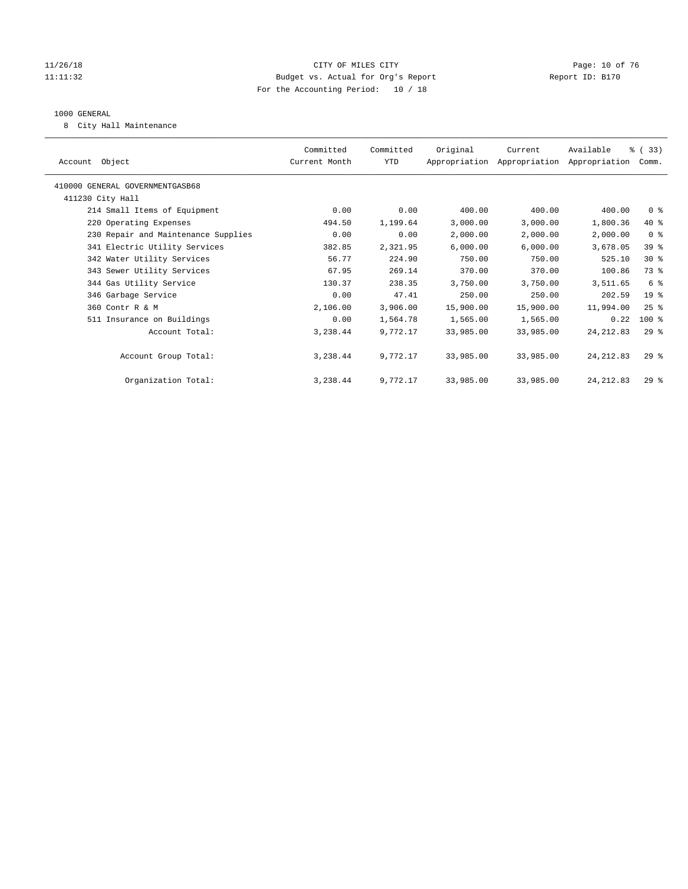#### 11/26/18 Page: 10 of 76 CITY OF MILES CITY CHANGES CONTROL PAGE: 10 of 76 11:11:32 Budget vs. Actual for Org's Report Report ID: B170 For the Accounting Period: 10 / 18

#### 1000 GENERAL

8 City Hall Maintenance

|                                     | Committed     | Committed | Original  | Current                                   | Available  | % (33)         |
|-------------------------------------|---------------|-----------|-----------|-------------------------------------------|------------|----------------|
| Account Object                      | Current Month | YTD       |           | Appropriation Appropriation Appropriation |            | Comm.          |
| 410000 GENERAL GOVERNMENTGASB68     |               |           |           |                                           |            |                |
| 411230 City Hall                    |               |           |           |                                           |            |                |
| 214 Small Items of Equipment        | 0.00          | 0.00      | 400.00    | 400.00                                    | 400.00     | 0 <sup>8</sup> |
| 220 Operating Expenses              | 494.50        | 1,199.64  | 3,000.00  | 3,000.00                                  | 1,800.36   | 40 %           |
| 230 Repair and Maintenance Supplies | 0.00          | 0.00      | 2,000.00  | 2,000.00                                  | 2,000.00   | 0 <sup>8</sup> |
| 341 Electric Utility Services       | 382.85        | 2,321.95  | 6,000.00  | 6,000.00                                  | 3,678.05   | 39 %           |
| 342 Water Utility Services          | 56.77         | 224.90    | 750.00    | 750.00                                    | 525.10     | $30*$          |
| 343 Sewer Utility Services          | 67.95         | 269.14    | 370.00    | 370.00                                    | 100.86     | 73.8           |
| 344 Gas Utility Service             | 130.37        | 238.35    | 3,750.00  | 3,750.00                                  | 3,511.65   | 6 %            |
| 346 Garbage Service                 | 0.00          | 47.41     | 250.00    | 250.00                                    | 202.59     | $19*$          |
| 360 Contr R & M                     | 2,106.00      | 3,906.00  | 15,900.00 | 15,900.00                                 | 11,994.00  | $25$ %         |
| 511 Insurance on Buildings          | 0.00          | 1,564.78  | 1,565.00  | 1,565.00                                  | 0.22       | $100$ %        |
| Account Total:                      | 3,238.44      | 9,772.17  | 33,985.00 | 33,985.00                                 | 24, 212.83 | $29$ $%$       |
|                                     |               |           |           |                                           |            |                |
| Account Group Total:                | 3,238.44      | 9,772.17  | 33,985.00 | 33,985.00                                 | 24, 212.83 | $29*$          |
|                                     |               |           |           |                                           |            |                |
| Organization Total:                 | 3,238.44      | 9.772.17  | 33,985.00 | 33,985.00                                 | 24, 212.83 | $29*$          |
|                                     |               |           |           |                                           |            |                |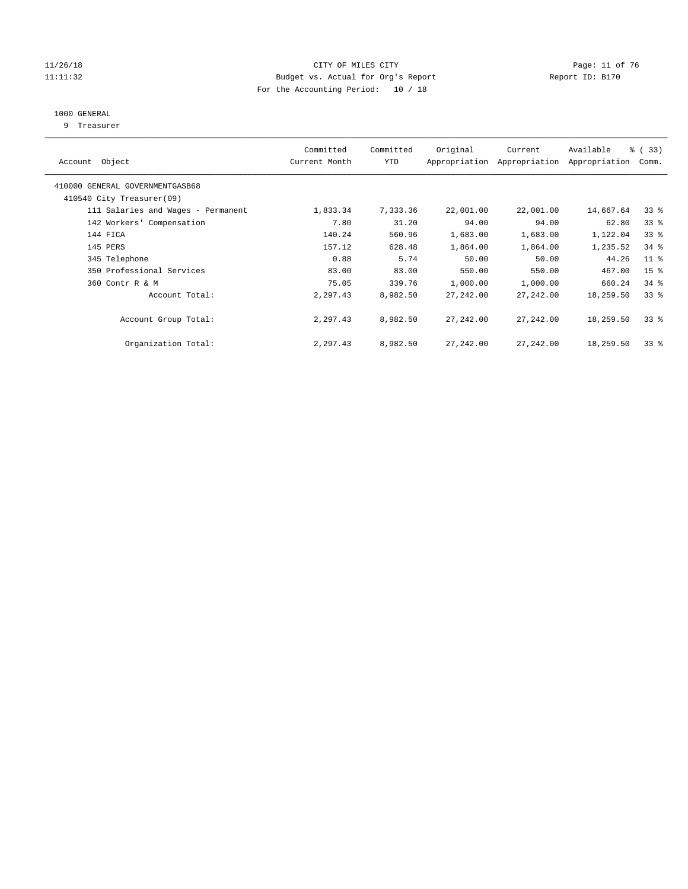#### 11/26/18 Page: 11 of 76 CITY OF MILES CITY CHANGES CONTROLLED ASSESSMENT PAGE: 11 OF 76 11:11:32 Budget vs. Actual for Org's Report Changer Report ID: B170 For the Accounting Period: 10 / 18

## 1000 GENERAL

9 Treasurer

| Account Object                                               | Committed<br>Current Month | Committed<br><b>YTD</b> | Original   | Current<br>Appropriation Appropriation | Available<br>Appropriation | % (33)<br>Comm. |
|--------------------------------------------------------------|----------------------------|-------------------------|------------|----------------------------------------|----------------------------|-----------------|
| 410000 GENERAL GOVERNMENTGASB68<br>410540 City Treasurer(09) |                            |                         |            |                                        |                            |                 |
| 111 Salaries and Wages - Permanent                           | 1,833.34                   | 7,333.36                | 22,001.00  | 22,001.00                              | 14,667.64                  | 33 <sup>8</sup> |
|                                                              |                            |                         |            |                                        |                            |                 |
| 142 Workers' Compensation                                    | 7.80                       | 31.20                   | 94.00      | 94.00                                  | 62.80                      | 33 <sup>8</sup> |
| 144 FICA                                                     | 140.24                     | 560.96                  | 1,683.00   | 1,683.00                               | 1,122.04                   | 33 <sup>8</sup> |
| 145 PERS                                                     | 157.12                     | 628.48                  | 1,864.00   | 1,864.00                               | 1,235.52                   | $34$ $%$        |
| 345 Telephone                                                | 0.88                       | 5.74                    | 50.00      | 50.00                                  | 44.26                      | $11$ %          |
| 350 Professional Services                                    | 83.00                      | 83.00                   | 550.00     | 550.00                                 | 467.00                     | 15 <sup>°</sup> |
| 360 Contr R & M                                              | 75.05                      | 339.76                  | 1,000.00   | 1,000.00                               | 660.24                     | $34$ $%$        |
| Account Total:                                               | 2,297.43                   | 8,982.50                | 27, 242.00 | 27,242.00                              | 18,259.50                  | 33 <sup>8</sup> |
| Account Group Total:                                         | 2,297.43                   | 8,982.50                | 27,242.00  | 27,242.00                              | 18,259.50                  | 338             |
| Organization Total:                                          | 2,297.43                   | 8,982.50                | 27,242.00  | 27,242.00                              | 18,259.50                  | 338             |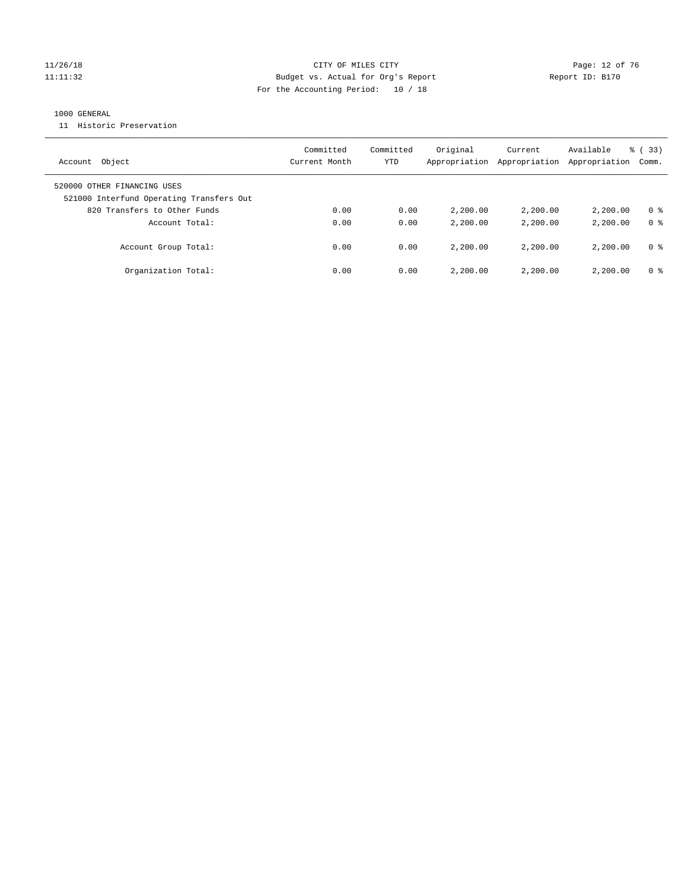#### 11/26/18 Page: 12 of 76 CITY OF MILES CITY CHANGES CONTROL PAGE: 12 of 76 11:11:32 Budget vs. Actual for Org's Report Report ID: B170 For the Accounting Period: 10 / 18

#### 1000 GENERAL

11 Historic Preservation

| Account Object                                                          | Committed<br>Current Month | Committed<br>YTD | Original<br>Appropriation | Current<br>Appropriation | Available<br>Appropriation | % (33)<br>Comm. |
|-------------------------------------------------------------------------|----------------------------|------------------|---------------------------|--------------------------|----------------------------|-----------------|
| 520000 OTHER FINANCING USES<br>521000 Interfund Operating Transfers Out |                            |                  |                           |                          |                            |                 |
| 820 Transfers to Other Funds                                            | 0.00                       | 0.00             | 2,200.00                  | 2,200,00                 | 2,200.00                   | 0 <sup>8</sup>  |
| Account Total:                                                          | 0.00                       | 0.00             | 2,200.00                  | 2,200,00                 | 2,200.00                   | 0 <sup>8</sup>  |
| Account Group Total:                                                    | 0.00                       | 0.00             | 2,200.00                  | 2,200,00                 | 2,200.00                   | 0 %             |
| Organization Total:                                                     | 0.00                       | 0.00             | 2,200.00                  | 2,200,00                 | 2,200.00                   | 0 %             |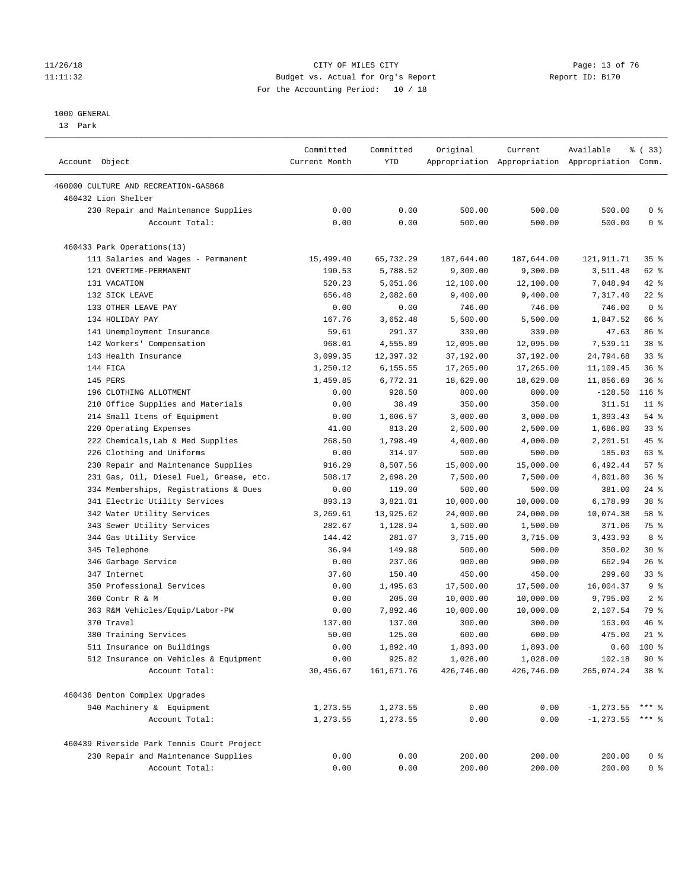#### 11/26/18 Page: 13 of 76 Page: 13 Of 76 Page: 13 Of 76 Page: 13 Of 76 Page: 13 Of 76 11:11:32 Budget vs. Actual for Org's Report Report ID: B170 For the Accounting Period: 10 / 18

————————————————————————————————————————————————————————————————————————————————————————————————————————————————————————————————————

#### 1000 GENERAL

13 Park

|                                                                     | Committed         | Committed            | Original               | Current                | Available                                       | 8 (33)                 |
|---------------------------------------------------------------------|-------------------|----------------------|------------------------|------------------------|-------------------------------------------------|------------------------|
| Account Object                                                      | Current Month     | <b>YTD</b>           |                        |                        | Appropriation Appropriation Appropriation Comm. |                        |
| 460000 CULTURE AND RECREATION-GASB68                                |                   |                      |                        |                        |                                                 |                        |
| 460432 Lion Shelter                                                 |                   |                      |                        |                        |                                                 |                        |
| 230 Repair and Maintenance Supplies                                 | 0.00              | 0.00                 | 500.00                 | 500.00                 | 500.00                                          | 0 <sup>8</sup>         |
| Account Total:                                                      | 0.00              | 0.00                 | 500.00                 | 500.00                 | 500.00                                          | 0 <sup>8</sup>         |
| 460433 Park Operations(13)                                          |                   |                      |                        |                        |                                                 |                        |
| 111 Salaries and Wages - Permanent                                  | 15,499.40         | 65,732.29            | 187,644.00             | 187,644.00             | 121,911.71                                      | $35$ $\frac{6}{3}$     |
| 121 OVERTIME-PERMANENT                                              | 190.53            | 5,788.52             | 9,300.00               | 9,300.00               | 3,511.48                                        | 62 %                   |
| 131 VACATION                                                        | 520.23            | 5,051.06             | 12,100.00              | 12,100.00              | 7,048.94                                        | $42$ %                 |
| 132 SICK LEAVE                                                      | 656.48            | 2,082.60             | 9,400.00               | 9,400.00               | 7,317.40                                        | $22$ %                 |
| 133 OTHER LEAVE PAY                                                 | 0.00              | 0.00                 | 746.00                 | 746.00                 | 746.00                                          | 0 <sup>8</sup>         |
| 134 HOLIDAY PAY                                                     | 167.76            | 3,652.48             | 5,500.00               | 5,500.00               | 1,847.52                                        | 66 %                   |
| 141 Unemployment Insurance                                          | 59.61             | 291.37               | 339.00                 | 339.00                 | 47.63                                           | 86 %                   |
| 142 Workers' Compensation                                           | 968.01            | 4,555.89             | 12,095.00              | 12,095.00              | 7,539.11                                        | 38 <sup>8</sup>        |
| 143 Health Insurance                                                | 3,099.35          | 12,397.32            | 37,192.00              | 37,192.00              | 24,794.68                                       | $33$ $%$               |
| 144 FICA                                                            | 1,250.12          | 6,155.55             | 17,265.00              | 17,265.00              | 11,109.45                                       | 36%                    |
| 145 PERS                                                            | 1,459.85          | 6,772.31             | 18,629.00              | 18,629.00              | 11,856.69                                       | 36%                    |
| 196 CLOTHING ALLOTMENT                                              | 0.00              | 928.50               | 800.00                 | 800.00                 | $-128.50$                                       | $116$ %                |
| 210 Office Supplies and Materials                                   | 0.00              | 38.49                | 350.00                 | 350.00                 | 311.51                                          | $11$ %                 |
| 214 Small Items of Equipment                                        | 0.00              | 1,606.57             | 3,000.00               | 3,000.00               | 1,393.43                                        | 54 %                   |
| 220 Operating Expenses                                              | 41.00             | 813.20               | 2,500.00               | 2,500.00               | 1,686.80                                        | 33%                    |
| 222 Chemicals, Lab & Med Supplies                                   | 268.50            | 1,798.49             | 4,000.00               | 4,000.00               | 2,201.51                                        | 45 %                   |
| 226 Clothing and Uniforms                                           | 0.00              | 314.97               | 500.00                 | 500.00                 | 185.03                                          | 63 %                   |
| 230 Repair and Maintenance Supplies                                 | 916.29            | 8,507.56             | 15,000.00              | 15,000.00              | 6,492.44                                        | 57%                    |
| 231 Gas, Oil, Diesel Fuel, Grease, etc.                             | 508.17            | 2,698.20             | 7,500.00               | 7,500.00               | 4,801.80                                        | 36%                    |
| 334 Memberships, Registrations & Dues                               | 0.00              | 119.00               | 500.00                 | 500.00                 | 381.00                                          | $24$ %                 |
| 341 Electric Utility Services                                       | 893.13            | 3,821.01             | 10,000.00              | 10,000.00              | 6,178.99                                        | 38 <sup>8</sup>        |
| 342 Water Utility Services                                          | 3,269.61          | 13,925.62            | 24,000.00              | 24,000.00              | 10,074.38                                       | 58 %                   |
| 343 Sewer Utility Services                                          | 282.67            | 1,128.94             | 1,500.00               | 1,500.00               | 371.06                                          | 75 %                   |
| 344 Gas Utility Service                                             | 144.42            | 281.07               | 3,715.00               | 3,715.00               | 3,433.93                                        | 8 %                    |
| 345 Telephone                                                       | 36.94             | 149.98               | 500.00                 | 500.00                 | 350.02                                          | $30*$                  |
| 346 Garbage Service                                                 | 0.00              | 237.06               | 900.00                 | 900.00                 | 662.94                                          | $26$ %                 |
| 347 Internet                                                        | 37.60             | 150.40               | 450.00                 | 450.00                 | 299.60                                          | $33$ $%$               |
| 350 Professional Services                                           | 0.00              | 1,495.63             | 17,500.00              | 17,500.00              | 16,004.37                                       | 9 <sup>°</sup>         |
| 360 Contr R & M                                                     | 0.00              | 205.00               | 10,000.00              | 10,000.00              | 9,795.00                                        | 2 <sup>8</sup>         |
| 363 R&M Vehicles/Equip/Labor-PW                                     | 0.00              | 7,892.46             | 10,000.00              | 10,000.00              | 2,107.54                                        | 79 %                   |
| 370 Travel                                                          | 137.00            | 137.00               | 300.00                 | 300.00                 |                                                 | 46 %                   |
| 380 Training Services                                               | 50.00             | 125.00               | 600.00                 | 600.00                 | 163.00<br>475.00                                | $21$ %                 |
|                                                                     | 0.00              |                      | 1,893.00               | 1,893.00               |                                                 | $0.60$ 100 %           |
| 511 Insurance on Buildings<br>512 Insurance on Vehicles & Equipment |                   | 1,892.40             |                        |                        |                                                 |                        |
| Account Total:                                                      | 0.00<br>30,456.67 | 925.82<br>161,671.76 | 1,028.00<br>426,746.00 | 1,028.00<br>426,746.00 | 102.18<br>265,074.24                            | 90%<br>38 <sup>8</sup> |
| 460436 Denton Complex Upgrades                                      |                   |                      |                        |                        |                                                 |                        |
| 940 Machinery & Equipment                                           | 1,273.55          | 1,273.55             | 0.00                   | 0.00                   | $-1, 273.55$ *** %                              |                        |
| Account Total:                                                      | 1,273.55          | 1,273.55             | 0.00                   | 0.00                   | $-1, 273.55$ *** %                              |                        |
| 460439 Riverside Park Tennis Court Project                          |                   |                      |                        |                        |                                                 |                        |
| 230 Repair and Maintenance Supplies                                 | 0.00              | 0.00                 | 200.00                 | 200.00                 | 200.00                                          | $0$ %                  |
| Account Total:                                                      | 0.00              | 0.00                 | 200.00                 | 200.00                 | 200.00                                          | 0 <sup>8</sup>         |
|                                                                     |                   |                      |                        |                        |                                                 |                        |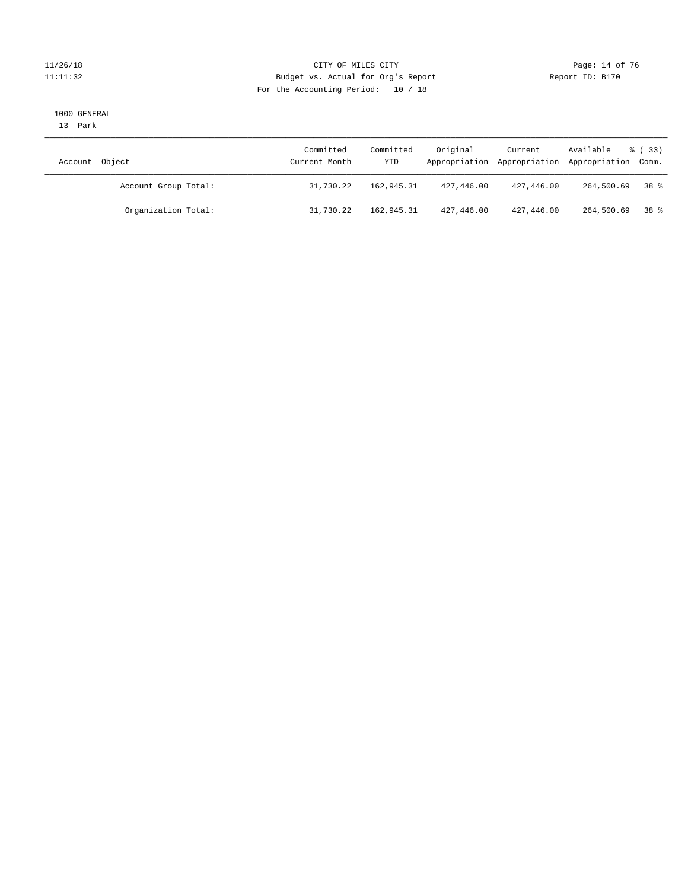#### 11/26/18 Page: 14 of 76 Page: 14 Of 76 Page: 14 Of 76 Page: 14 Of 76 Page: 14 Of 76 Page: 14 Of 76 Page: 14 Of 76 Page: 14 Of 76 Page: 14 Of 76 Page: 14 Of 76 Page: 14 Of 76 Page: 14 Of 76 Page: 14 Of 76 Page: 14 Of 76 Pag 11:11:32 Budget vs. Actual for Org's Report Report ID: B170 For the Accounting Period: 10 / 18

#### 1000 GENERAL

13 Park

| Account Object       | Committed<br>Current Month | Committed<br>YTD | Original   | Current    | Available<br>Appropriation Appropriation Appropriation Comm. | $\frac{6}{6}$ (33) |
|----------------------|----------------------------|------------------|------------|------------|--------------------------------------------------------------|--------------------|
| Account Group Total: | 31,730.22                  | 162,945.31       | 427,446.00 | 427,446.00 | 264,500.69                                                   | 38 දි              |
| Organization Total:  | 31,730.22                  | 162,945.31       | 427,446.00 | 427,446.00 | 264,500.69                                                   | 38 %               |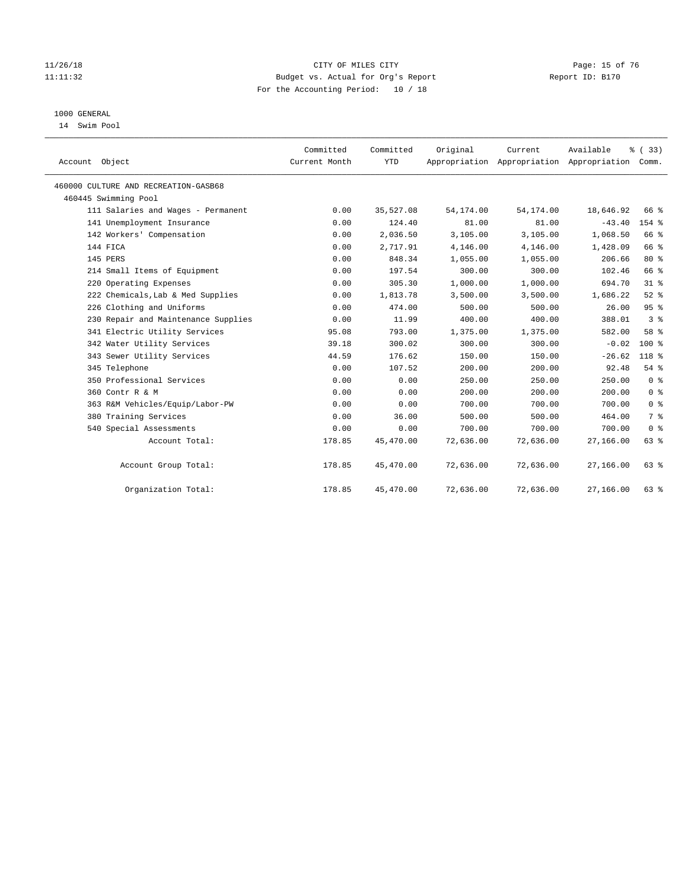#### 11/26/18 Page: 15 of 76 Page: 15 of 76 Page: 15 of 76 Page: 15 of 76 Page: 15 of 76 11:11:32 Budget vs. Actual for Org's Report Report ID: B170 For the Accounting Period: 10 / 18

## 1000 GENERAL

14 Swim Pool

| Account Object                       | Committed<br>Current Month | Committed<br><b>YTD</b> | Original  | Current<br>Appropriation Appropriation Appropriation Comm. | Available | % (33)         |
|--------------------------------------|----------------------------|-------------------------|-----------|------------------------------------------------------------|-----------|----------------|
| 460000 CULTURE AND RECREATION-GASB68 |                            |                         |           |                                                            |           |                |
| 460445 Swimming Pool                 |                            |                         |           |                                                            |           |                |
| 111 Salaries and Wages - Permanent   | 0.00                       | 35,527.08               | 54,174.00 | 54, 174.00                                                 | 18,646.92 | 66 %           |
| 141 Unemployment Insurance           | 0.00                       | 124.40                  | 81.00     | 81.00                                                      | $-43.40$  | $154$ %        |
| 142 Workers' Compensation            | 0.00                       | 2,036.50                | 3,105.00  | 3,105.00                                                   | 1,068.50  | 66 %           |
| 144 FICA                             | 0.00                       | 2,717.91                | 4,146.00  | 4,146.00                                                   | 1,428.09  | 66 %           |
| 145 PERS                             | 0.00                       | 848.34                  | 1,055.00  | 1,055.00                                                   | 206.66    | $80*$          |
| 214 Small Items of Equipment         | 0.00                       | 197.54                  | 300.00    | 300.00                                                     | 102.46    | 66 %           |
| 220 Operating Expenses               | 0.00                       | 305.30                  | 1,000.00  | 1,000.00                                                   | 694.70    | 31.8           |
| 222 Chemicals, Lab & Med Supplies    | 0.00                       | 1,813.78                | 3,500.00  | 3,500.00                                                   | 1,686.22  | $52$ $%$       |
| 226 Clothing and Uniforms            | 0.00                       | 474.00                  | 500.00    | 500.00                                                     | 26.00     | 95%            |
| 230 Repair and Maintenance Supplies  | 0.00                       | 11.99                   | 400.00    | 400.00                                                     | 388.01    | 3 <sup>8</sup> |
| 341 Electric Utility Services        | 95.08                      | 793.00                  | 1,375.00  | 1,375.00                                                   | 582.00    | 58 %           |
| 342 Water Utility Services           | 39.18                      | 300.02                  | 300.00    | 300.00                                                     | $-0.02$   | $100*$         |
| 343 Sewer Utility Services           | 44.59                      | 176.62                  | 150.00    | 150.00                                                     | $-26.62$  | 118 %          |
| 345 Telephone                        | 0.00                       | 107.52                  | 200.00    | 200.00                                                     | 92.48     | 54%            |
| 350 Professional Services            | 0.00                       | 0.00                    | 250.00    | 250.00                                                     | 250.00    | 0 <sup>8</sup> |
| 360 Contr R & M                      | 0.00                       | 0.00                    | 200.00    | 200.00                                                     | 200.00    | 0 <sup>8</sup> |
| 363 R&M Vehicles/Equip/Labor-PW      | 0.00                       | 0.00                    | 700.00    | 700.00                                                     | 700.00    | 0 <sup>8</sup> |
| 380 Training Services                | 0.00                       | 36.00                   | 500.00    | 500.00                                                     | 464.00    | 7 <sup>°</sup> |
| 540 Special Assessments              | 0.00                       | 0.00                    | 700.00    | 700.00                                                     | 700.00    | 0 <sup>8</sup> |
| Account Total:                       | 178.85                     | 45,470.00               | 72,636.00 | 72,636.00                                                  | 27,166.00 | 63%            |
| Account Group Total:                 | 178.85                     | 45,470.00               | 72,636.00 | 72,636.00                                                  | 27,166.00 | $63$ $%$       |
| Organization Total:                  | 178.85                     | 45,470.00               | 72,636.00 | 72,636.00                                                  | 27,166.00 | 63 %           |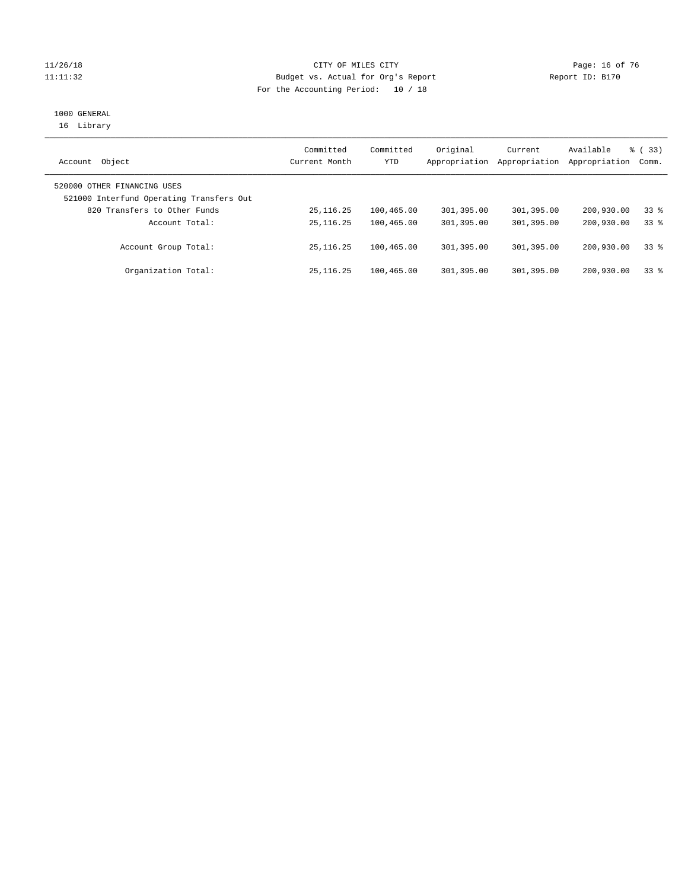#### 11/26/18 Page: 16 of 76 Page: 16 of 76 Page: 16 of 76 Page: 16 of 76 Page: 16 Of 76 Page: 16 Of 76 Page: 16 Of  $\sigma$ 11:11:32 Budget vs. Actual for Org's Report Report ID: B170 For the Accounting Period: 10 / 18

# 1000 GENERAL

16 Library

| Object<br>Account                                                       | Committed<br>Current Month | Committed<br>YTD | Original<br>Appropriation | Current<br>Appropriation | Available<br>Appropriation | % (33)<br>Comm. |
|-------------------------------------------------------------------------|----------------------------|------------------|---------------------------|--------------------------|----------------------------|-----------------|
| 520000 OTHER FINANCING USES<br>521000 Interfund Operating Transfers Out |                            |                  |                           |                          |                            |                 |
| 820 Transfers to Other Funds                                            | 25, 116.25                 | 100,465.00       | 301,395.00                | 301,395.00               | 200,930.00                 | 338             |
| Account Total:                                                          | 25, 116. 25                | 100,465.00       | 301,395.00                | 301,395.00               | 200,930.00                 | 338             |
| Account Group Total:                                                    | 25, 116, 25                | 100,465.00       | 301,395.00                | 301,395.00               | 200,930.00                 | 338             |
| Organization Total:                                                     | 25, 116, 25                | 100,465.00       | 301,395.00                | 301,395.00               | 200,930.00                 | 338             |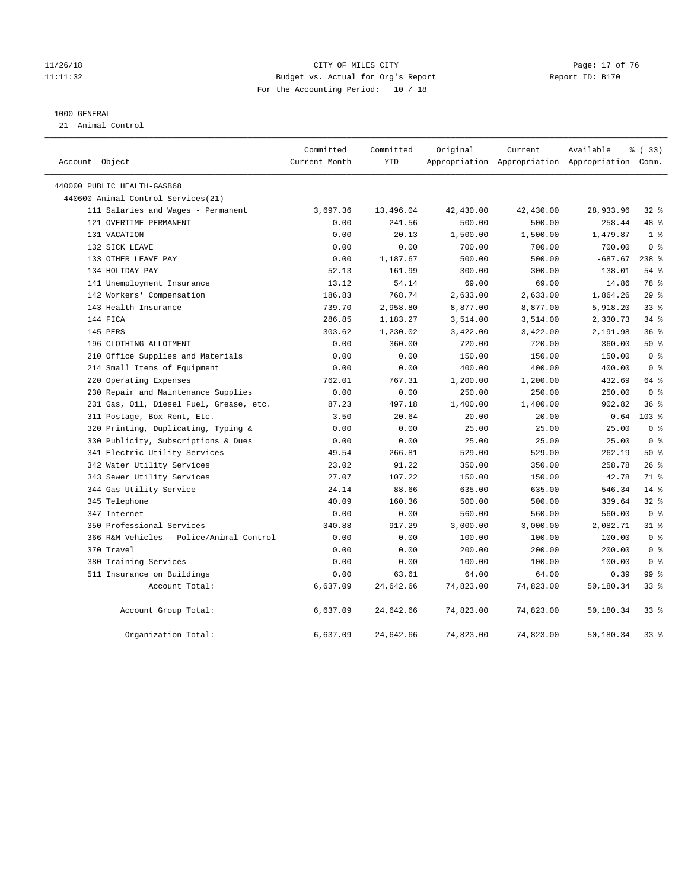#### 11/26/18 Page: 17 of 76 CITY OF MILES CITY CHANGES AND RANGES AND RESPONSIVE PAGE: 17 OF 76 11:11:32 Budget vs. Actual for Org's Report Report ID: B170 For the Accounting Period: 10 / 18

#### 1000 GENERAL

21 Animal Control

| Account Object                           | Committed<br>Current Month | Committed<br><b>YTD</b> | Original  | Current   | Available<br>Appropriation Appropriation Appropriation Comm. | % ( 33 )         |  |
|------------------------------------------|----------------------------|-------------------------|-----------|-----------|--------------------------------------------------------------|------------------|--|
| 440000 PUBLIC HEALTH-GASB68              |                            |                         |           |           |                                                              |                  |  |
| 440600 Animal Control Services(21)       |                            |                         |           |           |                                                              |                  |  |
| 111 Salaries and Wages - Permanent       | 3,697.36                   | 13,496.04               | 42,430.00 | 42,430.00 | 28,933.96                                                    | $32$ $%$         |  |
| 121 OVERTIME-PERMANENT                   | 0.00                       | 241.56                  | 500.00    | 500.00    | 258.44                                                       | 48 %             |  |
| 131 VACATION                             | 0.00                       | 20.13                   | 1,500.00  | 1,500.00  | 1,479.87                                                     | 1 <sup>8</sup>   |  |
| 132 SICK LEAVE                           | 0.00                       | 0.00                    | 700.00    | 700.00    | 700.00                                                       | 0 <sup>8</sup>   |  |
| 133 OTHER LEAVE PAY                      | 0.00                       | 1,187.67                | 500.00    | 500.00    | $-687.67$                                                    | $238$ %          |  |
| 134 HOLIDAY PAY                          | 52.13                      | 161.99                  | 300.00    | 300.00    | 138.01                                                       | $54$ %           |  |
| 141 Unemployment Insurance               | 13.12                      | 54.14                   | 69.00     | 69.00     | 14.86                                                        | 78 %             |  |
| 142 Workers' Compensation                | 186.83                     | 768.74                  | 2,633.00  | 2,633.00  | 1,864.26                                                     | 29%              |  |
| 143 Health Insurance                     | 739.70                     | 2,958.80                | 8,877.00  | 8,877.00  | 5,918.20                                                     | $33$ $%$         |  |
| 144 FICA                                 | 286.85                     | 1,183.27                | 3,514.00  | 3,514.00  | 2,330.73                                                     | $34$ $%$         |  |
| 145 PERS                                 | 303.62                     | 1,230.02                | 3,422.00  | 3,422.00  | 2,191.98                                                     | 36%              |  |
| 196 CLOTHING ALLOTMENT                   | 0.00                       | 360.00                  | 720.00    | 720.00    | 360.00                                                       | 50%              |  |
| 210 Office Supplies and Materials        | 0.00                       | 0.00                    | 150.00    | 150.00    | 150.00                                                       | 0 <sup>8</sup>   |  |
| 214 Small Items of Equipment             | 0.00                       | 0.00                    | 400.00    | 400.00    | 400.00                                                       | 0 <sup>8</sup>   |  |
| 220 Operating Expenses                   | 762.01                     | 767.31                  | 1,200.00  | 1,200.00  | 432.69                                                       | 64 %             |  |
| 230 Repair and Maintenance Supplies      | 0.00                       | 0.00                    | 250.00    | 250.00    | 250.00                                                       | 0 <sup>8</sup>   |  |
| 231 Gas, Oil, Diesel Fuel, Grease, etc.  | 87.23                      | 497.18                  | 1,400.00  | 1,400.00  | 902.82                                                       | 36%              |  |
| 311 Postage, Box Rent, Etc.              | 3.50                       | 20.64                   | 20.00     | 20.00     | $-0.64$                                                      | 103 <sub>8</sub> |  |
| 320 Printing, Duplicating, Typing &      | 0.00                       | 0.00                    | 25.00     | 25.00     | 25.00                                                        | 0 <sup>8</sup>   |  |
| 330 Publicity, Subscriptions & Dues      | 0.00                       | 0.00                    | 25.00     | 25.00     | 25.00                                                        | 0 <sup>8</sup>   |  |
| 341 Electric Utility Services            | 49.54                      | 266.81                  | 529.00    | 529.00    | 262.19                                                       | 50%              |  |
| 342 Water Utility Services               | 23.02                      | 91.22                   | 350.00    | 350.00    | 258.78                                                       | $26$ %           |  |
| 343 Sewer Utility Services               | 27.07                      | 107.22                  | 150.00    | 150.00    | 42.78                                                        | 71 %             |  |
| 344 Gas Utility Service                  | 24.14                      | 88.66                   | 635.00    | 635.00    | 546.34                                                       | $14*$            |  |
| 345 Telephone                            | 40.09                      | 160.36                  | 500.00    | 500.00    | 339.64                                                       | 32%              |  |
| 347 Internet                             | 0.00                       | 0.00                    | 560.00    | 560.00    | 560.00                                                       | 0 <sup>8</sup>   |  |
| 350 Professional Services                | 340.88                     | 917.29                  | 3,000.00  | 3,000.00  | 2,082.71                                                     | $31$ %           |  |
| 366 R&M Vehicles - Police/Animal Control | 0.00                       | 0.00                    | 100.00    | 100.00    | 100.00                                                       | 0 <sup>8</sup>   |  |
| 370 Travel                               | 0.00                       | 0.00                    | 200.00    | 200.00    | 200.00                                                       | 0 <sup>8</sup>   |  |
| 380 Training Services                    | 0.00                       | 0.00                    | 100.00    | 100.00    | 100.00                                                       | 0 <sup>8</sup>   |  |
| 511 Insurance on Buildings               | 0.00                       | 63.61                   | 64.00     | 64.00     | 0.39                                                         | 99 %             |  |
| Account Total:                           | 6,637.09                   | 24,642.66               | 74,823.00 | 74,823.00 | 50,180.34                                                    | $33$ $%$         |  |
| Account Group Total:                     | 6,637.09                   | 24,642.66               | 74,823.00 | 74,823.00 | 50,180.34                                                    | 338              |  |
| Organization Total:                      | 6,637.09                   | 24,642.66               | 74,823.00 | 74,823.00 | 50,180.34                                                    | $33$ $%$         |  |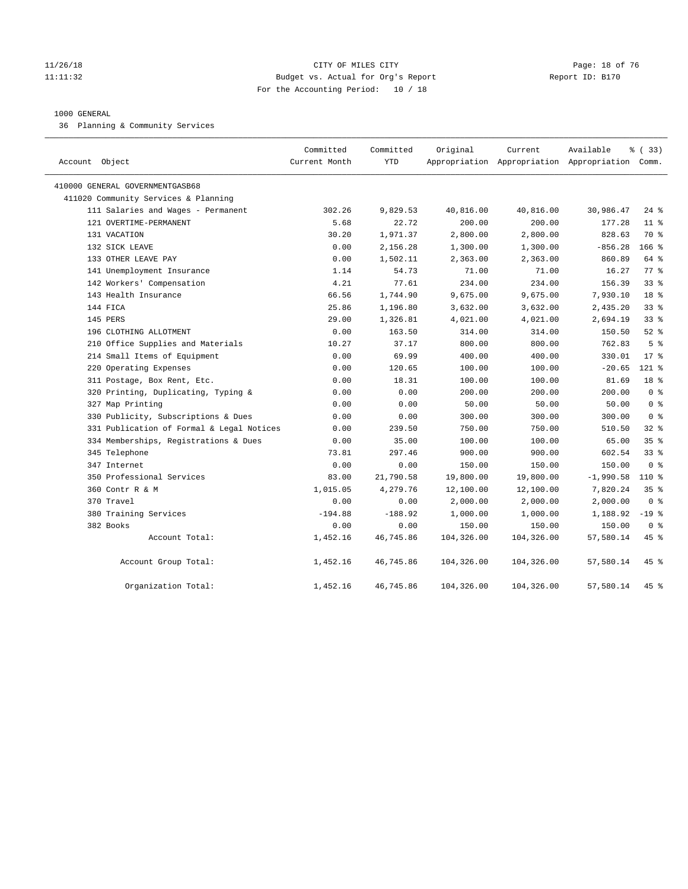#### 11/26/18 Page: 18 of 76 Page: 18 of 76 Page: 18 Of 76 Page: 18 Of 76 Page: 18 Of 76 Page: 18 Of 76 Page: 18 Of 76 Page: 18 Of 76 Page: 18 Of 76 Page: 18 Of 76 Page: 18 Of 76 Page: 18 Of 76 Page: 18 Of 76 Page: 18 Of 76 Pag 11:11:32 Budget vs. Actual for Org's Report Report ID: B170 For the Accounting Period: 10 / 18

#### 1000 GENERAL

36 Planning & Community Services

| Account Object                            | Committed<br>Current Month | Committed<br><b>YTD</b> | Original   | Current    | Available<br>Appropriation Appropriation Appropriation Comm. | % (33)           |
|-------------------------------------------|----------------------------|-------------------------|------------|------------|--------------------------------------------------------------|------------------|
| 410000 GENERAL GOVERNMENTGASB68           |                            |                         |            |            |                                                              |                  |
| 411020 Community Services & Planning      |                            |                         |            |            |                                                              |                  |
| 111 Salaries and Wages - Permanent        | 302.26                     | 9,829.53                | 40,816.00  | 40,816.00  | 30,986.47                                                    | $24$ %           |
| 121 OVERTIME-PERMANENT                    | 5.68                       | 22.72                   | 200.00     | 200.00     | 177.28                                                       | $11*$            |
| 131 VACATION                              | 30.20                      | 1,971.37                | 2,800.00   | 2,800.00   | 828.63                                                       | 70 %             |
| 132 SICK LEAVE                            | 0.00                       | 2,156.28                | 1,300.00   | 1,300.00   | $-856.28$                                                    | 166 <sup>8</sup> |
| 133 OTHER LEAVE PAY                       | 0.00                       | 1,502.11                | 2,363.00   | 2,363.00   | 860.89                                                       | 64 %             |
| 141 Unemployment Insurance                | 1.14                       | 54.73                   | 71.00      | 71.00      | 16.27                                                        | 77.8             |
| 142 Workers' Compensation                 | 4.21                       | 77.61                   | 234.00     | 234.00     | 156.39                                                       | 33 <sup>8</sup>  |
| 143 Health Insurance                      | 66.56                      | 1,744.90                | 9,675.00   | 9,675.00   | 7,930.10                                                     | 18 <sup>8</sup>  |
| 144 FICA                                  | 25.86                      | 1,196.80                | 3,632.00   | 3,632.00   | 2,435.20                                                     | 33 <sup>8</sup>  |
| 145 PERS                                  | 29.00                      | 1,326.81                | 4,021.00   | 4,021.00   | 2,694.19                                                     | 33 <sup>8</sup>  |
| 196 CLOTHING ALLOTMENT                    | 0.00                       | 163.50                  | 314.00     | 314.00     | 150.50                                                       | $52$ $%$         |
| 210 Office Supplies and Materials         | 10.27                      | 37.17                   | 800.00     | 800.00     | 762.83                                                       | 5 <sup>8</sup>   |
| 214 Small Items of Equipment              | 0.00                       | 69.99                   | 400.00     | 400.00     | 330.01                                                       | $17*$            |
| 220 Operating Expenses                    | 0.00                       | 120.65                  | 100.00     | 100.00     | $-20.65$                                                     | 121 %            |
| 311 Postage, Box Rent, Etc.               | 0.00                       | 18.31                   | 100.00     | 100.00     | 81.69                                                        | 18 %             |
| 320 Printing, Duplicating, Typing &       | 0.00                       | 0.00                    | 200.00     | 200.00     | 200.00                                                       | 0 <sup>8</sup>   |
| 327 Map Printing                          | 0.00                       | 0.00                    | 50.00      | 50.00      | 50.00                                                        | 0 <sup>8</sup>   |
| 330 Publicity, Subscriptions & Dues       | 0.00                       | 0.00                    | 300.00     | 300.00     | 300.00                                                       | 0 <sup>8</sup>   |
| 331 Publication of Formal & Legal Notices | 0.00                       | 239.50                  | 750.00     | 750.00     | 510.50                                                       | 328              |
| 334 Memberships, Registrations & Dues     | 0.00                       | 35.00                   | 100.00     | 100.00     | 65.00                                                        | 35%              |
| 345 Telephone                             | 73.81                      | 297.46                  | 900.00     | 900.00     | 602.54                                                       | 338              |
| 347 Internet                              | 0.00                       | 0.00                    | 150.00     | 150.00     | 150.00                                                       | 0 %              |
| 350 Professional Services                 | 83.00                      | 21,790.58               | 19,800.00  | 19,800.00  | $-1,990.58$                                                  | $110*$           |
| 360 Contr R & M                           | 1,015.05                   | 4,279.76                | 12,100.00  | 12,100.00  | 7,820.24                                                     | 35%              |
| 370 Travel                                | 0.00                       | 0.00                    | 2,000.00   | 2,000.00   | 2,000.00                                                     | 0 <sup>8</sup>   |
| 380 Training Services                     | $-194.88$                  | $-188.92$               | 1,000.00   | 1,000.00   | 1,188.92                                                     | $-19$ %          |
| 382 Books                                 | 0.00                       | 0.00                    | 150.00     | 150.00     | 150.00                                                       | 0 <sup>8</sup>   |
| Account Total:                            | 1,452.16                   | 46,745.86               | 104,326.00 | 104,326.00 | 57,580.14                                                    | 45 %             |
| Account Group Total:                      | 1,452.16                   | 46,745.86               | 104,326.00 | 104,326.00 | 57,580.14                                                    | 45 %             |
| Organization Total:                       | 1,452.16                   | 46,745.86               | 104,326.00 | 104,326.00 | 57,580.14                                                    | 45 %             |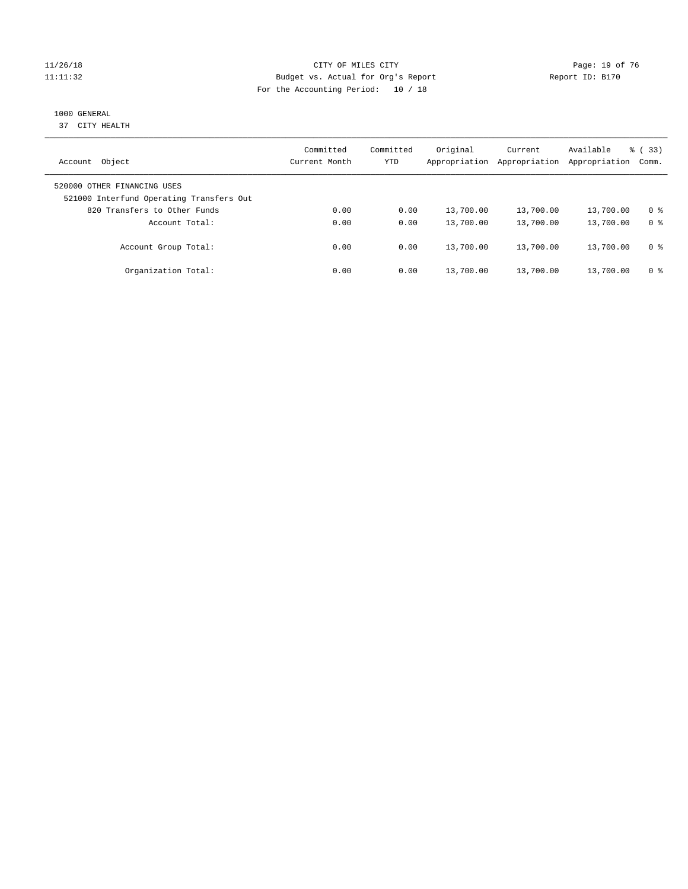#### $CITY$  CITY OF MILES CITY CHANNES CONSTRUCTION (Page: 19 of 76 11:11:32 Budget vs. Actual for Org's Report Report ID: B170 For the Accounting Period: 10 / 18

# 1000 GENERAL

37 CITY HEALTH

| Object<br>Account                                                       | Committed<br>Current Month | Committed<br><b>YTD</b> | Original<br>Appropriation | Current<br>Appropriation | Available<br>Appropriation | % (33)<br>Comm. |
|-------------------------------------------------------------------------|----------------------------|-------------------------|---------------------------|--------------------------|----------------------------|-----------------|
| 520000 OTHER FINANCING USES<br>521000 Interfund Operating Transfers Out |                            |                         |                           |                          |                            |                 |
| 820 Transfers to Other Funds                                            | 0.00                       | 0.00                    | 13,700.00                 | 13,700.00                | 13,700.00                  | 0 <sup>8</sup>  |
| Account Total:                                                          | 0.00                       | 0.00                    | 13,700.00                 | 13,700.00                | 13,700.00                  | 0 <sup>8</sup>  |
| Account Group Total:                                                    | 0.00                       | 0.00                    | 13,700.00                 | 13,700.00                | 13,700.00                  | 0 <sup>8</sup>  |
| Organization Total:                                                     | 0.00                       | 0.00                    | 13,700.00                 | 13,700.00                | 13,700.00                  | 0 <sup>8</sup>  |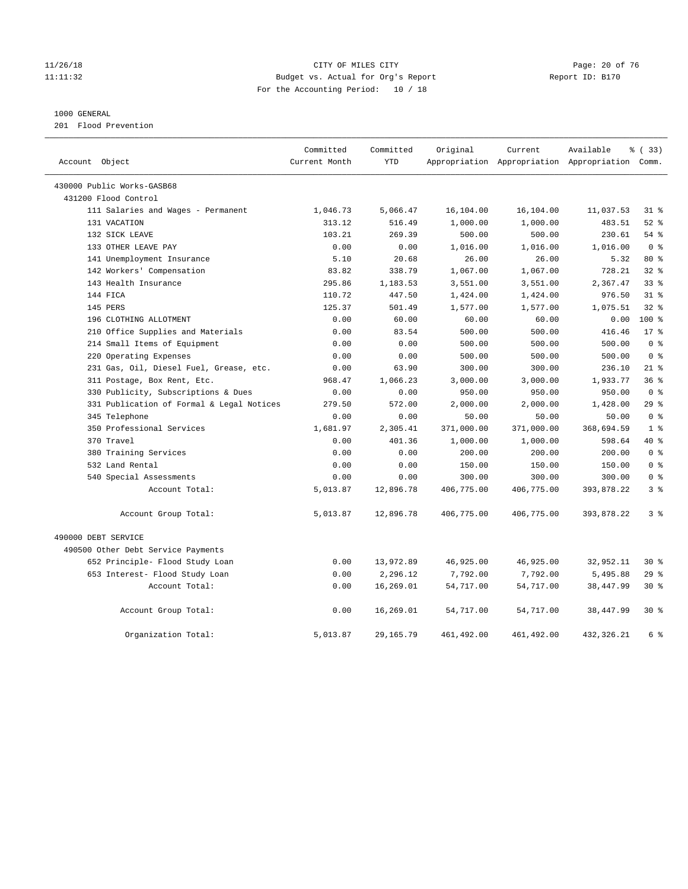#### 11/26/18 Page: 20 of 76 Page: 20 of 76 Page: 20 of 76 Page: 20 of 76 Page: 20 of 76 11:11:32 Budget vs. Actual for Org's Report Report ID: B170 For the Accounting Period: 10 / 18

#### 1000 GENERAL

201 Flood Prevention

|                                           | Committed     | Committed  | Original   | Current    | Available                                       | % (33)         |
|-------------------------------------------|---------------|------------|------------|------------|-------------------------------------------------|----------------|
| Account Object                            | Current Month | <b>YTD</b> |            |            | Appropriation Appropriation Appropriation Comm. |                |
| 430000 Public Works-GASB68                |               |            |            |            |                                                 |                |
| 431200 Flood Control                      |               |            |            |            |                                                 |                |
| 111 Salaries and Wages - Permanent        | 1,046.73      | 5,066.47   | 16,104.00  | 16,104.00  | 11,037.53                                       | $31$ %         |
| 131 VACATION                              | 313.12        | 516.49     | 1,000.00   | 1,000.00   | 483.51                                          | $52$ $%$       |
| 132 SICK LEAVE                            | 103.21        | 269.39     | 500.00     | 500.00     | 230.61                                          | $54$ %         |
| 133 OTHER LEAVE PAY                       | 0.00          | 0.00       | 1,016.00   | 1,016.00   | 1,016.00                                        | 0 <sup>8</sup> |
| 141 Unemployment Insurance                | 5.10          | 20.68      | 26.00      | 26.00      | 5.32                                            | 80 %           |
| 142 Workers' Compensation                 | 83.82         | 338.79     | 1,067.00   | 1,067.00   | 728.21                                          | $32$ $%$       |
| 143 Health Insurance                      | 295.86        | 1,183.53   | 3,551.00   | 3,551.00   | 2,367.47                                        | 33%            |
| 144 FICA                                  | 110.72        | 447.50     | 1,424.00   | 1,424.00   | 976.50                                          | $31$ %         |
| 145 PERS                                  | 125.37        | 501.49     | 1,577.00   | 1,577.00   | 1,075.51                                        | $32$ $%$       |
| 196 CLOTHING ALLOTMENT                    | 0.00          | 60.00      | 60.00      | 60.00      | 0.00                                            | $100*$         |
| 210 Office Supplies and Materials         | 0.00          | 83.54      | 500.00     | 500.00     | 416.46                                          | $17*$          |
| 214 Small Items of Equipment              | 0.00          | 0.00       | 500.00     | 500.00     | 500.00                                          | 0 <sup>8</sup> |
| 220 Operating Expenses                    | 0.00          | 0.00       | 500.00     | 500.00     | 500.00                                          | 0 <sup>8</sup> |
| 231 Gas, Oil, Diesel Fuel, Grease, etc.   | 0.00          | 63.90      | 300.00     | 300.00     | 236.10                                          | $21$ %         |
| 311 Postage, Box Rent, Etc.               | 968.47        | 1,066.23   | 3,000.00   | 3,000.00   | 1,933.77                                        | 36%            |
| 330 Publicity, Subscriptions & Dues       | 0.00          | 0.00       | 950.00     | 950.00     | 950.00                                          | 0 <sup>8</sup> |
| 331 Publication of Formal & Legal Notices | 279.50        | 572.00     | 2,000.00   | 2,000.00   | 1,428.00                                        | 29%            |
| 345 Telephone                             | 0.00          | 0.00       | 50.00      | 50.00      | 50.00                                           | 0 <sup>8</sup> |
| 350 Professional Services                 | 1,681.97      | 2,305.41   | 371,000.00 | 371,000.00 | 368,694.59                                      | 1 <sup>8</sup> |
| 370 Travel                                | 0.00          | 401.36     | 1,000.00   | 1,000.00   | 598.64                                          | 40 %           |
| 380 Training Services                     | 0.00          | 0.00       | 200.00     | 200.00     | 200.00                                          | 0 <sup>8</sup> |
| 532 Land Rental                           | 0.00          | 0.00       | 150.00     | 150.00     | 150.00                                          | 0 <sup>8</sup> |
| 540 Special Assessments                   | 0.00          | 0.00       | 300.00     | 300.00     | 300.00                                          | 0 <sup>8</sup> |
| Account Total:                            | 5,013.87      | 12,896.78  | 406,775.00 | 406,775.00 | 393,878.22                                      | 3 <sup>8</sup> |
| Account Group Total:                      | 5,013.87      | 12,896.78  | 406,775.00 | 406,775.00 | 393,878.22                                      | 3 <sup>°</sup> |
| 490000 DEBT SERVICE                       |               |            |            |            |                                                 |                |
| 490500 Other Debt Service Payments        |               |            |            |            |                                                 |                |
| 652 Principle- Flood Study Loan           | 0.00          | 13,972.89  | 46,925.00  | 46,925.00  | 32,952.11                                       | $30*$          |
| 653 Interest- Flood Study Loan            | 0.00          | 2,296.12   | 7,792.00   | 7,792.00   | 5,495.88                                        | 29%            |
| Account Total:                            | 0.00          | 16,269.01  | 54,717.00  | 54,717.00  | 38,447.99                                       | $30*$          |
| Account Group Total:                      | 0.00          | 16,269.01  | 54,717.00  | 54,717.00  | 38,447.99                                       | $30*$          |
| Organization Total:                       | 5,013.87      | 29,165.79  | 461,492.00 | 461,492.00 | 432,326.21                                      | 6 %            |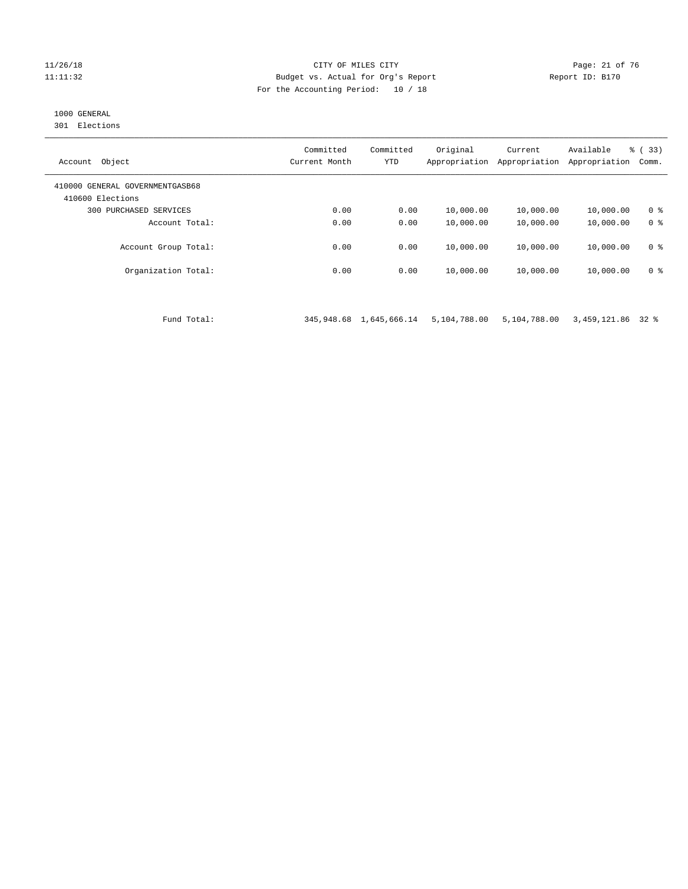#### 11/26/18 Page: 21 of 76 Page: 21 of 76 Page: 21 of 76 Page: 21 of 76 Page: 21 of 76 11:11:32 Budget vs. Actual for Org's Report Report ID: B170 For the Accounting Period: 10 / 18

# 1000 GENERAL

301 Elections

| Object<br>Account                                   | Committed<br>Current Month | Committed<br><b>YTD</b> | Original<br>Appropriation | Current<br>Appropriation | Available<br>Appropriation | % (33)<br>Comm. |
|-----------------------------------------------------|----------------------------|-------------------------|---------------------------|--------------------------|----------------------------|-----------------|
| 410000 GENERAL GOVERNMENTGASB68<br>410600 Elections |                            |                         |                           |                          |                            |                 |
| 300<br>PURCHASED SERVICES                           | 0.00                       | 0.00                    | 10,000.00                 | 10,000.00                | 10,000.00                  | 0 <sup>8</sup>  |
| Account Total:                                      | 0.00                       | 0.00                    | 10,000.00                 | 10,000.00                | 10,000.00                  | 0 <sup>8</sup>  |
| Account Group Total:                                | 0.00                       | 0.00                    | 10,000.00                 | 10,000.00                | 10,000.00                  | 0 <sup>8</sup>  |
| Organization Total:                                 | 0.00                       | 0.00                    | 10,000.00                 | 10,000.00                | 10,000.00                  | 0 <sup>8</sup>  |

Fund Total: 345,948.68 1,645,666.14 5,104,788.00 5,104,788.00 3,459,121.86 32 %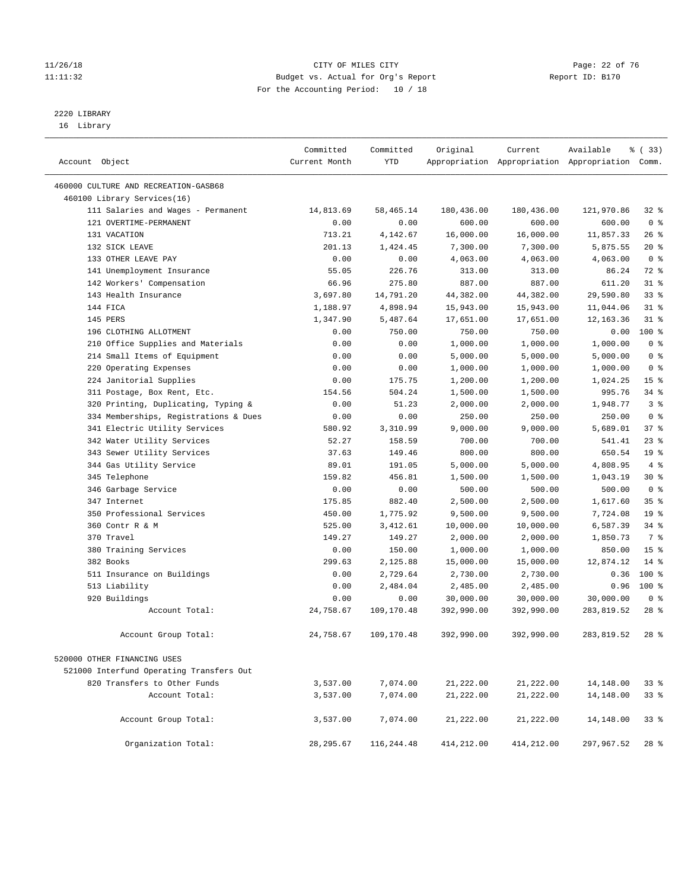#### 11/26/18 Page: 22 of 76 Page: 22 of 76 Page: 22 of 76 Page: 22 of 76 Page: 22 of 76 11:11:32 Budget vs. Actual for Org's Report Report ID: B170 For the Accounting Period: 10 / 18

————————————————————————————————————————————————————————————————————————————————————————————————————————————————————————————————————

# 2220 LIBRARY

16 Library

|                |                                          | Committed     | Committed   | Original   | Current    | Available                                       | 8 (33)          |
|----------------|------------------------------------------|---------------|-------------|------------|------------|-------------------------------------------------|-----------------|
| Account Object |                                          | Current Month | <b>YTD</b>  |            |            | Appropriation Appropriation Appropriation Comm. |                 |
|                | 460000 CULTURE AND RECREATION-GASB68     |               |             |            |            |                                                 |                 |
|                | 460100 Library Services(16)              |               |             |            |            |                                                 |                 |
|                | 111 Salaries and Wages - Permanent       | 14,813.69     | 58, 465. 14 | 180,436.00 | 180,436.00 | 121,970.86                                      | $32$ $%$        |
|                | 121 OVERTIME-PERMANENT                   | 0.00          | 0.00        | 600.00     | 600.00     | 600.00                                          | 0 <sup>8</sup>  |
|                | 131 VACATION                             | 713.21        | 4,142.67    | 16,000.00  | 16,000.00  | 11,857.33                                       | $26$ %          |
|                | 132 SICK LEAVE                           | 201.13        | 1,424.45    | 7,300.00   | 7,300.00   | 5,875.55                                        | $20*$           |
|                | 133 OTHER LEAVE PAY                      | 0.00          | 0.00        | 4,063.00   | 4,063.00   | 4,063.00                                        | 0 <sup>8</sup>  |
|                | 141 Unemployment Insurance               | 55.05         | 226.76      | 313.00     | 313.00     | 86.24                                           | 72 %            |
|                | 142 Workers' Compensation                | 66.96         | 275.80      | 887.00     | 887.00     | 611.20                                          | $31$ %          |
|                | 143 Health Insurance                     | 3,697.80      | 14,791.20   | 44,382.00  | 44,382.00  | 29,590.80                                       | 33%             |
|                | 144 FICA                                 | 1,188.97      | 4,898.94    | 15,943.00  | 15,943.00  | 11,044.06                                       | $31$ %          |
|                | 145 PERS                                 | 1,347.90      | 5,487.64    | 17,651.00  | 17,651.00  | 12, 163.36                                      | $31$ %          |
|                | 196 CLOTHING ALLOTMENT                   | 0.00          | 750.00      | 750.00     | 750.00     | 0.00                                            | 100 %           |
|                | 210 Office Supplies and Materials        | 0.00          | 0.00        | 1,000.00   | 1,000.00   | 1,000.00                                        | 0 <sup>8</sup>  |
|                | 214 Small Items of Equipment             | 0.00          | 0.00        | 5,000.00   | 5,000.00   | 5,000.00                                        | 0 <sup>8</sup>  |
|                | 220 Operating Expenses                   | 0.00          | 0.00        | 1,000.00   | 1,000.00   | 1,000.00                                        | 0 <sup>8</sup>  |
|                | 224 Janitorial Supplies                  | 0.00          | 175.75      | 1,200.00   | 1,200.00   | 1,024.25                                        | 15 <sup>°</sup> |
|                | 311 Postage, Box Rent, Etc.              | 154.56        | 504.24      | 1,500.00   | 1,500.00   | 995.76                                          | $34$ $%$        |
|                | 320 Printing, Duplicating, Typing &      | 0.00          | 51.23       | 2,000.00   | 2,000.00   | 1,948.77                                        | 3 <sup>8</sup>  |
|                | 334 Memberships, Registrations & Dues    | 0.00          | 0.00        | 250.00     | 250.00     | 250.00                                          | 0 <sup>8</sup>  |
|                | 341 Electric Utility Services            | 580.92        | 3,310.99    | 9,000.00   | 9,000.00   | 5,689.01                                        | 37%             |
|                | 342 Water Utility Services               | 52.27         | 158.59      | 700.00     | 700.00     | 541.41                                          | $23$ $%$        |
|                | 343 Sewer Utility Services               | 37.63         | 149.46      | 800.00     | 800.00     | 650.54                                          | 19 <sup>°</sup> |
|                | 344 Gas Utility Service                  | 89.01         | 191.05      | 5,000.00   | 5,000.00   | 4,808.95                                        | 4%              |
|                | 345 Telephone                            | 159.82        | 456.81      | 1,500.00   | 1,500.00   | 1,043.19                                        | $30*$           |
|                | 346 Garbage Service                      | 0.00          | 0.00        | 500.00     | 500.00     | 500.00                                          | 0 <sup>8</sup>  |
|                | 347 Internet                             | 175.85        | 882.40      | 2,500.00   | 2,500.00   | 1,617.60                                        | 35%             |
|                | 350 Professional Services                | 450.00        | 1,775.92    | 9,500.00   | 9,500.00   | 7,724.08                                        | 19 <sup>°</sup> |
|                | 360 Contr R & M                          | 525.00        | 3,412.61    | 10,000.00  | 10,000.00  | 6,587.39                                        | 34%             |
|                | 370 Travel                               | 149.27        | 149.27      | 2,000.00   | 2,000.00   | 1,850.73                                        | 7 %             |
|                | 380 Training Services                    | 0.00          | 150.00      | 1,000.00   | 1,000.00   | 850.00                                          | 15 <sup>°</sup> |
|                | 382 Books                                | 299.63        | 2,125.88    | 15,000.00  | 15,000.00  | 12,874.12                                       | $14*$           |
|                | 511 Insurance on Buildings               | 0.00          | 2,729.64    | 2,730.00   | 2,730.00   | 0.36                                            | 100 %           |
|                | 513 Liability                            | 0.00          | 2,484.04    | 2,485.00   | 2,485.00   | 0.96                                            | $100*$          |
|                | 920 Buildings                            | 0.00          | 0.00        | 30,000.00  | 30,000.00  | 30,000.00                                       | 0 <sup>8</sup>  |
|                | Account Total:                           | 24,758.67     | 109,170.48  | 392,990.00 | 392,990.00 | 283,819.52                                      | $28$ %          |
|                | Account Group Total:                     | 24,758.67     | 109,170.48  | 392,990.00 | 392,990.00 | 283,819.52                                      | $28$ %          |
|                | 520000 OTHER FINANCING USES              |               |             |            |            |                                                 |                 |
|                | 521000 Interfund Operating Transfers Out |               |             |            |            |                                                 |                 |
|                | 820 Transfers to Other Funds             | 3,537.00      | 7,074.00    | 21,222.00  | 21,222.00  | 14,148.00                                       | $33*$           |
|                | Account Total:                           | 3,537.00      | 7,074.00    | 21,222.00  | 21,222.00  | 14,148.00                                       | 338             |
|                |                                          |               |             |            |            |                                                 |                 |
|                | Account Group Total:                     | 3,537.00      | 7,074.00    | 21,222.00  | 21,222.00  | 14,148.00                                       | 33%             |
|                | Organization Total:                      | 28, 295.67    | 116,244.48  | 414,212.00 | 414,212.00 | 297,967.52                                      | $28$ %          |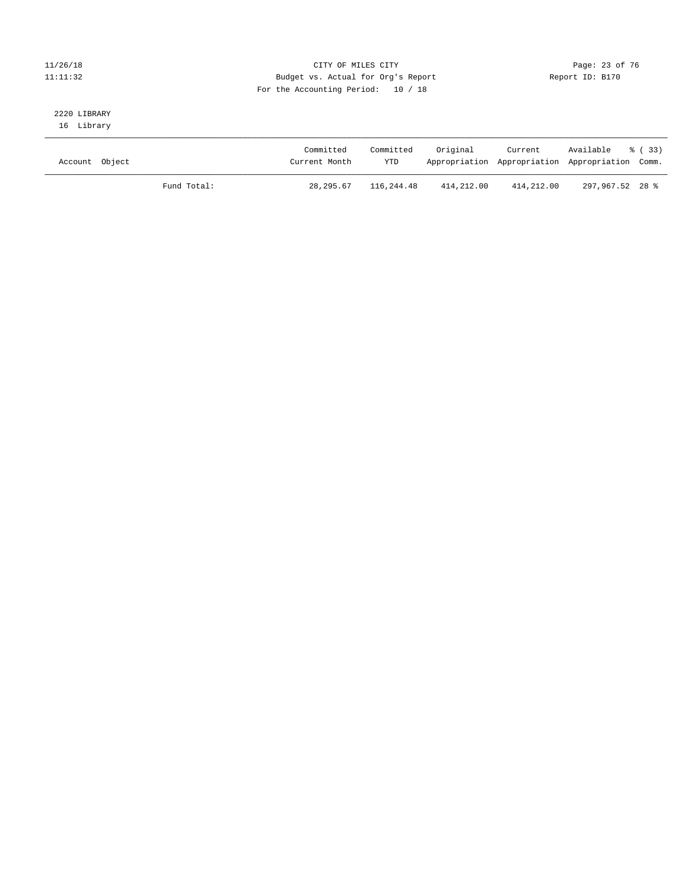#### 11/26/18 Page: 23 of 76 Page: 23 Of 76 Page: 23 Of 76 Page: 23 Of 76 Page: 23 Of 76 11:11:32 Budget vs. Actual for Org's Report Report ID: B170 For the Accounting Period: 10 / 18

# 2220 LIBRARY

16 Library

| Account Object |             | Committed<br>Current Month | Committed<br><b>YTD</b> | Original   | Current    | Available % (33)<br>Appropriation Appropriation Appropriation Comm. |  |
|----------------|-------------|----------------------------|-------------------------|------------|------------|---------------------------------------------------------------------|--|
|                | Fund Total: | 28, 295.67                 | 116,244.48              | 414,212.00 | 414,212.00 | 297.967.52 28 %                                                     |  |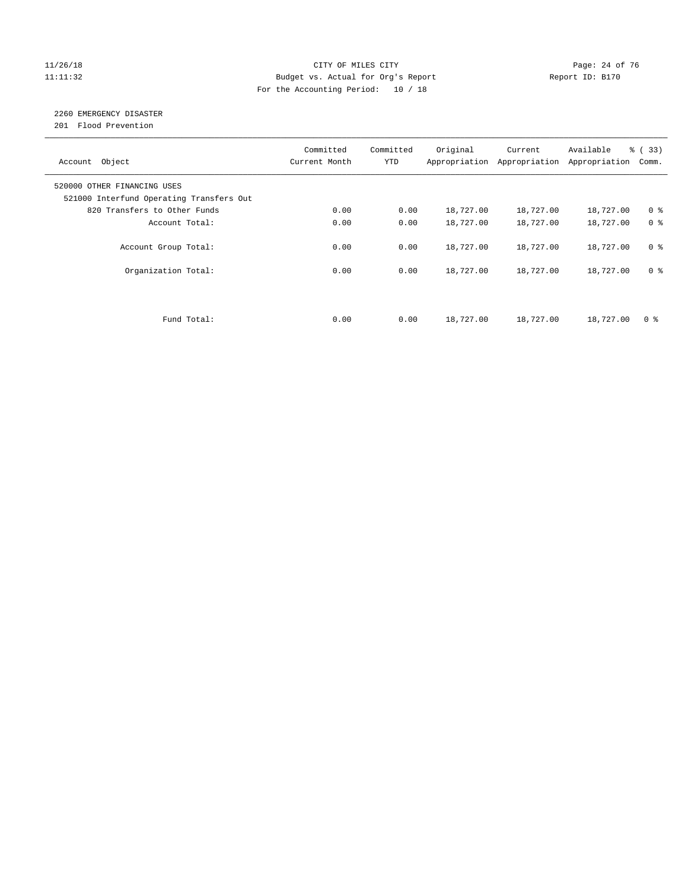#### 11/26/18 Page: 24 of 76 Page: 24 of 76 Page: 24 of 76 Page: 24 of 76 Page: 24 of 76 11:11:32 Budget vs. Actual for Org's Report Report ID: B170 For the Accounting Period: 10 / 18

# 2260 EMERGENCY DISASTER

201 Flood Prevention

| Account Object                                                          | Committed<br>Current Month | Committed<br><b>YTD</b> | Original  | Current<br>Appropriation Appropriation | Available<br>Appropriation | % (33)<br>Comm. |
|-------------------------------------------------------------------------|----------------------------|-------------------------|-----------|----------------------------------------|----------------------------|-----------------|
| 520000 OTHER FINANCING USES<br>521000 Interfund Operating Transfers Out |                            |                         |           |                                        |                            |                 |
| 820 Transfers to Other Funds                                            | 0.00                       | 0.00                    | 18,727.00 | 18,727.00                              | 18,727.00                  | 0 <sup>8</sup>  |
| Account Total:                                                          | 0.00                       | 0.00                    | 18,727.00 | 18,727.00                              | 18,727.00                  | 0 <sup>8</sup>  |
| Account Group Total:                                                    | 0.00                       | 0.00                    | 18,727.00 | 18,727.00                              | 18,727.00                  | 0 <sup>8</sup>  |
| Organization Total:                                                     | 0.00                       | 0.00                    | 18,727.00 | 18,727.00                              | 18,727.00                  | 0 <sup>8</sup>  |
|                                                                         |                            |                         |           |                                        |                            |                 |
| Fund Total:                                                             | 0.00                       | 0.00                    | 18,727.00 | 18,727.00                              | 18,727.00                  | 0 %             |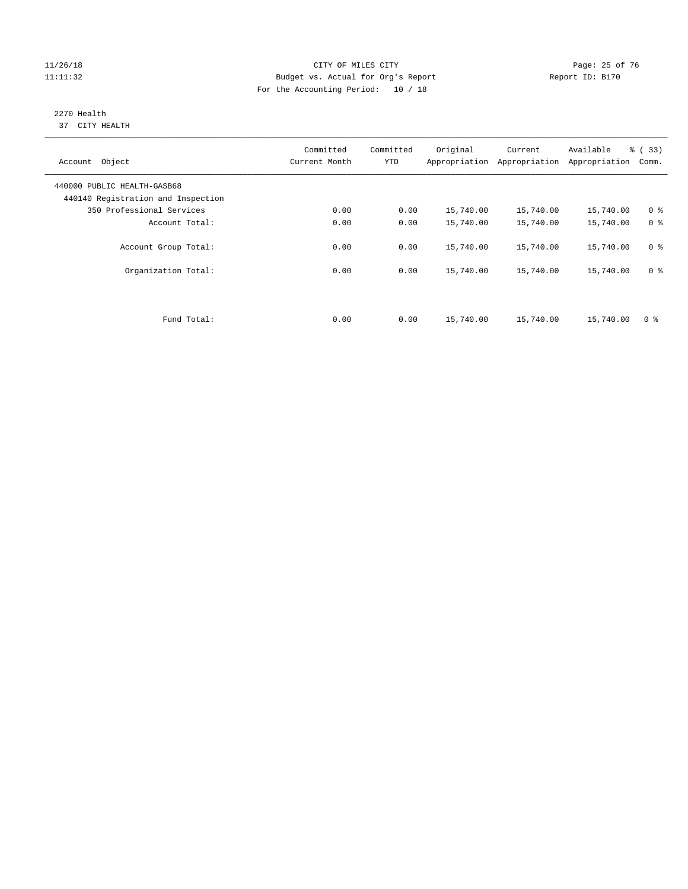#### 11/26/18 Page: 25 of 76 Page: 25 of 76 Page: 25 of 76 Page: 25 of 76 Page: 25 of 76 11:11:32 Budget vs. Actual for Org's Report Report ID: B170 For the Accounting Period: 10 / 18

#### 2270 Health 37 CITY HEALTH

| Account Object                                                    | Committed<br>Current Month | Committed<br><b>YTD</b> | Original  | Current<br>Appropriation Appropriation | Available<br>Appropriation | % (33)<br>Comm. |
|-------------------------------------------------------------------|----------------------------|-------------------------|-----------|----------------------------------------|----------------------------|-----------------|
| 440000 PUBLIC HEALTH-GASB68<br>440140 Registration and Inspection |                            |                         |           |                                        |                            |                 |
| 350 Professional Services                                         | 0.00                       | 0.00                    | 15,740.00 | 15,740.00                              | 15,740.00                  | 0 <sup>8</sup>  |
| Account Total:                                                    | 0.00                       | 0.00                    | 15,740.00 | 15,740.00                              | 15,740.00                  | 0 <sup>8</sup>  |
| Account Group Total:                                              | 0.00                       | 0.00                    | 15,740.00 | 15,740.00                              | 15,740.00                  | 0 <sup>8</sup>  |
| Organization Total:                                               | 0.00                       | 0.00                    | 15,740.00 | 15,740.00                              | 15,740.00                  | 0 <sup>8</sup>  |
|                                                                   |                            |                         |           |                                        |                            |                 |
| Fund Total:                                                       | 0.00                       | 0.00                    | 15,740.00 | 15,740.00                              | 15,740.00                  | 0 %             |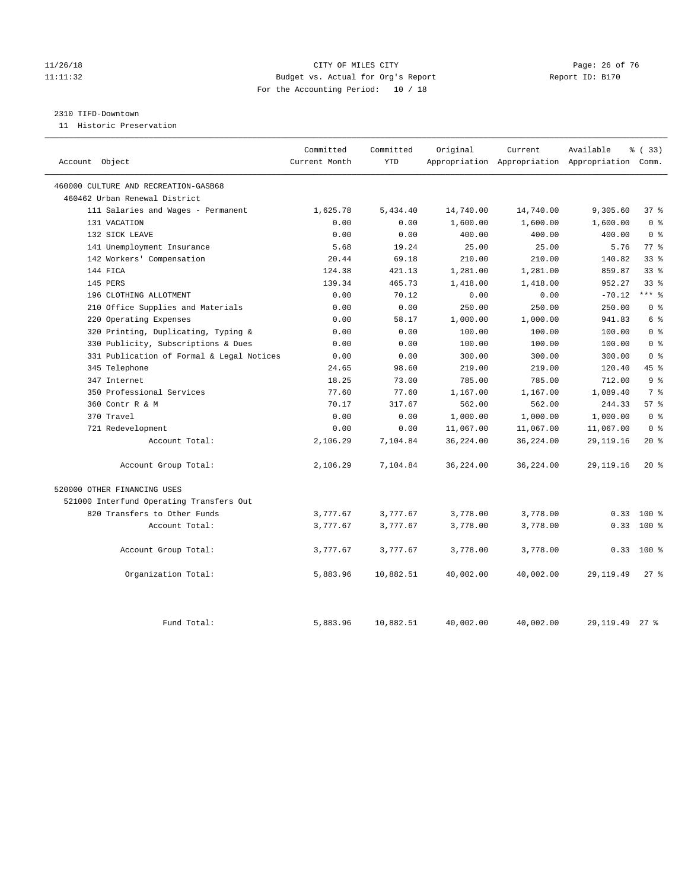#### 11/26/18 Page: 26 of 76 Page: 26 of 76 Page: 26 of 76 Page: 26 of 76 Page: 26 Of 76 Page: 26 Of 76 Page: 26 Of 76 Page: 26 Of 76 Page: 26 Of 76 Page: 26 Of 76 Page: 26 Of 76 Page: 26 Of 76 Page: 26 Of 76 Page: 26 Of 76 Pag 11:11:32 Budget vs. Actual for Org's Report Report ID: B170 For the Accounting Period: 10 / 18

#### 2310 TIFD-Downtown

11 Historic Preservation

| Account Object                            | Committed<br>Current Month | Committed<br><b>YTD</b> | Original  | Current   | Available<br>Appropriation Appropriation Appropriation Comm. | % (33)          |
|-------------------------------------------|----------------------------|-------------------------|-----------|-----------|--------------------------------------------------------------|-----------------|
| 460000 CULTURE AND RECREATION-GASB68      |                            |                         |           |           |                                                              |                 |
| 460462 Urban Renewal District             |                            |                         |           |           |                                                              |                 |
| 111 Salaries and Wages - Permanent        | 1,625.78                   | 5,434.40                | 14,740.00 | 14,740.00 | 9,305.60                                                     | 37%             |
| 131 VACATION                              | 0.00                       | 0.00                    | 1,600.00  | 1,600.00  | 1,600.00                                                     | 0 <sup>8</sup>  |
| 132 SICK LEAVE                            | 0.00                       | 0.00                    | 400.00    | 400.00    | 400.00                                                       | 0 <sup>8</sup>  |
| 141 Unemployment Insurance                | 5.68                       | 19.24                   | 25.00     | 25.00     | 5.76                                                         | 77.8            |
| 142 Workers' Compensation                 | 20.44                      | 69.18                   | 210.00    | 210.00    | 140.82                                                       | 33 <sup>8</sup> |
| 144 FICA                                  | 124.38                     | 421.13                  | 1,281.00  | 1,281.00  | 859.87                                                       | 33 <sup>8</sup> |
| 145 PERS                                  | 139.34                     | 465.73                  | 1,418.00  | 1,418.00  | 952.27                                                       | 33 <sup>8</sup> |
| 196 CLOTHING ALLOTMENT                    | 0.00                       | 70.12                   | 0.00      | 0.00      | $-70.12$                                                     | $***$ $-$       |
| 210 Office Supplies and Materials         | 0.00                       | 0.00                    | 250.00    | 250.00    | 250.00                                                       | 0 <sup>8</sup>  |
| 220 Operating Expenses                    | 0.00                       | 58.17                   | 1,000.00  | 1,000.00  | 941.83                                                       | 6 %             |
| 320 Printing, Duplicating, Typing &       | 0.00                       | 0.00                    | 100.00    | 100.00    | 100.00                                                       | 0 <sup>8</sup>  |
| 330 Publicity, Subscriptions & Dues       | 0.00                       | 0.00                    | 100.00    | 100.00    | 100.00                                                       | 0 <sup>8</sup>  |
| 331 Publication of Formal & Legal Notices | 0.00                       | 0.00                    | 300.00    | 300.00    | 300.00                                                       | 0 <sup>8</sup>  |
| 345 Telephone                             | 24.65                      | 98.60                   | 219.00    | 219.00    | 120.40                                                       | 45 %            |
| 347 Internet                              | 18.25                      | 73.00                   | 785.00    | 785.00    | 712.00                                                       | 9 <sup>°</sup>  |
| 350 Professional Services                 | 77.60                      | 77.60                   | 1,167.00  | 1,167.00  | 1,089.40                                                     | 7 %             |
| 360 Contr R & M                           | 70.17                      | 317.67                  | 562.00    | 562.00    | 244.33                                                       | 57%             |
| 370 Travel                                | 0.00                       | 0.00                    | 1,000.00  | 1,000.00  | 1,000.00                                                     | 0 <sup>8</sup>  |
| 721 Redevelopment                         | 0.00                       | 0.00                    | 11,067.00 | 11,067.00 | 11,067.00                                                    | 0 <sup>8</sup>  |
| Account Total:                            | 2,106.29                   | 7,104.84                | 36,224.00 | 36,224.00 | 29, 119. 16                                                  | $20*$           |
| Account Group Total:                      | 2,106.29                   | 7,104.84                | 36,224.00 | 36,224.00 | 29, 119. 16                                                  | $20*$           |
| 520000 OTHER FINANCING USES               |                            |                         |           |           |                                                              |                 |
| 521000 Interfund Operating Transfers Out  |                            |                         |           |           |                                                              |                 |
| 820 Transfers to Other Funds              | 3,777.67                   | 3,777.67                | 3,778.00  | 3,778.00  |                                                              | $0.33$ 100 %    |
| Account Total:                            | 3,777.67                   | 3,777.67                | 3,778.00  | 3,778.00  | 0.33                                                         | $100*$          |
| Account Group Total:                      | 3,777.67                   | 3,777.67                | 3,778.00  | 3,778.00  | 0.33                                                         | $100$ %         |
| Organization Total:                       | 5,883.96                   | 10,882.51               | 40,002.00 | 40,002.00 | 29, 119.49                                                   | $27$ $\approx$  |
| Fund Total:                               | 5,883.96                   | 10,882.51               | 40,002.00 | 40,002.00 | 29, 119.49                                                   | $27$ $%$        |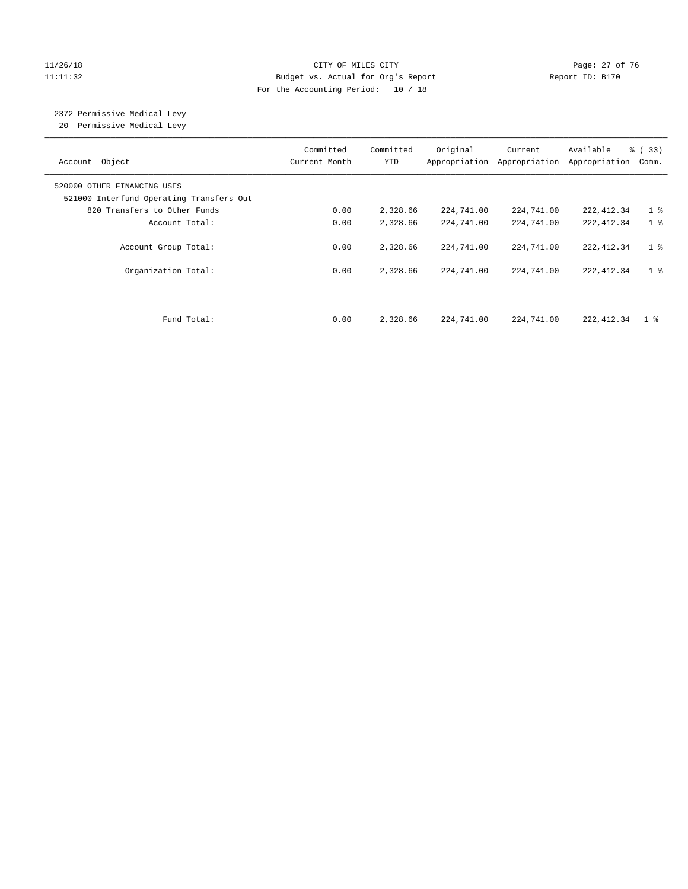#### 11/26/18 Page: 27 of 76 Page: 27 of 76 Page: 27 of 76 Page: 27 of 76 Page: 27 of 76 11:11:32 Budget vs. Actual for Org's Report Report ID: B170 For the Accounting Period: 10 / 18

# 2372 Permissive Medical Levy

20 Permissive Medical Levy

| Account Object                                                          | Committed<br>Current Month | Committed<br><b>YTD</b> | Original<br>Appropriation | Current<br>Appropriation | Available<br>Appropriation | % (33)<br>Comm. |
|-------------------------------------------------------------------------|----------------------------|-------------------------|---------------------------|--------------------------|----------------------------|-----------------|
| 520000 OTHER FINANCING USES<br>521000 Interfund Operating Transfers Out |                            |                         |                           |                          |                            |                 |
| 820 Transfers to Other Funds                                            | 0.00                       | 2,328.66                | 224,741.00                | 224,741.00               | 222, 412.34                | 1 <sup>°</sup>  |
| Account Total:                                                          | 0.00                       | 2,328.66                | 224,741.00                | 224,741.00               | 222, 412.34                | 1 <sup>8</sup>  |
| Account Group Total:                                                    | 0.00                       | 2,328.66                | 224,741.00                | 224,741.00               | 222, 412.34                | 1 <sub>8</sub>  |
| Organization Total:                                                     | 0.00                       | 2,328.66                | 224,741.00                | 224,741.00               | 222, 412.34                | 1 <sup>°</sup>  |
|                                                                         |                            |                         |                           |                          |                            |                 |
| Fund Total:                                                             | 0.00                       | 2,328.66                | 224,741.00                | 224,741.00               | 222, 412.34                | 1 %             |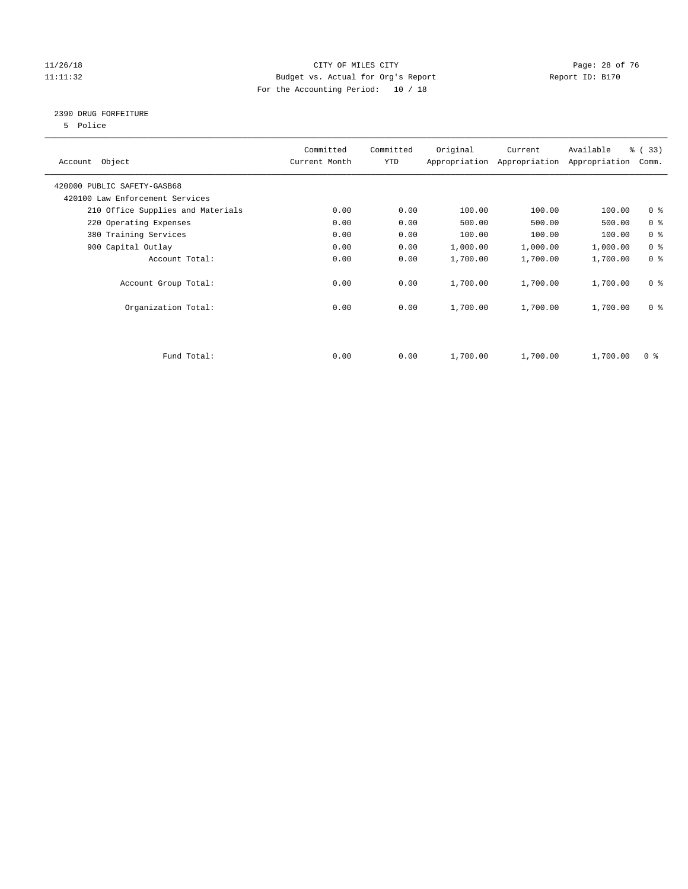#### 11/26/18 Page: 28 of 76 Page: 28 Of 76 Page: 28 Of 76 Page: 28 Of 76 Page: 28 Of 76 11:11:32 Budget vs. Actual for Org's Report Report ID: B170 For the Accounting Period: 10 / 18

#### 2390 DRUG FORFEITURE

5 Police

| Account Object                    | Committed<br>Current Month | Committed<br><b>YTD</b> | Original | Current<br>Appropriation Appropriation | Available<br>Appropriation | % (33)<br>Comm. |
|-----------------------------------|----------------------------|-------------------------|----------|----------------------------------------|----------------------------|-----------------|
| 420000 PUBLIC SAFETY-GASB68       |                            |                         |          |                                        |                            |                 |
| 420100 Law Enforcement Services   |                            |                         |          |                                        |                            |                 |
| 210 Office Supplies and Materials | 0.00                       | 0.00                    | 100.00   | 100.00                                 | 100.00                     | 0 <sub>8</sub>  |
| 220 Operating Expenses            | 0.00                       | 0.00                    | 500.00   | 500.00                                 | 500.00                     | 0 <sup>8</sup>  |
| 380 Training Services             | 0.00                       | 0.00                    | 100.00   | 100.00                                 | 100.00                     | 0 <sup>8</sup>  |
| 900 Capital Outlay                | 0.00                       | 0.00                    | 1,000.00 | 1,000.00                               | 1,000.00                   | 0 <sup>8</sup>  |
| Account Total:                    | 0.00                       | 0.00                    | 1,700.00 | 1,700.00                               | 1,700.00                   | 0 <sup>8</sup>  |
| Account Group Total:              | 0.00                       | 0.00                    | 1,700.00 | 1,700.00                               | 1,700.00                   | 0 <sup>8</sup>  |
| Organization Total:               | 0.00                       | 0.00                    | 1,700.00 | 1,700.00                               | 1,700.00                   | 0 <sup>8</sup>  |
|                                   |                            |                         |          |                                        |                            |                 |
| Fund Total:                       | 0.00                       | 0.00                    | 1,700.00 | 1,700.00                               | 1,700.00                   | 0 %             |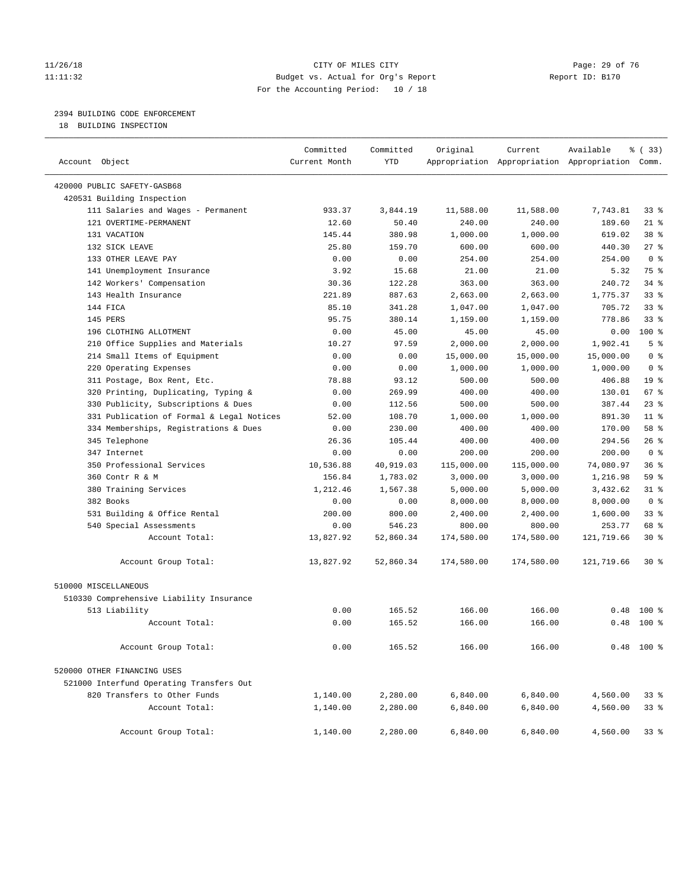#### 11/26/18 Page: 29 of 76 Page: 29 Of 76 Page: 29 Of 76 Page: 29 Of 76 Page: 29 Of 76 11:11:32 Budget vs. Actual for Org's Report Report ID: B170 For the Accounting Period: 10 / 18

————————————————————————————————————————————————————————————————————————————————————————————————————————————————————————————————————

### 2394 BUILDING CODE ENFORCEMENT

18 BUILDING INSPECTION

|                                           | Committed     | Committed  | Original   | Current    | Available                                       | 8 (33)          |
|-------------------------------------------|---------------|------------|------------|------------|-------------------------------------------------|-----------------|
| Account Object                            | Current Month | <b>YTD</b> |            |            | Appropriation Appropriation Appropriation Comm. |                 |
| 420000 PUBLIC SAFETY-GASB68               |               |            |            |            |                                                 |                 |
| 420531 Building Inspection                |               |            |            |            |                                                 |                 |
| 111 Salaries and Wages - Permanent        | 933.37        | 3,844.19   | 11,588.00  | 11,588.00  | 7,743.81                                        | 33%             |
| 121 OVERTIME-PERMANENT                    | 12.60         | 50.40      | 240.00     | 240.00     | 189.60                                          | $21$ %          |
| 131 VACATION                              | 145.44        | 380.98     | 1,000.00   | 1,000.00   | 619.02                                          | 38 <sup>8</sup> |
| 132 SICK LEAVE                            | 25.80         | 159.70     | 600.00     | 600.00     | 440.30                                          | $27$ %          |
| 133 OTHER LEAVE PAY                       | 0.00          | 0.00       | 254.00     | 254.00     | 254.00                                          | 0 <sup>8</sup>  |
| 141 Unemployment Insurance                | 3.92          | 15.68      | 21.00      | 21.00      | 5.32                                            | 75 %            |
| 142 Workers' Compensation                 | 30.36         | 122.28     | 363.00     | 363.00     | 240.72                                          | $34$ $%$        |
| 143 Health Insurance                      | 221.89        | 887.63     | 2,663.00   | 2,663.00   | 1,775.37                                        | $33$ $%$        |
| 144 FICA                                  | 85.10         | 341.28     | 1,047.00   | 1,047.00   | 705.72                                          | $33$ $%$        |
| 145 PERS                                  | 95.75         | 380.14     | 1,159.00   | 1,159.00   | 778.86                                          | $33$ $%$        |
| 196 CLOTHING ALLOTMENT                    | 0.00          | 45.00      | 45.00      | 45.00      | 0.00                                            | 100 %           |
| 210 Office Supplies and Materials         | 10.27         | 97.59      | 2,000.00   | 2,000.00   | 1,902.41                                        | 5 <sup>°</sup>  |
| 214 Small Items of Equipment              | 0.00          | 0.00       | 15,000.00  | 15,000.00  | 15,000.00                                       | 0 <sup>8</sup>  |
| 220 Operating Expenses                    | 0.00          | 0.00       | 1,000.00   | 1,000.00   | 1,000.00                                        | 0 <sup>8</sup>  |
| 311 Postage, Box Rent, Etc.               | 78.88         | 93.12      | 500.00     | 500.00     | 406.88                                          | 19 <sup>°</sup> |
| 320 Printing, Duplicating, Typing &       | 0.00          | 269.99     | 400.00     | 400.00     | 130.01                                          | $67$ %          |
| 330 Publicity, Subscriptions & Dues       | 0.00          | 112.56     | 500.00     | 500.00     | 387.44                                          | $23$ %          |
| 331 Publication of Formal & Legal Notices | 52.00         | 108.70     | 1,000.00   | 1,000.00   | 891.30                                          | $11$ %          |
| 334 Memberships, Registrations & Dues     | 0.00          | 230.00     | 400.00     | 400.00     | 170.00                                          | 58 %            |
| 345 Telephone                             | 26.36         | 105.44     | 400.00     | 400.00     | 294.56                                          | 26%             |
| 347 Internet                              | 0.00          | 0.00       | 200.00     | 200.00     | 200.00                                          | 0 <sup>8</sup>  |
| 350 Professional Services                 | 10,536.88     | 40,919.03  | 115,000.00 | 115,000.00 | 74,080.97                                       | 36%             |
| 360 Contr R & M                           | 156.84        | 1,783.02   | 3,000.00   | 3,000.00   | 1,216.98                                        | 59 %            |
| 380 Training Services                     | 1,212.46      | 1,567.38   | 5,000.00   | 5,000.00   | 3,432.62                                        | $31$ %          |
| 382 Books                                 | 0.00          | 0.00       | 8,000.00   | 8,000.00   | 8,000.00                                        | 0 <sup>8</sup>  |
| 531 Building & Office Rental              | 200.00        | 800.00     | 2,400.00   | 2,400.00   | 1,600.00                                        | 33%             |
| 540 Special Assessments                   | 0.00          | 546.23     | 800.00     | 800.00     | 253.77                                          | 68 %            |
| Account Total:                            | 13,827.92     | 52,860.34  | 174,580.00 | 174,580.00 | 121,719.66                                      | $30*$           |
| Account Group Total:                      | 13,827.92     | 52,860.34  | 174,580.00 | 174,580.00 | 121,719.66                                      | $30*$           |
| 510000 MISCELLANEOUS                      |               |            |            |            |                                                 |                 |
| 510330 Comprehensive Liability Insurance  |               |            |            |            |                                                 |                 |
| 513 Liability                             | 0.00          | 165.52     | 166.00     | 166.00     |                                                 | $0.48$ 100 %    |
| Account Total:                            | 0.00          | 165.52     | 166.00     | 166.00     |                                                 | $0.48$ 100 %    |
| Account Group Total:                      | 0.00          | 165.52     | 166.00     | 166.00     |                                                 | $0.48$ 100 %    |
| 520000 OTHER FINANCING USES               |               |            |            |            |                                                 |                 |
| 521000 Interfund Operating Transfers Out  |               |            |            |            |                                                 |                 |
| 820 Transfers to Other Funds              | 1,140.00      | 2,280.00   | 6,840.00   | 6,840.00   | 4,560.00                                        | 338             |
| Account Total:                            | 1,140.00      | 2,280.00   | 6,840.00   | 6,840.00   | 4,560.00                                        | 338             |
| Account Group Total:                      | 1,140.00      | 2,280.00   | 6,840.00   | 6,840.00   | 4,560.00                                        | 33%             |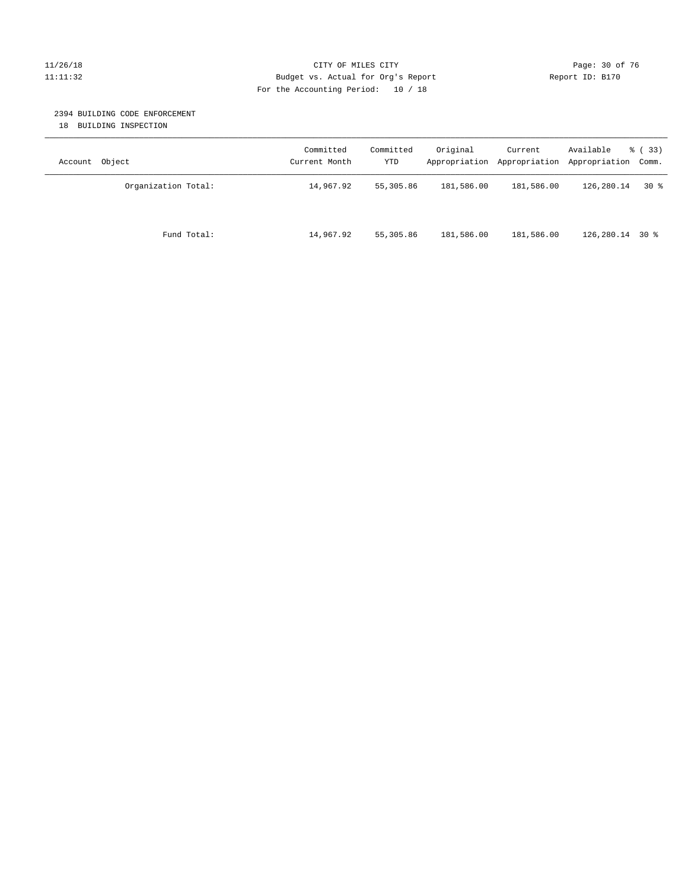#### 11/26/18 Page: 30 of 76 Page: 30 of 76 Page: 30 of 76 Page: 30 of 76 Page: 30 of 76 Page: 30 of 76 Page: 30 of 76 11:11:32 Budget vs. Actual for Org's Report Report ID: B170 For the Accounting Period: 10 / 18

#### 2394 BUILDING CODE ENFORCEMENT

18 BUILDING INSPECTION

| Account Object      | Committed<br>Current Month | Committed<br>YTD | Original   | Current    | Available<br>Appropriation Appropriation Appropriation Comm. | % ( 33 ) |
|---------------------|----------------------------|------------------|------------|------------|--------------------------------------------------------------|----------|
| Organization Total: | 14,967.92                  | 55,305.86        | 181,586.00 | 181,586.00 | 126,280.14                                                   | 30 %     |
| Fund Total:         | 14,967.92                  | 55,305.86        | 181,586.00 | 181,586.00 | $126, 280.14$ 30 %                                           |          |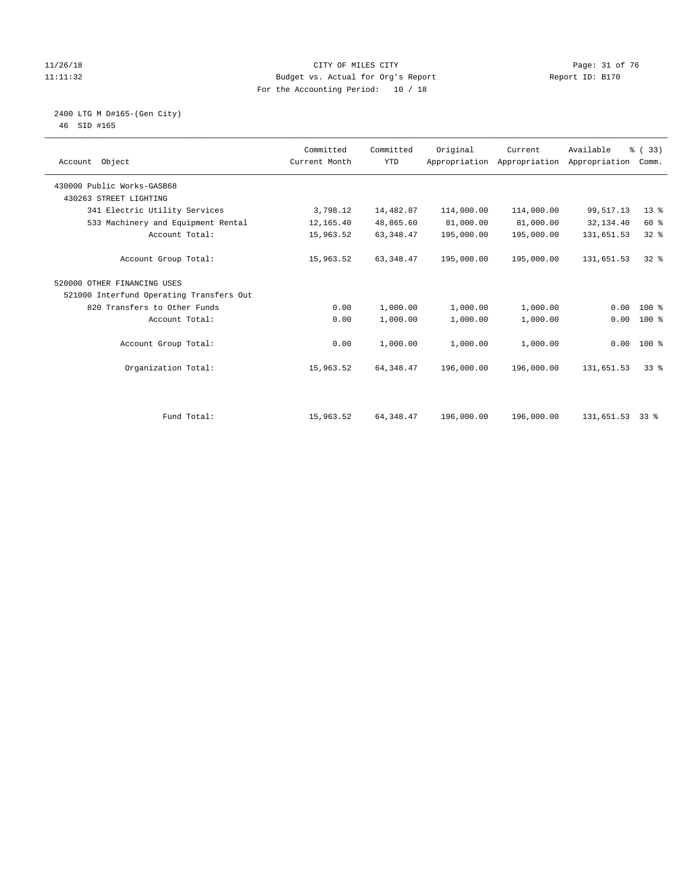#### 11/26/18 Page: 31 of 76 Page: 31 of 76 Page: 31 of 76 Page: 31 of 76 Page: 31 of 76 11:11:32 Budget vs. Actual for Org's Report Report ID: B170 For the Accounting Period: 10 / 18

#### 2400 LTG M D#165-(Gen City) 46 SID #165

| Account Object                           | Committed<br>Current Month | Committed<br><b>YTD</b> | Original   | Current<br>Appropriation Appropriation Appropriation | Available  | % (33)<br>Comm. |
|------------------------------------------|----------------------------|-------------------------|------------|------------------------------------------------------|------------|-----------------|
| 430000 Public Works-GASB68               |                            |                         |            |                                                      |            |                 |
| 430263 STREET LIGHTING                   |                            |                         |            |                                                      |            |                 |
| 341 Electric Utility Services            | 3,798.12                   | 14,482.87               | 114,000.00 | 114,000.00                                           | 99,517.13  | $13*$           |
| 533 Machinery and Equipment Rental       | 12,165.40                  | 48,865.60               | 81,000.00  | 81,000.00                                            | 32,134.40  | 60 %            |
| Account Total:                           | 15,963.52                  | 63, 348.47              | 195,000.00 | 195,000.00                                           | 131,651.53 | 32%             |
| Account Group Total:                     | 15,963.52                  | 63, 348.47              | 195,000.00 | 195,000.00                                           | 131,651.53 | $32*$           |
| 520000 OTHER FINANCING USES              |                            |                         |            |                                                      |            |                 |
| 521000 Interfund Operating Transfers Out |                            |                         |            |                                                      |            |                 |
| 820 Transfers to Other Funds             | 0.00                       | 1,000.00                | 1,000.00   | 1,000.00                                             | 0.00       | $100*$          |
| Account Total:                           | 0.00                       | 1,000.00                | 1,000.00   | 1,000.00                                             | 0.00       | 100 %           |
| Account Group Total:                     | 0.00                       | 1,000.00                | 1,000.00   | 1,000.00                                             |            | $0.00 100$ %    |
| Organization Total:                      | 15,963.52                  | 64, 348.47              | 196,000.00 | 196,000.00                                           | 131,651.53 | 338             |
|                                          |                            |                         |            |                                                      |            |                 |
| Fund Total:                              | 15,963.52                  | 64, 348.47              | 196,000.00 | 196,000.00                                           | 131,651.53 | 338             |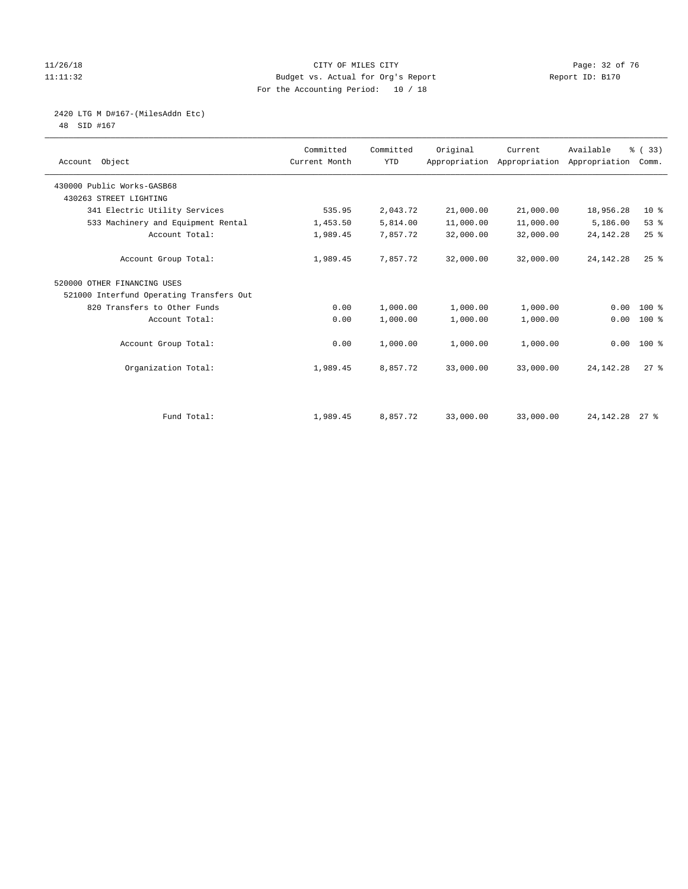#### 11/26/18 Page: 32 of 76 Page: 32 of 76 Page: 32 of 76 Page: 32 of 76 Page: 32 of 76 11:11:32 Budget vs. Actual for Org's Report Report ID: B170 For the Accounting Period: 10 / 18

2420 LTG M D#167-(MilesAddn Etc)

48 SID #167

| Account Object                           | Committed<br>Current Month | Committed<br><b>YTD</b> | Original  | Current<br>Appropriation Appropriation Appropriation | Available   | % (33)<br>Comm. |  |
|------------------------------------------|----------------------------|-------------------------|-----------|------------------------------------------------------|-------------|-----------------|--|
| 430000 Public Works-GASB68               |                            |                         |           |                                                      |             |                 |  |
| 430263 STREET LIGHTING                   |                            |                         |           |                                                      |             |                 |  |
| 341 Electric Utility Services            | 535.95                     | 2,043.72                | 21,000.00 | 21,000.00                                            | 18,956.28   | $10*$           |  |
| 533 Machinery and Equipment Rental       | 1,453.50                   | 5,814.00                | 11,000.00 | 11,000.00                                            | 5,186.00    | 53%             |  |
| Account Total:                           | 1,989.45                   | 7,857.72                | 32,000.00 | 32,000.00                                            | 24, 142. 28 | 25%             |  |
| Account Group Total:                     | 1,989.45                   | 7,857.72                | 32,000.00 | 32,000.00                                            | 24, 142. 28 | $25$ $%$        |  |
| 520000 OTHER FINANCING USES              |                            |                         |           |                                                      |             |                 |  |
| 521000 Interfund Operating Transfers Out |                            |                         |           |                                                      |             |                 |  |
| 820 Transfers to Other Funds             | 0.00                       | 1,000.00                | 1,000.00  | 1,000.00                                             | 0.00        | 100 %           |  |
| Account Total:                           | 0.00                       | 1,000.00                | 1,000.00  | 1,000.00                                             | 0.00        | $100$ %         |  |
| Account Group Total:                     | 0.00                       | 1,000.00                | 1,000.00  | 1,000.00                                             | 0.00        | $100*$          |  |
| Organization Total:                      | 1,989.45                   | 8,857.72                | 33,000.00 | 33,000.00                                            | 24, 142. 28 | $27$ $%$        |  |
|                                          |                            |                         |           |                                                      |             |                 |  |
| Fund Total:                              | 1,989.45                   | 8,857.72                | 33,000.00 | 33,000.00                                            | 24, 142. 28 | $27$ %          |  |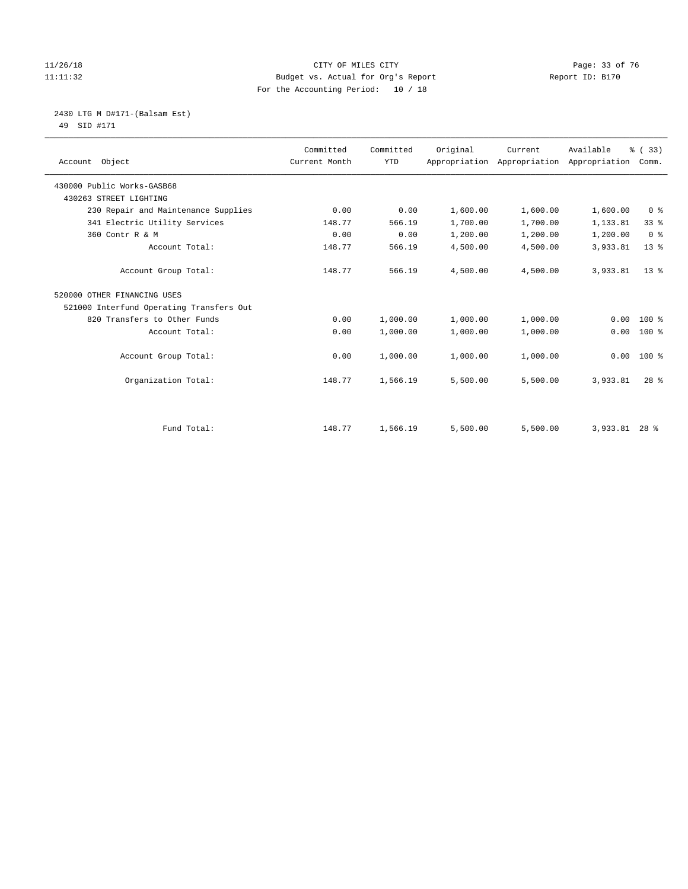#### 11/26/18 Page: 33 of 76 Page: 33 of 76 Page: 33 Of 76 Page: 33 Of 76 Page: 33 Of 76 Page: 33 Of 76 Page: 33 Of 76 Page: 33 Of 76 Page: 33 Of 76 Page: 33 Of 76 Page: 33 Of 76 Page: 33 Of 76 Page: 33 Of 76 Page: 33 Of 76 Pag 11:11:32 Budget vs. Actual for Org's Report Report ID: B170 For the Accounting Period: 10 / 18

 2430 LTG M D#171-(Balsam Est) 49 SID #171

| Account Object                           | Committed<br>Current Month | Committed<br><b>YTD</b> | Original | Current<br>Appropriation Appropriation | Available<br>Appropriation | % (33)<br>Comm. |
|------------------------------------------|----------------------------|-------------------------|----------|----------------------------------------|----------------------------|-----------------|
| 430000 Public Works-GASB68               |                            |                         |          |                                        |                            |                 |
| 430263 STREET LIGHTING                   |                            |                         |          |                                        |                            |                 |
| 230 Repair and Maintenance Supplies      | 0.00                       | 0.00                    | 1,600.00 | 1,600.00                               | 1,600.00                   | 0 <sup>8</sup>  |
| 341 Electric Utility Services            | 148.77                     | 566.19                  | 1,700.00 | 1,700.00                               | 1,133.81                   | 33 <sup>8</sup> |
| 360 Contr R & M                          | 0.00                       | 0.00                    | 1,200.00 | 1,200.00                               | 1,200.00                   | 0 <sup>8</sup>  |
| Account Total:                           | 148.77                     | 566.19                  | 4,500.00 | 4,500.00                               | 3,933.81                   | $13*$           |
| Account Group Total:                     | 148.77                     | 566.19                  | 4,500.00 | 4,500.00                               | 3,933.81                   | $13*$           |
| 520000 OTHER FINANCING USES              |                            |                         |          |                                        |                            |                 |
| 521000 Interfund Operating Transfers Out |                            |                         |          |                                        |                            |                 |
| 820 Transfers to Other Funds             | 0.00                       | 1,000.00                | 1,000.00 | 1,000.00                               | 0.00                       | $100*$          |
| Account Total:                           | 0.00                       | 1,000.00                | 1,000.00 | 1,000.00                               | 0.00                       | 100 %           |
| Account Group Total:                     | 0.00                       | 1,000.00                | 1,000.00 | 1,000.00                               | 0.00                       | $100*$          |
| Organization Total:                      | 148.77                     | 1,566.19                | 5,500.00 | 5,500.00                               | 3,933.81                   | $28$ $%$        |
|                                          |                            |                         |          |                                        |                            |                 |
| Fund Total:                              | 148.77                     | 1,566.19                | 5,500.00 | 5,500.00                               | 3,933.81                   | $28*$           |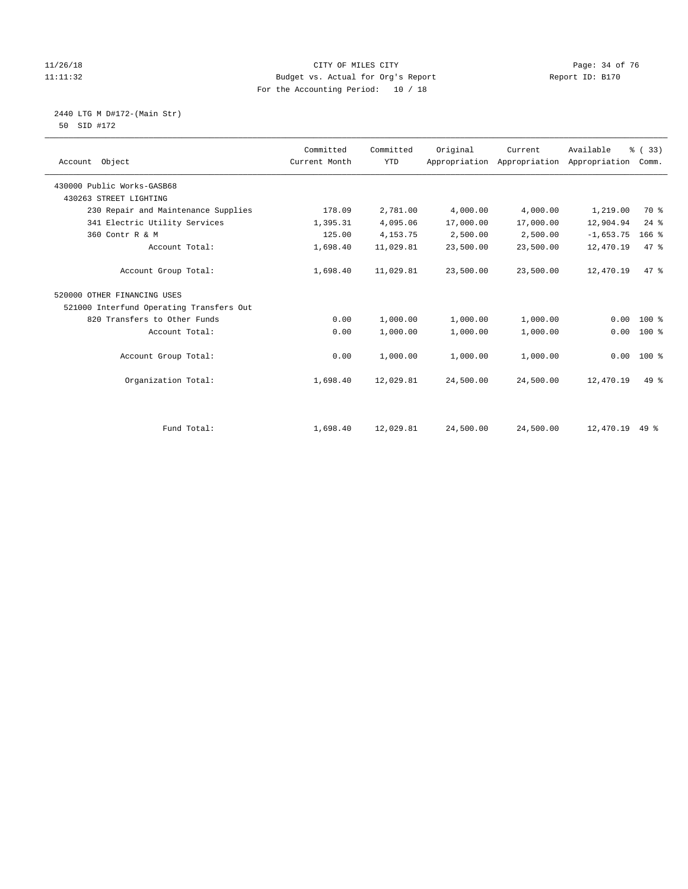#### $11/26/18$  Page: 34 of 76<br>Budget vs. Actual for Org's Report Page: 14 of 76<br>Page: 34 of 76<br>Report ID: B170 11:11:32 Budget vs. Actual for Org's Report For the Accounting Period: 10 / 18

2440 LTG M D#172-(Main Str)

| 50 |  |
|----|--|
|    |  |
|    |  |

|                                          | Committed     | Committed  | Original  | Current   | Available                                 | % (33)       |  |
|------------------------------------------|---------------|------------|-----------|-----------|-------------------------------------------|--------------|--|
| Account Object                           | Current Month | <b>YTD</b> |           |           | Appropriation Appropriation Appropriation | Comm.        |  |
| 430000 Public Works-GASB68               |               |            |           |           |                                           |              |  |
| 430263 STREET LIGHTING                   |               |            |           |           |                                           |              |  |
| 230 Repair and Maintenance Supplies      | 178.09        | 2,781.00   | 4,000.00  | 4,000.00  | 1,219.00                                  | 70 %         |  |
| 341 Electric Utility Services            | 1,395.31      | 4,095.06   | 17,000.00 | 17,000.00 | 12,904.94                                 | $24$ %       |  |
| 360 Contr R & M                          | 125.00        | 4, 153. 75 | 2,500.00  | 2,500.00  | $-1,653.75$                               | $166$ %      |  |
| Account Total:                           | 1,698.40      | 11,029.81  | 23,500.00 | 23,500.00 | 12,470.19                                 | 47.8         |  |
| Account Group Total:                     | 1,698.40      | 11,029.81  | 23,500.00 | 23,500.00 | 12,470.19                                 | 47.8         |  |
| 520000 OTHER FINANCING USES              |               |            |           |           |                                           |              |  |
| 521000 Interfund Operating Transfers Out |               |            |           |           |                                           |              |  |
| 820 Transfers to Other Funds             | 0.00          | 1,000.00   | 1,000.00  | 1,000.00  | 0.00                                      | 100 %        |  |
| Account Total:                           | 0.00          | 1,000.00   | 1,000.00  | 1,000.00  | 0.00                                      | 100 %        |  |
| Account Group Total:                     | 0.00          | 1,000.00   | 1,000.00  | 1,000.00  |                                           | $0.00 100$ % |  |
| Organization Total:                      | 1,698.40      | 12,029.81  | 24,500.00 | 24,500.00 | 12,470.19                                 | $49*$        |  |
|                                          |               |            |           |           |                                           |              |  |
| Fund Total:                              | 1,698.40      | 12,029.81  | 24,500.00 | 24,500.00 | 12,470.19                                 | $49*$        |  |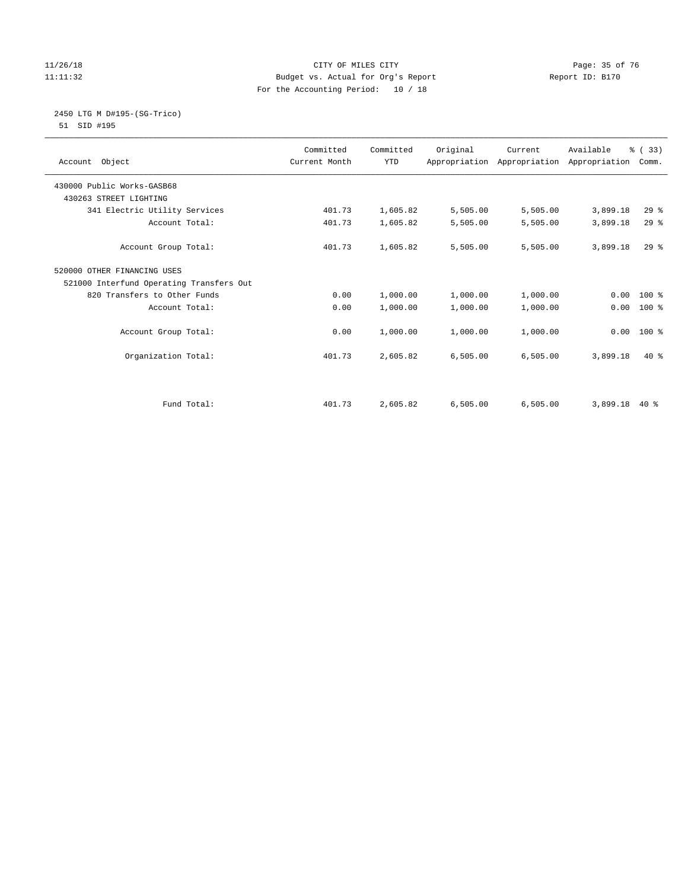#### 11/26/18 Page: 35 of 76 Page: 35 of 76 Page: 35 of 76 Page: 35 of 76 Page: 35 of 76 Page: 35 of 76 Page: 35 of 76 11:11:32 Budget vs. Actual for Org's Report Report ID: B170 For the Accounting Period: 10 / 18

#### 2450 LTG M D#195-(SG-Trico) 51 SID #195

| Committed<br>Current Month | Committed<br><b>YTD</b> | Original | Current  | Available | % (33)<br>Comm.                                       |
|----------------------------|-------------------------|----------|----------|-----------|-------------------------------------------------------|
|                            |                         |          |          |           |                                                       |
|                            |                         |          |          |           |                                                       |
| 401.73                     | 1,605.82                | 5,505.00 | 5,505.00 | 3,899.18  | $29$ $%$                                              |
| 401.73                     | 1,605.82                | 5,505.00 | 5,505.00 | 3,899.18  | $29$ $%$                                              |
| 401.73                     | 1,605.82                | 5,505.00 | 5,505.00 | 3,899.18  | $29$ $%$                                              |
|                            |                         |          |          |           |                                                       |
|                            |                         |          |          |           |                                                       |
| 0.00                       | 1,000.00                | 1,000.00 | 1,000.00 | 0.00      | $100*$                                                |
| 0.00                       | 1,000.00                | 1,000.00 | 1,000.00 | 0.00      | 100 %                                                 |
| 0.00                       | 1,000.00                | 1,000.00 | 1,000.00 | 0.00      | $100*$                                                |
| 401.73                     | 2,605.82                | 6,505.00 | 6,505.00 | 3,899.18  | $40*$                                                 |
| 401.73                     | 2,605.82                | 6.505.00 | 6.505.00 |           | 40 %                                                  |
|                            |                         |          |          |           | Appropriation Appropriation Appropriation<br>3,899.18 |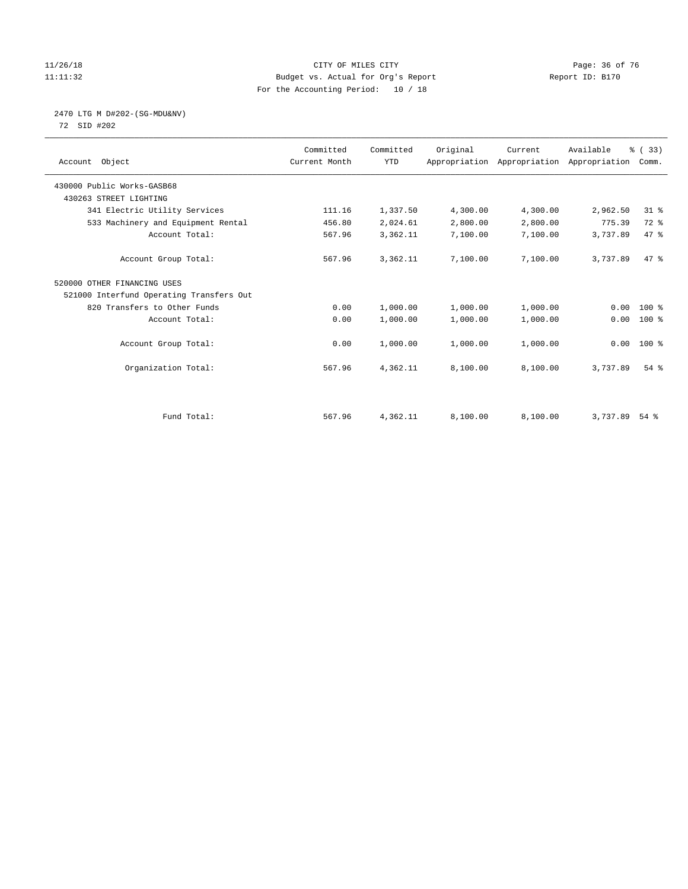#### 11/26/18 Page: 36 of 76 Page: 36 of 76 Page: 36 Of 76 Page: 36 Of 76 Page: 36 Of 76 Page: 36 Of 76 Page: 36 Of 76 Page: 36 Of 76 Page: 36 Of 76 Page: 36 Of 76 Page: 36 Of 76 Page: 36 Of 76 Page: 36 Of 76 Page: 36 Of 76 Pag 11:11:32 Budget vs. Actual for Org's Report Report ID: B170 For the Accounting Period: 10 / 18

# 2470 LTG M D#202-(SG-MDU&NV)

72 SID #202

| Account Object                           | Committed<br>Current Month | Committed<br><b>YTD</b> | Original | Current<br>Appropriation Appropriation Appropriation | Available | % (33)<br>Comm. |  |
|------------------------------------------|----------------------------|-------------------------|----------|------------------------------------------------------|-----------|-----------------|--|
| 430000 Public Works-GASB68               |                            |                         |          |                                                      |           |                 |  |
| 430263 STREET LIGHTING                   |                            |                         |          |                                                      |           |                 |  |
| 341 Electric Utility Services            | 111.16                     | 1,337.50                | 4,300.00 | 4,300.00                                             | 2,962.50  | $31$ %          |  |
| 533 Machinery and Equipment Rental       | 456.80                     | 2,024.61                | 2,800.00 | 2,800.00                                             | 775.39    | 72 %            |  |
| Account Total:                           | 567.96                     | 3,362.11                | 7,100.00 | 7,100.00                                             | 3,737.89  | 47 %            |  |
| Account Group Total:                     | 567.96                     | 3,362.11                | 7,100.00 | 7,100.00                                             | 3,737.89  | 47.8            |  |
| 520000 OTHER FINANCING USES              |                            |                         |          |                                                      |           |                 |  |
| 521000 Interfund Operating Transfers Out |                            |                         |          |                                                      |           |                 |  |
| 820 Transfers to Other Funds             | 0.00                       | 1,000.00                | 1,000.00 | 1,000.00                                             | 0.00      | $100*$          |  |
| Account Total:                           | 0.00                       | 1,000.00                | 1,000.00 | 1,000.00                                             | 0.00      | $100$ %         |  |
| Account Group Total:                     | 0.00                       | 1,000.00                | 1,000.00 | 1,000.00                                             |           | $0.00$ 100 %    |  |
| Organization Total:                      | 567.96                     | 4,362.11                | 8,100.00 | 8,100.00                                             | 3,737.89  | $54$ $%$        |  |
|                                          |                            |                         |          |                                                      |           |                 |  |
| Fund Total:                              | 567.96                     | 4,362.11                | 8,100.00 | 8,100.00                                             | 3,737.89  | $54$ $%$        |  |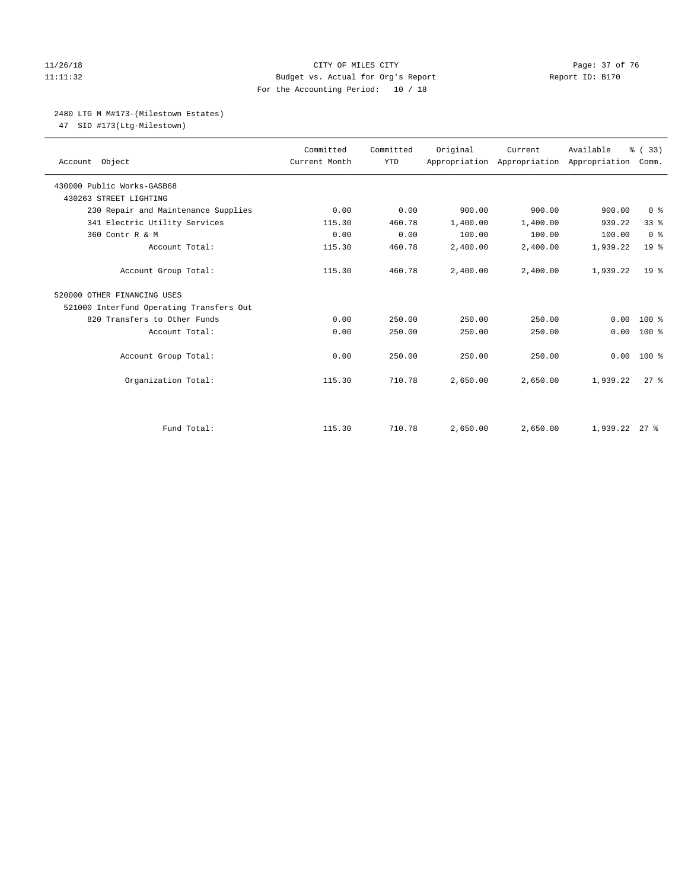#### 11/26/18 Page: 37 of 76 Page: 37 of 76 Page: 37 of 76 Page: 37 of 76 Page: 37 of 76 Page: 37 of 76 Page: 37 of 76 11:11:32 Budget vs. Actual for Org's Report Report ID: B170 For the Accounting Period: 10 / 18

#### 2480 LTG M M#173-(Milestown Estates)

47 SID #173(Ltg-Milestown)

| Account Object                           | Committed<br>Current Month | Committed<br><b>YTD</b> | Original | Current<br>Appropriation Appropriation Appropriation | Available     | % (33)<br>Comm. |
|------------------------------------------|----------------------------|-------------------------|----------|------------------------------------------------------|---------------|-----------------|
| 430000 Public Works-GASB68               |                            |                         |          |                                                      |               |                 |
| 430263 STREET LIGHTING                   |                            |                         |          |                                                      |               |                 |
| 230 Repair and Maintenance Supplies      | 0.00                       | 0.00                    | 900.00   | 900.00                                               | 900.00        | 0 <sup>8</sup>  |
| 341 Electric Utility Services            | 115.30                     | 460.78                  | 1,400.00 | 1,400.00                                             | 939.22        | 33 <sup>8</sup> |
| 360 Contr R & M                          | 0.00                       | 0.00                    | 100.00   | 100.00                                               | 100.00        | 0 <sup>8</sup>  |
| Account Total:                           | 115.30                     | 460.78                  | 2,400.00 | 2,400.00                                             | 1,939.22      | 19 <sup>°</sup> |
| Account Group Total:                     | 115.30                     | 460.78                  | 2,400.00 | 2,400.00                                             | 1,939.22      | 19 <sup>8</sup> |
| 520000 OTHER FINANCING USES              |                            |                         |          |                                                      |               |                 |
| 521000 Interfund Operating Transfers Out |                            |                         |          |                                                      |               |                 |
| 820 Transfers to Other Funds             | 0.00                       | 250.00                  | 250.00   | 250.00                                               | 0.00          | $100*$          |
| Account Total:                           | 0.00                       | 250.00                  | 250.00   | 250.00                                               | 0.00          | $100*$          |
| Account Group Total:                     | 0.00                       | 250.00                  | 250.00   | 250.00                                               | 0.00          | $100*$          |
| Organization Total:                      | 115.30                     | 710.78                  | 2,650.00 | 2,650.00                                             | 1,939.22      | $27$ $%$        |
|                                          |                            |                         |          |                                                      |               |                 |
| Fund Total:                              | 115.30                     | 710.78                  | 2,650.00 | 2,650.00                                             | 1,939.22 27 % |                 |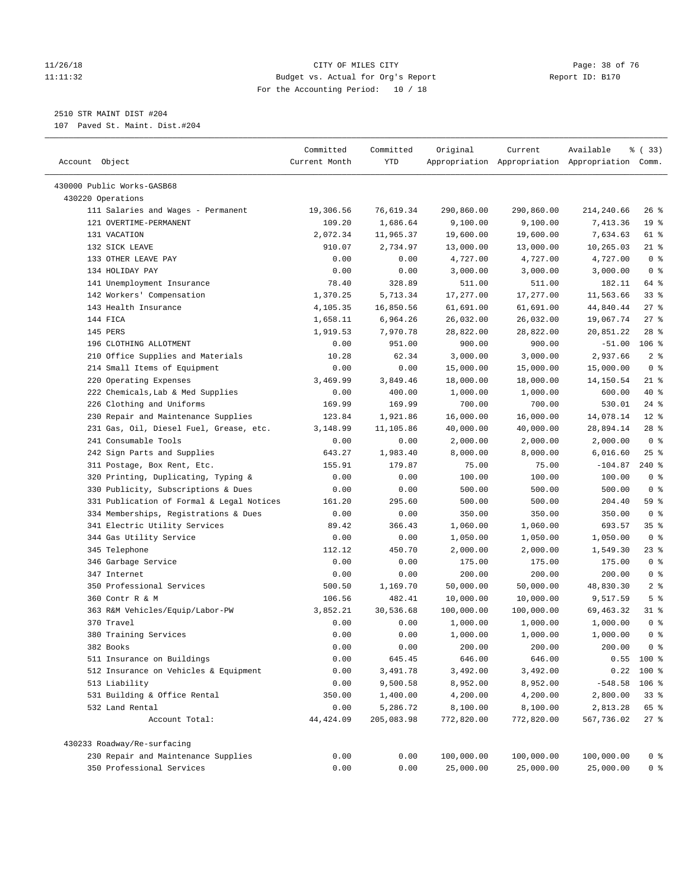#### 11/26/18 Page: 38 of 76 Page: 38 of 76 Page: 38 Of 76 Page: 38 Of 76 Page: 38 Of 76 Page: 38 Of 76 Page: 38 Of 76 11:11:32 Budget vs. Actual for Org's Report Report ID: B170 For the Accounting Period: 10 / 18

————————————————————————————————————————————————————————————————————————————————————————————————————————————————————————————————————

## 2510 STR MAINT DIST #204

107 Paved St. Maint. Dist.#204

|                                           | Committed     | Committed  | Original   | Current    | Available                                       | १ (33)          |
|-------------------------------------------|---------------|------------|------------|------------|-------------------------------------------------|-----------------|
| Account Object                            | Current Month | YTD        |            |            | Appropriation Appropriation Appropriation Comm. |                 |
|                                           |               |            |            |            |                                                 |                 |
| 430000 Public Works-GASB68                |               |            |            |            |                                                 |                 |
| 430220 Operations                         |               |            |            |            |                                                 |                 |
| 111 Salaries and Wages - Permanent        | 19,306.56     | 76,619.34  | 290,860.00 | 290,860.00 | 214,240.66                                      | $26$ %          |
| 121 OVERTIME-PERMANENT                    | 109.20        | 1,686.64   | 9,100.00   | 9,100.00   | 7,413.36                                        | 19 <sup>°</sup> |
| 131 VACATION                              | 2,072.34      | 11,965.37  | 19,600.00  | 19,600.00  | 7,634.63                                        | 61 %            |
| 132 SICK LEAVE                            | 910.07        | 2,734.97   | 13,000.00  | 13,000.00  | 10,265.03                                       | $21$ %          |
| 133 OTHER LEAVE PAY                       | 0.00          | 0.00       | 4,727.00   | 4,727.00   | 4,727.00                                        | 0 <sup>8</sup>  |
| 134 HOLIDAY PAY                           | 0.00          | 0.00       | 3,000.00   | 3,000.00   | 3,000.00                                        | 0 <sup>8</sup>  |
| 141 Unemployment Insurance                | 78.40         | 328.89     | 511.00     | 511.00     | 182.11                                          | 64 %            |
| 142 Workers' Compensation                 | 1,370.25      | 5,713.34   | 17,277.00  | 17,277.00  | 11,563.66                                       | 33%             |
| 143 Health Insurance                      | 4,105.35      | 16,850.56  | 61,691.00  | 61,691.00  | 44,840.44                                       | $27$ %          |
| 144 FICA                                  | 1,658.11      | 6,964.26   | 26,032.00  | 26,032.00  | 19,067.74                                       | 27%             |
| 145 PERS                                  | 1,919.53      | 7,970.78   | 28,822.00  | 28,822.00  | 20,851.22                                       | $28$ %          |
| 196 CLOTHING ALLOTMENT                    | 0.00          | 951.00     | 900.00     | 900.00     | $-51.00$                                        | $106$ %         |
| 210 Office Supplies and Materials         | 10.28         | 62.34      | 3,000.00   | 3,000.00   | 2,937.66                                        | 2 <sup>8</sup>  |
| 214 Small Items of Equipment              | 0.00          | 0.00       | 15,000.00  | 15,000.00  | 15,000.00                                       | 0 <sup>8</sup>  |
| 220 Operating Expenses                    | 3,469.99      | 3,849.46   | 18,000.00  | 18,000.00  | 14,150.54                                       | $21$ %          |
| 222 Chemicals, Lab & Med Supplies         | 0.00          | 400.00     | 1,000.00   | 1,000.00   | 600.00                                          | 40 %            |
| 226 Clothing and Uniforms                 | 169.99        | 169.99     | 700.00     | 700.00     | 530.01                                          | $24$ %          |
| 230 Repair and Maintenance Supplies       | 123.84        | 1,921.86   | 16,000.00  | 16,000.00  | 14,078.14                                       | $12*$           |
| 231 Gas, Oil, Diesel Fuel, Grease, etc.   | 3,148.99      | 11,105.86  | 40,000.00  | 40,000.00  | 28,894.14                                       | $28$ %          |
| 241 Consumable Tools                      | 0.00          | 0.00       | 2,000.00   | 2,000.00   | 2,000.00                                        | 0 <sup>8</sup>  |
| 242 Sign Parts and Supplies               | 643.27        | 1,983.40   | 8,000.00   | 8,000.00   | 6,016.60                                        | $25$ %          |
| 311 Postage, Box Rent, Etc.               | 155.91        | 179.87     | 75.00      | 75.00      | $-104.87$                                       | $240*$          |
| 320 Printing, Duplicating, Typing &       | 0.00          | 0.00       | 100.00     | 100.00     | 100.00                                          | 0 <sup>8</sup>  |
| 330 Publicity, Subscriptions & Dues       | 0.00          | 0.00       | 500.00     | 500.00     | 500.00                                          | 0 <sup>8</sup>  |
| 331 Publication of Formal & Legal Notices | 161.20        | 295.60     | 500.00     | 500.00     | 204.40                                          | 59 %            |
| 334 Memberships, Registrations & Dues     | 0.00          | 0.00       | 350.00     | 350.00     | 350.00                                          | 0 <sup>8</sup>  |
| 341 Electric Utility Services             | 89.42         | 366.43     | 1,060.00   | 1,060.00   | 693.57                                          | 35%             |
| 344 Gas Utility Service                   | 0.00          | 0.00       | 1,050.00   | 1,050.00   | 1,050.00                                        | 0 <sup>8</sup>  |
| 345 Telephone                             | 112.12        | 450.70     | 2,000.00   | 2,000.00   | 1,549.30                                        | 23 %            |
| 346 Garbage Service                       | 0.00          | 0.00       | 175.00     | 175.00     | 175.00                                          | 0 <sup>8</sup>  |
| 347 Internet                              | 0.00          | 0.00       | 200.00     | 200.00     | 200.00                                          | 0 <sup>°</sup>  |
| 350 Professional Services                 | 500.50        | 1,169.70   | 50,000.00  | 50,000.00  | 48,830.30                                       | 2 <sup>8</sup>  |
| 360 Contr R & M                           | 106.56        | 482.41     | 10,000.00  | 10,000.00  | 9,517.59                                        | 5 <sup>°</sup>  |
| 363 R&M Vehicles/Equip/Labor-PW           | 3,852.21      | 30,536.68  | 100,000.00 | 100,000.00 | 69,463.32                                       | 31 %            |
| 370 Travel                                | 0.00          | 0.00       | 1,000.00   | 1,000.00   | 1,000.00                                        | 0 <sup>8</sup>  |
| 380 Training Services                     | 0.00          | 0.00       | 1,000.00   | 1,000.00   | 1,000.00                                        | 0 <sup>8</sup>  |
| 382 Books                                 | 0.00          | 0.00       | 200.00     | 200.00     | 200.00                                          | 0 <sup>8</sup>  |
| 511 Insurance on Buildings                | 0.00          | 645.45     | 646.00     | 646.00     |                                                 | $0.55$ 100 %    |
| 512 Insurance on Vehicles & Equipment     | 0.00          | 3,491.78   | 3,492.00   | 3,492.00   |                                                 | $0.22$ 100 %    |
| 513 Liability                             | 0.00          | 9,500.58   | 8,952.00   | 8,952.00   | $-548.58$ 106 %                                 |                 |
| 531 Building & Office Rental              | 350.00        | 1,400.00   | 4,200.00   | 4,200.00   | 2,800.00                                        | 33%             |
| 532 Land Rental                           | 0.00          | 5,286.72   | 8,100.00   | 8,100.00   | 2,813.28                                        | 65 %            |
| Account Total:                            | 44, 424.09    | 205,083.98 | 772,820.00 | 772,820.00 | 567,736.02                                      | 27%             |
| 430233 Roadway/Re-surfacing               |               |            |            |            |                                                 |                 |
| 230 Repair and Maintenance Supplies       | 0.00          | 0.00       | 100,000.00 | 100,000.00 | 100,000.00                                      | 0 <sup>8</sup>  |
| 350 Professional Services                 | 0.00          | 0.00       | 25,000.00  | 25,000.00  | 25,000.00                                       | 0 %             |
|                                           |               |            |            |            |                                                 |                 |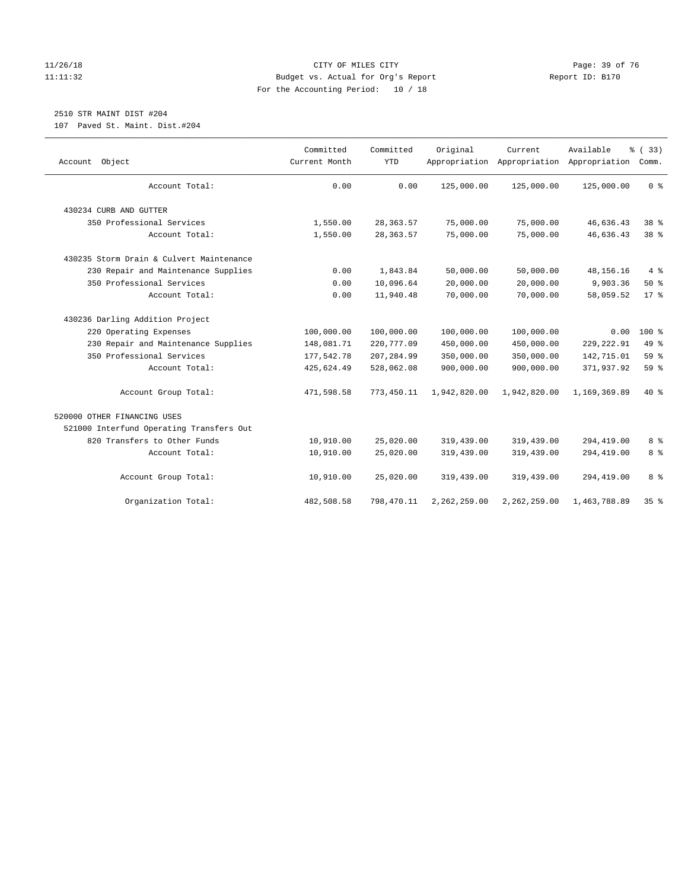#### 11/26/18 Page: 39 of 76 Page: 39 of 76 Page: 39 Of 76 Page: 39 Of 76 Page: 39 Of 76 Page: 39 Of 76 Page: 39 Of 76 11:11:32 Budget vs. Actual for Org's Report Report ID: B170 For the Accounting Period: 10 / 18

# 2510 STR MAINT DIST #204

107 Paved St. Maint. Dist.#204

| Account Object                           | Committed<br>Current Month | Committed<br><b>YTD</b> | Original     | Current.<br>Appropriation Appropriation | Available<br>Appropriation | % (33)<br>Comm. |
|------------------------------------------|----------------------------|-------------------------|--------------|-----------------------------------------|----------------------------|-----------------|
| Account Total:                           | 0.00                       | 0.00                    | 125,000.00   | 125,000.00                              | 125,000.00                 | 0 <sup>8</sup>  |
| 430234 CURB AND GUTTER                   |                            |                         |              |                                         |                            |                 |
| 350 Professional Services                | 1,550.00                   | 28, 363.57              | 75,000.00    | 75,000.00                               | 46,636.43                  | 38 %            |
| Account Total:                           | 1,550.00                   | 28, 363.57              | 75,000.00    | 75,000.00                               | 46,636.43                  | 38 %            |
| 430235 Storm Drain & Culvert Maintenance |                            |                         |              |                                         |                            |                 |
| 230 Repair and Maintenance Supplies      | 0.00                       | 1,843.84                | 50,000.00    | 50,000.00                               | 48,156.16                  | 4%              |
| 350 Professional Services                | 0.00                       | 10,096.64               | 20,000.00    | 20,000.00                               | 9,903.36                   | 50%             |
| Account Total:                           | 0.00                       | 11,940.48               | 70,000.00    | 70,000.00                               | 58,059.52                  | $17*$           |
| 430236 Darling Addition Project          |                            |                         |              |                                         |                            |                 |
| 220 Operating Expenses                   | 100,000.00                 | 100,000.00              | 100,000.00   | 100,000.00                              | 0.00                       | $100*$          |
| 230 Repair and Maintenance Supplies      | 148,081.71                 | 220,777.09              | 450,000.00   | 450,000.00                              | 229, 222.91                | 49 %            |
| 350 Professional Services                | 177,542.78                 | 207,284.99              | 350,000.00   | 350,000.00                              | 142,715.01                 | 59 %            |
| Account Total:                           | 425,624.49                 | 528,062.08              | 900,000.00   | 900,000.00                              | 371,937.92                 | 59 %            |
| Account Group Total:                     | 471,598.58                 | 773,450.11              | 1,942,820.00 | 1,942,820.00                            | 1,169,369.89               | 40 %            |
| 520000 OTHER FINANCING USES              |                            |                         |              |                                         |                            |                 |
| 521000 Interfund Operating Transfers Out |                            |                         |              |                                         |                            |                 |
| 820 Transfers to Other Funds             | 10,910.00                  | 25,020.00               | 319,439.00   | 319,439.00                              | 294,419.00                 | 8%              |
| Account Total:                           | 10,910.00                  | 25,020.00               | 319,439.00   | 319,439.00                              | 294,419.00                 | 8 <sup>°</sup>  |
| Account Group Total:                     | 10,910.00                  | 25,020.00               | 319,439.00   | 319,439.00                              | 294,419.00                 | 8 <sup>8</sup>  |
| Organization Total:                      | 482,508.58                 | 798,470.11              | 2,262,259.00 | 2,262,259.00                            | 1,463,788.89               | 35%             |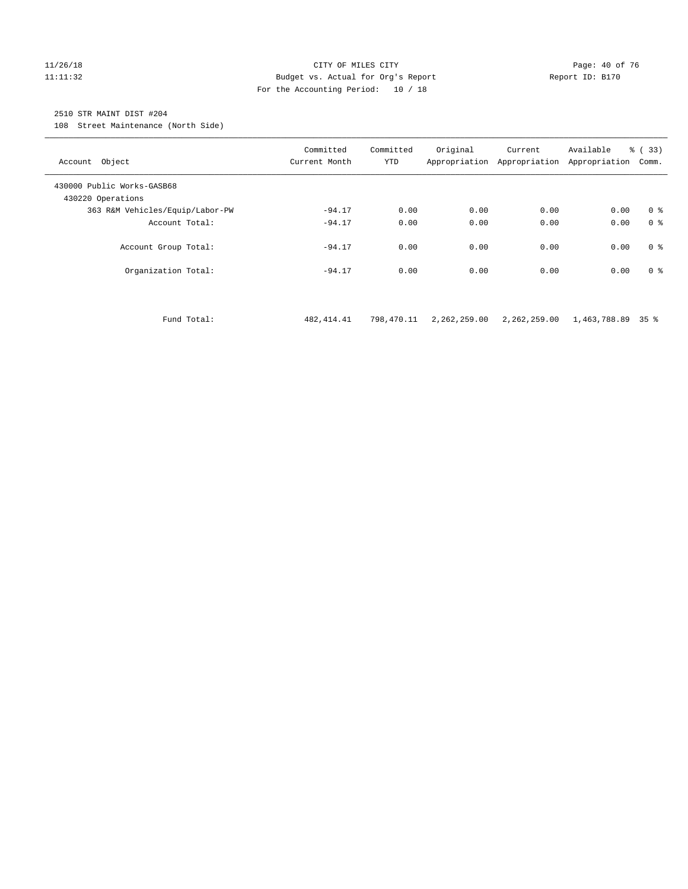#### 11/26/18 Page: 40 of 76 Page: 40 of 76 Page: 40 of 76 Page: 40 of 76 Page: 40 of 76 11:11:32 Budget vs. Actual for Org's Report Report ID: B170 For the Accounting Period: 10 / 18

#### 2510 STR MAINT DIST #204

108 Street Maintenance (North Side)

| Account Object                                  | Committed<br>Current Month | Committed<br><b>YTD</b> | Original<br>Appropriation | Current<br>Appropriation | Available<br>Appropriation | % (33)<br>Comm. |
|-------------------------------------------------|----------------------------|-------------------------|---------------------------|--------------------------|----------------------------|-----------------|
| 430000 Public Works-GASB68<br>430220 Operations |                            |                         |                           |                          |                            |                 |
| 363 R&M Vehicles/Equip/Labor-PW                 | $-94.17$                   | 0.00                    | 0.00                      | 0.00                     | 0.00                       | 0 <sup>8</sup>  |
| Account Total:                                  | $-94.17$                   | 0.00                    | 0.00                      | 0.00                     | 0.00                       | 0 <sup>8</sup>  |
| Account Group Total:                            | $-94.17$                   | 0.00                    | 0.00                      | 0.00                     | 0.00                       | 0 <sup>8</sup>  |
| Organization Total:                             | $-94.17$                   | 0.00                    | 0.00                      | 0.00                     | 0.00                       | 0 <sup>8</sup>  |

Fund Total: 482,414.41 798,470.11 2,262,259.00 2,262,259.00 1,463,788.89 35 %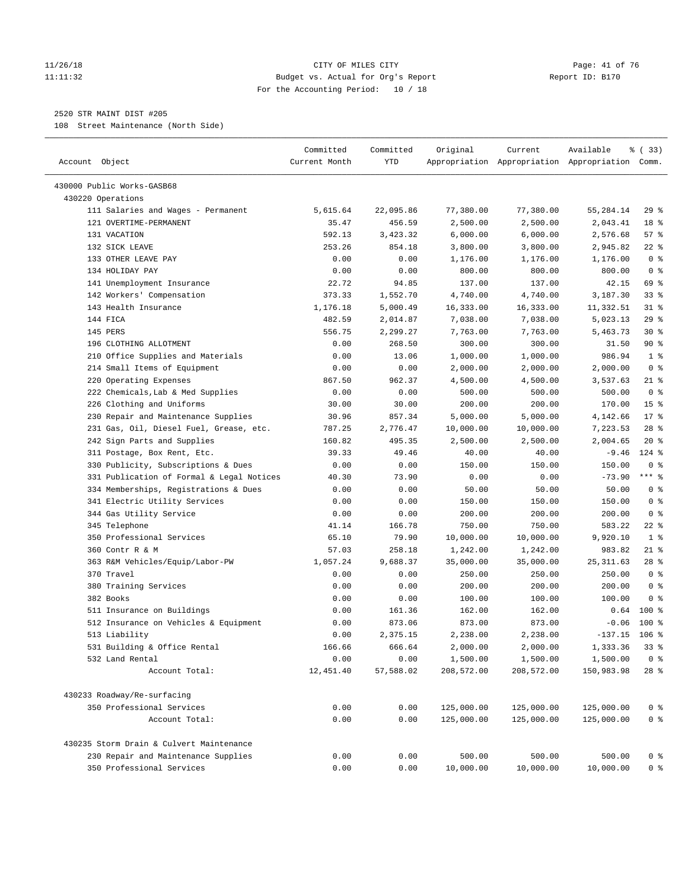#### 11/26/18 Page: 41 of 76 Page: 41 of 76 Page: 41 of 76 Page: 41 of 76 Page: 41 of 76 11:11:32 Budget vs. Actual for Org's Report Report ID: B170 For the Accounting Period: 10 / 18

————————————————————————————————————————————————————————————————————————————————————————————————————————————————————————————————————

#### 2520 STR MAINT DIST #205

108 Street Maintenance (North Side)

|                                                         | Committed     | Committed | Original   | Current    | Available                                       | % (33)          |
|---------------------------------------------------------|---------------|-----------|------------|------------|-------------------------------------------------|-----------------|
| Account Object                                          | Current Month | YTD       |            |            | Appropriation Appropriation Appropriation Comm. |                 |
|                                                         |               |           |            |            |                                                 |                 |
| 430000 Public Works-GASB68                              |               |           |            |            |                                                 |                 |
| 430220 Operations<br>111 Salaries and Wages - Permanent | 5,615.64      | 22,095.86 | 77,380.00  | 77,380.00  | 55,284.14                                       | 29%             |
| 121 OVERTIME-PERMANENT                                  | 35.47         | 456.59    | 2,500.00   | 2,500.00   | 2,043.41                                        | 18 %            |
| 131 VACATION                                            | 592.13        | 3,423.32  | 6,000.00   | 6,000.00   | 2,576.68                                        | 57%             |
| 132 SICK LEAVE                                          | 253.26        | 854.18    | 3,800.00   | 3,800.00   | 2,945.82                                        | $22$ %          |
| 133 OTHER LEAVE PAY                                     | 0.00          | 0.00      | 1,176.00   | 1,176.00   | 1,176.00                                        | 0 <sup>8</sup>  |
| 134 HOLIDAY PAY                                         | 0.00          | 0.00      | 800.00     | 800.00     | 800.00                                          | 0 <sup>8</sup>  |
| 141 Unemployment Insurance                              | 22.72         | 94.85     | 137.00     | 137.00     | 42.15                                           | 69 %            |
| 142 Workers' Compensation                               | 373.33        | 1,552.70  | 4,740.00   | 4,740.00   | 3,187.30                                        | $33$ $%$        |
| 143 Health Insurance                                    | 1,176.18      | 5,000.49  | 16,333.00  | 16,333.00  |                                                 | $31$ %          |
| 144 FICA                                                | 482.59        |           | 7,038.00   | 7,038.00   | 11,332.51<br>5,023.13                           | 29%             |
| 145 PERS                                                | 556.75        | 2,014.87  |            |            |                                                 | $30*$           |
| 196 CLOTHING ALLOTMENT                                  |               | 2,299.27  | 7,763.00   | 7,763.00   | 5,463.73                                        | 90%             |
|                                                         | 0.00          | 268.50    | 300.00     | 300.00     | 31.50                                           |                 |
| 210 Office Supplies and Materials                       | 0.00          | 13.06     | 1,000.00   | 1,000.00   | 986.94                                          | 1 <sup>8</sup>  |
| 214 Small Items of Equipment                            | 0.00          | 0.00      | 2,000.00   | 2,000.00   | 2,000.00                                        | 0 <sup>8</sup>  |
| 220 Operating Expenses                                  | 867.50        | 962.37    | 4,500.00   | 4,500.00   | 3,537.63                                        | $21$ %          |
| 222 Chemicals, Lab & Med Supplies                       | 0.00          | 0.00      | 500.00     | 500.00     | 500.00                                          | 0 <sup>8</sup>  |
| 226 Clothing and Uniforms                               | 30.00         | 30.00     | 200.00     | 200.00     | 170.00                                          | 15 <sup>°</sup> |
| 230 Repair and Maintenance Supplies                     | 30.96         | 857.34    | 5,000.00   | 5,000.00   | 4,142.66                                        | $17*$           |
| 231 Gas, Oil, Diesel Fuel, Grease, etc.                 | 787.25        | 2,776.47  | 10,000.00  | 10,000.00  | 7,223.53                                        | $28$ %          |
| 242 Sign Parts and Supplies                             | 160.82        | 495.35    | 2,500.00   | 2,500.00   | 2,004.65                                        | $20*$           |
| 311 Postage, Box Rent, Etc.                             | 39.33         | 49.46     | 40.00      | 40.00      | $-9.46$                                         | $124$ %         |
| 330 Publicity, Subscriptions & Dues                     | 0.00          | 0.00      | 150.00     | 150.00     | 150.00                                          | 0 <sup>8</sup>  |
| 331 Publication of Formal & Legal Notices               | 40.30         | 73.90     | 0.00       | 0.00       | $-73.90$                                        | $***$ $%$       |
| 334 Memberships, Registrations & Dues                   | 0.00          | 0.00      | 50.00      | 50.00      | 50.00                                           | 0 <sup>8</sup>  |
| 341 Electric Utility Services                           | 0.00          | 0.00      | 150.00     | 150.00     | 150.00                                          | 0 <sup>8</sup>  |
| 344 Gas Utility Service                                 | 0.00          | 0.00      | 200.00     | 200.00     | 200.00                                          | 0 <sup>8</sup>  |
| 345 Telephone                                           | 41.14         | 166.78    | 750.00     | 750.00     | 583.22                                          | 22 %            |
| 350 Professional Services                               | 65.10         | 79.90     | 10,000.00  | 10,000.00  | 9,920.10                                        | 1 <sup>8</sup>  |
| 360 Contr R & M                                         | 57.03         | 258.18    | 1,242.00   | 1,242.00   | 983.82                                          | $21$ %          |
| 363 R&M Vehicles/Equip/Labor-PW                         | 1,057.24      | 9,688.37  | 35,000.00  | 35,000.00  | 25, 311.63                                      | $28$ %          |
| 370 Travel                                              | 0.00          | 0.00      | 250.00     | 250.00     | 250.00                                          | 0 <sup>8</sup>  |
| 380 Training Services                                   | 0.00          | 0.00      | 200.00     | 200.00     | 200.00                                          | 0 <sup>8</sup>  |
| 382 Books                                               | 0.00          | 0.00      | 100.00     | 100.00     | 100.00                                          | 0 <sup>8</sup>  |
| 511 Insurance on Buildings                              | 0.00          | 161.36    | 162.00     | 162.00     | 0.64                                            | $100*$          |
| 512 Insurance on Vehicles & Equipment                   | 0.00          | 873.06    | 873.00     | 873.00     | $-0.06$                                         | $100*$          |
| 513 Liability                                           | 0.00          | 2,375.15  | 2,238.00   | 2,238.00   | $-137.15$                                       | $106$ %         |
| 531 Building & Office Rental                            | 166.66        | 666.64    | 2,000.00   | 2,000.00   | 1,333.36                                        | $33*$           |
| 532 Land Rental                                         | 0.00          | 0.00      | 1,500.00   | 1,500.00   | 1,500.00                                        | 0 <sup>8</sup>  |
| Account Total:                                          | 12,451.40     | 57,588.02 | 208,572.00 | 208,572.00 | 150,983.98                                      | $28$ %          |
| 430233 Roadway/Re-surfacing                             |               |           |            |            |                                                 |                 |
| 350 Professional Services                               | 0.00          | 0.00      | 125,000.00 | 125,000.00 | 125,000.00                                      | 0 <sup>8</sup>  |
| Account Total:                                          | 0.00          | 0.00      | 125,000.00 | 125,000.00 | 125,000.00                                      | 0 <sup>°</sup>  |
|                                                         |               |           |            |            |                                                 |                 |
| 430235 Storm Drain & Culvert Maintenance                |               |           |            |            |                                                 |                 |
| 230 Repair and Maintenance Supplies                     | 0.00          | 0.00      | 500.00     | 500.00     | 500.00                                          | 0 <sup>8</sup>  |
| 350 Professional Services                               | 0.00          | 0.00      | 10,000.00  | 10,000.00  | 10,000.00                                       | 0 <sup>8</sup>  |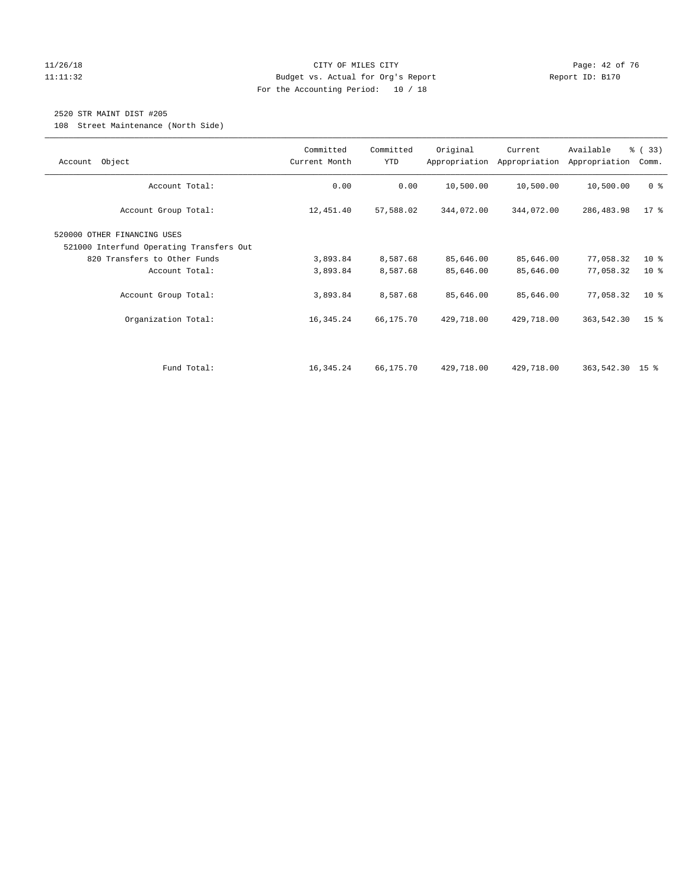#### 11/26/18 Page: 42 of 76 Page: 42 of 76 Page: 42 Of 76 Page: 42 Of 76 Page: 42 Of 76 Page: 42 Of 76 Page: 42 Of 76 11:11:32 Budget vs. Actual for Org's Report Report ID: B170 For the Accounting Period: 10 / 18

## 2520 STR MAINT DIST #205

108 Street Maintenance (North Side)

| Object<br>Account                                                                                                                                                        | Committed<br>Current Month                    | Committed<br>YTD                              | Original                                          | Current<br>Appropriation Appropriation            | Available<br>Appropriation                        | 8 (33)<br>Comm.                            |
|--------------------------------------------------------------------------------------------------------------------------------------------------------------------------|-----------------------------------------------|-----------------------------------------------|---------------------------------------------------|---------------------------------------------------|---------------------------------------------------|--------------------------------------------|
| Account Total:                                                                                                                                                           | 0.00                                          | 0.00                                          | 10,500.00                                         | 10,500.00                                         | 10,500.00                                         | 0 <sup>8</sup>                             |
| Account Group Total:                                                                                                                                                     | 12,451.40                                     | 57,588.02                                     | 344,072.00                                        | 344,072.00                                        | 286,483.98                                        | $17*$                                      |
| 520000 OTHER FINANCING USES<br>521000 Interfund Operating Transfers Out<br>820 Transfers to Other Funds<br>Account Total:<br>Account Group Total:<br>Organization Total: | 3,893.84<br>3,893.84<br>3,893.84<br>16,345.24 | 8,587.68<br>8,587.68<br>8,587.68<br>66,175.70 | 85,646.00<br>85,646.00<br>85,646.00<br>429,718.00 | 85,646.00<br>85,646.00<br>85,646.00<br>429,718.00 | 77,058.32<br>77,058.32<br>77,058.32<br>363,542.30 | $10*$<br>$10*$<br>$10*$<br>15 <sup>°</sup> |
| Fund Total:                                                                                                                                                              | 16,345.24                                     | 66,175.70                                     | 429,718.00                                        | 429,718.00                                        | 363,542.30 15 %                                   |                                            |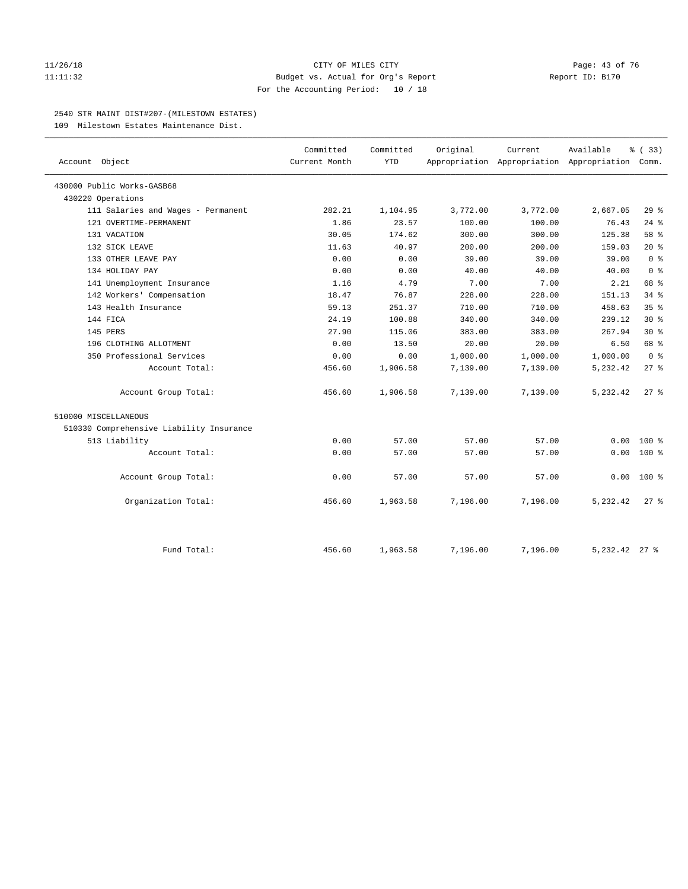#### 11/26/18 Page: 43 of 76 Page: 43 Of 76 Page: 43 Of 76 Page: 43 Of 76 Page: 43 Of 76 Page: 43 Of 76 Page: 43 Of 76 11:11:32 Budget vs. Actual for Org's Report Report ID: B170 For the Accounting Period: 10 / 18

#### 2540 STR MAINT DIST#207-(MILESTOWN ESTATES)

109 Milestown Estates Maintenance Dist.

| Account Object<br>430000 Public Works-GASB68<br>430220 Operations<br>111 Salaries and Wages - Permanent<br>121 OVERTIME-PERMANENT<br>131 VACATION<br>132 SICK LEAVE<br>133 OTHER LEAVE PAY | Current Month<br>282.21<br>1.86<br>30.05 | <b>YTD</b><br>1,104.95<br>23.57 | 3,772.00 | Appropriation Appropriation Appropriation Comm.<br>3,772.00 | 2,667.05        |                 |  |
|--------------------------------------------------------------------------------------------------------------------------------------------------------------------------------------------|------------------------------------------|---------------------------------|----------|-------------------------------------------------------------|-----------------|-----------------|--|
|                                                                                                                                                                                            |                                          |                                 |          |                                                             |                 |                 |  |
|                                                                                                                                                                                            |                                          |                                 |          |                                                             |                 |                 |  |
|                                                                                                                                                                                            |                                          |                                 |          |                                                             |                 |                 |  |
|                                                                                                                                                                                            |                                          |                                 |          |                                                             |                 | 29%             |  |
|                                                                                                                                                                                            |                                          |                                 | 100.00   | 100.00                                                      | 76.43           | $24$ %          |  |
|                                                                                                                                                                                            |                                          | 174.62                          | 300.00   | 300.00                                                      | 125.38          | 58 %            |  |
|                                                                                                                                                                                            | 11.63                                    | 40.97                           | 200.00   | 200.00                                                      | 159.03          | $20*$           |  |
|                                                                                                                                                                                            | 0.00                                     | 0.00                            | 39.00    | 39.00                                                       | 39.00           | 0 <sup>8</sup>  |  |
| 134 HOLIDAY PAY                                                                                                                                                                            | 0.00                                     | 0.00                            | 40.00    | 40.00                                                       | 40.00           | 0 <sup>8</sup>  |  |
| 141 Unemployment Insurance                                                                                                                                                                 | 1.16                                     | 4.79                            | 7.00     | 7.00                                                        | 2.21            | 68 %            |  |
| 142 Workers' Compensation                                                                                                                                                                  | 18.47                                    | 76.87                           | 228.00   | 228.00                                                      | 151.13          | 34.8            |  |
| 143 Health Insurance                                                                                                                                                                       | 59.13                                    | 251.37                          | 710.00   | 710.00                                                      | 458.63          | 35 <sup>8</sup> |  |
| 144 FICA                                                                                                                                                                                   | 24.19                                    | 100.88                          | 340.00   | 340.00                                                      | 239.12          | $30*$           |  |
| 145 PERS                                                                                                                                                                                   | 27.90                                    | 115.06                          | 383.00   | 383.00                                                      | 267.94          | $30*$           |  |
| 196 CLOTHING ALLOTMENT                                                                                                                                                                     | 0.00                                     | 13.50                           | 20.00    | 20.00                                                       | 6.50            | 68 %            |  |
| 350 Professional Services                                                                                                                                                                  | 0.00                                     | 0.00                            | 1,000.00 | 1,000.00                                                    | 1,000.00        | 0 <sup>8</sup>  |  |
| Account Total:                                                                                                                                                                             | 456.60                                   | 1,906.58                        | 7,139.00 | 7,139.00                                                    | 5,232.42        | 27%             |  |
| Account Group Total:                                                                                                                                                                       | 456.60                                   | 1,906.58                        | 7,139.00 | 7,139.00                                                    | 5,232.42        | $27$ $\approx$  |  |
| 510000 MISCELLANEOUS                                                                                                                                                                       |                                          |                                 |          |                                                             |                 |                 |  |
| 510330 Comprehensive Liability Insurance                                                                                                                                                   |                                          |                                 |          |                                                             |                 |                 |  |
| 513 Liability                                                                                                                                                                              | 0.00                                     | 57.00                           | 57.00    | 57.00                                                       | 0.00            | $100*$          |  |
| Account Total:                                                                                                                                                                             | 0.00                                     | 57.00                           | 57.00    | 57.00                                                       | 0.00            | $100*$          |  |
| Account Group Total:                                                                                                                                                                       | 0.00                                     | 57.00                           | 57.00    | 57.00                                                       | 0.00            | $100*$          |  |
| Organization Total:                                                                                                                                                                        | 456.60                                   | 1,963.58                        | 7,196.00 | 7,196.00                                                    | 5,232.42        | 27%             |  |
| Fund Total:                                                                                                                                                                                | 456.60                                   | 1,963.58                        | 7,196.00 | 7,196.00                                                    | 5, 232. 42 27 % |                 |  |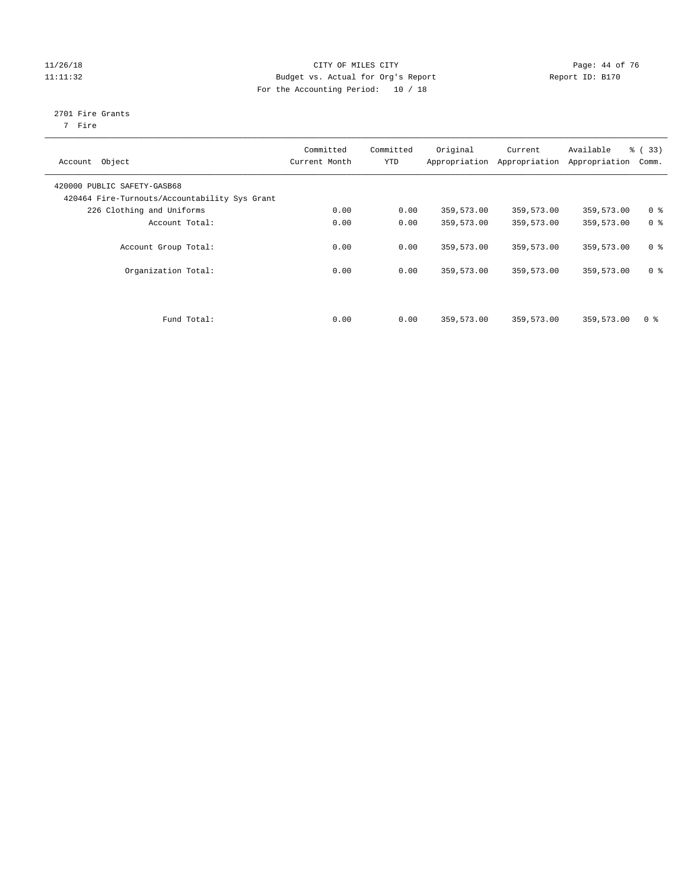#### 11/26/18 Page: 44 of 76 11:11:32 Budget vs. Actual for Org's Report Report ID: B170 For the Accounting Period: 10 / 18

## 2701 Fire Grants

7 Fire

| Object<br>Account                                                            | Committed<br>Current Month | Committed<br><b>YTD</b> | Original   | Current<br>Appropriation Appropriation | Available<br>Appropriation | % (33)<br>Comm. |
|------------------------------------------------------------------------------|----------------------------|-------------------------|------------|----------------------------------------|----------------------------|-----------------|
| 420000 PUBLIC SAFETY-GASB68<br>420464 Fire-Turnouts/Accountability Sys Grant |                            |                         |            |                                        |                            |                 |
| 226 Clothing and Uniforms                                                    | 0.00                       | 0.00                    | 359,573.00 | 359,573.00                             | 359,573.00                 | 0 <sup>8</sup>  |
| Account Total:                                                               | 0.00                       | 0.00                    | 359,573.00 | 359,573.00                             | 359,573.00                 | 0 <sup>8</sup>  |
| Account Group Total:                                                         | 0.00                       | 0.00                    | 359,573.00 | 359,573.00                             | 359,573.00                 | 0 <sup>8</sup>  |
| Organization Total:                                                          | 0.00                       | 0.00                    | 359,573.00 | 359,573.00                             | 359,573.00                 | 0 <sup>8</sup>  |
|                                                                              |                            |                         |            |                                        |                            |                 |
| Fund Total:                                                                  | 0.00                       | 0.00                    | 359,573.00 | 359,573.00                             | 359,573.00                 | 0 <sup>8</sup>  |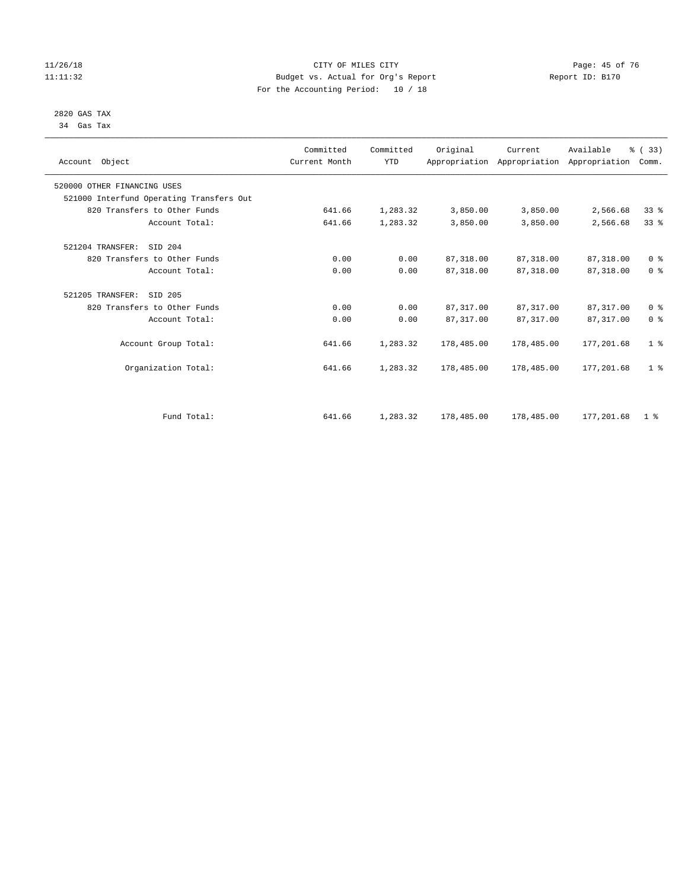#### 11/26/18 Page: 45 of 76 Page: 45 of 76 Page: 45 of 76 Page: 45 of 76 Page: 45 of 76 Page: 45 of 76 11:11:32 Budget vs. Actual for Org's Report Report ID: B170 For the Accounting Period: 10 / 18

#### 2820 GAS TAX 34 Gas Tax

| Account Object                           | Committed<br>Current Month | Committed<br><b>YTD</b> | Original   | Current    | Available<br>Appropriation Appropriation Appropriation | % (33)<br>Comm. |
|------------------------------------------|----------------------------|-------------------------|------------|------------|--------------------------------------------------------|-----------------|
| 520000 OTHER FINANCING USES              |                            |                         |            |            |                                                        |                 |
| 521000 Interfund Operating Transfers Out |                            |                         |            |            |                                                        |                 |
| 820 Transfers to Other Funds             | 641.66                     | 1,283.32                | 3,850.00   | 3,850.00   | 2,566.68                                               | 33%             |
| Account Total:                           | 641.66                     | 1,283.32                | 3,850.00   | 3,850.00   | 2,566.68                                               | 33 <sup>8</sup> |
| 521204 TRANSFER:<br>SID 204              |                            |                         |            |            |                                                        |                 |
| 820 Transfers to Other Funds             | 0.00                       | 0.00                    | 87, 318.00 | 87,318.00  | 87,318.00                                              | 0 <sup>8</sup>  |
| Account Total:                           | 0.00                       | 0.00                    | 87, 318.00 | 87,318.00  | 87, 318.00                                             | 0 <sup>8</sup>  |
| SID 205<br>521205 TRANSFER:              |                            |                         |            |            |                                                        |                 |
| 820 Transfers to Other Funds             | 0.00                       | 0.00                    | 87,317.00  | 87,317.00  | 87,317.00                                              | 0 <sup>8</sup>  |
| Account Total:                           | 0.00                       | 0.00                    | 87, 317.00 | 87, 317.00 | 87, 317.00                                             | 0 <sup>8</sup>  |
| Account Group Total:                     | 641.66                     | 1,283.32                | 178,485.00 | 178,485.00 | 177,201.68                                             | 1 <sup>8</sup>  |
| Organization Total:                      | 641.66                     | 1,283.32                | 178,485.00 | 178,485.00 | 177,201.68                                             | 1 <sup>8</sup>  |
|                                          |                            |                         |            |            |                                                        |                 |
| Fund Total:                              | 641.66                     | 1,283.32                | 178,485.00 | 178,485.00 | 177,201.68                                             | 1 <sup>8</sup>  |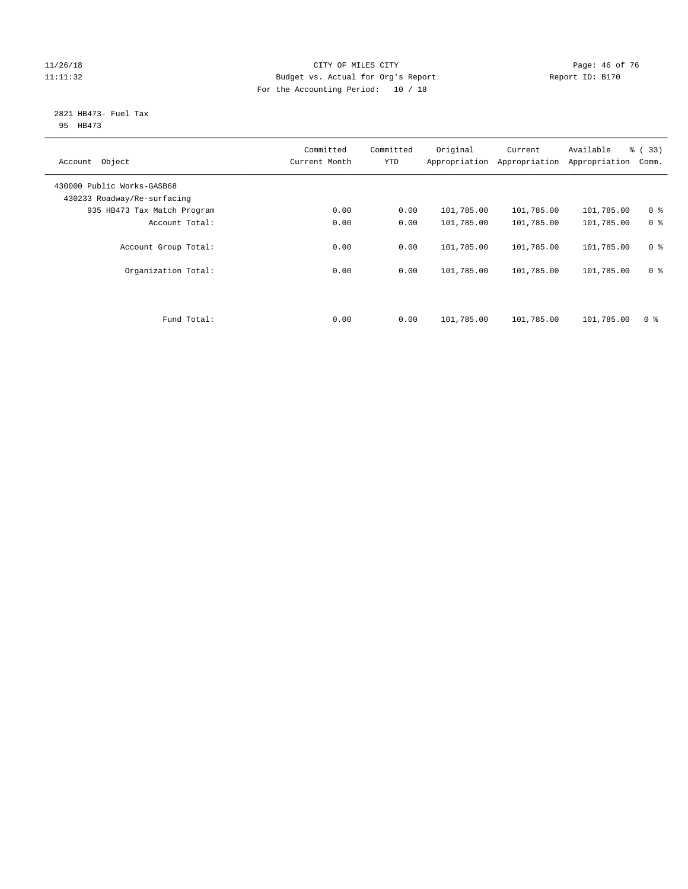#### 11/26/18 Page: 46 of 76 Page: 46 Of 76 Page: 46 Of 76 Page: 46 Of 76 Page: 46 Of 76 11:11:32 Budget vs. Actual for Org's Report Report ID: B170 For the Accounting Period: 10 / 18

#### 2821 HB473- Fuel Tax 95 HB473

| Object<br>Account                                         | Committed<br>Current Month | Committed<br><b>YTD</b> | Original<br>Appropriation | Current<br>Appropriation | Available<br>Appropriation | % (33)<br>Comm. |
|-----------------------------------------------------------|----------------------------|-------------------------|---------------------------|--------------------------|----------------------------|-----------------|
| 430000 Public Works-GASB68<br>430233 Roadway/Re-surfacing |                            |                         |                           |                          |                            |                 |
| 935 HB473 Tax Match Program                               | 0.00                       | 0.00                    | 101,785.00                | 101,785.00               | 101,785.00                 | 0 <sup>8</sup>  |
| Account Total:                                            | 0.00                       | 0.00                    | 101,785.00                | 101,785.00               | 101,785.00                 | 0 <sup>8</sup>  |
| Account Group Total:                                      | 0.00                       | 0.00                    | 101,785.00                | 101,785.00               | 101,785.00                 | 0 <sup>8</sup>  |
| Organization Total:                                       | 0.00                       | 0.00                    | 101,785.00                | 101,785.00               | 101,785.00                 | 0 <sup>8</sup>  |
|                                                           |                            |                         |                           |                          |                            |                 |
| Fund Total:                                               | 0.00                       | 0.00                    | 101,785.00                | 101,785.00               | 101,785.00                 | 0 %             |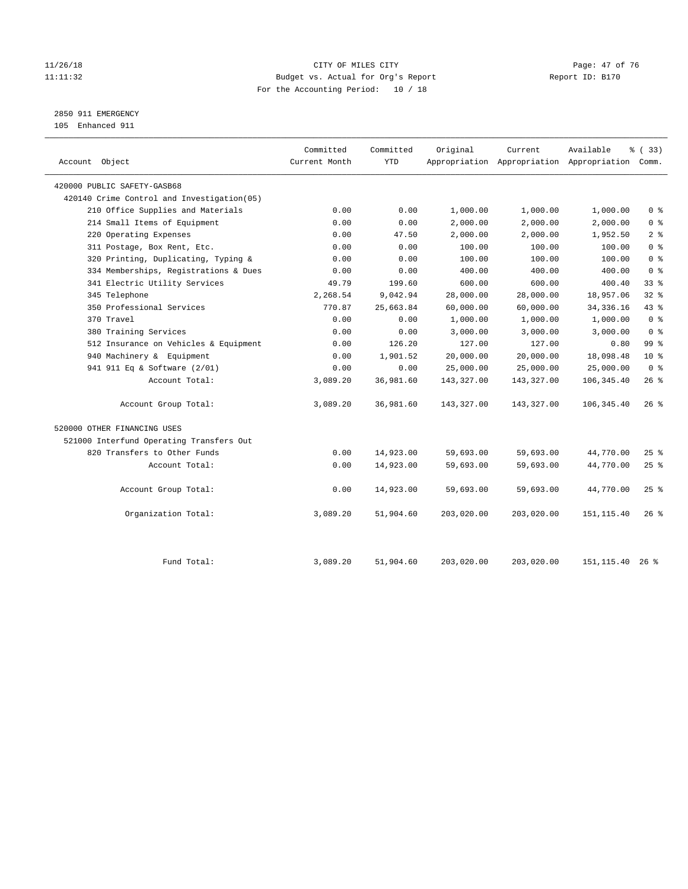#### 11/26/18 Page: 47 of 76 Page: 47 of 76 Page: 47 of 76 Page: 47 of 76 Page: 47 of 76 Page: 47 of 76 Page: 47 of 76 Page: 47 of 76 Page: 47 of 76 Page: 47 of 76 Page: 47 of 76 Page: 47 of 76 Page: 47 of 76 Page: 47 of 76 Pag 11:11:32 Budget vs. Actual for Org's Report Changer Report ID: B170 For the Accounting Period: 10 / 18

2850 911 EMERGENCY

105 Enhanced 911

| Account Object                              | Committed<br>Current Month | Committed<br><b>YTD</b> | Original   | Current    | Available<br>Appropriation Appropriation Appropriation Comm. | % (33)          |
|---------------------------------------------|----------------------------|-------------------------|------------|------------|--------------------------------------------------------------|-----------------|
| 420000 PUBLIC SAFETY-GASB68                 |                            |                         |            |            |                                                              |                 |
| 420140 Crime Control and Investigation (05) |                            |                         |            |            |                                                              |                 |
| 210 Office Supplies and Materials           | 0.00                       | 0.00                    | 1,000.00   | 1,000.00   | 1,000.00                                                     | 0 <sup>8</sup>  |
| 214 Small Items of Equipment                | 0.00                       | 0.00                    | 2,000.00   | 2,000.00   | 2,000.00                                                     | 0 <sup>8</sup>  |
| 220 Operating Expenses                      | 0.00                       | 47.50                   | 2,000.00   | 2,000.00   | 1,952.50                                                     | 2 <sup>°</sup>  |
| 311 Postage, Box Rent, Etc.                 | 0.00                       | 0.00                    | 100.00     | 100.00     | 100.00                                                       | 0 <sup>8</sup>  |
| 320 Printing, Duplicating, Typing &         | 0.00                       | 0.00                    | 100.00     | 100.00     | 100.00                                                       | 0 <sup>8</sup>  |
| 334 Memberships, Registrations & Dues       | 0.00                       | 0.00                    | 400.00     | 400.00     | 400.00                                                       | 0 <sup>8</sup>  |
| 341 Electric Utility Services               | 49.79                      | 199.60                  | 600.00     | 600.00     | 400.40                                                       | 33%             |
| 345 Telephone                               | 2,268.54                   | 9,042.94                | 28,000.00  | 28,000.00  | 18,957.06                                                    | $32$ $%$        |
| 350 Professional Services                   | 770.87                     | 25,663.84               | 60,000.00  | 60,000.00  | 34, 336.16                                                   | 43.8            |
| 370 Travel                                  | 0.00                       | 0.00                    | 1,000.00   | 1,000.00   | 1,000.00                                                     | 0 <sup>8</sup>  |
| 380 Training Services                       | 0.00                       | 0.00                    | 3,000.00   | 3,000.00   | 3,000.00                                                     | 0 <sup>8</sup>  |
| 512 Insurance on Vehicles & Equipment       | 0.00                       | 126.20                  | 127.00     | 127.00     | 0.80                                                         | 99 <sub>8</sub> |
| 940 Machinery & Equipment                   | 0.00                       | 1,901.52                | 20,000.00  | 20,000.00  | 18,098.48                                                    | $10*$           |
| 941 911 Eq & Software (2/01)                | 0.00                       | 0.00                    | 25,000.00  | 25,000.00  | 25,000.00                                                    | 0 <sup>8</sup>  |
| Account Total:                              | 3,089.20                   | 36,981.60               | 143,327.00 | 143,327.00 | 106, 345.40                                                  | 26%             |
| Account Group Total:                        | 3,089.20                   | 36,981.60               | 143,327.00 | 143,327.00 | 106, 345.40                                                  | $26$ %          |
| 520000 OTHER FINANCING USES                 |                            |                         |            |            |                                                              |                 |
| 521000 Interfund Operating Transfers Out    |                            |                         |            |            |                                                              |                 |
| 820 Transfers to Other Funds                | 0.00                       | 14,923.00               | 59,693.00  | 59,693.00  | 44,770.00                                                    | $25$ %          |
| Account Total:                              | 0.00                       | 14,923.00               | 59,693.00  | 59,693.00  | 44,770.00                                                    | 25%             |
| Account Group Total:                        | 0.00                       | 14,923.00               | 59,693.00  | 59,693.00  | 44,770.00                                                    | 25%             |
| Organization Total:                         | 3,089.20                   | 51,904.60               | 203,020.00 | 203,020.00 | 151, 115.40                                                  | $26$ %          |
|                                             |                            |                         |            |            |                                                              |                 |
| Fund Total:                                 | 3,089.20                   | 51,904.60               | 203,020.00 | 203,020.00 | 151, 115.40                                                  | $26$ %          |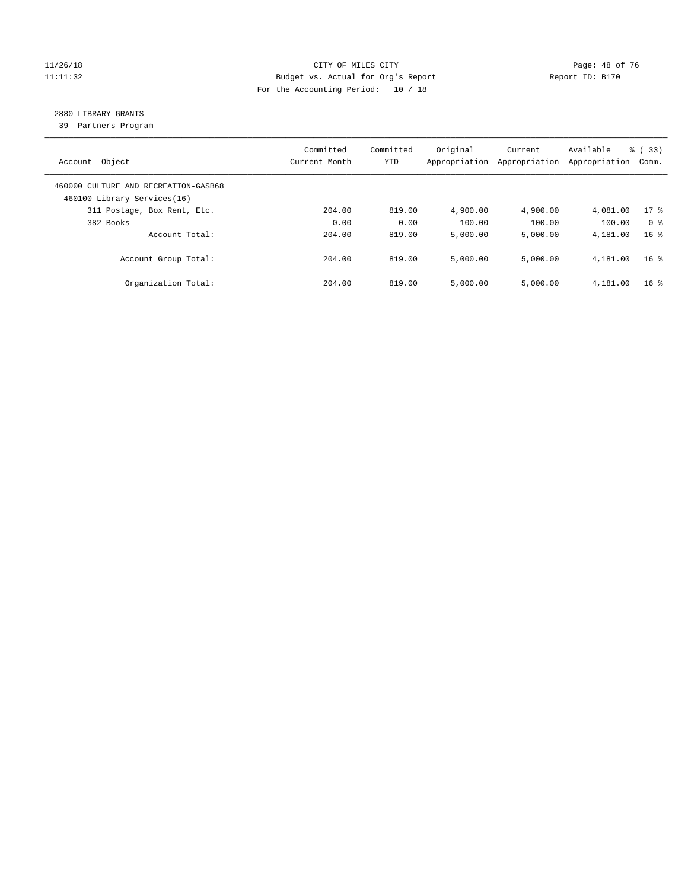#### 11/26/18 Page: 48 of 76 Page: 48 Of 76 Page: 48 Of 76 Page: 48 Of 76 Page: 48 Of 76 Page: 48 Of 76 Page: 48 Of 76 11:11:32 Budget vs. Actual for Org's Report Report ID: B170 For the Accounting Period: 10 / 18

## 2880 LIBRARY GRANTS

39 Partners Program

| Account Object                                                      | Committed<br>Current Month | Committed<br><b>YTD</b> | Original<br>Appropriation | Current<br>Appropriation | Available<br>Appropriation | % (33)<br>Comm. |
|---------------------------------------------------------------------|----------------------------|-------------------------|---------------------------|--------------------------|----------------------------|-----------------|
| 460000 CULTURE AND RECREATION-GASB68<br>460100 Library Services(16) |                            |                         |                           |                          |                            |                 |
| 311 Postage, Box Rent, Etc.                                         | 204.00                     | 819.00                  | 4,900.00                  | 4,900.00                 | 4,081.00                   | $17*$           |
| 382 Books                                                           | 0.00                       | 0.00                    | 100.00                    | 100.00                   | 100.00                     | 0 <sup>8</sup>  |
| Account Total:                                                      | 204.00                     | 819.00                  | 5,000.00                  | 5,000.00                 | 4,181.00                   | 16 <sup>8</sup> |
| Account Group Total:                                                | 204.00                     | 819.00                  | 5,000.00                  | 5,000.00                 | 4,181.00                   | 16 <sup>8</sup> |
| Organization Total:                                                 | 204.00                     | 819.00                  | 5.000.00                  | 5,000.00                 | 4,181.00                   | 16 <sup>8</sup> |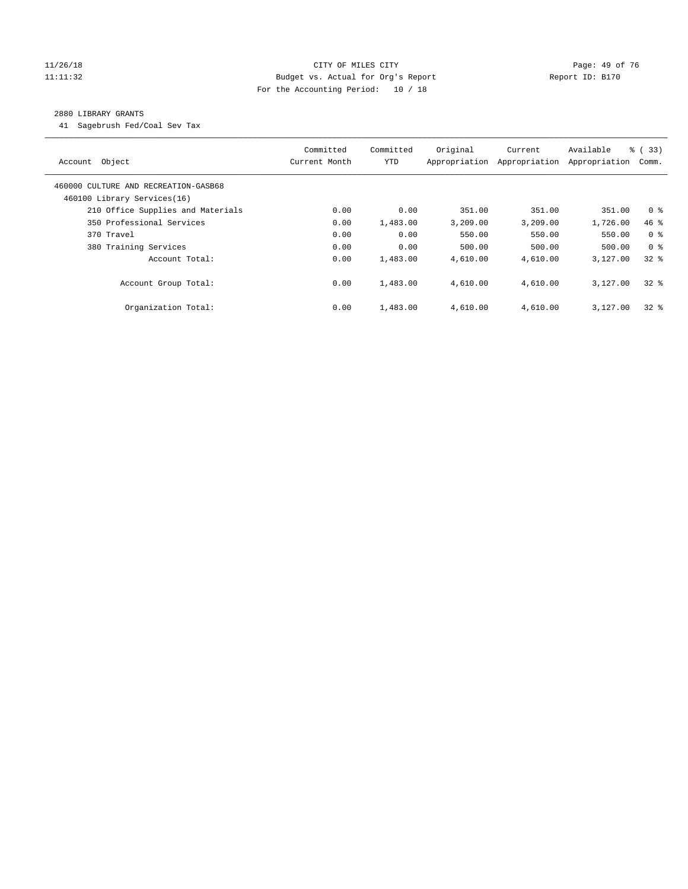#### 11/26/18 Page: 49 of 76 Page: 49 Of 76 Page: 49 Of 76 Page: 49 Of 76 Page: 49 Of 76 11:11:32 Budget vs. Actual for Org's Report Changer Report ID: B170 For the Accounting Period: 10 / 18

#### 2880 LIBRARY GRANTS

41 Sagebrush Fed/Coal Sev Tax

| Account Object                                                      | Committed<br>Current Month | Committed<br><b>YTD</b> | Original<br>Appropriation | Current<br>Appropriation | Available<br>Appropriation | 8 ( 33)<br>Comm. |
|---------------------------------------------------------------------|----------------------------|-------------------------|---------------------------|--------------------------|----------------------------|------------------|
| 460000 CULTURE AND RECREATION-GASB68<br>460100 Library Services(16) |                            |                         |                           |                          |                            |                  |
| 210 Office Supplies and Materials                                   | 0.00                       | 0.00                    | 351.00                    | 351.00                   | 351.00                     | 0 <sup>8</sup>   |
| 350 Professional Services                                           | 0.00                       | 1,483.00                | 3,209.00                  | 3,209.00                 | 1,726.00                   | 46 %             |
| 370 Travel                                                          | 0.00                       | 0.00                    | 550.00                    | 550.00                   | 550.00                     | 0 <sup>8</sup>   |
| 380 Training Services                                               | 0.00                       | 0.00                    | 500.00                    | 500.00                   | 500.00                     | 0 <sup>8</sup>   |
| Account Total:                                                      | 0.00                       | 1,483.00                | 4,610.00                  | 4,610.00                 | 3,127,00                   | 328              |
| Account Group Total:                                                | 0.00                       | 1,483.00                | 4,610.00                  | 4,610.00                 | 3,127,00                   | 328              |
| Organization Total:                                                 | 0.00                       | 1,483.00                | 4,610.00                  | 4,610.00                 | 3,127.00                   | 328              |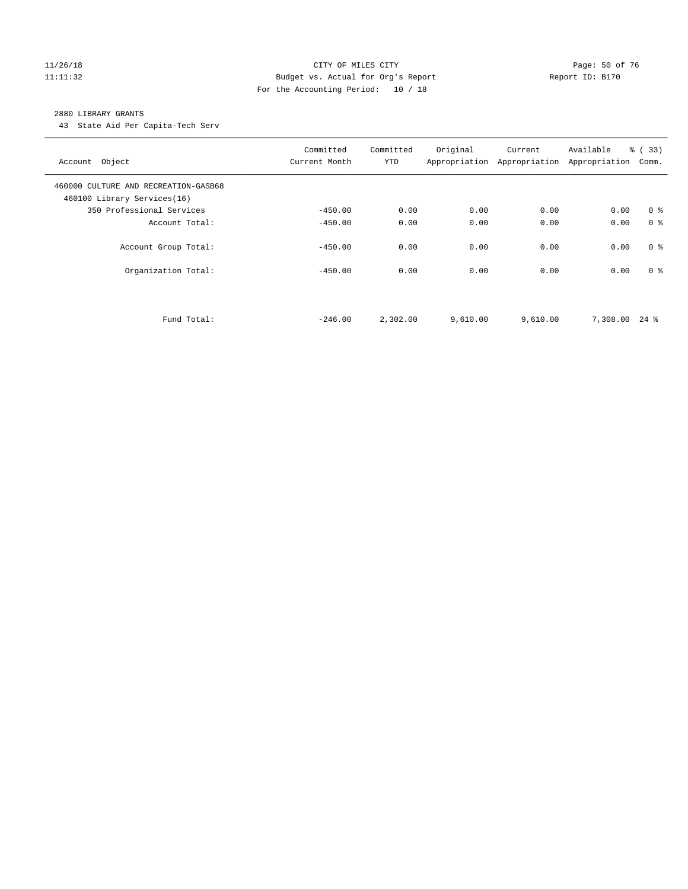#### 11/26/18 Page: 50 of 76 Page: 50 of 76 Page: 50 of 76 Page: 50 of 76 Page: 50 of 76 11:11:32 Budget vs. Actual for Org's Report Report ID: B170 For the Accounting Period: 10 / 18

#### 2880 LIBRARY GRANTS

43 State Aid Per Capita-Tech Serv

| Account Object                                                      | Committed<br>Current Month | Committed<br><b>YTD</b> | Original | Current<br>Appropriation Appropriation | Available<br>Appropriation | % (33)<br>Comm. |
|---------------------------------------------------------------------|----------------------------|-------------------------|----------|----------------------------------------|----------------------------|-----------------|
| 460000 CULTURE AND RECREATION-GASB68<br>460100 Library Services(16) |                            |                         |          |                                        |                            |                 |
| 350 Professional Services                                           | $-450.00$                  | 0.00                    | 0.00     | 0.00                                   | 0.00                       | 0 <sup>8</sup>  |
| Account Total:                                                      | $-450.00$                  | 0.00                    | 0.00     | 0.00                                   | 0.00                       | 0 <sup>8</sup>  |
| Account Group Total:                                                | $-450.00$                  | 0.00                    | 0.00     | 0.00                                   | 0.00                       | 0 <sup>8</sup>  |
| Organization Total:                                                 | $-450.00$                  | 0.00                    | 0.00     | 0.00                                   | 0.00                       | 0 <sup>8</sup>  |
| Fund Total:                                                         | $-246.00$                  | 2,302.00                | 9,610.00 | 9,610.00                               | 7,308.00 24 %              |                 |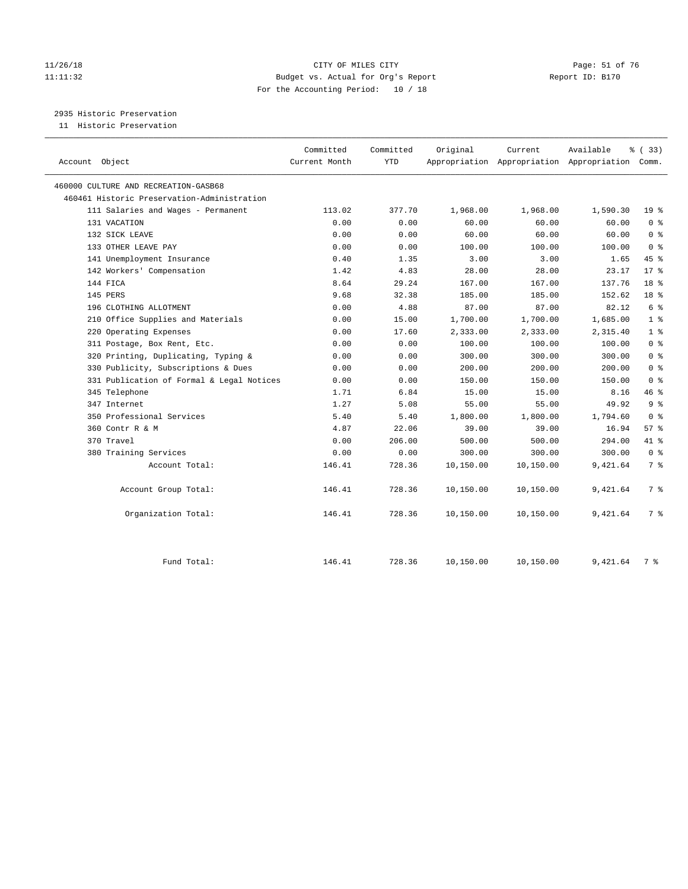#### 11/26/18 Page: 51 of 76 Page: 51 of 76 Page: 51 of 76 Page: 51 of 76 Page: 51 of 76 11:11:32 Budget vs. Actual for Org's Report Report ID: B170 For the Accounting Period: 10 / 18

2935 Historic Preservation

11 Historic Preservation

|                                             | Committed     | Committed  | Original  | Current   | Available                                       | % (33)          |
|---------------------------------------------|---------------|------------|-----------|-----------|-------------------------------------------------|-----------------|
| Account Object                              | Current Month | <b>YTD</b> |           |           | Appropriation Appropriation Appropriation Comm. |                 |
|                                             |               |            |           |           |                                                 |                 |
| 460000 CULTURE AND RECREATION-GASB68        |               |            |           |           |                                                 |                 |
| 460461 Historic Preservation-Administration |               |            |           |           |                                                 |                 |
| 111 Salaries and Wages - Permanent          | 113.02        | 377.70     | 1,968.00  | 1,968.00  | 1,590.30                                        | 19 <sup>°</sup> |
| 131 VACATION                                | 0.00          | 0.00       | 60.00     | 60.00     | 60.00                                           | 0 <sup>8</sup>  |
| 132 SICK LEAVE                              | 0.00          | 0.00       | 60.00     | 60.00     | 60.00                                           | 0 <sup>8</sup>  |
| 133 OTHER LEAVE PAY                         | 0.00          | 0.00       | 100.00    | 100.00    | 100.00                                          | 0 <sup>8</sup>  |
| 141 Unemployment Insurance                  | 0.40          | 1.35       | 3.00      | 3.00      | 1.65                                            | 45 %            |
| 142 Workers' Compensation                   | 1.42          | 4.83       | 28.00     | 28.00     | 23.17                                           | $17*$           |
| 144 FICA                                    | 8.64          | 29.24      | 167.00    | 167.00    | 137.76                                          | 18 <sup>°</sup> |
| 145 PERS                                    | 9.68          | 32.38      | 185.00    | 185.00    | 152.62                                          | 18 <sup>8</sup> |
| 196 CLOTHING ALLOTMENT                      | 0.00          | 4.88       | 87.00     | 87.00     | 82.12                                           | 6 <sup>°</sup>  |
| 210 Office Supplies and Materials           | 0.00          | 15.00      | 1,700.00  | 1,700.00  | 1,685.00                                        | 1 <sup>°</sup>  |
| 220 Operating Expenses                      | 0.00          | 17.60      | 2,333.00  | 2,333.00  | 2,315.40                                        | 1 <sup>8</sup>  |
| 311 Postage, Box Rent, Etc.                 | 0.00          | 0.00       | 100.00    | 100.00    | 100.00                                          | 0 <sup>8</sup>  |
| 320 Printing, Duplicating, Typing &         | 0.00          | 0.00       | 300.00    | 300.00    | 300.00                                          | 0 <sup>8</sup>  |
| 330 Publicity, Subscriptions & Dues         | 0.00          | 0.00       | 200.00    | 200.00    | 200.00                                          | 0 <sup>8</sup>  |
| 331 Publication of Formal & Legal Notices   | 0.00          | 0.00       | 150.00    | 150.00    | 150.00                                          | 0 <sup>8</sup>  |
| 345 Telephone                               | 1.71          | 6.84       | 15.00     | 15.00     | 8.16                                            | 46 %            |
| 347 Internet                                | 1.27          | 5.08       | 55.00     | 55.00     | 49.92                                           | 9 <sup>°</sup>  |
| 350 Professional Services                   | 5.40          | 5.40       | 1,800.00  | 1,800.00  | 1,794.60                                        | 0 <sup>8</sup>  |
| 360 Contr R & M                             | 4.87          | 22.06      | 39.00     | 39.00     | 16.94                                           | 57%             |
| 370 Travel                                  | 0.00          | 206.00     | 500.00    | 500.00    | 294.00                                          | 41 %            |
| 380 Training Services                       | 0.00          | 0.00       | 300.00    | 300.00    | 300.00                                          | 0 <sup>8</sup>  |
| Account Total:                              | 146.41        | 728.36     | 10,150.00 | 10,150.00 | 9,421.64                                        | 7 <sup>8</sup>  |
| Account Group Total:                        | 146.41        | 728.36     | 10,150.00 | 10,150.00 | 9,421.64                                        | 7 %             |
| Organization Total:                         | 146.41        | 728.36     | 10,150.00 | 10,150.00 | 9,421.64                                        | 7 %             |
| Fund Total:                                 | 146.41        | 728.36     | 10,150.00 | 10,150.00 | 9,421.64                                        | 7 %             |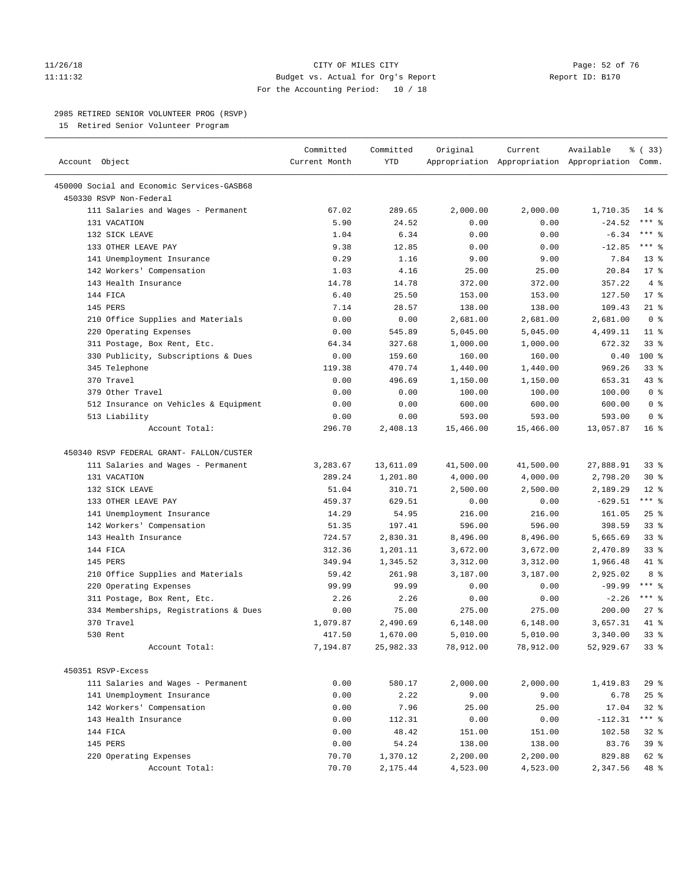#### 11/26/18 Page: 52 of 76 Page: 52 of 76 Page: 52 of 76 Page: 52 of 76 Page: 52 of 76 11:11:32 Budget vs. Actual for Org's Report Report ID: B170 For the Accounting Period: 10 / 18

————————————————————————————————————————————————————————————————————————————————————————————————————————————————————————————————————

#### 2985 RETIRED SENIOR VOLUNTEER PROG (RSVP)

15 Retired Senior Volunteer Program

|                                            | Committed     | Committed | Original  | Current   | Available                                       | 8 (33)          |  |
|--------------------------------------------|---------------|-----------|-----------|-----------|-------------------------------------------------|-----------------|--|
| Account Object                             | Current Month | YTD       |           |           | Appropriation Appropriation Appropriation Comm. |                 |  |
| 450000 Social and Economic Services-GASB68 |               |           |           |           |                                                 |                 |  |
| 450330 RSVP Non-Federal                    |               |           |           |           |                                                 |                 |  |
| 111 Salaries and Wages - Permanent         | 67.02         | 289.65    | 2,000.00  | 2,000.00  | 1,710.35                                        | $14$ %          |  |
| 131 VACATION                               | 5.90          | 24.52     | 0.00      | 0.00      | $-24.52$                                        | *** 응           |  |
| 132 SICK LEAVE                             | 1.04          | 6.34      | 0.00      | 0.00      | $-6.34$                                         | *** 응           |  |
| 133 OTHER LEAVE PAY                        | 9.38          | 12.85     | 0.00      | 0.00      | $-12.85$                                        | $***$ $%$       |  |
| 141 Unemployment Insurance                 | 0.29          | 1.16      | 9.00      | 9.00      | 7.84                                            | $13*$           |  |
| 142 Workers' Compensation                  | 1.03          | 4.16      | 25.00     | 25.00     | 20.84                                           | $17*$           |  |
| 143 Health Insurance                       | 14.78         | 14.78     | 372.00    | 372.00    | 357.22                                          | 4%              |  |
| 144 FICA                                   | 6.40          | 25.50     | 153.00    | 153.00    | 127.50                                          | $17*$           |  |
| 145 PERS                                   | 7.14          | 28.57     | 138.00    | 138.00    | 109.43                                          | $21$ %          |  |
| 210 Office Supplies and Materials          | 0.00          | 0.00      | 2,681.00  | 2,681.00  | 2,681.00                                        | 0 <sup>8</sup>  |  |
| 220 Operating Expenses                     | 0.00          | 545.89    | 5,045.00  | 5,045.00  | 4,499.11                                        | $11$ %          |  |
| 311 Postage, Box Rent, Etc.                | 64.34         | 327.68    | 1,000.00  | 1,000.00  | 672.32                                          | $33$ $%$        |  |
| 330 Publicity, Subscriptions & Dues        | 0.00          | 159.60    | 160.00    | 160.00    | 0.40                                            | $100*$          |  |
| 345 Telephone                              | 119.38        | 470.74    | 1,440.00  | 1,440.00  | 969.26                                          | $33$ $%$        |  |
| 370 Travel                                 | 0.00          | 496.69    | 1,150.00  | 1,150.00  | 653.31                                          | 43 %            |  |
| 379 Other Travel                           | 0.00          | 0.00      | 100.00    | 100.00    | 100.00                                          | 0 <sup>8</sup>  |  |
| 512 Insurance on Vehicles & Equipment      | 0.00          | 0.00      | 600.00    | 600.00    | 600.00                                          | 0 <sup>8</sup>  |  |
| 513 Liability                              | 0.00          | 0.00      | 593.00    | 593.00    | 593.00                                          | 0 <sup>8</sup>  |  |
| Account Total:                             | 296.70        | 2,408.13  | 15,466.00 | 15,466.00 | 13,057.87                                       | 16 <sup>8</sup> |  |
|                                            |               |           |           |           |                                                 |                 |  |
| 450340 RSVP FEDERAL GRANT- FALLON/CUSTER   |               |           |           |           |                                                 |                 |  |
| 111 Salaries and Wages - Permanent         | 3,283.67      | 13,611.09 | 41,500.00 | 41,500.00 | 27,888.91                                       | 33%             |  |
| 131 VACATION                               | 289.24        | 1,201.80  | 4,000.00  | 4,000.00  | 2,798.20                                        | $30*$           |  |
| 132 SICK LEAVE                             | 51.04         | 310.71    | 2,500.00  | 2,500.00  | 2,189.29                                        | $12*$           |  |
| 133 OTHER LEAVE PAY                        | 459.37        | 629.51    | 0.00      | 0.00      | $-629.51$                                       | $***$ $%$       |  |
| 141 Unemployment Insurance                 | 14.29         | 54.95     | 216.00    | 216.00    | 161.05                                          | $25$ $%$        |  |
| 142 Workers' Compensation                  | 51.35         | 197.41    | 596.00    | 596.00    | 398.59                                          | 33%             |  |
| 143 Health Insurance                       | 724.57        | 2,830.31  | 8,496.00  | 8,496.00  | 5,665.69                                        | $33$ $%$        |  |
| 144 FICA                                   | 312.36        | 1,201.11  | 3,672.00  | 3,672.00  | 2,470.89                                        | $33$ $%$        |  |
| 145 PERS                                   | 349.94        | 1,345.52  | 3,312.00  | 3,312.00  | 1,966.48                                        | 41 %            |  |
| 210 Office Supplies and Materials          | 59.42         | 261.98    | 3,187.00  | 3,187.00  | 2,925.02                                        | 8 %             |  |
| 220 Operating Expenses                     | 99.99         | 99.99     | 0.00      | 0.00      | $-99.99$                                        | $***$ $-$       |  |
| 311 Postage, Box Rent, Etc.                | 2.26          | 2.26      | 0.00      | 0.00      | $-2.26$                                         | $***$ $-$       |  |
| 334 Memberships, Registrations & Dues      | 0.00          | 75.00     | 275.00    | 275.00    | 200.00                                          | $27$ %          |  |
| 370 Travel                                 | 1,079.87      | 2,490.69  | 6,148.00  | 6,148.00  | 3,657.31                                        | 41 %            |  |
| 530 Rent                                   | 417.50        | 1,670.00  | 5,010.00  | 5,010.00  | 3,340.00                                        | 33%             |  |
| Account Total:                             | 7,194.87      | 25,982.33 | 78,912.00 | 78,912.00 | 52,929.67                                       | 33%             |  |
|                                            |               |           |           |           |                                                 |                 |  |
| 450351 RSVP-Excess                         |               |           |           |           |                                                 |                 |  |
| 111 Salaries and Wages - Permanent         | 0.00          | 580.17    | 2,000.00  | 2,000.00  | 1,419.83                                        | 29%             |  |
| 141 Unemployment Insurance                 | 0.00          | 2.22      | 9.00      | 9.00      | 6.78                                            | 25%             |  |
| 142 Workers' Compensation                  | 0.00          | 7.96      | 25.00     | 25.00     | 17.04                                           | $32$ $%$        |  |
| 143 Health Insurance                       | 0.00          | 112.31    | 0.00      | 0.00      | $-112.31$                                       | *** %           |  |
| 144 FICA                                   | 0.00          | 48.42     | 151.00    | 151.00    | 102.58                                          | $32$ $%$        |  |
| 145 PERS                                   | 0.00          | 54.24     | 138.00    | 138.00    | 83.76                                           | 39 %            |  |
| 220 Operating Expenses                     | 70.70         | 1,370.12  | 2,200.00  | 2,200.00  | 829.88                                          | 62 %            |  |
| Account Total:                             | 70.70         | 2,175.44  | 4,523.00  | 4,523.00  | 2,347.56                                        | 48 %            |  |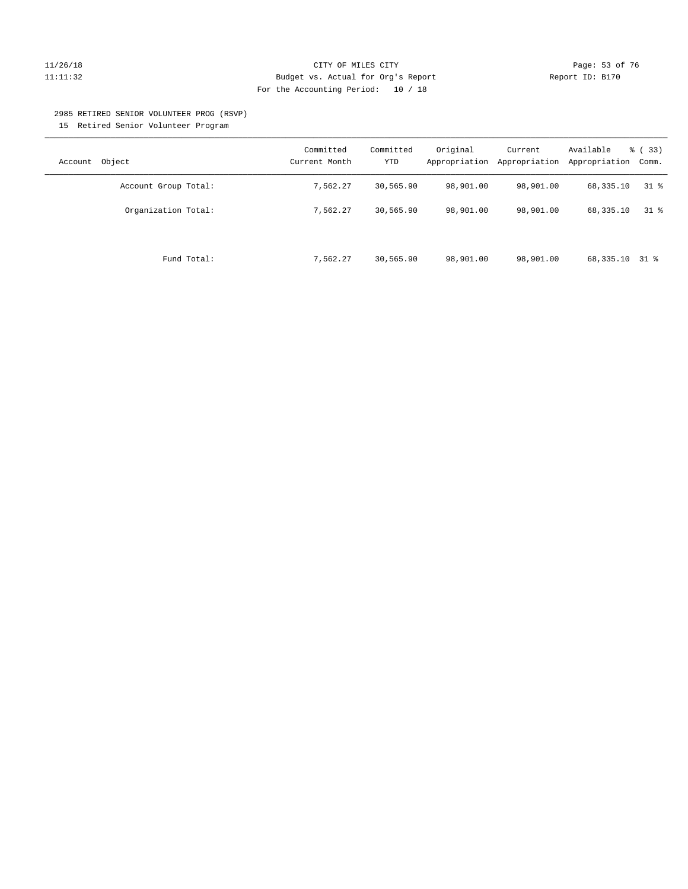#### 11/26/18 Page: 53 of 76 Page: 53 Of 76 Page: 53 Of 76 Page: 53 Of 76 Page: 53 Of 76 Page: 53 Of 76 Page: 53 Of 76 Page: 53 Of 76 Page: 53 Of 76 Page: 53 Of 76 Page: 53 Of 76 Page: 53 Of 76 Page: 53 Of 76 Page: 53 Of 76 Pag 11:11:32 Budget vs. Actual for Org's Report Report ID: B170 For the Accounting Period: 10 / 18

#### 2985 RETIRED SENIOR VOLUNTEER PROG (RSVP)

15 Retired Senior Volunteer Program

| Object<br>Account    | Committed<br>Current Month | Committed<br><b>YTD</b> | Original<br>Appropriation | Current<br>Appropriation | Available<br>Appropriation | % (33)<br>Comm. |
|----------------------|----------------------------|-------------------------|---------------------------|--------------------------|----------------------------|-----------------|
| Account Group Total: | 7,562.27                   | 30,565.90               | 98,901.00                 | 98,901.00                | 68,335.10                  | 318             |
| Organization Total:  | 7.562.27                   | 30,565.90               | 98,901.00                 | 98,901.00                | 68,335.10                  | 318             |
| Fund Total:          | 7,562.27                   | 30,565.90               | 98,901.00                 | 98,901.00                | 68,335.10                  | 31 %            |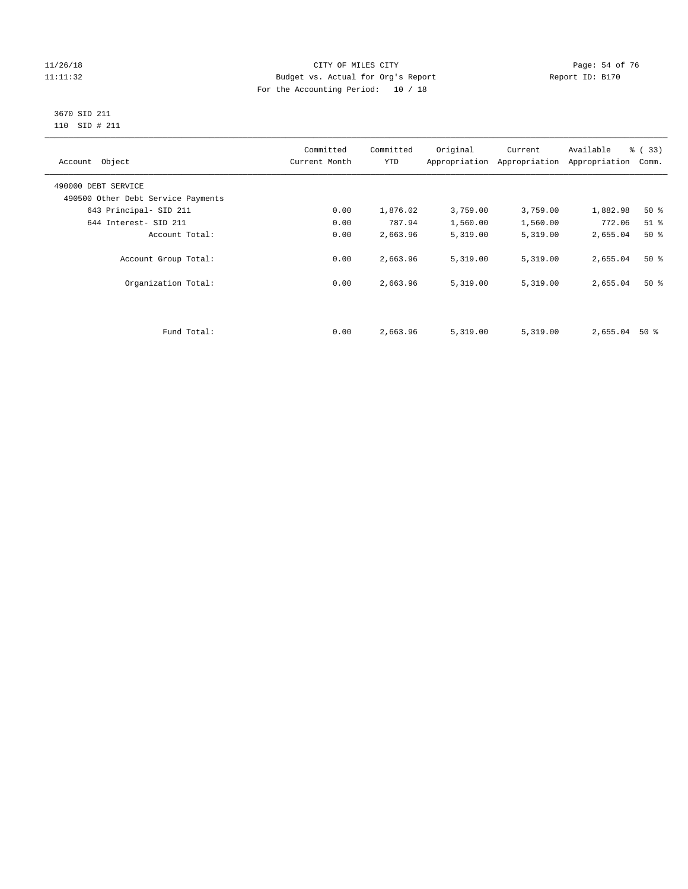#### 11/26/18 Page: 54 of 76 Page: 54 of 76 Page: 54 Of 76 Page: 54 Of 76 Page: 54 Of 76 11:11:32 Budget vs. Actual for Org's Report Report ID: B170 For the Accounting Period: 10 / 18

#### 3670 SID 211 110 SID # 211

| Account Object                     | Committed<br>Current Month | Committed<br><b>YTD</b> | Original | Current<br>Appropriation Appropriation | Available<br>Appropriation | % (33)<br>Comm. |
|------------------------------------|----------------------------|-------------------------|----------|----------------------------------------|----------------------------|-----------------|
| 490000 DEBT SERVICE                |                            |                         |          |                                        |                            |                 |
| 490500 Other Debt Service Payments |                            |                         |          |                                        |                            |                 |
| 643 Principal- SID 211             | 0.00                       | 1,876.02                | 3,759.00 | 3,759.00                               | 1,882.98                   | $50*$           |
| 644 Interest- SID 211              | 0.00                       | 787.94                  | 1,560.00 | 1,560.00                               | 772.06                     | $51$ %          |
| Account Total:                     | 0.00                       | 2,663.96                | 5,319.00 | 5,319.00                               | 2,655.04                   | $50*$           |
| Account Group Total:               | 0.00                       | 2,663.96                | 5,319.00 | 5,319.00                               | 2,655.04                   | $50*$           |
| Organization Total:                | 0.00                       | 2,663.96                | 5,319.00 | 5,319.00                               | 2,655.04                   | $50*$           |
|                                    |                            |                         |          |                                        |                            |                 |
| Fund Total:                        | 0.00                       | 2,663.96                | 5,319.00 | 5,319.00                               | 2,655.04                   | 50 %            |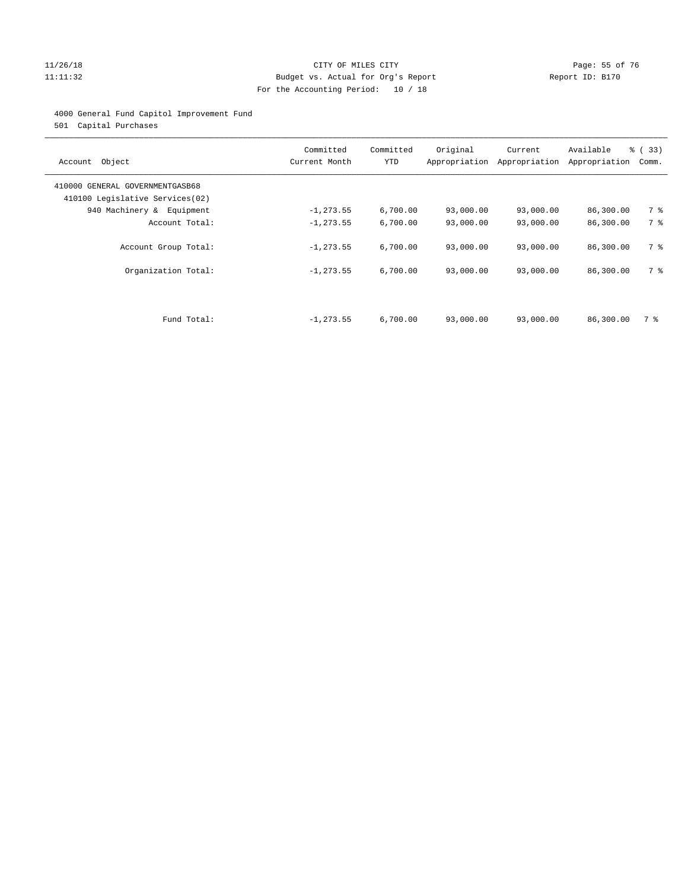#### 11/26/18 Page: 55 of 76 Page: 55 of 76 Page: 55 of 76 Page: 55 of 76 Page: 55 of 76 Page: 55 of 76 Page: 55 of 76 Page: 55 of 76 Page: 55 of 76 Page: 55 of 76 Page: 55 of 76 Page: 55 of 76 Page: 55 of 76 Page: 55 of 76 Pag 11:11:32 Budget vs. Actual for Org's Report Report ID: B170 For the Accounting Period: 10 / 18

#### 4000 General Fund Capitol Improvement Fund

501 Capital Purchases

| Object<br>Account                                                  | Committed<br>Current Month | Committed<br><b>YTD</b> | Original  | Current<br>Appropriation Appropriation | Available<br>Appropriation | % (33)<br>Comm. |
|--------------------------------------------------------------------|----------------------------|-------------------------|-----------|----------------------------------------|----------------------------|-----------------|
| 410000 GENERAL GOVERNMENTGASB68<br>410100 Legislative Services(02) |                            |                         |           |                                        |                            |                 |
| 940 Machinery &<br>Equipment                                       | $-1, 273.55$               | 6,700.00                | 93,000.00 | 93,000.00                              | 86,300.00                  | 7 %             |
| Account Total:                                                     | $-1, 273.55$               | 6,700.00                | 93,000.00 | 93,000.00                              | 86,300.00                  | 7 %             |
| Account Group Total:                                               | $-1, 273.55$               | 6,700.00                | 93,000.00 | 93,000.00                              | 86,300.00                  | 7 %             |
| Organization Total:                                                | $-1, 273.55$               | 6,700.00                | 93,000.00 | 93,000.00                              | 86,300.00                  | 7 %             |
|                                                                    |                            |                         |           |                                        |                            |                 |
| Fund Total:                                                        | $-1, 273.55$               | 6,700.00                | 93,000.00 | 93,000.00                              | 86,300.00                  | 7 %             |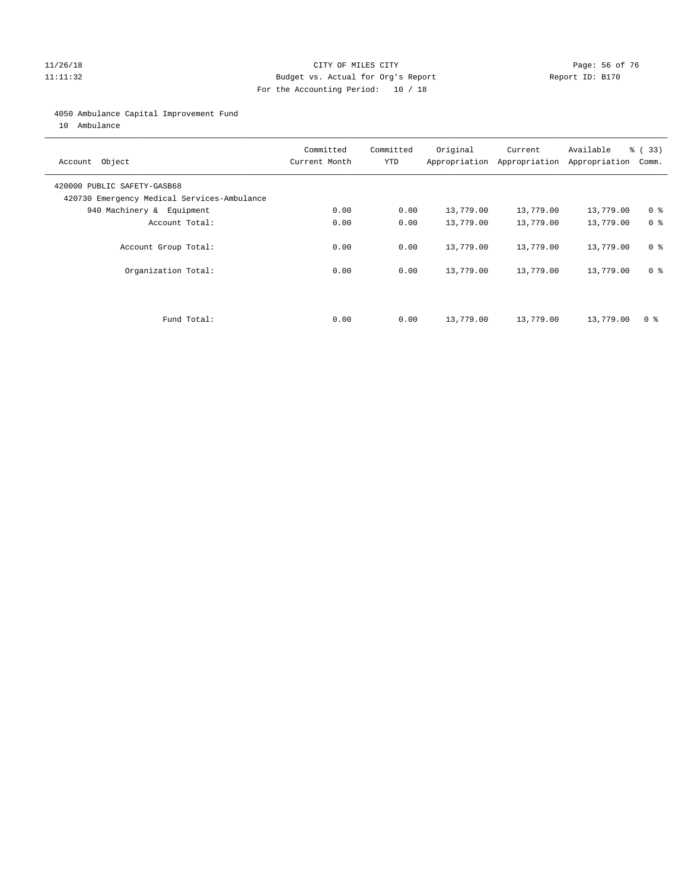#### 11/26/18 Page: 56 of 76 Page: 56 of 76 Page: 56 Of 76 Page: 56 Of 76 Page: 56 Of 76 Page: 56 Of 76 Page: 56 Of 76 Page: 56 Of 76 Page: 56 Of 76 Page: 56 Of 76 Page: 56 Of 76 Page: 56 Of 76 Page: 56 Of 76 Page: 56 Of 76 Pag 11:11:32 Budget vs. Actual for Org's Report Report ID: B170 For the Accounting Period: 10 / 18

#### 4050 Ambulance Capital Improvement Fund

10 Ambulance

| Account Object                                                             | Committed<br>Current Month | Committed<br><b>YTD</b> | Original  | Current<br>Appropriation Appropriation | Available<br>Appropriation | % (33)<br>Comm. |
|----------------------------------------------------------------------------|----------------------------|-------------------------|-----------|----------------------------------------|----------------------------|-----------------|
| 420000 PUBLIC SAFETY-GASB68<br>420730 Emergency Medical Services-Ambulance |                            |                         |           |                                        |                            |                 |
| 940 Machinery & Equipment                                                  | 0.00                       | 0.00                    | 13,779.00 | 13,779.00                              | 13,779.00                  | 0 <sup>8</sup>  |
| Account Total:                                                             | 0.00                       | 0.00                    | 13,779.00 | 13,779.00                              | 13,779.00                  | 0 <sup>8</sup>  |
| Account Group Total:                                                       | 0.00                       | 0.00                    | 13,779.00 | 13,779.00                              | 13,779.00                  | 0 <sup>8</sup>  |
| Organization Total:                                                        | 0.00                       | 0.00                    | 13,779.00 | 13,779.00                              | 13,779.00                  | 0 <sup>8</sup>  |
|                                                                            |                            |                         |           |                                        |                            |                 |
| Fund Total:                                                                | 0.00                       | 0.00                    | 13,779.00 | 13,779.00                              | 13,779.00                  | 0 %             |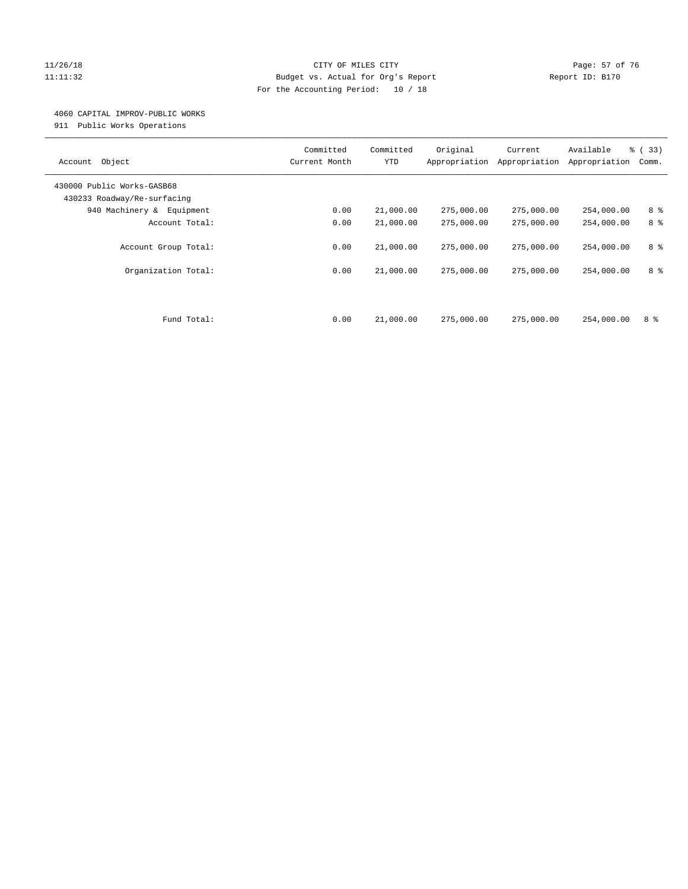#### 11/26/18 Page: 57 of 76 Page: 57 of 76 Page: 57 of 76 Page: 57 of 76 Page: 57 of 76 Page: 57 of 76 Page: 57 of 76 Page: 57 of 76 Page: 57 of 76 Page: 57 of 76 Page: 57 of 76 Page: 57 of 76 Page: 57 of 76 Page: 57 of 76 Pag 11:11:32 Budget vs. Actual for Org's Report Report ID: B170 For the Accounting Period: 10 / 18

#### 4060 CAPITAL IMPROV-PUBLIC WORKS

911 Public Works Operations

| Object<br>Account                                         | Committed<br>Current Month | Committed<br><b>YTD</b> | Original<br>Appropriation | Current<br>Appropriation | Available<br>Appropriation | % (33)<br>Comm. |
|-----------------------------------------------------------|----------------------------|-------------------------|---------------------------|--------------------------|----------------------------|-----------------|
| 430000 Public Works-GASB68<br>430233 Roadway/Re-surfacing |                            |                         |                           |                          |                            |                 |
| 940 Machinery & Equipment                                 | 0.00                       | 21,000.00               | 275,000.00                | 275,000.00               | 254,000.00                 | 8 %             |
| Account Total:                                            | 0.00                       | 21,000.00               | 275,000.00                | 275,000.00               | 254,000.00                 | 8 %             |
| Account Group Total:                                      | 0.00                       | 21,000.00               | 275,000.00                | 275,000.00               | 254,000.00                 | 8 %             |
| Organization Total:                                       | 0.00                       | 21,000.00               | 275,000.00                | 275,000.00               | 254,000.00                 | 8 %             |
| Fund Total:                                               | 0.00                       | 21,000.00               | 275,000.00                | 275,000.00               | 254,000.00                 | 8 %             |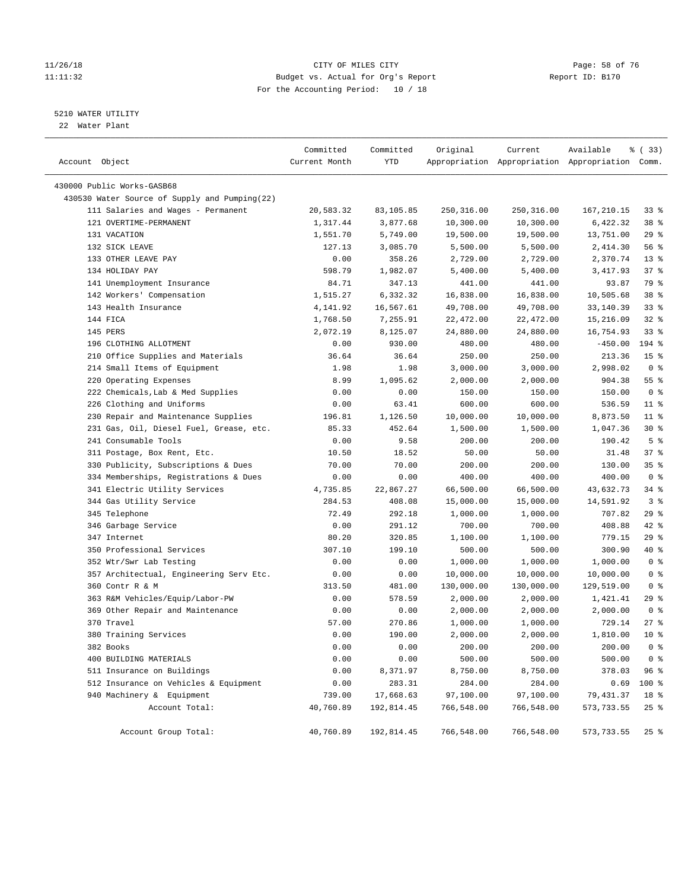#### 11/26/18 Page: 58 of 76 Page: 58 Of 76 Page: 58 Of 76 Page: 58 Of 76 Page: 58 Of 76 Page: 58 Of 76 Page: 58 Of 76 Page: 58 Of 76 Page: 58 Of 76 Page: 58 Of 76 Page: 58 Of 76 Page: 58 Of 76 Page: 58 Of 76 Page: 58 Of 76 Pag 11:11:32 Budget vs. Actual for Org's Report Report ID: B170 For the Accounting Period: 10 / 18

#### 5210 WATER UTILITY

22 Water Plant

| Account Object                                | Committed<br>Current Month | Committed<br>YTD | Original   | Current    | Available<br>Appropriation Appropriation Appropriation Comm. | % (33)          |
|-----------------------------------------------|----------------------------|------------------|------------|------------|--------------------------------------------------------------|-----------------|
| 430000 Public Works-GASB68                    |                            |                  |            |            |                                                              |                 |
| 430530 Water Source of Supply and Pumping(22) |                            |                  |            |            |                                                              |                 |
| 111 Salaries and Wages - Permanent            | 20,583.32                  | 83,105.85        | 250,316.00 | 250,316.00 | 167, 210.15                                                  | $33$ $%$        |
| 121 OVERTIME-PERMANENT                        | 1,317.44                   | 3,877.68         | 10,300.00  | 10,300.00  | 6,422.32                                                     | 38 %            |
| 131 VACATION                                  | 1,551.70                   | 5,749.00         | 19,500.00  | 19,500.00  | 13,751.00                                                    | 29%             |
| 132 SICK LEAVE                                | 127.13                     | 3,085.70         | 5,500.00   | 5,500.00   | 2,414.30                                                     | 56%             |
| 133 OTHER LEAVE PAY                           | 0.00                       | 358.26           | 2,729.00   | 2,729.00   | 2,370.74                                                     | $13*$           |
| 134 HOLIDAY PAY                               | 598.79                     | 1,982.07         | 5,400.00   | 5,400.00   | 3,417.93                                                     | 37%             |
| 141 Unemployment Insurance                    | 84.71                      | 347.13           | 441.00     | 441.00     | 93.87                                                        | 79 %            |
| 142 Workers' Compensation                     | 1,515.27                   | 6,332.32         | 16,838.00  | 16,838.00  | 10,505.68                                                    | 38 %            |
| 143 Health Insurance                          | 4,141.92                   | 16,567.61        | 49,708.00  | 49,708.00  | 33,140.39                                                    | $33$ $%$        |
| 144 FICA                                      | 1,768.50                   | 7,255.91         | 22,472.00  | 22,472.00  | 15,216.09                                                    | $32$ $%$        |
| 145 PERS                                      | 2,072.19                   | 8,125.07         | 24,880.00  | 24,880.00  | 16,754.93                                                    | 33%             |
| 196 CLOTHING ALLOTMENT                        | 0.00                       | 930.00           | 480.00     | 480.00     | $-450.00$                                                    | 194 %           |
| 210 Office Supplies and Materials             | 36.64                      | 36.64            | 250.00     | 250.00     | 213.36                                                       | 15 <sup>°</sup> |
| 214 Small Items of Equipment                  | 1.98                       | 1.98             | 3,000.00   | 3,000.00   | 2,998.02                                                     | 0 <sup>8</sup>  |
| 220 Operating Expenses                        | 8.99                       | 1,095.62         | 2,000.00   | 2,000.00   | 904.38                                                       | 55 %            |
| 222 Chemicals, Lab & Med Supplies             | 0.00                       | 0.00             | 150.00     | 150.00     | 150.00                                                       | 0 <sup>8</sup>  |
| 226 Clothing and Uniforms                     | 0.00                       | 63.41            | 600.00     | 600.00     | 536.59                                                       | $11*$           |
| 230 Repair and Maintenance Supplies           | 196.81                     | 1,126.50         | 10,000.00  | 10,000.00  | 8,873.50                                                     | $11$ %          |
| 231 Gas, Oil, Diesel Fuel, Grease, etc.       | 85.33                      | 452.64           | 1,500.00   | 1,500.00   | 1,047.36                                                     | $30*$           |
| 241 Consumable Tools                          | 0.00                       | 9.58             | 200.00     | 200.00     | 190.42                                                       | 5 <sup>°</sup>  |
| 311 Postage, Box Rent, Etc.                   | 10.50                      | 18.52            | 50.00      | 50.00      | 31.48                                                        | 37%             |
| 330 Publicity, Subscriptions & Dues           | 70.00                      | 70.00            | 200.00     | 200.00     | 130.00                                                       | 35%             |
| 334 Memberships, Registrations & Dues         | 0.00                       | 0.00             | 400.00     | 400.00     | 400.00                                                       | 0 <sup>8</sup>  |
| 341 Electric Utility Services                 | 4,735.85                   | 22,867.27        | 66,500.00  | 66,500.00  | 43,632.73                                                    | $34$ $%$        |
| 344 Gas Utility Service                       | 284.53                     | 408.08           | 15,000.00  | 15,000.00  | 14,591.92                                                    | 3 <sup>8</sup>  |
| 345 Telephone                                 | 72.49                      | 292.18           | 1,000.00   | 1,000.00   | 707.82                                                       | 29%             |
| 346 Garbage Service                           | 0.00                       | 291.12           | 700.00     | 700.00     | 408.88                                                       | 42 %            |
| 347 Internet                                  | 80.20                      | 320.85           | 1,100.00   | 1,100.00   | 779.15                                                       | 29%             |
| 350 Professional Services                     | 307.10                     | 199.10           | 500.00     | 500.00     | 300.90                                                       | 40 %            |
| 352 Wtr/Swr Lab Testing                       | 0.00                       | 0.00             | 1,000.00   | 1,000.00   | 1,000.00                                                     | 0 <sup>8</sup>  |
| 357 Architectual, Engineering Serv Etc.       | 0.00                       | 0.00             | 10,000.00  | 10,000.00  | 10,000.00                                                    | 0 <sup>8</sup>  |
| 360 Contr R & M                               | 313.50                     | 481.00           | 130,000.00 | 130,000.00 | 129,519.00                                                   | 0 <sup>8</sup>  |
| 363 R&M Vehicles/Equip/Labor-PW               | 0.00                       | 578.59           | 2,000.00   | 2,000.00   | 1,421.41                                                     | 29%             |
| 369 Other Repair and Maintenance              | 0.00                       | 0.00             | 2,000.00   | 2,000.00   | 2,000.00                                                     | 0 <sup>8</sup>  |
| 370 Travel                                    | 57.00                      | 270.86           | 1,000.00   | 1,000.00   | 729.14                                                       | 27%             |
| 380 Training Services                         | 0.00                       | 190.00           | 2,000.00   | 2,000.00   | 1,810.00                                                     | $10*$           |
| 382 Books                                     | 0.00                       | 0.00             | 200.00     | 200.00     | 200.00                                                       | 0 <sup>8</sup>  |
| 400 BUILDING MATERIALS                        | 0.00                       | 0.00             | 500.00     | 500.00     | 500.00                                                       | 0 <sup>8</sup>  |
| 511 Insurance on Buildings                    | 0.00                       | 8,371.97         | 8,750.00   | 8,750.00   | 378.03                                                       | 96 %            |
| 512 Insurance on Vehicles & Equipment         | 0.00                       | 283.31           | 284.00     | 284.00     | 0.69                                                         | 100 %           |
| 940 Machinery & Equipment                     | 739.00                     | 17,668.63        | 97,100.00  | 97,100.00  | 79,431.37                                                    | 18 %            |
| Account Total:                                | 40,760.89                  | 192,814.45       | 766,548.00 | 766,548.00 | 573,733.55                                                   | $25$ %          |
|                                               |                            |                  |            |            |                                                              |                 |
| Account Group Total:                          | 40,760.89                  | 192,814.45       | 766,548.00 | 766,548.00 | 573,733.55                                                   | $25$ %          |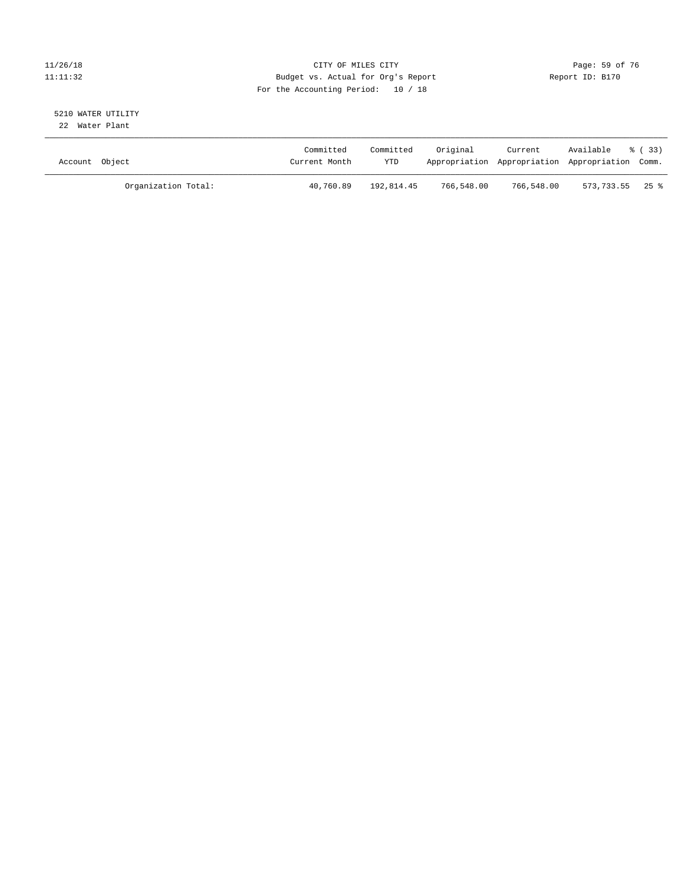#### 11/26/18 Page: 59 of 76 Page: 59 of 76 Page: 59 Of 76 Page: 59 Of 76 Page: 59 Of 76 Page: 59 Of 76 Page: 59 Of 76 11:11:32 Budget vs. Actual for Org's Report Report ID: B170 For the Accounting Period: 10 / 18

#### 5210 WATER UTILITY 22 Water Plant

| Account Object |                     | Committed<br>Current Month | Committed<br><b>YTD</b> | Original   | Current    | Available<br>Appropriation Appropriation Appropriation Comm. | 8 ( 33 ) |
|----------------|---------------------|----------------------------|-------------------------|------------|------------|--------------------------------------------------------------|----------|
|                | Organization Total: | 40,760.89                  | 192,814.45              | 766,548.00 | 766,548.00 | $573.733.55$ 25 %                                            |          |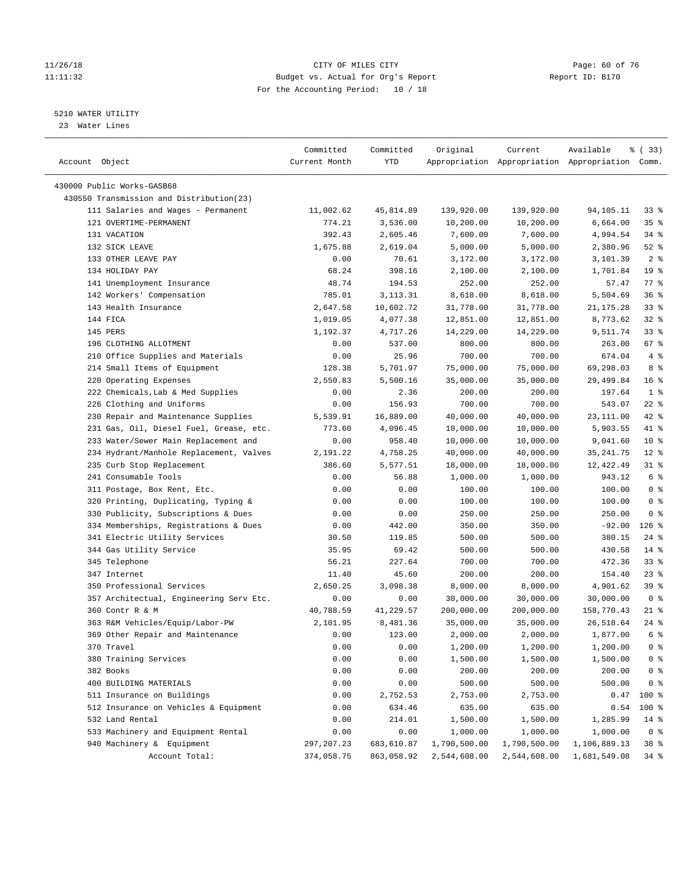#### 11/26/18 Page: 60 of 76 Page: 60 of 76 Page: 60 of 76 Page: 60 of 76 Page: 60 of 76 Page: 60 of 76 Page: 60 of 76 11:11:32 Budget vs. Actual for Org's Report Report ID: B170 For the Accounting Period: 10 / 18

————————————————————————————————————————————————————————————————————————————————————————————————————————————————————————————————————

#### 5210 WATER UTILITY

23 Water Lines

|                                          | Committed     | Committed  | Original     | Current      | Available                                       | % ( 33)         |  |
|------------------------------------------|---------------|------------|--------------|--------------|-------------------------------------------------|-----------------|--|
| Account Object                           | Current Month | YTD        |              |              | Appropriation Appropriation Appropriation Comm. |                 |  |
|                                          |               |            |              |              |                                                 |                 |  |
| 430000 Public Works-GASB68               |               |            |              |              |                                                 |                 |  |
| 430550 Transmission and Distribution(23) |               |            |              |              |                                                 |                 |  |
| 111 Salaries and Wages - Permanent       | 11,002.62     | 45,814.89  | 139,920.00   | 139,920.00   | 94,105.11                                       | 33 å            |  |
| 121 OVERTIME-PERMANENT                   | 774.21        | 3,536.00   | 10,200.00    | 10,200.00    | 6,664.00                                        | 35%             |  |
| 131 VACATION                             | 392.43        | 2,605.46   | 7,600.00     | 7,600.00     | 4,994.54                                        | 34 %            |  |
| 132 SICK LEAVE                           | 1,675.88      | 2,619.04   | 5,000.00     | 5,000.00     | 2,380.96                                        | $52$ $%$        |  |
| 133 OTHER LEAVE PAY                      | 0.00          | 70.61      | 3,172.00     | 3,172.00     | 3,101.39                                        | 2 <sup>8</sup>  |  |
| 134 HOLIDAY PAY                          | 68.24         | 398.16     | 2,100.00     | 2,100.00     | 1,701.84                                        | 19 <sup>°</sup> |  |
| 141 Unemployment Insurance               | 48.74         | 194.53     | 252.00       | 252.00       | 57.47                                           | 77 %            |  |
| 142 Workers' Compensation                | 785.01        | 3, 113. 31 | 8,618.00     | 8,618.00     | 5,504.69                                        | 36%             |  |
| 143 Health Insurance                     | 2,647.58      | 10,602.72  | 31,778.00    | 31,778.00    | 21, 175. 28                                     | $33$ $%$        |  |
| 144 FICA                                 | 1,019.05      | 4,077.38   | 12,851.00    | 12,851.00    | 8,773.62                                        | $32$ $%$        |  |
| 145 PERS                                 | 1,192.37      | 4,717.26   | 14,229.00    | 14,229.00    | 9,511.74                                        | 33%             |  |
| 196 CLOTHING ALLOTMENT                   | 0.00          | 537.00     | 800.00       | 800.00       | 263.00                                          | 67 %            |  |
| 210 Office Supplies and Materials        | 0.00          | 25.96      | 700.00       | 700.00       | 674.04                                          | 4%              |  |
| 214 Small Items of Equipment             | 128.38        | 5,701.97   | 75,000.00    | 75,000.00    | 69,298.03                                       | 8 %             |  |
| 220 Operating Expenses                   | 2,550.83      | 5,500.16   | 35,000.00    | 35,000.00    | 29,499.84                                       | 16 <sup>°</sup> |  |
| 222 Chemicals, Lab & Med Supplies        | 0.00          | 2.36       | 200.00       | 200.00       | 197.64                                          | 1 <sup>8</sup>  |  |
| 226 Clothing and Uniforms                | 0.00          | 156.93     | 700.00       | 700.00       | 543.07                                          | $22$ %          |  |
| 230 Repair and Maintenance Supplies      | 5,539.91      | 16,889.00  | 40,000.00    | 40,000.00    | 23,111.00                                       | 42 %            |  |
| 231 Gas, Oil, Diesel Fuel, Grease, etc.  | 773.60        | 4,096.45   | 10,000.00    | 10,000.00    | 5,903.55                                        | 41 %            |  |
| 233 Water/Sewer Main Replacement and     | 0.00          | 958.40     | 10,000.00    | 10,000.00    | 9,041.60                                        | $10*$           |  |
| 234 Hydrant/Manhole Replacement, Valves  | 2,191.22      | 4,758.25   | 40,000.00    | 40,000.00    | 35, 241.75                                      | $12$ %          |  |
| 235 Curb Stop Replacement                | 386.60        | 5,577.51   | 18,000.00    | 18,000.00    | 12,422.49                                       | $31$ %          |  |
| 241 Consumable Tools                     | 0.00          | 56.88      | 1,000.00     | 1,000.00     | 943.12                                          | 6 <sup>8</sup>  |  |
| 311 Postage, Box Rent, Etc.              | 0.00          | 0.00       | 100.00       | 100.00       | 100.00                                          | 0 <sup>8</sup>  |  |
| 320 Printing, Duplicating, Typing &      | 0.00          | 0.00       | 100.00       | 100.00       | 100.00                                          | 0 <sup>8</sup>  |  |
| 330 Publicity, Subscriptions & Dues      | 0.00          | 0.00       | 250.00       | 250.00       | 250.00                                          | 0 <sup>8</sup>  |  |
| 334 Memberships, Registrations & Dues    | 0.00          | 442.00     | 350.00       | 350.00       | $-92.00$                                        | $126$ %         |  |
| 341 Electric Utility Services            | 30.50         | 119.85     | 500.00       | 500.00       | 380.15                                          | $24$ %          |  |
| 344 Gas Utility Service                  | 35.95         | 69.42      | 500.00       | 500.00       | 430.58                                          | $14*$           |  |
| 345 Telephone                            | 56.21         | 227.64     | 700.00       | 700.00       | 472.36                                          | 33%             |  |
| 347 Internet                             | 11.40         | 45.60      | 200.00       | 200.00       | 154.40                                          | $23$ %          |  |
| 350 Professional Services                | 2,650.25      | 3,098.38   | 8,000.00     | 8,000.00     | 4,901.62                                        | 39%             |  |
| 357 Architectual, Engineering Serv Etc.  | 0.00          | 0.00       | 30,000.00    | 30,000.00    | 30,000.00                                       | 0 <sup>8</sup>  |  |
| 360 Contr R & M                          | 40,788.59     | 41,229.57  | 200,000.00   | 200,000.00   | 158,770.43                                      | $21$ %          |  |
| 363 R&M Vehicles/Equip/Labor-PW          | 2,101.95      | 8,481.36   | 35,000.00    | 35,000.00    | 26,518.64                                       | $24$ %          |  |
| 369 Other Repair and Maintenance         | 0.00          | 123.00     | 2,000.00     | 2,000.00     | 1,877.00                                        | $6\degree$      |  |
| 370 Travel                               | 0.00          | 0.00       | 1,200.00     | 1,200.00     | 1,200.00                                        | 0 <sup>8</sup>  |  |
| 380 Training Services                    | 0.00          | 0.00       | 1,500.00     | 1,500.00     | 1,500.00                                        | 0 <sup>8</sup>  |  |
| 382 Books                                | 0.00          | 0.00       | 200.00       | 200.00       | 200.00                                          | 0 <sup>8</sup>  |  |
| 400 BUILDING MATERIALS                   | 0.00          | 0.00       | 500.00       | 500.00       | 500.00                                          | 0 <sup>8</sup>  |  |
| 511 Insurance on Buildings               | 0.00          | 2,752.53   | 2,753.00     | 2,753.00     | 0.47                                            | 100 %           |  |
| 512 Insurance on Vehicles & Equipment    | 0.00          | 634.46     | 635.00       | 635.00       | 0.54                                            | 100 %           |  |
| 532 Land Rental                          | 0.00          | 214.01     | 1,500.00     | 1,500.00     | 1,285.99                                        | $14*$           |  |
| 533 Machinery and Equipment Rental       | 0.00          | 0.00       | 1,000.00     | 1,000.00     | 1,000.00                                        | 0 <sup>8</sup>  |  |
| 940 Machinery & Equipment                | 297, 207. 23  | 683,610.87 | 1,790,500.00 | 1,790,500.00 | 1,106,889.13                                    | 38 %            |  |
| Account Total:                           | 374,058.75    | 863,058.92 | 2,544,608.00 | 2,544,608.00 | 1,681,549.08                                    | $34$ $%$        |  |
|                                          |               |            |              |              |                                                 |                 |  |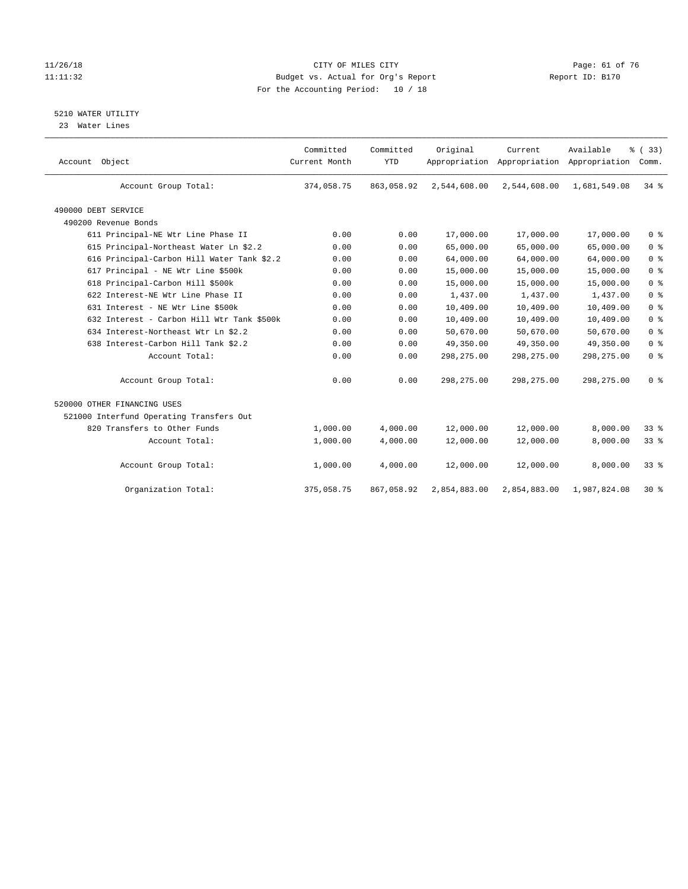#### 11/26/18 Page: 61 of 76 Page: 61 of 76 Page: 61 of 76 Page: 61 of 76 Page: 61 of 76 11:11:32 Budget vs. Actual for Org's Report Report ID: B170 For the Accounting Period: 10 / 18

#### 5210 WATER UTILITY

23 Water Lines

| Account Object                             | Committed<br>Current Month | Committed<br><b>YTD</b> | Original     | Current<br>Appropriation Appropriation Appropriation | Available    | % (33)<br>Comm. |
|--------------------------------------------|----------------------------|-------------------------|--------------|------------------------------------------------------|--------------|-----------------|
| Account Group Total:                       | 374,058.75                 | 863,058.92              | 2,544,608.00 | 2,544,608.00                                         | 1,681,549.08 | 34.8            |
| 490000 DEBT SERVICE                        |                            |                         |              |                                                      |              |                 |
| 490200 Revenue Bonds                       |                            |                         |              |                                                      |              |                 |
| 611 Principal-NE Wtr Line Phase II         | 0.00                       | 0.00                    | 17,000.00    | 17,000.00                                            | 17,000.00    | 0 <sup>8</sup>  |
| 615 Principal-Northeast Water Ln \$2.2     | 0.00                       | 0.00                    | 65,000.00    | 65,000.00                                            | 65,000.00    | 0 <sup>8</sup>  |
| 616 Principal-Carbon Hill Water Tank \$2.2 | 0.00                       | 0.00                    | 64,000.00    | 64,000.00                                            | 64,000.00    | 0 <sup>8</sup>  |
| 617 Principal - NE Wtr Line \$500k         | 0.00                       | 0.00                    | 15,000.00    | 15,000.00                                            | 15,000.00    | 0 <sup>8</sup>  |
| 618 Principal-Carbon Hill \$500k           | 0.00                       | 0.00                    | 15,000.00    | 15,000.00                                            | 15,000.00    | 0 <sup>8</sup>  |
| 622 Interest-NE Wtr Line Phase II          | 0.00                       | 0.00                    | 1,437.00     | 1,437.00                                             | 1,437.00     | 0 <sup>8</sup>  |
| 631 Interest - NE Wtr Line \$500k          | 0.00                       | 0.00                    | 10,409.00    | 10,409.00                                            | 10,409.00    | 0 <sup>8</sup>  |
| 632 Interest - Carbon Hill Wtr Tank \$500k | 0.00                       | 0.00                    | 10,409.00    | 10,409.00                                            | 10,409.00    | 0 <sup>8</sup>  |
| 634 Interest-Northeast Wtr Ln \$2.2        | 0.00                       | 0.00                    | 50,670.00    | 50,670.00                                            | 50,670.00    | 0 <sup>8</sup>  |
| 638 Interest-Carbon Hill Tank \$2.2        | 0.00                       | 0.00                    | 49,350.00    | 49,350.00                                            | 49,350.00    | 0 <sup>8</sup>  |
| Account Total:                             | 0.00                       | 0.00                    | 298, 275.00  | 298,275.00                                           | 298,275.00   | 0 <sup>8</sup>  |
| Account Group Total:                       | 0.00                       | 0.00                    | 298,275.00   | 298, 275.00                                          | 298, 275.00  | 0 <sup>8</sup>  |
| 520000 OTHER FINANCING USES                |                            |                         |              |                                                      |              |                 |
| 521000 Interfund Operating Transfers Out   |                            |                         |              |                                                      |              |                 |
| 820 Transfers to Other Funds               | 1,000.00                   | 4,000.00                | 12,000.00    | 12,000.00                                            | 8,000.00     | $33*$           |
| Account Total:                             | 1,000.00                   | 4,000.00                | 12,000.00    | 12,000.00                                            | 8,000.00     | 33%             |
| Account Group Total:                       | 1,000.00                   | 4,000.00                | 12,000.00    | 12,000.00                                            | 8,000.00     | 33 <sup>8</sup> |
| Organization Total:                        | 375,058.75                 | 867,058.92              | 2,854,883.00 | 2,854,883.00                                         | 1,987,824.08 | $30*$           |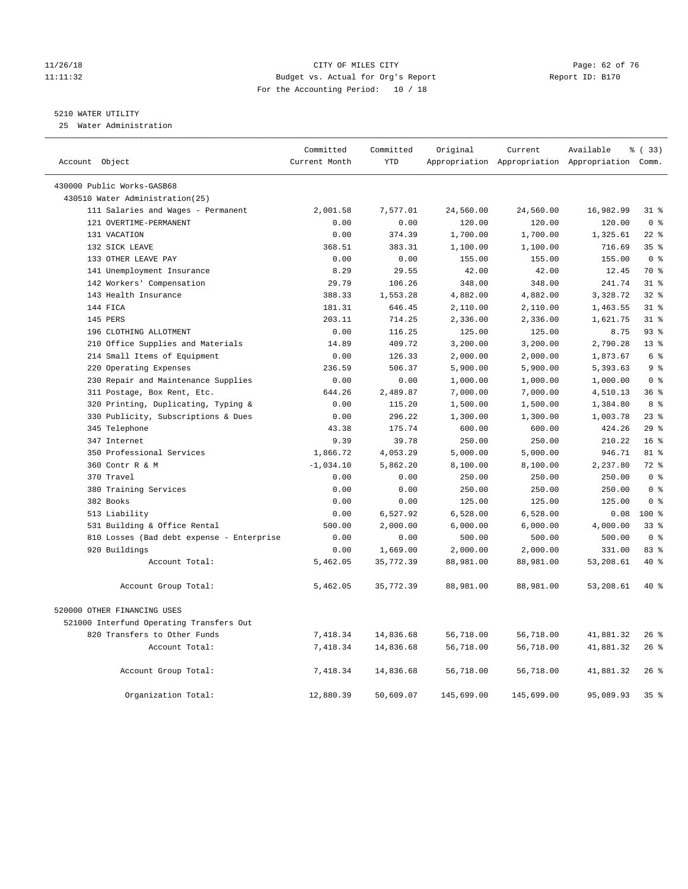#### 11/26/18 Page: 62 of 76 Page: 62 of 76 Page: 62 of 76 Page: 62 of 76 Page: 62 of 76 11:11:32 Budget vs. Actual for Org's Report Report ID: B170 For the Accounting Period: 10 / 18

#### 5210 WATER UTILITY

25 Water Administration

| Account Object                            | Committed<br>Current Month | Committed<br><b>YTD</b> | Original   | Current    | Available<br>Appropriation Appropriation Appropriation Comm. | % (33)                  |
|-------------------------------------------|----------------------------|-------------------------|------------|------------|--------------------------------------------------------------|-------------------------|
| 430000 Public Works-GASB68                |                            |                         |            |            |                                                              |                         |
| 430510 Water Administration(25)           |                            |                         |            |            |                                                              |                         |
| 111 Salaries and Wages - Permanent        | 2,001.58                   | 7,577.01                | 24,560.00  | 24,560.00  | 16,982.99                                                    | $31$ %                  |
| 121 OVERTIME-PERMANENT                    | 0.00                       | 0.00                    | 120.00     | 120.00     | 120.00                                                       | 0 <sup>8</sup>          |
| 131 VACATION                              | 0.00                       | 374.39                  | 1,700.00   | 1,700.00   | 1,325.61                                                     | $22$ %                  |
| 132 SICK LEAVE                            | 368.51                     | 383.31                  | 1,100.00   | 1,100.00   | 716.69                                                       | 35%                     |
| 133 OTHER LEAVE PAY                       | 0.00                       | 0.00                    | 155.00     | 155.00     | 155.00                                                       | $0 \text{ }$ $\text{ }$ |
| 141 Unemployment Insurance                | 8.29                       | 29.55                   | 42.00      | 42.00      | 12.45                                                        | 70 %                    |
| 142 Workers' Compensation                 | 29.79                      | 106.26                  | 348.00     | 348.00     | 241.74                                                       | 318                     |
| 143 Health Insurance                      | 388.33                     | 1,553.28                | 4,882.00   | 4,882.00   | 3,328.72                                                     | 32%                     |
| 144 FICA                                  | 181.31                     | 646.45                  | 2,110.00   | 2,110.00   | 1,463.55                                                     | $31$ %                  |
| 145 PERS                                  | 203.11                     | 714.25                  | 2,336.00   | 2,336.00   | 1,621.75                                                     | 31.8                    |
| 196 CLOTHING ALLOTMENT                    | 0.00                       | 116.25                  | 125.00     | 125.00     | 8.75                                                         | 93%                     |
| 210 Office Supplies and Materials         | 14.89                      | 409.72                  | 3,200.00   | 3,200.00   | 2,790.28                                                     | 13 <sup>8</sup>         |
| 214 Small Items of Equipment              | 0.00                       | 126.33                  | 2,000.00   | 2,000.00   | 1,873.67                                                     | 6 <sup>°</sup>          |
| 220 Operating Expenses                    | 236.59                     | 506.37                  | 5,900.00   | 5,900.00   | 5,393.63                                                     | 9 <sup>8</sup>          |
| 230 Repair and Maintenance Supplies       | 0.00                       | 0.00                    | 1,000.00   | 1,000.00   | 1,000.00                                                     | 0 <sup>8</sup>          |
| 311 Postage, Box Rent, Etc.               | 644.26                     | 2,489.87                | 7,000.00   | 7,000.00   | 4,510.13                                                     | 36%                     |
| 320 Printing, Duplicating, Typing &       | 0.00                       | 115.20                  | 1,500.00   | 1,500.00   | 1,384.80                                                     | 8 %                     |
| 330 Publicity, Subscriptions & Dues       | 0.00                       | 296.22                  | 1,300.00   | 1,300.00   | 1,003.78                                                     | 23%                     |
| 345 Telephone                             | 43.38                      | 175.74                  | 600.00     | 600.00     | 424.26                                                       | 29%                     |
| 347 Internet                              | 9.39                       | 39.78                   | 250.00     | 250.00     | 210.22                                                       | 16 <sup>°</sup>         |
| 350 Professional Services                 | 1,866.72                   | 4,053.29                | 5,000.00   | 5,000.00   | 946.71                                                       | 81 %                    |
| 360 Contr R & M                           | $-1,034.10$                | 5,862.20                | 8,100.00   | 8,100.00   | 2,237.80                                                     | $72$ $%$                |
| 370 Travel                                | 0.00                       | 0.00                    | 250.00     | 250.00     | 250.00                                                       | 0 <sup>8</sup>          |
| 380 Training Services                     | 0.00                       | 0.00                    | 250.00     | 250.00     | 250.00                                                       | 0 <sup>8</sup>          |
| 382 Books                                 | 0.00                       | 0.00                    | 125.00     | 125.00     | 125.00                                                       | 0 <sup>8</sup>          |
| 513 Liability                             | 0.00                       | 6,527.92                | 6,528.00   | 6,528.00   | 0.08                                                         | $100*$                  |
| 531 Building & Office Rental              | 500.00                     | 2,000.00                | 6,000.00   | 6,000.00   | 4,000.00                                                     | 33%                     |
| 810 Losses (Bad debt expense - Enterprise | 0.00                       | 0.00                    | 500.00     | 500.00     | 500.00                                                       | 0 <sup>8</sup>          |
| 920 Buildings                             | 0.00                       | 1,669.00                | 2,000.00   | 2,000.00   | 331.00                                                       | 83 %                    |
| Account Total:                            | 5,462.05                   | 35,772.39               | 88,981.00  | 88,981.00  | 53,208.61                                                    | $40*$                   |
| Account Group Total:                      | 5,462.05                   | 35,772.39               | 88,981.00  | 88,981.00  | 53,208.61                                                    | 40 %                    |
| 520000 OTHER FINANCING USES               |                            |                         |            |            |                                                              |                         |
| 521000 Interfund Operating Transfers Out  |                            |                         |            |            |                                                              |                         |
| 820 Transfers to Other Funds              | 7,418.34                   | 14,836.68               | 56,718.00  | 56,718.00  | 41,881.32                                                    | $26$ %                  |
| Account Total:                            | 7,418.34                   | 14,836.68               | 56,718.00  | 56,718.00  | 41,881.32                                                    | 26%                     |
| Account Group Total:                      | 7,418.34                   | 14,836.68               | 56,718.00  | 56,718.00  | 41,881.32                                                    | $26$ %                  |
| Organization Total:                       | 12,880.39                  | 50,609.07               | 145,699.00 | 145,699.00 | 95,089.93                                                    | 35%                     |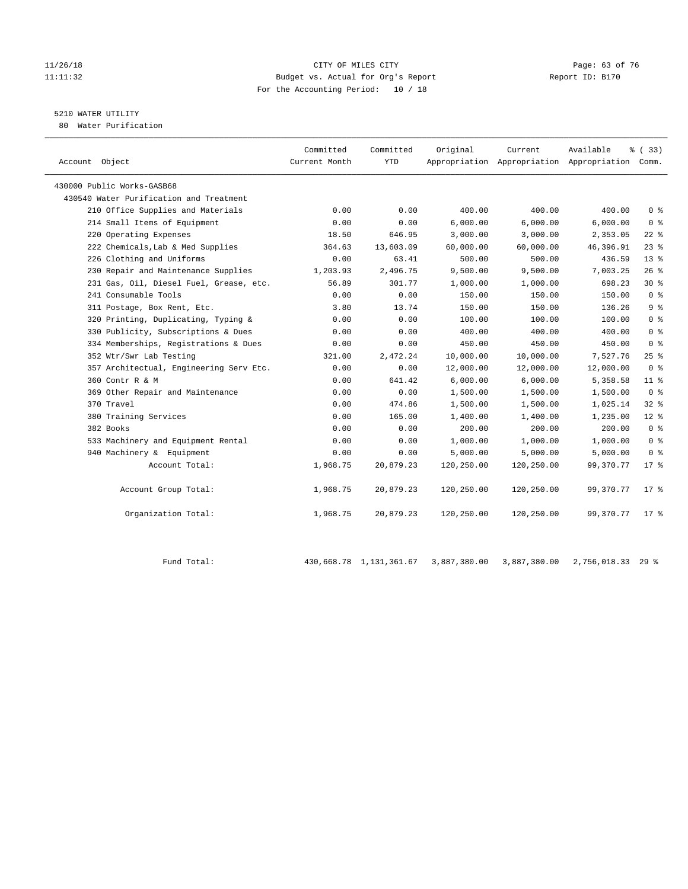#### 11/26/18 Page: 63 of 76 Page: 63 of 76 Page: 63 Of 76 Page: 63 Of 76 Page: 63 Of 76 11:11:32 Budget vs. Actual for Org's Report Report ID: B170 For the Accounting Period: 10 / 18

## 5210 WATER UTILITY

80 Water Purification

|                                         | Committed     | Committed  | Original   | Current    | Available                                       | 8 (33)          |
|-----------------------------------------|---------------|------------|------------|------------|-------------------------------------------------|-----------------|
| Account Object                          | Current Month | <b>YTD</b> |            |            | Appropriation Appropriation Appropriation Comm. |                 |
| 430000 Public Works-GASB68              |               |            |            |            |                                                 |                 |
| 430540 Water Purification and Treatment |               |            |            |            |                                                 |                 |
| 210 Office Supplies and Materials       | 0.00          | 0.00       | 400.00     | 400.00     | 400.00                                          | 0 <sup>8</sup>  |
| 214 Small Items of Equipment            | 0.00          | 0.00       | 6.000.00   | 6.000.00   | 6.000.00                                        | 0 <sup>8</sup>  |
| 220 Operating Expenses                  | 18.50         | 646.95     | 3,000.00   | 3,000.00   | 2,353.05                                        | $22$ %          |
| 222 Chemicals, Lab & Med Supplies       | 364.63        | 13,603.09  | 60,000.00  | 60,000.00  | 46,396.91                                       | $23$ %          |
| 226 Clothing and Uniforms               | 0.00          | 63.41      | 500.00     | 500.00     | 436.59                                          | 13 <sup>8</sup> |
| 230 Repair and Maintenance Supplies     | 1,203.93      | 2,496.75   | 9,500.00   | 9,500.00   | 7,003.25                                        | 26%             |
| 231 Gas, Oil, Diesel Fuel, Grease, etc. | 56.89         | 301.77     | 1,000.00   | 1,000.00   | 698.23                                          | $30*$           |
| 241 Consumable Tools                    | 0.00          | 0.00       | 150.00     | 150.00     | 150.00                                          | 0 <sup>8</sup>  |
| 311 Postage, Box Rent, Etc.             | 3.80          | 13.74      | 150.00     | 150.00     | 136.26                                          | 9 <sup>°</sup>  |
| 320 Printing, Duplicating, Typing &     | 0.00          | 0.00       | 100.00     | 100.00     | 100.00                                          | 0 <sup>8</sup>  |
| 330 Publicity, Subscriptions & Dues     | 0.00          | 0.00       | 400.00     | 400.00     | 400.00                                          | 0 <sup>8</sup>  |
| 334 Memberships, Registrations & Dues   | 0.00          | 0.00       | 450.00     | 450.00     | 450.00                                          | 0 <sup>8</sup>  |
| 352 Wtr/Swr Lab Testing                 | 321.00        | 2,472.24   | 10,000.00  | 10,000.00  | 7,527.76                                        | 25%             |
| 357 Architectual, Engineering Serv Etc. | 0.00          | 0.00       | 12,000.00  | 12,000.00  | 12,000.00                                       | 0 <sup>8</sup>  |
| 360 Contr R & M                         | 0.00          | 641.42     | 6,000.00   | 6,000.00   | 5,358.58                                        | $11$ %          |
| 369 Other Repair and Maintenance        | 0.00          | 0.00       | 1,500.00   | 1,500.00   | 1,500.00                                        | 0 <sup>8</sup>  |
| 370 Travel                              | 0.00          | 474.86     | 1,500.00   | 1,500.00   | 1,025.14                                        | 32%             |
| 380 Training Services                   | 0.00          | 165.00     | 1,400.00   | 1,400.00   | 1,235.00                                        | $12*$           |
| 382 Books                               | 0.00          | 0.00       | 200.00     | 200.00     | 200.00                                          | 0 <sup>8</sup>  |
| 533 Machinery and Equipment Rental      | 0.00          | 0.00       | 1,000.00   | 1,000.00   | 1,000.00                                        | 0 <sup>8</sup>  |
| 940 Machinery & Equipment               | 0.00          | 0.00       | 5,000.00   | 5,000.00   | 5,000.00                                        | 0 <sup>8</sup>  |
| Account Total:                          | 1,968.75      | 20,879.23  | 120,250.00 | 120,250.00 | 99,370.77                                       | $17*$           |
| Account Group Total:                    | 1,968.75      | 20,879.23  | 120,250.00 | 120,250.00 | 99,370.77                                       | $17*$           |
| Organization Total:                     | 1,968.75      | 20,879.23  | 120,250.00 | 120,250.00 | 99,370.77                                       | $17*$           |

Fund Total: 430,668.78 1,131,361.67 3,887,380.00 3,887,380.00 2,756,018.33 29 %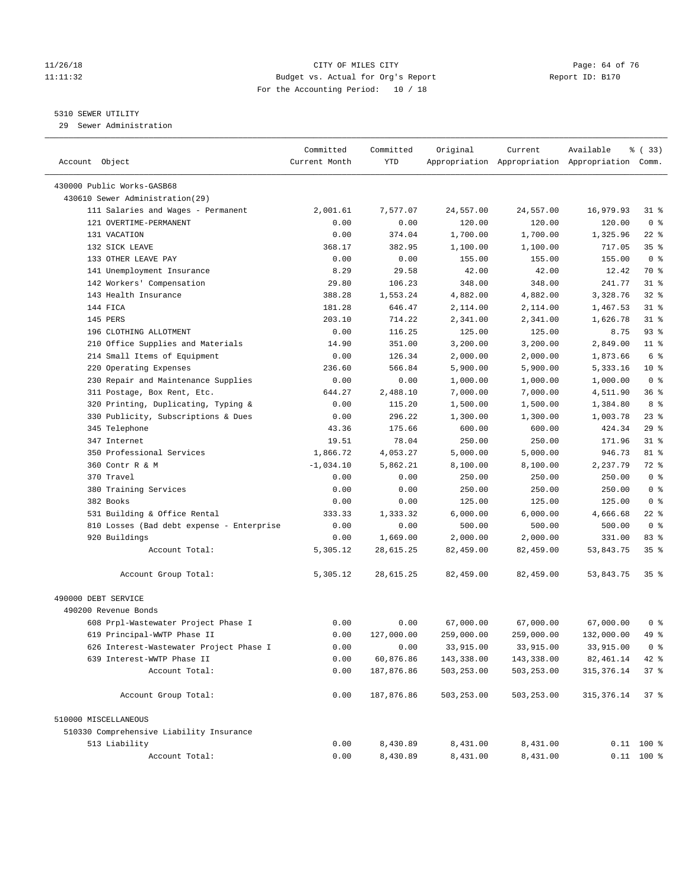#### 11/26/18 Page: 64 of 76 Page: 64 of 76 Page: 64 of 76 Page: 64 of 76 Page: 64 of 76 Page: 64 of 76 11:11:32 Budget vs. Actual for Org's Report Report ID: B170 For the Accounting Period: 10 / 18

————————————————————————————————————————————————————————————————————————————————————————————————————————————————————————————————————

#### 5310 SEWER UTILITY

29 Sewer Administration

| Account Object<br>Current Month<br>YTD<br>Appropriation Appropriation Appropriation Comm.<br>430000 Public Works-GASB68<br>430610 Sewer Administration(29)<br>111 Salaries and Wages - Permanent<br>$31$ %<br>2,001.61<br>7,577.07<br>24,557.00<br>24,557.00<br>16,979.93<br>121 OVERTIME-PERMANENT<br>0.00<br>120.00<br>120.00<br>120.00<br>0 <sup>8</sup><br>0.00<br>131 VACATION<br>1,700.00<br>1,700.00<br>1,325.96<br>$22$ %<br>0.00<br>374.04<br>368.17<br>35 <sup>8</sup><br>132 SICK LEAVE<br>382.95<br>1,100.00<br>1,100.00<br>717.05<br>0 <sup>8</sup><br>133 OTHER LEAVE PAY<br>0.00<br>0.00<br>155.00<br>155.00<br>155.00<br>141 Unemployment Insurance<br>8.29<br>29.58<br>42.00<br>42.00<br>12.42<br>70 %<br>142 Workers' Compensation<br>29.80<br>106.23<br>348.00<br>348.00<br>241.77<br>$31$ %<br>143 Health Insurance<br>1,553.24<br>4,882.00<br>4,882.00<br>3,328.76<br>$32$ $%$<br>388.28<br>$31$ %<br>144 FICA<br>181.28<br>646.47<br>2,114.00<br>2,114.00<br>1,467.53<br>145 PERS<br>203.10<br>714.22<br>2,341.00<br>1,626.78<br>$31$ %<br>2,341.00<br>196 CLOTHING ALLOTMENT<br>0.00<br>116.25<br>125.00<br>$93$ $%$<br>125.00<br>8.75<br>210 Office Supplies and Materials<br>3,200.00<br>2,849.00<br>$11$ %<br>14.90<br>351.00<br>3,200.00<br>214 Small Items of Equipment<br>126.34<br>6 %<br>0.00<br>2,000.00<br>2,000.00<br>1,873.66<br>220 Operating Expenses<br>$10*$<br>236.60<br>566.84<br>5,900.00<br>5,900.00<br>5,333.16<br>0 <sup>8</sup><br>230 Repair and Maintenance Supplies<br>0.00<br>0.00<br>1,000.00<br>1,000.00<br>1,000.00<br>311 Postage, Box Rent, Etc.<br>2,488.10<br>36%<br>644.27<br>7,000.00<br>7,000.00<br>4,511.90<br>320 Printing, Duplicating, Typing &<br>0.00<br>115.20<br>1,384.80<br>8 %<br>1,500.00<br>1,500.00<br>330 Publicity, Subscriptions & Dues<br>296.22<br>1,003.78<br>$23$ %<br>0.00<br>1,300.00<br>1,300.00<br>29%<br>345 Telephone<br>43.36<br>175.66<br>600.00<br>600.00<br>424.34<br>19.51<br>78.04<br>250.00<br>250.00<br>171.96<br>$31$ %<br>347 Internet<br>350 Professional Services<br>1,866.72<br>4,053.27<br>5,000.00<br>946.73<br>81 %<br>5,000.00<br>360 Contr R & M<br>5,862.21<br>2,237.79<br>72 %<br>$-1,034.10$<br>8,100.00<br>8,100.00<br>370 Travel<br>250.00<br>0 <sup>8</sup><br>0.00<br>0.00<br>250.00<br>250.00<br>380 Training Services<br>0 <sup>8</sup><br>0.00<br>0.00<br>250.00<br>250.00<br>250.00<br>0 <sup>8</sup><br>382 Books<br>0.00<br>0.00<br>125.00<br>125.00<br>125.00<br>531 Building & Office Rental<br>333.33<br>1,333.32<br>6,000.00<br>6,000.00<br>4,666.68<br>$22$ %<br>810 Losses (Bad debt expense - Enterprise<br>0.00<br>0.00<br>500.00<br>500.00<br>500.00<br>0 <sup>8</sup><br>920 Buildings<br>1,669.00<br>2,000.00<br>83%<br>0.00<br>2,000.00<br>331.00<br>35%<br>Account Total:<br>5,305.12<br>28,615.25<br>82,459.00<br>82,459.00<br>53,843.75<br>Account Group Total:<br>5,305.12<br>28,615.25<br>82,459.00<br>82,459.00<br>53,843.75<br>35 <sub>8</sub><br>490000 DEBT SERVICE<br>490200 Revenue Bonds<br>0.00<br>67,000.00<br>67,000.00<br>608 Prpl-Wastewater Project Phase I<br>0.00<br>67,000.00<br>0 <sup>8</sup><br>0.00<br>127,000.00<br>49 %<br>619 Principal-WWTP Phase II<br>259,000.00<br>259,000.00<br>132,000.00<br>0.00<br>33,915.00<br>33,915.00<br>33,915.00<br>0 <sup>8</sup><br>626 Interest-Wastewater Project Phase I<br>0.00<br>639 Interest-WWTP Phase II<br>0.00<br>60,876.86<br>143,338.00<br>143,338.00<br>82, 461.14<br>42 %<br>${\bf 0}$ . ${\bf 0}$ ${\bf 0}$<br>187,876.86<br>Account Total:<br>503,253.00<br>503,253.00<br>315, 376.14<br>37%<br>Account Group Total:<br>0.00<br>187,876.86<br>503,253.00<br>503,253.00<br>315, 376.14<br>37%<br>510000 MISCELLANEOUS<br>510330 Comprehensive Liability Insurance<br>513 Liability<br>0.00<br>8,430.89<br>8,431.00<br>8,431.00<br>$0.11$ 100 % |                | Committed | Committed | Original | Current  | Available | 8 (33) |
|-------------------------------------------------------------------------------------------------------------------------------------------------------------------------------------------------------------------------------------------------------------------------------------------------------------------------------------------------------------------------------------------------------------------------------------------------------------------------------------------------------------------------------------------------------------------------------------------------------------------------------------------------------------------------------------------------------------------------------------------------------------------------------------------------------------------------------------------------------------------------------------------------------------------------------------------------------------------------------------------------------------------------------------------------------------------------------------------------------------------------------------------------------------------------------------------------------------------------------------------------------------------------------------------------------------------------------------------------------------------------------------------------------------------------------------------------------------------------------------------------------------------------------------------------------------------------------------------------------------------------------------------------------------------------------------------------------------------------------------------------------------------------------------------------------------------------------------------------------------------------------------------------------------------------------------------------------------------------------------------------------------------------------------------------------------------------------------------------------------------------------------------------------------------------------------------------------------------------------------------------------------------------------------------------------------------------------------------------------------------------------------------------------------------------------------------------------------------------------------------------------------------------------------------------------------------------------------------------------------------------------------------------------------------------------------------------------------------------------------------------------------------------------------------------------------------------------------------------------------------------------------------------------------------------------------------------------------------------------------------------------------------------------------------------------------------------------------------------------------------------------------------------------------------------------------------------------------------------------------------------------------------------------------------------------------------------------------------------------------------------------------------------------------------------------------------------------------------------------------------------------------------------------------------------------------------------------------------------------------------------------------------------------------------------------------------------------------------------------------------------------------------------------------------------------------------------------------------------------------|----------------|-----------|-----------|----------|----------|-----------|--------|
|                                                                                                                                                                                                                                                                                                                                                                                                                                                                                                                                                                                                                                                                                                                                                                                                                                                                                                                                                                                                                                                                                                                                                                                                                                                                                                                                                                                                                                                                                                                                                                                                                                                                                                                                                                                                                                                                                                                                                                                                                                                                                                                                                                                                                                                                                                                                                                                                                                                                                                                                                                                                                                                                                                                                                                                                                                                                                                                                                                                                                                                                                                                                                                                                                                                                                                                                                                                                                                                                                                                                                                                                                                                                                                                                                                                                                                                             |                |           |           |          |          |           |        |
|                                                                                                                                                                                                                                                                                                                                                                                                                                                                                                                                                                                                                                                                                                                                                                                                                                                                                                                                                                                                                                                                                                                                                                                                                                                                                                                                                                                                                                                                                                                                                                                                                                                                                                                                                                                                                                                                                                                                                                                                                                                                                                                                                                                                                                                                                                                                                                                                                                                                                                                                                                                                                                                                                                                                                                                                                                                                                                                                                                                                                                                                                                                                                                                                                                                                                                                                                                                                                                                                                                                                                                                                                                                                                                                                                                                                                                                             |                |           |           |          |          |           |        |
|                                                                                                                                                                                                                                                                                                                                                                                                                                                                                                                                                                                                                                                                                                                                                                                                                                                                                                                                                                                                                                                                                                                                                                                                                                                                                                                                                                                                                                                                                                                                                                                                                                                                                                                                                                                                                                                                                                                                                                                                                                                                                                                                                                                                                                                                                                                                                                                                                                                                                                                                                                                                                                                                                                                                                                                                                                                                                                                                                                                                                                                                                                                                                                                                                                                                                                                                                                                                                                                                                                                                                                                                                                                                                                                                                                                                                                                             |                |           |           |          |          |           |        |
|                                                                                                                                                                                                                                                                                                                                                                                                                                                                                                                                                                                                                                                                                                                                                                                                                                                                                                                                                                                                                                                                                                                                                                                                                                                                                                                                                                                                                                                                                                                                                                                                                                                                                                                                                                                                                                                                                                                                                                                                                                                                                                                                                                                                                                                                                                                                                                                                                                                                                                                                                                                                                                                                                                                                                                                                                                                                                                                                                                                                                                                                                                                                                                                                                                                                                                                                                                                                                                                                                                                                                                                                                                                                                                                                                                                                                                                             |                |           |           |          |          |           |        |
|                                                                                                                                                                                                                                                                                                                                                                                                                                                                                                                                                                                                                                                                                                                                                                                                                                                                                                                                                                                                                                                                                                                                                                                                                                                                                                                                                                                                                                                                                                                                                                                                                                                                                                                                                                                                                                                                                                                                                                                                                                                                                                                                                                                                                                                                                                                                                                                                                                                                                                                                                                                                                                                                                                                                                                                                                                                                                                                                                                                                                                                                                                                                                                                                                                                                                                                                                                                                                                                                                                                                                                                                                                                                                                                                                                                                                                                             |                |           |           |          |          |           |        |
|                                                                                                                                                                                                                                                                                                                                                                                                                                                                                                                                                                                                                                                                                                                                                                                                                                                                                                                                                                                                                                                                                                                                                                                                                                                                                                                                                                                                                                                                                                                                                                                                                                                                                                                                                                                                                                                                                                                                                                                                                                                                                                                                                                                                                                                                                                                                                                                                                                                                                                                                                                                                                                                                                                                                                                                                                                                                                                                                                                                                                                                                                                                                                                                                                                                                                                                                                                                                                                                                                                                                                                                                                                                                                                                                                                                                                                                             |                |           |           |          |          |           |        |
|                                                                                                                                                                                                                                                                                                                                                                                                                                                                                                                                                                                                                                                                                                                                                                                                                                                                                                                                                                                                                                                                                                                                                                                                                                                                                                                                                                                                                                                                                                                                                                                                                                                                                                                                                                                                                                                                                                                                                                                                                                                                                                                                                                                                                                                                                                                                                                                                                                                                                                                                                                                                                                                                                                                                                                                                                                                                                                                                                                                                                                                                                                                                                                                                                                                                                                                                                                                                                                                                                                                                                                                                                                                                                                                                                                                                                                                             |                |           |           |          |          |           |        |
|                                                                                                                                                                                                                                                                                                                                                                                                                                                                                                                                                                                                                                                                                                                                                                                                                                                                                                                                                                                                                                                                                                                                                                                                                                                                                                                                                                                                                                                                                                                                                                                                                                                                                                                                                                                                                                                                                                                                                                                                                                                                                                                                                                                                                                                                                                                                                                                                                                                                                                                                                                                                                                                                                                                                                                                                                                                                                                                                                                                                                                                                                                                                                                                                                                                                                                                                                                                                                                                                                                                                                                                                                                                                                                                                                                                                                                                             |                |           |           |          |          |           |        |
|                                                                                                                                                                                                                                                                                                                                                                                                                                                                                                                                                                                                                                                                                                                                                                                                                                                                                                                                                                                                                                                                                                                                                                                                                                                                                                                                                                                                                                                                                                                                                                                                                                                                                                                                                                                                                                                                                                                                                                                                                                                                                                                                                                                                                                                                                                                                                                                                                                                                                                                                                                                                                                                                                                                                                                                                                                                                                                                                                                                                                                                                                                                                                                                                                                                                                                                                                                                                                                                                                                                                                                                                                                                                                                                                                                                                                                                             |                |           |           |          |          |           |        |
|                                                                                                                                                                                                                                                                                                                                                                                                                                                                                                                                                                                                                                                                                                                                                                                                                                                                                                                                                                                                                                                                                                                                                                                                                                                                                                                                                                                                                                                                                                                                                                                                                                                                                                                                                                                                                                                                                                                                                                                                                                                                                                                                                                                                                                                                                                                                                                                                                                                                                                                                                                                                                                                                                                                                                                                                                                                                                                                                                                                                                                                                                                                                                                                                                                                                                                                                                                                                                                                                                                                                                                                                                                                                                                                                                                                                                                                             |                |           |           |          |          |           |        |
|                                                                                                                                                                                                                                                                                                                                                                                                                                                                                                                                                                                                                                                                                                                                                                                                                                                                                                                                                                                                                                                                                                                                                                                                                                                                                                                                                                                                                                                                                                                                                                                                                                                                                                                                                                                                                                                                                                                                                                                                                                                                                                                                                                                                                                                                                                                                                                                                                                                                                                                                                                                                                                                                                                                                                                                                                                                                                                                                                                                                                                                                                                                                                                                                                                                                                                                                                                                                                                                                                                                                                                                                                                                                                                                                                                                                                                                             |                |           |           |          |          |           |        |
|                                                                                                                                                                                                                                                                                                                                                                                                                                                                                                                                                                                                                                                                                                                                                                                                                                                                                                                                                                                                                                                                                                                                                                                                                                                                                                                                                                                                                                                                                                                                                                                                                                                                                                                                                                                                                                                                                                                                                                                                                                                                                                                                                                                                                                                                                                                                                                                                                                                                                                                                                                                                                                                                                                                                                                                                                                                                                                                                                                                                                                                                                                                                                                                                                                                                                                                                                                                                                                                                                                                                                                                                                                                                                                                                                                                                                                                             |                |           |           |          |          |           |        |
|                                                                                                                                                                                                                                                                                                                                                                                                                                                                                                                                                                                                                                                                                                                                                                                                                                                                                                                                                                                                                                                                                                                                                                                                                                                                                                                                                                                                                                                                                                                                                                                                                                                                                                                                                                                                                                                                                                                                                                                                                                                                                                                                                                                                                                                                                                                                                                                                                                                                                                                                                                                                                                                                                                                                                                                                                                                                                                                                                                                                                                                                                                                                                                                                                                                                                                                                                                                                                                                                                                                                                                                                                                                                                                                                                                                                                                                             |                |           |           |          |          |           |        |
|                                                                                                                                                                                                                                                                                                                                                                                                                                                                                                                                                                                                                                                                                                                                                                                                                                                                                                                                                                                                                                                                                                                                                                                                                                                                                                                                                                                                                                                                                                                                                                                                                                                                                                                                                                                                                                                                                                                                                                                                                                                                                                                                                                                                                                                                                                                                                                                                                                                                                                                                                                                                                                                                                                                                                                                                                                                                                                                                                                                                                                                                                                                                                                                                                                                                                                                                                                                                                                                                                                                                                                                                                                                                                                                                                                                                                                                             |                |           |           |          |          |           |        |
|                                                                                                                                                                                                                                                                                                                                                                                                                                                                                                                                                                                                                                                                                                                                                                                                                                                                                                                                                                                                                                                                                                                                                                                                                                                                                                                                                                                                                                                                                                                                                                                                                                                                                                                                                                                                                                                                                                                                                                                                                                                                                                                                                                                                                                                                                                                                                                                                                                                                                                                                                                                                                                                                                                                                                                                                                                                                                                                                                                                                                                                                                                                                                                                                                                                                                                                                                                                                                                                                                                                                                                                                                                                                                                                                                                                                                                                             |                |           |           |          |          |           |        |
|                                                                                                                                                                                                                                                                                                                                                                                                                                                                                                                                                                                                                                                                                                                                                                                                                                                                                                                                                                                                                                                                                                                                                                                                                                                                                                                                                                                                                                                                                                                                                                                                                                                                                                                                                                                                                                                                                                                                                                                                                                                                                                                                                                                                                                                                                                                                                                                                                                                                                                                                                                                                                                                                                                                                                                                                                                                                                                                                                                                                                                                                                                                                                                                                                                                                                                                                                                                                                                                                                                                                                                                                                                                                                                                                                                                                                                                             |                |           |           |          |          |           |        |
|                                                                                                                                                                                                                                                                                                                                                                                                                                                                                                                                                                                                                                                                                                                                                                                                                                                                                                                                                                                                                                                                                                                                                                                                                                                                                                                                                                                                                                                                                                                                                                                                                                                                                                                                                                                                                                                                                                                                                                                                                                                                                                                                                                                                                                                                                                                                                                                                                                                                                                                                                                                                                                                                                                                                                                                                                                                                                                                                                                                                                                                                                                                                                                                                                                                                                                                                                                                                                                                                                                                                                                                                                                                                                                                                                                                                                                                             |                |           |           |          |          |           |        |
|                                                                                                                                                                                                                                                                                                                                                                                                                                                                                                                                                                                                                                                                                                                                                                                                                                                                                                                                                                                                                                                                                                                                                                                                                                                                                                                                                                                                                                                                                                                                                                                                                                                                                                                                                                                                                                                                                                                                                                                                                                                                                                                                                                                                                                                                                                                                                                                                                                                                                                                                                                                                                                                                                                                                                                                                                                                                                                                                                                                                                                                                                                                                                                                                                                                                                                                                                                                                                                                                                                                                                                                                                                                                                                                                                                                                                                                             |                |           |           |          |          |           |        |
|                                                                                                                                                                                                                                                                                                                                                                                                                                                                                                                                                                                                                                                                                                                                                                                                                                                                                                                                                                                                                                                                                                                                                                                                                                                                                                                                                                                                                                                                                                                                                                                                                                                                                                                                                                                                                                                                                                                                                                                                                                                                                                                                                                                                                                                                                                                                                                                                                                                                                                                                                                                                                                                                                                                                                                                                                                                                                                                                                                                                                                                                                                                                                                                                                                                                                                                                                                                                                                                                                                                                                                                                                                                                                                                                                                                                                                                             |                |           |           |          |          |           |        |
|                                                                                                                                                                                                                                                                                                                                                                                                                                                                                                                                                                                                                                                                                                                                                                                                                                                                                                                                                                                                                                                                                                                                                                                                                                                                                                                                                                                                                                                                                                                                                                                                                                                                                                                                                                                                                                                                                                                                                                                                                                                                                                                                                                                                                                                                                                                                                                                                                                                                                                                                                                                                                                                                                                                                                                                                                                                                                                                                                                                                                                                                                                                                                                                                                                                                                                                                                                                                                                                                                                                                                                                                                                                                                                                                                                                                                                                             |                |           |           |          |          |           |        |
|                                                                                                                                                                                                                                                                                                                                                                                                                                                                                                                                                                                                                                                                                                                                                                                                                                                                                                                                                                                                                                                                                                                                                                                                                                                                                                                                                                                                                                                                                                                                                                                                                                                                                                                                                                                                                                                                                                                                                                                                                                                                                                                                                                                                                                                                                                                                                                                                                                                                                                                                                                                                                                                                                                                                                                                                                                                                                                                                                                                                                                                                                                                                                                                                                                                                                                                                                                                                                                                                                                                                                                                                                                                                                                                                                                                                                                                             |                |           |           |          |          |           |        |
|                                                                                                                                                                                                                                                                                                                                                                                                                                                                                                                                                                                                                                                                                                                                                                                                                                                                                                                                                                                                                                                                                                                                                                                                                                                                                                                                                                                                                                                                                                                                                                                                                                                                                                                                                                                                                                                                                                                                                                                                                                                                                                                                                                                                                                                                                                                                                                                                                                                                                                                                                                                                                                                                                                                                                                                                                                                                                                                                                                                                                                                                                                                                                                                                                                                                                                                                                                                                                                                                                                                                                                                                                                                                                                                                                                                                                                                             |                |           |           |          |          |           |        |
|                                                                                                                                                                                                                                                                                                                                                                                                                                                                                                                                                                                                                                                                                                                                                                                                                                                                                                                                                                                                                                                                                                                                                                                                                                                                                                                                                                                                                                                                                                                                                                                                                                                                                                                                                                                                                                                                                                                                                                                                                                                                                                                                                                                                                                                                                                                                                                                                                                                                                                                                                                                                                                                                                                                                                                                                                                                                                                                                                                                                                                                                                                                                                                                                                                                                                                                                                                                                                                                                                                                                                                                                                                                                                                                                                                                                                                                             |                |           |           |          |          |           |        |
|                                                                                                                                                                                                                                                                                                                                                                                                                                                                                                                                                                                                                                                                                                                                                                                                                                                                                                                                                                                                                                                                                                                                                                                                                                                                                                                                                                                                                                                                                                                                                                                                                                                                                                                                                                                                                                                                                                                                                                                                                                                                                                                                                                                                                                                                                                                                                                                                                                                                                                                                                                                                                                                                                                                                                                                                                                                                                                                                                                                                                                                                                                                                                                                                                                                                                                                                                                                                                                                                                                                                                                                                                                                                                                                                                                                                                                                             |                |           |           |          |          |           |        |
|                                                                                                                                                                                                                                                                                                                                                                                                                                                                                                                                                                                                                                                                                                                                                                                                                                                                                                                                                                                                                                                                                                                                                                                                                                                                                                                                                                                                                                                                                                                                                                                                                                                                                                                                                                                                                                                                                                                                                                                                                                                                                                                                                                                                                                                                                                                                                                                                                                                                                                                                                                                                                                                                                                                                                                                                                                                                                                                                                                                                                                                                                                                                                                                                                                                                                                                                                                                                                                                                                                                                                                                                                                                                                                                                                                                                                                                             |                |           |           |          |          |           |        |
|                                                                                                                                                                                                                                                                                                                                                                                                                                                                                                                                                                                                                                                                                                                                                                                                                                                                                                                                                                                                                                                                                                                                                                                                                                                                                                                                                                                                                                                                                                                                                                                                                                                                                                                                                                                                                                                                                                                                                                                                                                                                                                                                                                                                                                                                                                                                                                                                                                                                                                                                                                                                                                                                                                                                                                                                                                                                                                                                                                                                                                                                                                                                                                                                                                                                                                                                                                                                                                                                                                                                                                                                                                                                                                                                                                                                                                                             |                |           |           |          |          |           |        |
|                                                                                                                                                                                                                                                                                                                                                                                                                                                                                                                                                                                                                                                                                                                                                                                                                                                                                                                                                                                                                                                                                                                                                                                                                                                                                                                                                                                                                                                                                                                                                                                                                                                                                                                                                                                                                                                                                                                                                                                                                                                                                                                                                                                                                                                                                                                                                                                                                                                                                                                                                                                                                                                                                                                                                                                                                                                                                                                                                                                                                                                                                                                                                                                                                                                                                                                                                                                                                                                                                                                                                                                                                                                                                                                                                                                                                                                             |                |           |           |          |          |           |        |
|                                                                                                                                                                                                                                                                                                                                                                                                                                                                                                                                                                                                                                                                                                                                                                                                                                                                                                                                                                                                                                                                                                                                                                                                                                                                                                                                                                                                                                                                                                                                                                                                                                                                                                                                                                                                                                                                                                                                                                                                                                                                                                                                                                                                                                                                                                                                                                                                                                                                                                                                                                                                                                                                                                                                                                                                                                                                                                                                                                                                                                                                                                                                                                                                                                                                                                                                                                                                                                                                                                                                                                                                                                                                                                                                                                                                                                                             |                |           |           |          |          |           |        |
|                                                                                                                                                                                                                                                                                                                                                                                                                                                                                                                                                                                                                                                                                                                                                                                                                                                                                                                                                                                                                                                                                                                                                                                                                                                                                                                                                                                                                                                                                                                                                                                                                                                                                                                                                                                                                                                                                                                                                                                                                                                                                                                                                                                                                                                                                                                                                                                                                                                                                                                                                                                                                                                                                                                                                                                                                                                                                                                                                                                                                                                                                                                                                                                                                                                                                                                                                                                                                                                                                                                                                                                                                                                                                                                                                                                                                                                             |                |           |           |          |          |           |        |
|                                                                                                                                                                                                                                                                                                                                                                                                                                                                                                                                                                                                                                                                                                                                                                                                                                                                                                                                                                                                                                                                                                                                                                                                                                                                                                                                                                                                                                                                                                                                                                                                                                                                                                                                                                                                                                                                                                                                                                                                                                                                                                                                                                                                                                                                                                                                                                                                                                                                                                                                                                                                                                                                                                                                                                                                                                                                                                                                                                                                                                                                                                                                                                                                                                                                                                                                                                                                                                                                                                                                                                                                                                                                                                                                                                                                                                                             |                |           |           |          |          |           |        |
|                                                                                                                                                                                                                                                                                                                                                                                                                                                                                                                                                                                                                                                                                                                                                                                                                                                                                                                                                                                                                                                                                                                                                                                                                                                                                                                                                                                                                                                                                                                                                                                                                                                                                                                                                                                                                                                                                                                                                                                                                                                                                                                                                                                                                                                                                                                                                                                                                                                                                                                                                                                                                                                                                                                                                                                                                                                                                                                                                                                                                                                                                                                                                                                                                                                                                                                                                                                                                                                                                                                                                                                                                                                                                                                                                                                                                                                             |                |           |           |          |          |           |        |
|                                                                                                                                                                                                                                                                                                                                                                                                                                                                                                                                                                                                                                                                                                                                                                                                                                                                                                                                                                                                                                                                                                                                                                                                                                                                                                                                                                                                                                                                                                                                                                                                                                                                                                                                                                                                                                                                                                                                                                                                                                                                                                                                                                                                                                                                                                                                                                                                                                                                                                                                                                                                                                                                                                                                                                                                                                                                                                                                                                                                                                                                                                                                                                                                                                                                                                                                                                                                                                                                                                                                                                                                                                                                                                                                                                                                                                                             |                |           |           |          |          |           |        |
|                                                                                                                                                                                                                                                                                                                                                                                                                                                                                                                                                                                                                                                                                                                                                                                                                                                                                                                                                                                                                                                                                                                                                                                                                                                                                                                                                                                                                                                                                                                                                                                                                                                                                                                                                                                                                                                                                                                                                                                                                                                                                                                                                                                                                                                                                                                                                                                                                                                                                                                                                                                                                                                                                                                                                                                                                                                                                                                                                                                                                                                                                                                                                                                                                                                                                                                                                                                                                                                                                                                                                                                                                                                                                                                                                                                                                                                             |                |           |           |          |          |           |        |
|                                                                                                                                                                                                                                                                                                                                                                                                                                                                                                                                                                                                                                                                                                                                                                                                                                                                                                                                                                                                                                                                                                                                                                                                                                                                                                                                                                                                                                                                                                                                                                                                                                                                                                                                                                                                                                                                                                                                                                                                                                                                                                                                                                                                                                                                                                                                                                                                                                                                                                                                                                                                                                                                                                                                                                                                                                                                                                                                                                                                                                                                                                                                                                                                                                                                                                                                                                                                                                                                                                                                                                                                                                                                                                                                                                                                                                                             |                |           |           |          |          |           |        |
|                                                                                                                                                                                                                                                                                                                                                                                                                                                                                                                                                                                                                                                                                                                                                                                                                                                                                                                                                                                                                                                                                                                                                                                                                                                                                                                                                                                                                                                                                                                                                                                                                                                                                                                                                                                                                                                                                                                                                                                                                                                                                                                                                                                                                                                                                                                                                                                                                                                                                                                                                                                                                                                                                                                                                                                                                                                                                                                                                                                                                                                                                                                                                                                                                                                                                                                                                                                                                                                                                                                                                                                                                                                                                                                                                                                                                                                             |                |           |           |          |          |           |        |
|                                                                                                                                                                                                                                                                                                                                                                                                                                                                                                                                                                                                                                                                                                                                                                                                                                                                                                                                                                                                                                                                                                                                                                                                                                                                                                                                                                                                                                                                                                                                                                                                                                                                                                                                                                                                                                                                                                                                                                                                                                                                                                                                                                                                                                                                                                                                                                                                                                                                                                                                                                                                                                                                                                                                                                                                                                                                                                                                                                                                                                                                                                                                                                                                                                                                                                                                                                                                                                                                                                                                                                                                                                                                                                                                                                                                                                                             |                |           |           |          |          |           |        |
|                                                                                                                                                                                                                                                                                                                                                                                                                                                                                                                                                                                                                                                                                                                                                                                                                                                                                                                                                                                                                                                                                                                                                                                                                                                                                                                                                                                                                                                                                                                                                                                                                                                                                                                                                                                                                                                                                                                                                                                                                                                                                                                                                                                                                                                                                                                                                                                                                                                                                                                                                                                                                                                                                                                                                                                                                                                                                                                                                                                                                                                                                                                                                                                                                                                                                                                                                                                                                                                                                                                                                                                                                                                                                                                                                                                                                                                             |                |           |           |          |          |           |        |
|                                                                                                                                                                                                                                                                                                                                                                                                                                                                                                                                                                                                                                                                                                                                                                                                                                                                                                                                                                                                                                                                                                                                                                                                                                                                                                                                                                                                                                                                                                                                                                                                                                                                                                                                                                                                                                                                                                                                                                                                                                                                                                                                                                                                                                                                                                                                                                                                                                                                                                                                                                                                                                                                                                                                                                                                                                                                                                                                                                                                                                                                                                                                                                                                                                                                                                                                                                                                                                                                                                                                                                                                                                                                                                                                                                                                                                                             |                |           |           |          |          |           |        |
|                                                                                                                                                                                                                                                                                                                                                                                                                                                                                                                                                                                                                                                                                                                                                                                                                                                                                                                                                                                                                                                                                                                                                                                                                                                                                                                                                                                                                                                                                                                                                                                                                                                                                                                                                                                                                                                                                                                                                                                                                                                                                                                                                                                                                                                                                                                                                                                                                                                                                                                                                                                                                                                                                                                                                                                                                                                                                                                                                                                                                                                                                                                                                                                                                                                                                                                                                                                                                                                                                                                                                                                                                                                                                                                                                                                                                                                             |                |           |           |          |          |           |        |
|                                                                                                                                                                                                                                                                                                                                                                                                                                                                                                                                                                                                                                                                                                                                                                                                                                                                                                                                                                                                                                                                                                                                                                                                                                                                                                                                                                                                                                                                                                                                                                                                                                                                                                                                                                                                                                                                                                                                                                                                                                                                                                                                                                                                                                                                                                                                                                                                                                                                                                                                                                                                                                                                                                                                                                                                                                                                                                                                                                                                                                                                                                                                                                                                                                                                                                                                                                                                                                                                                                                                                                                                                                                                                                                                                                                                                                                             |                |           |           |          |          |           |        |
|                                                                                                                                                                                                                                                                                                                                                                                                                                                                                                                                                                                                                                                                                                                                                                                                                                                                                                                                                                                                                                                                                                                                                                                                                                                                                                                                                                                                                                                                                                                                                                                                                                                                                                                                                                                                                                                                                                                                                                                                                                                                                                                                                                                                                                                                                                                                                                                                                                                                                                                                                                                                                                                                                                                                                                                                                                                                                                                                                                                                                                                                                                                                                                                                                                                                                                                                                                                                                                                                                                                                                                                                                                                                                                                                                                                                                                                             |                |           |           |          |          |           |        |
|                                                                                                                                                                                                                                                                                                                                                                                                                                                                                                                                                                                                                                                                                                                                                                                                                                                                                                                                                                                                                                                                                                                                                                                                                                                                                                                                                                                                                                                                                                                                                                                                                                                                                                                                                                                                                                                                                                                                                                                                                                                                                                                                                                                                                                                                                                                                                                                                                                                                                                                                                                                                                                                                                                                                                                                                                                                                                                                                                                                                                                                                                                                                                                                                                                                                                                                                                                                                                                                                                                                                                                                                                                                                                                                                                                                                                                                             |                |           |           |          |          |           |        |
|                                                                                                                                                                                                                                                                                                                                                                                                                                                                                                                                                                                                                                                                                                                                                                                                                                                                                                                                                                                                                                                                                                                                                                                                                                                                                                                                                                                                                                                                                                                                                                                                                                                                                                                                                                                                                                                                                                                                                                                                                                                                                                                                                                                                                                                                                                                                                                                                                                                                                                                                                                                                                                                                                                                                                                                                                                                                                                                                                                                                                                                                                                                                                                                                                                                                                                                                                                                                                                                                                                                                                                                                                                                                                                                                                                                                                                                             |                |           |           |          |          |           |        |
|                                                                                                                                                                                                                                                                                                                                                                                                                                                                                                                                                                                                                                                                                                                                                                                                                                                                                                                                                                                                                                                                                                                                                                                                                                                                                                                                                                                                                                                                                                                                                                                                                                                                                                                                                                                                                                                                                                                                                                                                                                                                                                                                                                                                                                                                                                                                                                                                                                                                                                                                                                                                                                                                                                                                                                                                                                                                                                                                                                                                                                                                                                                                                                                                                                                                                                                                                                                                                                                                                                                                                                                                                                                                                                                                                                                                                                                             |                |           |           |          |          |           |        |
|                                                                                                                                                                                                                                                                                                                                                                                                                                                                                                                                                                                                                                                                                                                                                                                                                                                                                                                                                                                                                                                                                                                                                                                                                                                                                                                                                                                                                                                                                                                                                                                                                                                                                                                                                                                                                                                                                                                                                                                                                                                                                                                                                                                                                                                                                                                                                                                                                                                                                                                                                                                                                                                                                                                                                                                                                                                                                                                                                                                                                                                                                                                                                                                                                                                                                                                                                                                                                                                                                                                                                                                                                                                                                                                                                                                                                                                             |                |           |           |          |          |           |        |
|                                                                                                                                                                                                                                                                                                                                                                                                                                                                                                                                                                                                                                                                                                                                                                                                                                                                                                                                                                                                                                                                                                                                                                                                                                                                                                                                                                                                                                                                                                                                                                                                                                                                                                                                                                                                                                                                                                                                                                                                                                                                                                                                                                                                                                                                                                                                                                                                                                                                                                                                                                                                                                                                                                                                                                                                                                                                                                                                                                                                                                                                                                                                                                                                                                                                                                                                                                                                                                                                                                                                                                                                                                                                                                                                                                                                                                                             |                |           |           |          |          |           |        |
| $0.11$ 100 %                                                                                                                                                                                                                                                                                                                                                                                                                                                                                                                                                                                                                                                                                                                                                                                                                                                                                                                                                                                                                                                                                                                                                                                                                                                                                                                                                                                                                                                                                                                                                                                                                                                                                                                                                                                                                                                                                                                                                                                                                                                                                                                                                                                                                                                                                                                                                                                                                                                                                                                                                                                                                                                                                                                                                                                                                                                                                                                                                                                                                                                                                                                                                                                                                                                                                                                                                                                                                                                                                                                                                                                                                                                                                                                                                                                                                                                | Account Total: | 0.00      | 8,430.89  | 8,431.00 | 8,431.00 |           |        |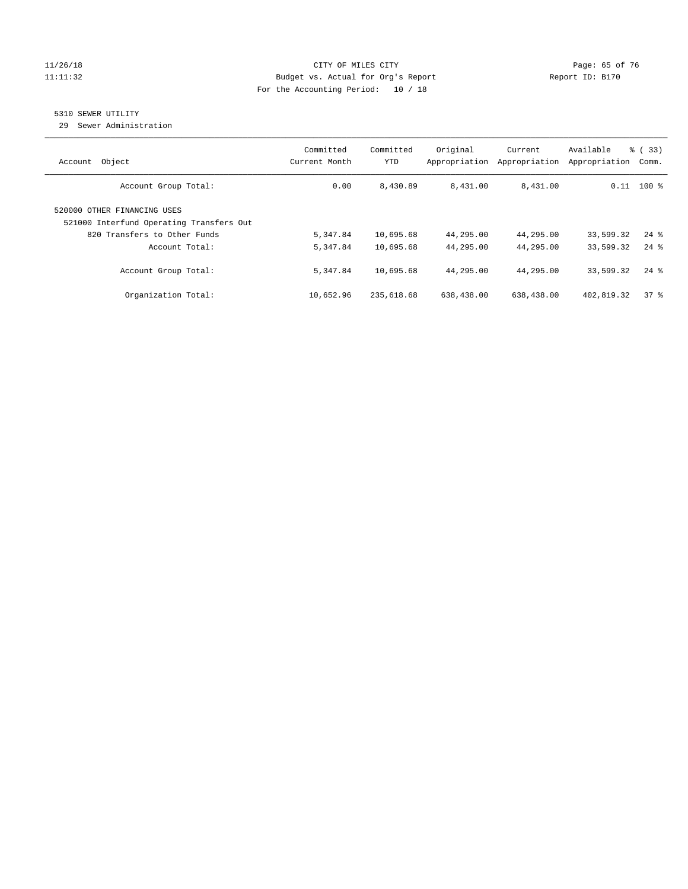#### 11/26/18 Page: 65 of 76 Page: 65 of 76 Page: 65 of 76 Page: 65 of 76 Page: 65 of 76 11:11:32 Budget vs. Actual for Org's Report Report ID: B170 For the Accounting Period: 10 / 18

## 5310 SEWER UTILITY

29 Sewer Administration

|                                          | Committed     | Committed  | Original      | Current       | Available     | % (33)             |
|------------------------------------------|---------------|------------|---------------|---------------|---------------|--------------------|
| Object<br>Account                        | Current Month | YTD        | Appropriation | Appropriation | Appropriation | Comm.              |
| Account Group Total:                     | 0.00          | 8,430.89   | 8,431.00      | 8,431.00      |               | $0.11$ 100 %       |
| 520000 OTHER FINANCING USES              |               |            |               |               |               |                    |
| 521000 Interfund Operating Transfers Out |               |            |               |               |               |                    |
| 820 Transfers to Other Funds             | 5,347.84      | 10,695.68  | 44,295.00     | 44,295.00     | 33,599.32     | $24$ $\frac{6}{3}$ |
| Account Total:                           | 5,347.84      | 10,695.68  | 44,295.00     | 44,295.00     | 33,599.32     | $24$ $\frac{6}{9}$ |
| Account Group Total:                     | 5,347.84      | 10,695.68  | 44,295.00     | 44,295.00     | 33,599.32     | $24$ $\frac{6}{3}$ |
| Organization Total:                      | 10,652.96     | 235,618.68 | 638,438.00    | 638,438.00    | 402,819.32    | 378                |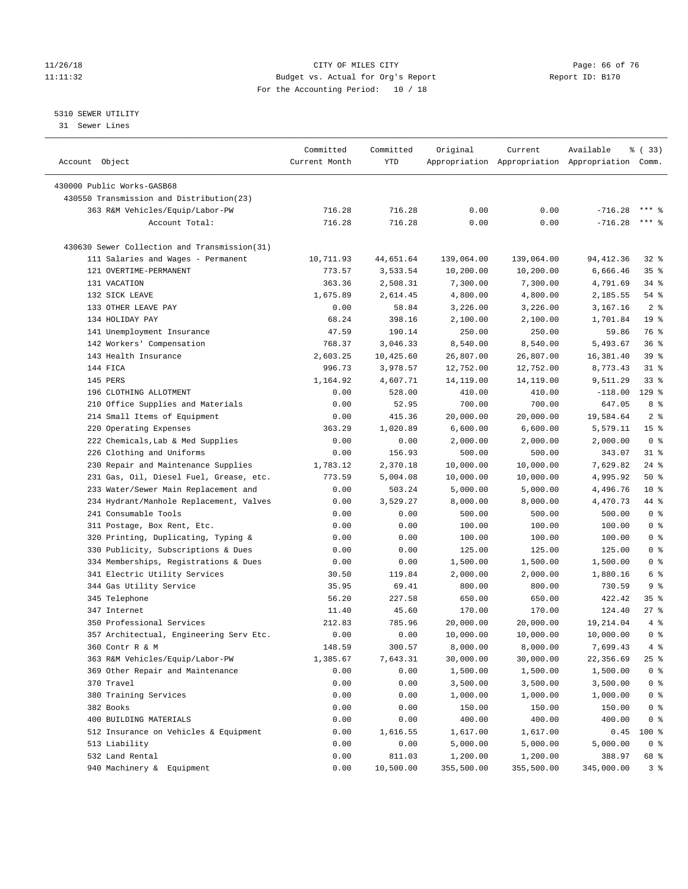#### 11/26/18 Page: 66 of 76 Page: 66 of 76 Page: 66 Of 76 Page: 66 Of 76 Page: 66 Of 76 Page: 66 Of 76 Page: 66 Of 76 Page: 76 Page: 76 Page: 76 Page: 76 Page: 76 Page: 76 Page: 76 Page: 76 Page: 76 Page: 76 Page: 76 Page: 76 11:11:32 Budget vs. Actual for Org's Report Report ID: B170 For the Accounting Period: 10 / 18

————————————————————————————————————————————————————————————————————————————————————————————————————————————————————————————————————

#### 5310 SEWER UTILITY

31 Sewer Lines

|                                              | Committed     | Committed | Original   | Current    | Available                                       | % (33)             |
|----------------------------------------------|---------------|-----------|------------|------------|-------------------------------------------------|--------------------|
| Account Object                               | Current Month | YTD       |            |            | Appropriation Appropriation Appropriation Comm. |                    |
| 430000 Public Works-GASB68                   |               |           |            |            |                                                 |                    |
| 430550 Transmission and Distribution(23)     |               |           |            |            |                                                 |                    |
| 363 R&M Vehicles/Equip/Labor-PW              | 716.28        | 716.28    | 0.00       | 0.00       | $-716.28$                                       | $***$ 2            |
| Account Total:                               | 716.28        | 716.28    | 0.00       | 0.00       | $-716.28$                                       | *** 응              |
|                                              |               |           |            |            |                                                 |                    |
| 430630 Sewer Collection and Transmission(31) |               |           |            |            |                                                 |                    |
| 111 Salaries and Wages - Permanent           | 10,711.93     | 44,651.64 | 139,064.00 | 139,064.00 | 94,412.36                                       | $32$ $%$           |
| 121 OVERTIME-PERMANENT                       | 773.57        | 3,533.54  | 10,200.00  | 10,200.00  | 6,666.46                                        | 35%                |
| 131 VACATION                                 | 363.36        | 2,508.31  | 7,300.00   | 7,300.00   | 4,791.69                                        | $34$ $%$           |
| 132 SICK LEAVE                               | 1,675.89      | 2,614.45  | 4,800.00   | 4,800.00   | 2,185.55                                        | $54$ %             |
| 133 OTHER LEAVE PAY                          | 0.00          | 58.84     | 3,226.00   | 3,226.00   | 3,167.16                                        | 2 <sup>8</sup>     |
| 134 HOLIDAY PAY                              | 68.24         | 398.16    | 2,100.00   | 2,100.00   | 1,701.84                                        | 19 <sup>°</sup>    |
| 141 Unemployment Insurance                   | 47.59         | 190.14    | 250.00     | 250.00     | 59.86                                           | 76 %               |
| 142 Workers' Compensation                    | 768.37        | 3,046.33  | 8,540.00   | 8,540.00   | 5,493.67                                        | 36%                |
| 143 Health Insurance                         | 2,603.25      | 10,425.60 | 26,807.00  | 26,807.00  | 16,381.40                                       | 39%                |
| 144 FICA                                     | 996.73        | 3,978.57  | 12,752.00  | 12,752.00  | 8,773.43                                        | $31$ %             |
| 145 PERS                                     | 1,164.92      | 4,607.71  | 14,119.00  | 14,119.00  | 9,511.29                                        | 33%                |
| 196 CLOTHING ALLOTMENT                       | 0.00          | 528.00    | 410.00     | 410.00     | $-118.00$                                       | $129$ %            |
| 210 Office Supplies and Materials            | 0.00          | 52.95     | 700.00     | 700.00     | 647.05                                          | 8 %                |
| 214 Small Items of Equipment                 | 0.00          | 415.36    | 20,000.00  | 20,000.00  | 19,584.64                                       | 2 <sup>°</sup>     |
| 220 Operating Expenses                       | 363.29        | 1,020.89  | 6,600.00   | 6,600.00   | 5,579.11                                        | 15 <sup>°</sup>    |
| 222 Chemicals, Lab & Med Supplies            | 0.00          | 0.00      | 2,000.00   | 2,000.00   | 2,000.00                                        | 0 <sup>8</sup>     |
| 226 Clothing and Uniforms                    | 0.00          | 156.93    | 500.00     | 500.00     | 343.07                                          | $31$ %             |
| 230 Repair and Maintenance Supplies          | 1,783.12      | 2,370.18  | 10,000.00  | 10,000.00  | 7,629.82                                        | $24$ %             |
| 231 Gas, Oil, Diesel Fuel, Grease, etc.      | 773.59        | 5,004.08  | 10,000.00  | 10,000.00  | 4,995.92                                        | 50%                |
| 233 Water/Sewer Main Replacement and         | 0.00          | 503.24    | 5,000.00   | 5,000.00   | 4,496.76                                        | $10*$              |
| 234 Hydrant/Manhole Replacement, Valves      | 0.00          | 3,529.27  | 8,000.00   | 8,000.00   | 4,470.73                                        | 44 %               |
| 241 Consumable Tools                         | 0.00          | 0.00      | 500.00     | 500.00     | 500.00                                          | 0 <sup>8</sup>     |
| 311 Postage, Box Rent, Etc.                  | 0.00          | 0.00      | 100.00     | 100.00     | 100.00                                          | 0 <sup>8</sup>     |
| 320 Printing, Duplicating, Typing &          | 0.00          | 0.00      | 100.00     | 100.00     | 100.00                                          | 0 <sup>8</sup>     |
| 330 Publicity, Subscriptions & Dues          | 0.00          | 0.00      | 125.00     | 125.00     | 125.00                                          | 0 <sup>8</sup>     |
| 334 Memberships, Registrations & Dues        | 0.00          | 0.00      | 1,500.00   | 1,500.00   | 1,500.00                                        | 0 <sup>8</sup>     |
| 341 Electric Utility Services                | 30.50         | 119.84    | 2,000.00   | 2,000.00   | 1,880.16                                        | 6 %                |
| 344 Gas Utility Service                      | 35.95         | 69.41     | 800.00     | 800.00     | 730.59                                          | 9%                 |
| 345 Telephone                                | 56.20         | 227.58    | 650.00     | 650.00     | 422.42                                          | $35$ $\frac{6}{3}$ |
| 347 Internet                                 | 11.40         | 45.60     | 170.00     | 170.00     | 124.40                                          | $27$ %             |
| 350 Professional Services                    | 212.83        | 785.96    | 20,000.00  | 20,000.00  | 19,214.04                                       | 4%                 |
| 357 Architectual, Engineering Serv Etc.      | 0.00          | 0.00      | 10,000.00  | 10,000.00  | 10,000.00                                       | 0 <sup>8</sup>     |
| 360 Contr R & M                              | 148.59        | 300.57    | 8,000.00   | 8,000.00   | 7,699.43                                        | 4%                 |
| 363 R&M Vehicles/Equip/Labor-PW              | 1,385.67      | 7,643.31  | 30,000.00  | 30,000.00  | 22,356.69                                       | 25 %               |
| 369 Other Repair and Maintenance             | 0.00          | 0.00      | 1,500.00   | 1,500.00   | 1,500.00                                        | $0$ %              |
| 370 Travel                                   | 0.00          | 0.00      | 3,500.00   | 3,500.00   | 3,500.00                                        | 0 <sup>8</sup>     |
| 380 Training Services                        | 0.00          | 0.00      | 1,000.00   | 1,000.00   | 1,000.00                                        | $0$ %              |
| 382 Books                                    | 0.00          | 0.00      | 150.00     | 150.00     | 150.00                                          | $0$ %              |
| 400 BUILDING MATERIALS                       | 0.00          | 0.00      | 400.00     | 400.00     | 400.00                                          | 0 <sup>8</sup>     |
| 512 Insurance on Vehicles & Equipment        | 0.00          | 1,616.55  | 1,617.00   | 1,617.00   | 0.45                                            | 100 %              |
| 513 Liability                                | 0.00          | 0.00      | 5,000.00   | 5,000.00   | 5,000.00                                        | 0 <sup>8</sup>     |
| 532 Land Rental                              | 0.00          | 811.03    | 1,200.00   | 1,200.00   | 388.97                                          | 68 %               |
| 940 Machinery & Equipment                    | 0.00          | 10,500.00 | 355,500.00 | 355,500.00 | 345,000.00                                      | 3%                 |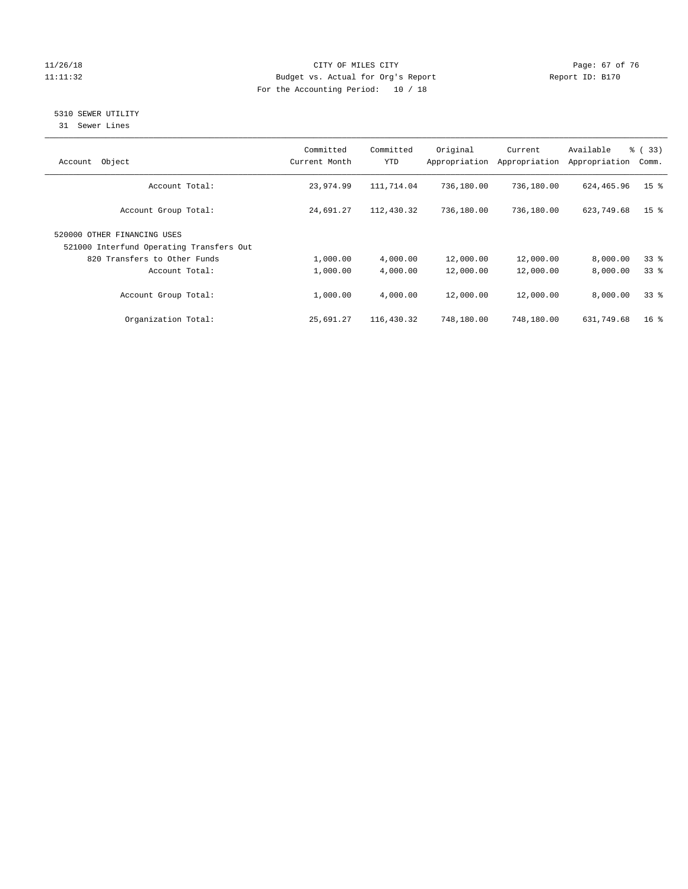#### 11/26/18 Page: 67 of 76 Page: 67 of 76 Page: 67 of 76 Page: 67 of 76 Page: 67 of 76 Page: 67 of 76 Page: 67 of 76 Page: 67 of 76 Page: 67 of 76 Page: 67 of 76 Page: 67 of 76 Page: 67 of 76 Page: 67 of 76 Page: 67 of 76 Pag 11:11:32 Budget vs. Actual for Org's Report Changer Report ID: B170 For the Accounting Period: 10 / 18

## 5310 SEWER UTILITY

31 Sewer Lines

| Object<br>Account                                                       | Committed<br>Current Month | Committed<br><b>YTD</b> | Original<br>Appropriation | Current<br>Appropriation | Available<br>Appropriation | % (33)<br>Comm. |
|-------------------------------------------------------------------------|----------------------------|-------------------------|---------------------------|--------------------------|----------------------------|-----------------|
| Account Total:                                                          | 23,974.99                  | 111,714.04              | 736,180.00                | 736,180.00               | 624,465.96                 | 15 <sup>°</sup> |
| Account Group Total:                                                    | 24,691.27                  | 112,430.32              | 736,180.00                | 736,180.00               | 623,749.68                 | 15 <sup>8</sup> |
| 520000 OTHER FINANCING USES<br>521000 Interfund Operating Transfers Out |                            |                         |                           |                          |                            |                 |
| 820 Transfers to Other Funds                                            | 1,000.00                   | 4,000.00                | 12,000.00                 | 12,000.00                | 8,000.00                   | 33 <sup>8</sup> |
| Account Total:                                                          | 1,000.00                   | 4,000.00                | 12,000.00                 | 12,000.00                | 8,000.00                   | 338             |
| Account Group Total:                                                    | 1,000.00                   | 4,000.00                | 12,000.00                 | 12,000.00                | 8,000.00                   | 338             |
| Organization Total:                                                     | 25,691.27                  | 116,430.32              | 748,180.00                | 748,180.00               | 631,749.68                 | $16*$           |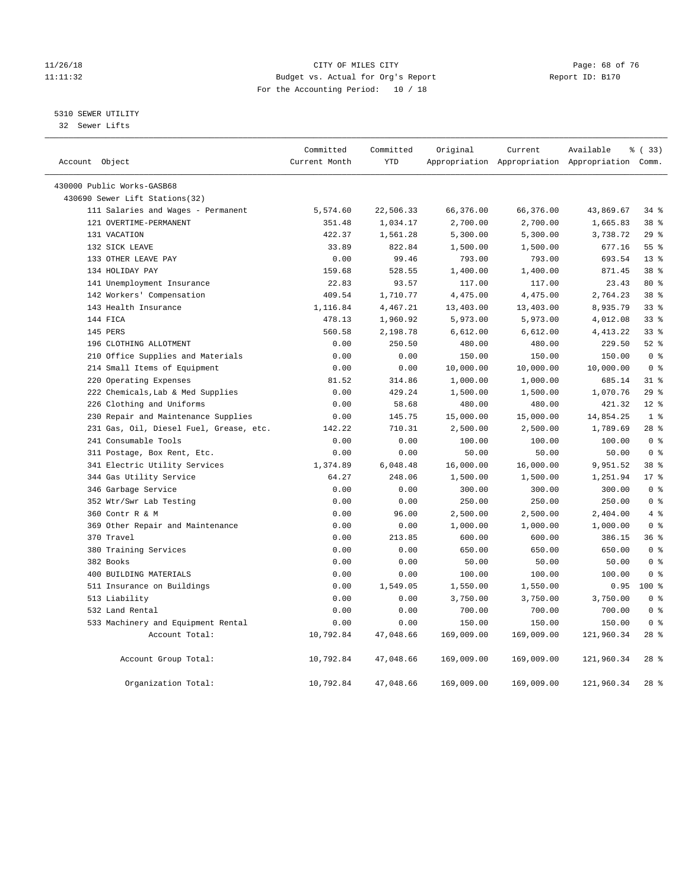#### 11/26/18 Page: 68 of 76 Page: 68 of 76 Page: 68 Of 76 Page: 68 Of 76 Page: 68 Of 76 Page: 68 Of 76 Page: 68 Of 76 Page: 68 Of 76 Page: 68 Of 76 Page: 68 Of 76 Page: 68 Of 76 Page: 68 Of 76 Page: 68 Of 76 Page: 68 Of 76 Pag 11:11:32 Budget vs. Actual for Org's Report Report ID: B170 For the Accounting Period: 10 / 18

#### 5310 SEWER UTILITY

32 Sewer Lifts

| Account Object |                                         | Committed<br>Current Month | Committed<br><b>YTD</b> | Original   | Current    | Available<br>Appropriation Appropriation Appropriation Comm. | % ( 33 )        |
|----------------|-----------------------------------------|----------------------------|-------------------------|------------|------------|--------------------------------------------------------------|-----------------|
|                |                                         |                            |                         |            |            |                                                              |                 |
|                | 430000 Public Works-GASB68              |                            |                         |            |            |                                                              |                 |
|                | 430690 Sewer Lift Stations(32)          |                            |                         |            |            |                                                              |                 |
|                | 111 Salaries and Wages - Permanent      | 5,574.60                   | 22,506.33               | 66,376.00  | 66,376.00  | 43,869.67                                                    | 34%             |
|                | 121 OVERTIME-PERMANENT                  | 351.48                     | 1,034.17                | 2,700.00   | 2,700.00   | 1,665.83                                                     | 38 <sup>8</sup> |
|                | 131 VACATION                            | 422.37                     | 1,561.28                | 5,300.00   | 5,300.00   | 3,738.72                                                     | 29%             |
|                | 132 SICK LEAVE                          | 33.89                      | 822.84                  | 1,500.00   | 1,500.00   | 677.16                                                       | 55%             |
|                | 133 OTHER LEAVE PAY                     | 0.00                       | 99.46                   | 793.00     | 793.00     | 693.54                                                       | $13*$           |
|                | 134 HOLIDAY PAY                         | 159.68                     | 528.55                  | 1,400.00   | 1,400.00   | 871.45                                                       | 38 <sup>8</sup> |
|                | 141 Unemployment Insurance              | 22.83                      | 93.57                   | 117.00     | 117.00     | 23.43                                                        | $80*$           |
|                | 142 Workers' Compensation               | 409.54                     | 1,710.77                | 4,475.00   | 4,475.00   | 2,764.23                                                     | 38 %            |
|                | 143 Health Insurance                    | 1,116.84                   | 4,467.21                | 13,403.00  | 13,403.00  | 8,935.79                                                     | 338             |
|                | 144 FICA                                | 478.13                     | 1,960.92                | 5,973.00   | 5,973.00   | 4,012.08                                                     | 338             |
|                | 145 PERS                                | 560.58                     | 2,198.78                | 6,612.00   | 6,612.00   | 4, 413.22                                                    | 338             |
|                | 196 CLOTHING ALLOTMENT                  | 0.00                       | 250.50                  | 480.00     | 480.00     | 229.50                                                       | $52$ $%$        |
|                | 210 Office Supplies and Materials       | 0.00                       | 0.00                    | 150.00     | 150.00     | 150.00                                                       | 0 <sup>8</sup>  |
|                | 214 Small Items of Equipment            | 0.00                       | 0.00                    | 10,000.00  | 10,000.00  | 10,000.00                                                    | 0 <sup>8</sup>  |
|                | 220 Operating Expenses                  | 81.52                      | 314.86                  | 1,000.00   | 1,000.00   | 685.14                                                       | $31$ %          |
|                | 222 Chemicals, Lab & Med Supplies       | 0.00                       | 429.24                  | 1,500.00   | 1,500.00   | 1,070.76                                                     | 29%             |
|                | 226 Clothing and Uniforms               | 0.00                       | 58.68                   | 480.00     | 480.00     | 421.32                                                       | $12*$           |
|                | 230 Repair and Maintenance Supplies     | 0.00                       | 145.75                  | 15,000.00  | 15,000.00  | 14,854.25                                                    | 1 <sup>°</sup>  |
|                | 231 Gas, Oil, Diesel Fuel, Grease, etc. | 142.22                     | 710.31                  | 2,500.00   | 2,500.00   | 1,789.69                                                     | $28$ %          |
|                | 241 Consumable Tools                    | 0.00                       | 0.00                    | 100.00     | 100.00     | 100.00                                                       | 0 <sup>8</sup>  |
|                | 311 Postage, Box Rent, Etc.             | 0.00                       | 0.00                    | 50.00      | 50.00      | 50.00                                                        | 0 <sup>8</sup>  |
|                | 341 Electric Utility Services           | 1,374.89                   | 6,048.48                | 16,000.00  | 16,000.00  | 9,951.52                                                     | 38 <sup>8</sup> |
|                | 344 Gas Utility Service                 | 64.27                      | 248.06                  | 1,500.00   | 1,500.00   | 1,251.94                                                     | $17*$           |
|                | 346 Garbage Service                     | 0.00                       | 0.00                    | 300.00     | 300.00     | 300.00                                                       | 0 <sup>8</sup>  |
|                | 352 Wtr/Swr Lab Testing                 | 0.00                       | 0.00                    | 250.00     | 250.00     | 250.00                                                       | 0 <sup>8</sup>  |
|                | 360 Contr R & M                         | 0.00                       | 96.00                   | 2,500.00   | 2,500.00   | 2,404.00                                                     | 4%              |
|                | 369 Other Repair and Maintenance        | 0.00                       | 0.00                    | 1,000.00   | 1,000.00   | 1,000.00                                                     | 0 <sup>8</sup>  |
|                | 370 Travel                              | 0.00                       | 213.85                  | 600.00     | 600.00     | 386.15                                                       | 36%             |
|                | 380 Training Services                   | 0.00                       | 0.00                    | 650.00     | 650.00     | 650.00                                                       | 0 <sup>8</sup>  |
|                | 382 Books                               | 0.00                       | 0.00                    | 50.00      | 50.00      | 50.00                                                        | 0 <sup>8</sup>  |
|                | 400 BUILDING MATERIALS                  | 0.00                       | 0.00                    | 100.00     | 100.00     | 100.00                                                       | 0 <sup>8</sup>  |
|                | 511 Insurance on Buildings              | 0.00                       | 1,549.05                | 1,550.00   | 1,550.00   | 0.95                                                         | $100*$          |
|                | 513 Liability                           | 0.00                       | 0.00                    | 3,750.00   | 3,750.00   | 3,750.00                                                     | 0 <sup>8</sup>  |
|                | 532 Land Rental                         | 0.00                       | 0.00                    | 700.00     | 700.00     | 700.00                                                       | 0 <sup>8</sup>  |
|                | 533 Machinery and Equipment Rental      | 0.00                       | 0.00                    | 150.00     | 150.00     | 150.00                                                       | 0 <sup>8</sup>  |
|                | Account Total:                          | 10,792.84                  | 47,048.66               | 169,009.00 | 169,009.00 | 121,960.34                                                   | $28$ %          |
|                | Account Group Total:                    | 10,792.84                  | 47,048.66               | 169,009.00 | 169,009.00 | 121,960.34                                                   | $28$ %          |
|                | Organization Total:                     | 10,792.84                  | 47,048.66               | 169,009.00 | 169,009.00 | 121,960.34                                                   | $28$ %          |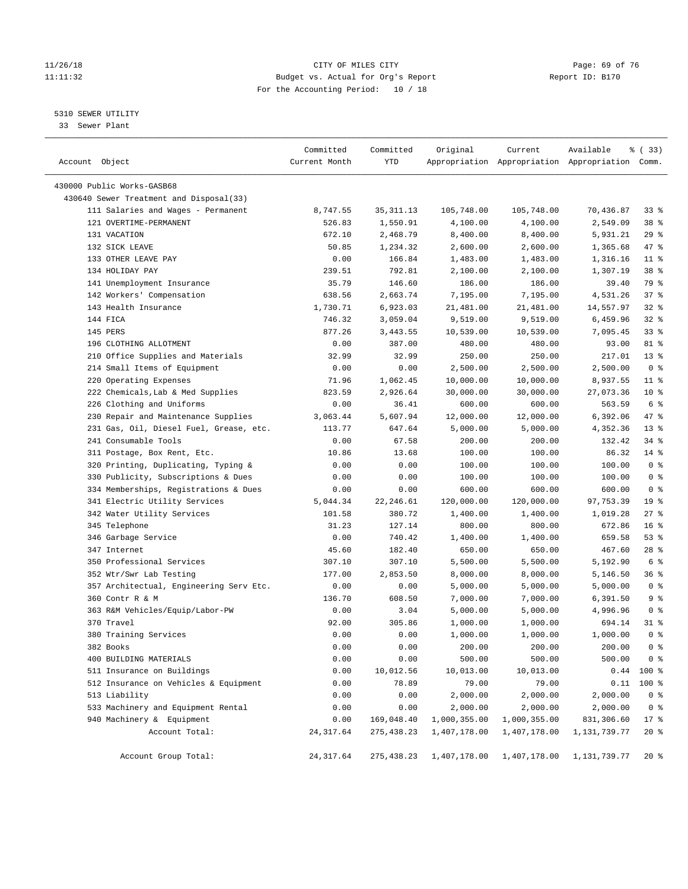#### 11/26/18 Page: 69 of 76 Page: 69 of 76 Page: 69 of 76 Page: 69 of 76 Page: 69 of 76 11:11:32 Budget vs. Actual for Org's Report Report ID: B170 For the Accounting Period: 10 / 18

————————————————————————————————————————————————————————————————————————————————————————————————————————————————————————————————————

#### 5310 SEWER UTILITY

33 Sewer Plant

|                                         | Committed     | Committed   | Original                | Current      | Available                                       | १ (33)          |
|-----------------------------------------|---------------|-------------|-------------------------|--------------|-------------------------------------------------|-----------------|
| Account Object                          | Current Month | YTD         |                         |              | Appropriation Appropriation Appropriation Comm. |                 |
| 430000 Public Works-GASB68              |               |             |                         |              |                                                 |                 |
| 430640 Sewer Treatment and Disposal(33) |               |             |                         |              |                                                 |                 |
| 111 Salaries and Wages - Permanent      | 8,747.55      | 35, 311.13  | 105,748.00              | 105,748.00   | 70,436.87                                       | 33%             |
| 121 OVERTIME-PERMANENT                  | 526.83        | 1,550.91    | 4,100.00                | 4,100.00     | 2,549.09                                        | 38 <sup>8</sup> |
| 131 VACATION                            | 672.10        | 2,468.79    | 8,400.00                | 8,400.00     | 5,931.21                                        | $29$ %          |
| 132 SICK LEAVE                          | 50.85         | 1,234.32    | 2,600.00                | 2,600.00     | 1,365.68                                        | 47 %            |
| 133 OTHER LEAVE PAY                     | 0.00          | 166.84      | 1,483.00                | 1,483.00     | 1,316.16                                        | $11$ %          |
| 134 HOLIDAY PAY                         | 239.51        | 792.81      | 2,100.00                | 2,100.00     | 1,307.19                                        | 38 %            |
| 141 Unemployment Insurance              | 35.79         | 146.60      | 186.00                  | 186.00       | 39.40                                           | 79 %            |
| 142 Workers' Compensation               | 638.56        | 2,663.74    | 7,195.00                | 7,195.00     | 4,531.26                                        | 37%             |
| 143 Health Insurance                    | 1,730.71      | 6,923.03    | 21,481.00               | 21,481.00    | 14,557.97                                       | $32$ $%$        |
| 144 FICA                                | 746.32        | 3,059.04    | 9,519.00                | 9,519.00     | 6,459.96                                        | 32%             |
| 145 PERS                                | 877.26        | 3,443.55    | 10,539.00               | 10,539.00    | 7,095.45                                        | 33%             |
| 196 CLOTHING ALLOTMENT                  | 0.00          | 387.00      | 480.00                  | 480.00       | 93.00                                           | 81 %            |
| 210 Office Supplies and Materials       | 32.99         | 32.99       | 250.00                  | 250.00       | 217.01                                          | $13*$           |
| 214 Small Items of Equipment            | 0.00          | 0.00        | 2,500.00                | 2,500.00     | 2,500.00                                        | 0 <sup>8</sup>  |
| 220 Operating Expenses                  | 71.96         | 1,062.45    | 10,000.00               | 10,000.00    | 8,937.55                                        | $11$ %          |
| 222 Chemicals, Lab & Med Supplies       | 823.59        | 2,926.64    | 30,000.00               | 30,000.00    | 27,073.36                                       | $10*$           |
| 226 Clothing and Uniforms               | 0.00          | 36.41       | 600.00                  | 600.00       | 563.59                                          | 6 <sup>°</sup>  |
| 230 Repair and Maintenance Supplies     | 3,063.44      | 5,607.94    | 12,000.00               | 12,000.00    | 6,392.06                                        | 47 %            |
| 231 Gas, Oil, Diesel Fuel, Grease, etc. | 113.77        | 647.64      | 5,000.00                | 5,000.00     | 4,352.36                                        | $13*$           |
| 241 Consumable Tools                    | 0.00          | 67.58       | 200.00                  | 200.00       | 132.42                                          | 34%             |
| 311 Postage, Box Rent, Etc.             | 10.86         | 13.68       | 100.00                  | 100.00       | 86.32                                           | $14$ %          |
| 320 Printing, Duplicating, Typing &     | 0.00          | 0.00        | 100.00                  | 100.00       | 100.00                                          | 0 <sup>8</sup>  |
| 330 Publicity, Subscriptions & Dues     | 0.00          | 0.00        | 100.00                  | 100.00       | 100.00                                          | 0 <sup>8</sup>  |
| 334 Memberships, Registrations & Dues   | 0.00          | 0.00        | 600.00                  | 600.00       | 600.00                                          | 0 <sup>8</sup>  |
| 341 Electric Utility Services           | 5,044.34      | 22,246.61   | 120,000.00              | 120,000.00   | 97,753.39                                       | 19 <sup>°</sup> |
| 342 Water Utility Services              | 101.58        | 380.72      | 1,400.00                | 1,400.00     | 1,019.28                                        | $27$ %          |
| 345 Telephone                           | 31.23         | 127.14      | 800.00                  | 800.00       | 672.86                                          | 16 <sup>°</sup> |
| 346 Garbage Service                     | 0.00          | 740.42      | 1,400.00                | 1,400.00     | 659.58                                          | 53%             |
| 347 Internet                            | 45.60         | 182.40      | 650.00                  | 650.00       | 467.60                                          | $28$ %          |
| 350 Professional Services               | 307.10        | 307.10      | 5,500.00                | 5,500.00     | 5,192.90                                        | 6 <sup>°</sup>  |
| 352 Wtr/Swr Lab Testing                 | 177.00        | 2,853.50    | 8,000.00                | 8,000.00     | 5,146.50                                        | 36%             |
| 357 Architectual, Engineering Serv Etc. | 0.00          | 0.00        | 5,000.00                | 5,000.00     | 5,000.00                                        | 0 <sup>8</sup>  |
| 360 Contr R & M                         | 136.70        | 608.50      | 7,000.00                | 7,000.00     | 6,391.50                                        | 9 <sub>8</sub>  |
| 363 R&M Vehicles/Equip/Labor-PW         | 0.00          | 3.04        | 5,000.00                | 5,000.00     | 4,996.96                                        | 0 <sup>8</sup>  |
| 370 Travel                              | 92.00         | 305.86      | 1,000.00                | 1,000.00     | 694.14                                          | $31$ %          |
| 380 Training Services                   | 0.00          | 0.00        | 1,000.00                | 1,000.00     | 1,000.00                                        | 0 <sup>8</sup>  |
| 382 Books                               | 0.00          | 0.00        | 200.00                  | 200.00       | 200.00                                          | 0 <sup>8</sup>  |
| 400 BUILDING MATERIALS                  | 0.00          | 0.00        | 500.00                  | 500.00       | 500.00                                          | 0 <sup>8</sup>  |
| 511 Insurance on Buildings              | 0.00          | 10,012.56   | 10,013.00               | 10,013.00    |                                                 | $0.44$ 100 %    |
| 512 Insurance on Vehicles & Equipment   | 0.00          | 78.89       | 79.00                   | 79.00        | 0.11                                            | $100*$          |
| 513 Liability                           | 0.00          | 0.00        | 2,000.00                | 2,000.00     | 2,000.00                                        | 0 <sup>8</sup>  |
| 533 Machinery and Equipment Rental      | 0.00          | 0.00        | 2,000.00                | 2,000.00     | 2,000.00                                        | 0 <sup>8</sup>  |
| 940 Machinery & Equipment               | 0.00          | 169,048.40  | 1,000,355.00            | 1,000,355.00 | 831,306.60                                      | $17*$           |
| Account Total:                          | 24, 317.64    | 275, 438.23 | 1,407,178.00            | 1,407,178.00 | 1,131,739.77                                    | $20*$           |
|                                         |               |             |                         |              |                                                 |                 |
| Account Group Total:                    | 24, 317.64    |             | 275,438.23 1,407,178.00 | 1,407,178.00 | 1,131,739.77                                    | $20*$           |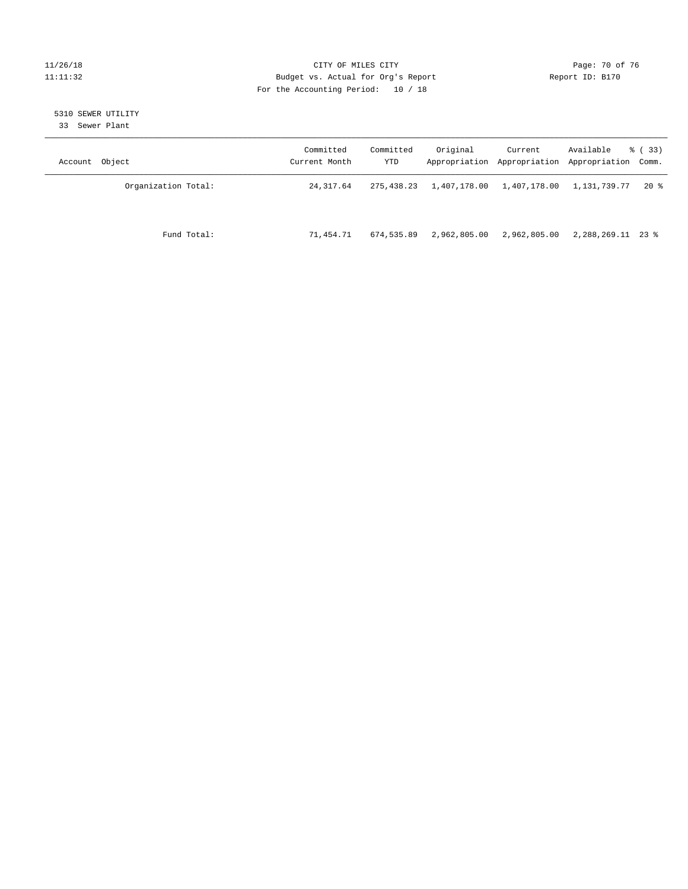#### 11/26/18 Page: 70 of 76 Page: 70 of 76 Page: 70 of 76 Page: 70 of 76 Page: 70 of 76 Page: 70 of 76 Page: 70 of 76 11:11:32 Budget vs. Actual for Org's Report Changer Report ID: B170 For the Accounting Period: 10 / 18

## 5310 SEWER UTILITY

33 Sewer Plant

| Account Object |                     | Committed<br>Current Month | Committed<br>YTD | Original     | Current      | Available<br>Appropriation Appropriation Appropriation Comm. | % ( 33 ) |
|----------------|---------------------|----------------------------|------------------|--------------|--------------|--------------------------------------------------------------|----------|
|                | Organization Total: | 24, 317.64                 | 275,438.23       | 1,407,178.00 | 1,407,178.00 | 1,131,739.77                                                 | 20 %     |
|                | Fund Total:         | 71,454.71                  | 674,535.89       | 2,962,805.00 | 2,962,805.00 | 2,288,269.11 23 %                                            |          |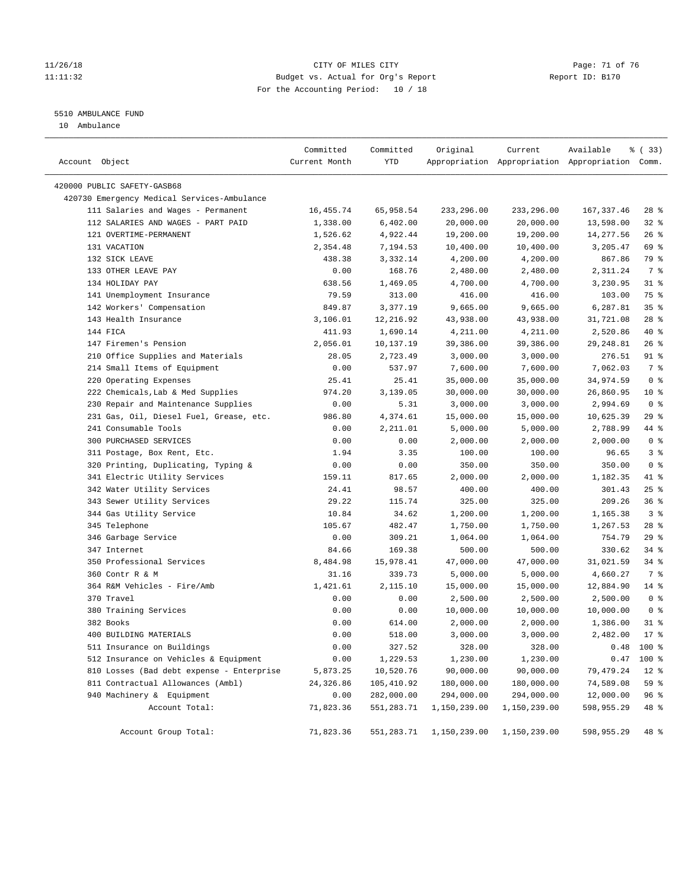#### 11/26/18 Page: 71 of 76 Page: 71 of 76 Page: 71 of 76 Page: 71 of 76 Page: 71 of 76 11:11:32 Budget vs. Actual for Org's Report Report ID: B170 For the Accounting Period: 10 / 18

#### 5510 AMBULANCE FUND

10 Ambulance

| Account Object                              | Committed<br>Current Month | Committed<br>YTD | Original     | Current      | Available<br>Appropriation Appropriation Appropriation Comm. | % (33)          |
|---------------------------------------------|----------------------------|------------------|--------------|--------------|--------------------------------------------------------------|-----------------|
| 420000 PUBLIC SAFETY-GASB68                 |                            |                  |              |              |                                                              |                 |
| 420730 Emergency Medical Services-Ambulance |                            |                  |              |              |                                                              |                 |
| 111 Salaries and Wages - Permanent          | 16, 455.74                 | 65,958.54        | 233,296.00   | 233,296.00   | 167, 337.46                                                  | $28$ %          |
| 112 SALARIES AND WAGES - PART PAID          | 1,338.00                   | 6,402.00         | 20,000.00    | 20,000.00    | 13,598.00                                                    | 32%             |
| 121 OVERTIME-PERMANENT                      | 1,526.62                   | 4,922.44         | 19,200.00    | 19,200.00    | 14,277.56                                                    | 26%             |
| 131 VACATION                                | 2,354.48                   | 7,194.53         | 10,400.00    | 10,400.00    | 3,205.47                                                     | 69 %            |
| 132 SICK LEAVE                              | 438.38                     | 3,332.14         | 4,200.00     | 4,200.00     | 867.86                                                       | 79 %            |
| 133 OTHER LEAVE PAY                         | 0.00                       | 168.76           | 2,480.00     | 2,480.00     | 2,311.24                                                     | 7 %             |
| 134 HOLIDAY PAY                             | 638.56                     | 1,469.05         | 4,700.00     | 4,700.00     | 3,230.95                                                     | $31$ %          |
| 141 Unemployment Insurance                  | 79.59                      | 313.00           | 416.00       | 416.00       | 103.00                                                       | 75 %            |
| 142 Workers' Compensation                   | 849.87                     | 3,377.19         | 9,665.00     | 9,665.00     | 6,287.81                                                     | 35 <sup>8</sup> |
| 143 Health Insurance                        | 3,106.01                   | 12,216.92        | 43,938.00    | 43,938.00    | 31,721.08                                                    | $28$ %          |
| 144 FICA                                    | 411.93                     | 1,690.14         | 4,211.00     | 4,211.00     | 2,520.86                                                     | 40 %            |
| 147 Firemen's Pension                       | 2,056.01                   | 10,137.19        | 39,386.00    | 39,386.00    | 29, 248.81                                                   | 26%             |
| 210 Office Supplies and Materials           | 28.05                      | 2,723.49         | 3,000.00     | 3,000.00     | 276.51                                                       | 91 %            |
| 214 Small Items of Equipment                | 0.00                       | 537.97           | 7,600.00     | 7,600.00     | 7,062.03                                                     | 7 %             |
| 220 Operating Expenses                      | 25.41                      | 25.41            | 35,000.00    | 35,000.00    | 34,974.59                                                    | 0 <sup>8</sup>  |
| 222 Chemicals, Lab & Med Supplies           | 974.20                     | 3,139.05         | 30,000.00    | 30,000.00    | 26,860.95                                                    | $10*$           |
| 230 Repair and Maintenance Supplies         | 0.00                       | 5.31             | 3,000.00     | 3,000.00     | 2,994.69                                                     | 0 <sup>8</sup>  |
| 231 Gas, Oil, Diesel Fuel, Grease, etc.     | 986.80                     | 4,374.61         | 15,000.00    | 15,000.00    | 10,625.39                                                    | 29%             |
| 241 Consumable Tools                        |                            |                  |              |              |                                                              | 44 %            |
|                                             | 0.00                       | 2,211.01         | 5,000.00     | 5,000.00     | 2,788.99                                                     |                 |
| 300 PURCHASED SERVICES                      | 0.00                       | 0.00             | 2,000.00     | 2,000.00     | 2,000.00                                                     | 0 <sup>8</sup>  |
| 311 Postage, Box Rent, Etc.                 | 1.94                       | 3.35             | 100.00       | 100.00       | 96.65                                                        | 3 <sup>°</sup>  |
| 320 Printing, Duplicating, Typing &         | 0.00                       | 0.00             | 350.00       | 350.00       | 350.00                                                       | 0 <sup>8</sup>  |
| 341 Electric Utility Services               | 159.11                     | 817.65           | 2,000.00     | 2,000.00     | 1,182.35                                                     | 41 %            |
| 342 Water Utility Services                  | 24.41                      | 98.57            | 400.00       | 400.00       | 301.43                                                       | 25%             |
| 343 Sewer Utility Services                  | 29.22                      | 115.74           | 325.00       | 325.00       | 209.26                                                       | 36%             |
| 344 Gas Utility Service                     | 10.84                      | 34.62            | 1,200.00     | 1,200.00     | 1,165.38                                                     | 3 <sup>8</sup>  |
| 345 Telephone                               | 105.67                     | 482.47           | 1,750.00     | 1,750.00     | 1,267.53                                                     | $28$ %          |
| 346 Garbage Service                         | 0.00                       | 309.21           | 1,064.00     | 1,064.00     | 754.79                                                       | 29%             |
| 347 Internet                                | 84.66                      | 169.38           | 500.00       | 500.00       | 330.62                                                       | $34$ $%$        |
| 350 Professional Services                   | 8,484.98                   | 15,978.41        | 47,000.00    | 47,000.00    | 31,021.59                                                    | 34%             |
| 360 Contr R & M                             | 31.16                      | 339.73           | 5,000.00     | 5,000.00     | 4,660.27                                                     | 7 %             |
| 364 R&M Vehicles - Fire/Amb                 | 1,421.61                   | 2,115.10         | 15,000.00    | 15,000.00    | 12,884.90                                                    | 14 %            |
| 370 Travel                                  | 0.00                       | 0.00             | 2,500.00     | 2,500.00     | 2,500.00                                                     | 0 <sup>8</sup>  |
| 380 Training Services                       | 0.00                       | 0.00             | 10,000.00    | 10,000.00    | 10,000.00                                                    | 0 <sup>8</sup>  |
| 382 Books                                   | 0.00                       | 614.00           | 2,000.00     | 2,000.00     | 1,386.00                                                     | $31$ %          |
| 400 BUILDING MATERIALS                      | 0.00                       | 518.00           | 3,000.00     | 3,000.00     | 2,482.00                                                     | $17*$           |
| 511 Insurance on Buildings                  | 0.00                       | 327.52           | 328.00       | 328.00       | 0.48                                                         | 100 %           |
| 512 Insurance on Vehicles & Equipment       | 0.00                       | 1,229.53         | 1,230.00     | 1,230.00     | 0.47                                                         | 100 %           |
| 810 Losses (Bad debt expense - Enterprise   | 5,873.25                   | 10,520.76        | 90,000.00    | 90,000.00    | 79, 479.24                                                   | $12*$           |
| 811 Contractual Allowances (Ambl)           | 24,326.86                  | 105,410.92       | 180,000.00   | 180,000.00   | 74,589.08                                                    | 59 %            |
| 940 Machinery & Equipment                   | 0.00                       | 282,000.00       | 294,000.00   | 294,000.00   | 12,000.00                                                    | 96 %            |
| Account Total:                              | 71,823.36                  | 551,283.71       | 1,150,239.00 | 1,150,239.00 | 598,955.29                                                   | 48 %            |
| Account Group Total:                        | 71,823.36                  | 551,283.71       | 1,150,239.00 | 1,150,239.00 | 598,955.29                                                   | 48 %            |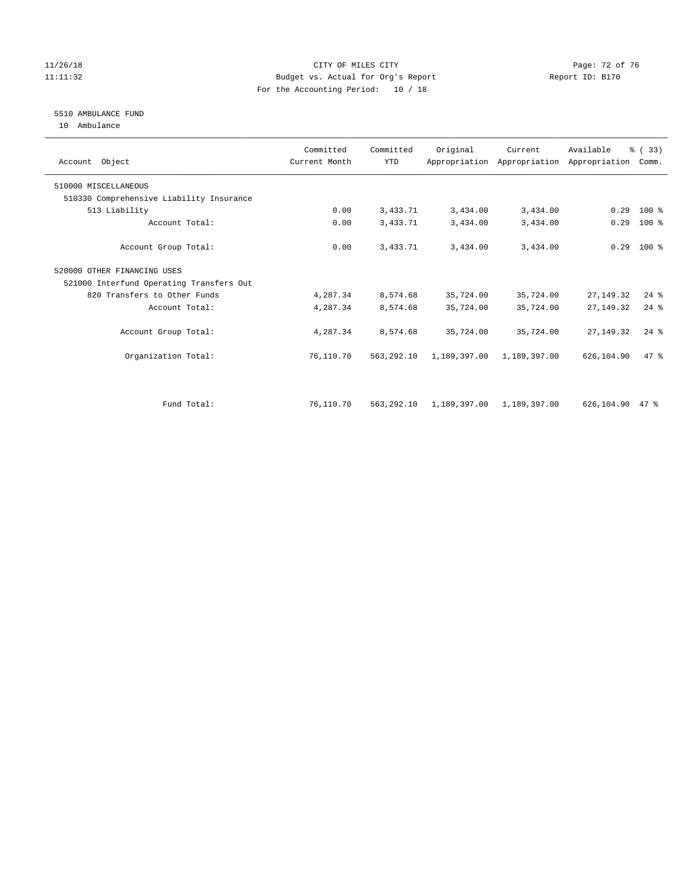#### 11/26/18 Page: 72 of 76 Page: 72 of 76 Page: 72 OF 76 Page: 72 OF 76 Page: 72 OF 76 Page: 72 OF 76 Page: 72 OF 76 11:11:32 Budget vs. Actual for Org's Report Report ID: B170 For the Accounting Period: 10 / 18

#### 5510 AMBULANCE FUND

10 Ambulance

| Account Object                           | Committed<br>Current Month | Committed<br><b>YTD</b> | Original     | Current      | Available<br>Appropriation Appropriation Appropriation | % (33)<br>Comm. |  |
|------------------------------------------|----------------------------|-------------------------|--------------|--------------|--------------------------------------------------------|-----------------|--|
| 510000 MISCELLANEOUS                     |                            |                         |              |              |                                                        |                 |  |
| 510330 Comprehensive Liability Insurance |                            |                         |              |              |                                                        |                 |  |
| 513 Liability                            | 0.00                       | 3,433.71                | 3,434.00     | 3,434.00     | 0.29                                                   | 100 %           |  |
| Account Total:                           | 0.00                       | 3,433.71                | 3,434.00     | 3,434.00     | 0.29                                                   | $100$ %         |  |
| Account Group Total:                     | 0.00                       | 3,433.71                | 3,434.00     | 3,434.00     |                                                        | $0.29$ 100 %    |  |
| 520000 OTHER FINANCING USES              |                            |                         |              |              |                                                        |                 |  |
| 521000 Interfund Operating Transfers Out |                            |                         |              |              |                                                        |                 |  |
| 820 Transfers to Other Funds             | 4,287.34                   | 8,574.68                | 35,724.00    | 35,724.00    | 27, 149. 32                                            | $24$ %          |  |
| Account Total:                           | 4,287.34                   | 8,574.68                | 35,724.00    | 35,724.00    | 27, 149. 32                                            | $24$ $%$        |  |
| Account Group Total:                     | 4,287.34                   | 8,574.68                | 35,724.00    | 35,724.00    | 27, 149, 32                                            | $24$ $%$        |  |
| Organization Total:                      | 76,110.70                  | 563,292.10              | 1,189,397.00 | 1,189,397.00 | 626,104.90                                             | 47.8            |  |
|                                          |                            |                         |              |              |                                                        |                 |  |
| Fund Total:                              | 76,110.70                  | 563,292.10              | 1,189,397.00 | 1,189,397.00 | 626,104.90                                             | $47*$           |  |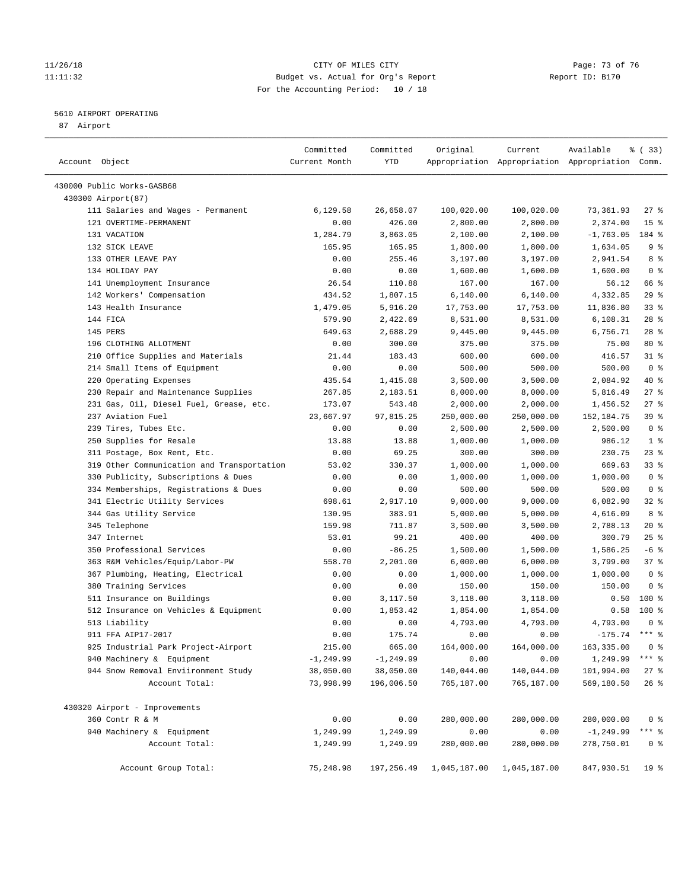### 11/26/18 Page: 73 of 76 Page: 73 Of 76 Page: 73 Of 76 Page: 73 Of 76 Page: 73 Of 76 Page: 73 Of 76 Page: 73 Of 76 11:11:32 Budget vs. Actual for Org's Report Report ID: B170 For the Accounting Period: 10 / 18

————————————————————————————————————————————————————————————————————————————————————————————————————————————————————————————————————

### 5610 AIRPORT OPERATING

87 Airport

|                                            | Committed     | Committed    | Original     | Current      | Available                                       | 8 (33)              |
|--------------------------------------------|---------------|--------------|--------------|--------------|-------------------------------------------------|---------------------|
| Account Object                             | Current Month | YTD          |              |              | Appropriation Appropriation Appropriation Comm. |                     |
| 430000 Public Works-GASB68                 |               |              |              |              |                                                 |                     |
| 430300 Airport(87)                         |               |              |              |              |                                                 |                     |
| 111 Salaries and Wages - Permanent         | 6,129.58      | 26,658.07    | 100,020.00   | 100,020.00   | 73,361.93                                       | 27 %                |
| 121 OVERTIME-PERMANENT                     | 0.00          | 426.00       | 2,800.00     | 2,800.00     | 2,374.00                                        | 15 <sup>8</sup>     |
| 131 VACATION                               | 1,284.79      | 3,863.05     | 2,100.00     | 2,100.00     | $-1,763.05$                                     | 184 %               |
| 132 SICK LEAVE                             | 165.95        | 165.95       | 1,800.00     | 1,800.00     | 1,634.05                                        | 9%                  |
| 133 OTHER LEAVE PAY                        | 0.00          | 255.46       | 3,197.00     | 3,197.00     | 2,941.54                                        | 8 %                 |
| 134 HOLIDAY PAY                            | 0.00          | 0.00         | 1,600.00     | 1,600.00     | 1,600.00                                        | 0 <sup>8</sup>      |
| 141 Unemployment Insurance                 | 26.54         | 110.88       | 167.00       | 167.00       | 56.12                                           | 66 %                |
| 142 Workers' Compensation                  | 434.52        | 1,807.15     | 6,140.00     | 6,140.00     | 4,332.85                                        | 29%                 |
| 143 Health Insurance                       | 1,479.05      | 5,916.20     | 17,753.00    | 17,753.00    | 11,836.80                                       | 33%                 |
| 144 FICA                                   | 579.90        | 2,422.69     | 8,531.00     | 8,531.00     | 6,108.31                                        | $28$ %              |
| 145 PERS                                   | 649.63        | 2,688.29     | 9,445.00     | 9,445.00     | 6,756.71                                        | $28$ %              |
| 196 CLOTHING ALLOTMENT                     | 0.00          | 300.00       | 375.00       | 375.00       | 75.00                                           | $80*$               |
| 210 Office Supplies and Materials          | 21.44         | 183.43       | 600.00       | 600.00       | 416.57                                          | $31$ %              |
| 214 Small Items of Equipment               | 0.00          | 0.00         | 500.00       | 500.00       | 500.00                                          | 0 <sup>8</sup>      |
| 220 Operating Expenses                     | 435.54        | 1,415.08     | 3,500.00     | 3,500.00     | 2,084.92                                        | 40 %                |
| 230 Repair and Maintenance Supplies        | 267.85        | 2,183.51     | 8,000.00     | 8,000.00     | 5,816.49                                        | $27$ %              |
| 231 Gas, Oil, Diesel Fuel, Grease, etc.    | 173.07        | 543.48       | 2,000.00     | 2,000.00     | 1,456.52                                        | $27$ %              |
| 237 Aviation Fuel                          | 23,667.97     | 97,815.25    | 250,000.00   | 250,000.00   | 152,184.75                                      | 39%                 |
| 239 Tires, Tubes Etc.                      | 0.00          | 0.00         | 2,500.00     | 2,500.00     | 2,500.00                                        | 0 <sup>8</sup>      |
| 250 Supplies for Resale                    | 13.88         | 13.88        | 1,000.00     | 1,000.00     | 986.12                                          | 1 <sup>°</sup>      |
| 311 Postage, Box Rent, Etc.                | 0.00          | 69.25        | 300.00       | 300.00       | 230.75                                          | $23$ %              |
| 319 Other Communication and Transportation | 53.02         | 330.37       | 1,000.00     | 1,000.00     | 669.63                                          | 33%                 |
| 330 Publicity, Subscriptions & Dues        | 0.00          | 0.00         | 1,000.00     | 1,000.00     | 1,000.00                                        | 0 <sup>8</sup>      |
| 334 Memberships, Registrations & Dues      | 0.00          | 0.00         | 500.00       | 500.00       | 500.00                                          | 0 <sup>8</sup>      |
| 341 Electric Utility Services              | 698.61        | 2,917.10     | 9,000.00     | 9,000.00     | 6,082.90                                        | 32%                 |
| 344 Gas Utility Service                    | 130.95        | 383.91       | 5,000.00     | 5,000.00     | 4,616.09                                        | 8 %                 |
| 345 Telephone                              | 159.98        | 711.87       | 3,500.00     | 3,500.00     | 2,788.13                                        | $20*$               |
| 347 Internet                               | 53.01         | 99.21        | 400.00       | 400.00       | 300.79                                          | 25%                 |
| 350 Professional Services                  | 0.00          | $-86.25$     | 1,500.00     | 1,500.00     | 1,586.25                                        | $-6$ %              |
| 363 R&M Vehicles/Equip/Labor-PW            | 558.70        | 2,201.00     | 6,000.00     | 6,000.00     | 3,799.00                                        | 37%                 |
| 367 Plumbing, Heating, Electrical          | 0.00          | 0.00         | 1,000.00     | 1,000.00     | 1,000.00                                        | 0 <sup>8</sup>      |
| 380 Training Services                      | 0.00          | 0.00         | 150.00       | 150.00       | 150.00                                          | 0 <sup>8</sup>      |
| 511 Insurance on Buildings                 | 0.00          | 3,117.50     | 3,118.00     | 3,118.00     | 0.50                                            | $100$ %             |
| 512 Insurance on Vehicles & Equipment      | 0.00          | 1,853.42     | 1,854.00     | 1,854.00     | 0.58                                            | 100 %               |
| 513 Liability                              | 0.00          | 0.00         | 4,793.00     | 4,793.00     | 4,793.00                                        | 0 <sup>8</sup>      |
| 911 FFA AIP17-2017                         | 0.00          | 175.74       | 0.00         | 0.00         | $-175.74$                                       | $***$ $%$           |
| 925 Industrial Park Project-Airport        | 215.00        | 665.00       | 164,000.00   | 164,000.00   | 163,335.00                                      | 0 <sup>8</sup>      |
| 940 Machinery & Equipment                  | $-1, 249.99$  | $-1, 249.99$ | 0.00         | 0.00         | 1,249.99                                        | $***$ $_{8}$        |
| 944 Snow Removal Enviironment Study        | 38,050.00     | 38,050.00    | 140,044.00   | 140,044.00   | 101,994.00                                      | $27$ %              |
| Account Total:                             | 73,998.99     | 196,006.50   | 765,187.00   | 765,187.00   | 569,180.50                                      | $26$ %              |
| 430320 Airport - Improvements              |               |              |              |              |                                                 |                     |
| 360 Contr R & M                            | 0.00          | 0.00         | 280,000.00   | 280,000.00   | 280,000.00                                      | 0 <sup>8</sup>      |
| 940 Machinery & Equipment                  | 1,249.99      | 1,249.99     | 0.00         | 0.00         | $-1, 249.99$                                    | $***$ $\frac{6}{9}$ |
| Account Total:                             | 1,249.99      | 1,249.99     | 280,000.00   | 280,000.00   | 278,750.01                                      | 0 <sup>8</sup>      |
| Account Group Total:                       | 75,248.98     | 197,256.49   | 1,045,187.00 | 1,045,187.00 | 847,930.51                                      | 19 <sup>°</sup>     |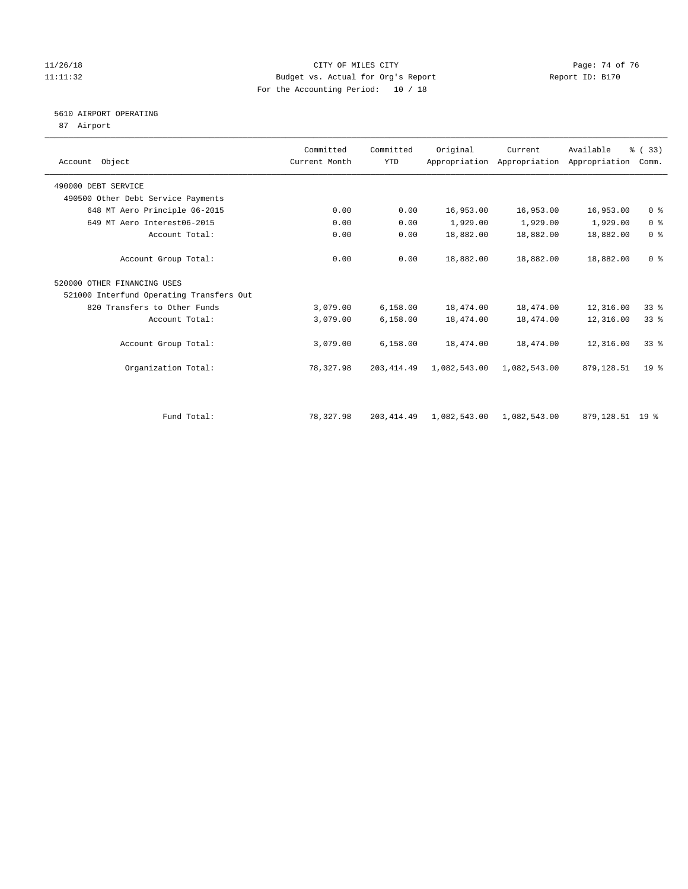### 11/26/18 Page: 74 of 76 Page: 74 of 76 Page: 74 OF 76 Page: 74 OF 76 Page: 74 OF 76 Page: 74 OF 76 Page: 74 OF 76 11:11:32 Budget vs. Actual for Org's Report Report ID: B170 For the Accounting Period: 10 / 18

# 5610 AIRPORT OPERATING

87 Airport

| Account Object                           | Committed<br>Current Month | Committed<br><b>YTD</b> | Original     | Current      | Available<br>Appropriation Appropriation Appropriation | % (33)<br>Comm. |  |
|------------------------------------------|----------------------------|-------------------------|--------------|--------------|--------------------------------------------------------|-----------------|--|
| 490000 DEBT SERVICE                      |                            |                         |              |              |                                                        |                 |  |
| 490500 Other Debt Service Payments       |                            |                         |              |              |                                                        |                 |  |
| 648 MT Aero Principle 06-2015            | 0.00                       | 0.00                    | 16,953.00    | 16,953.00    | 16,953.00                                              | 0 <sup>8</sup>  |  |
| 649 MT Aero Interest06-2015              | 0.00                       | 0.00                    | 1,929.00     | 1,929.00     | 1,929.00                                               | 0 <sup>8</sup>  |  |
| Account Total:                           | 0.00                       | 0.00                    | 18,882.00    | 18,882.00    | 18,882.00                                              | 0 <sup>8</sup>  |  |
| Account Group Total:                     | 0.00                       | 0.00                    | 18,882.00    | 18,882.00    | 18,882.00                                              | 0 <sup>8</sup>  |  |
| 520000 OTHER FINANCING USES              |                            |                         |              |              |                                                        |                 |  |
| 521000 Interfund Operating Transfers Out |                            |                         |              |              |                                                        |                 |  |
| 820 Transfers to Other Funds             | 3,079.00                   | 6,158.00                | 18,474.00    | 18,474.00    | 12,316.00                                              | 33%             |  |
| Account Total:                           | 3,079.00                   | 6,158.00                | 18,474.00    | 18,474.00    | 12,316.00                                              | $33*$           |  |
| Account Group Total:                     | 3,079.00                   | 6,158.00                | 18,474.00    | 18,474.00    | 12,316.00                                              | 33%             |  |
| Organization Total:                      | 78,327.98                  | 203, 414.49             | 1,082,543.00 | 1,082,543.00 | 879,128.51                                             | 19 <sup>8</sup> |  |
|                                          |                            |                         |              |              |                                                        |                 |  |
| Fund Total:                              | 78,327.98                  | 203, 414.49             | 1,082,543.00 | 1,082,543.00 | 879,128.51 19 %                                        |                 |  |